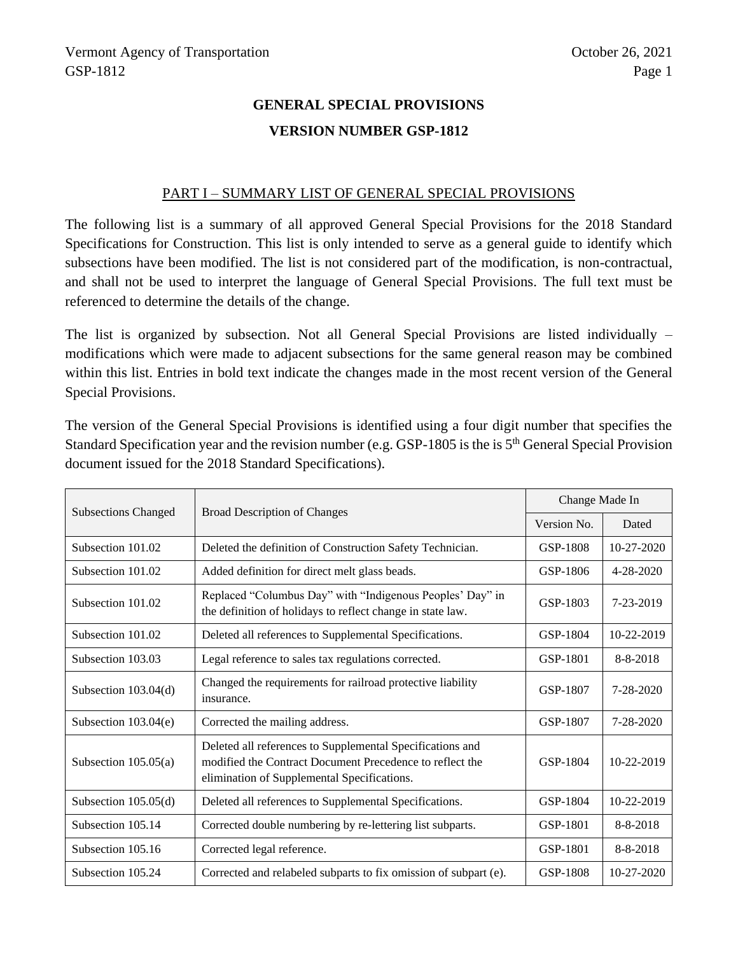# **GENERAL SPECIAL PROVISIONS VERSION NUMBER GSP-1812**

#### PART I – SUMMARY LIST OF GENERAL SPECIAL PROVISIONS

The following list is a summary of all approved General Special Provisions for the 2018 Standard Specifications for Construction. This list is only intended to serve as a general guide to identify which subsections have been modified. The list is not considered part of the modification, is non-contractual, and shall not be used to interpret the language of General Special Provisions. The full text must be referenced to determine the details of the change.

The list is organized by subsection. Not all General Special Provisions are listed individually – modifications which were made to adjacent subsections for the same general reason may be combined within this list. Entries in bold text indicate the changes made in the most recent version of the General Special Provisions.

The version of the General Special Provisions is identified using a four digit number that specifies the Standard Specification year and the revision number (e.g. GSP-1805 is the is 5th General Special Provision document issued for the 2018 Standard Specifications).

| <b>Subsections Changed</b> | <b>Broad Description of Changes</b>                                                                                                                                  | Change Made In |                  |
|----------------------------|----------------------------------------------------------------------------------------------------------------------------------------------------------------------|----------------|------------------|
|                            |                                                                                                                                                                      | Version No.    | Dated            |
| Subsection 101.02          | Deleted the definition of Construction Safety Technician.                                                                                                            | GSP-1808       | $10 - 27 - 2020$ |
| Subsection 101.02          | Added definition for direct melt glass beads.                                                                                                                        | GSP-1806       | $4 - 28 - 2020$  |
| Subsection 101.02          | Replaced "Columbus Day" with "Indigenous Peoples' Day" in<br>the definition of holidays to reflect change in state law.                                              | GSP-1803       | 7-23-2019        |
| Subsection 101.02          | Deleted all references to Supplemental Specifications.                                                                                                               | GSP-1804       | 10-22-2019       |
| Subsection 103.03          | Legal reference to sales tax regulations corrected.                                                                                                                  | GSP-1801       | 8-8-2018         |
| Subsection $103.04(d)$     | Changed the requirements for railroad protective liability<br>insurance.                                                                                             | GSP-1807       | $7 - 28 - 2020$  |
| Subsection $103.04(e)$     | Corrected the mailing address.                                                                                                                                       | GSP-1807       | $7 - 28 - 2020$  |
| Subsection $105.05(a)$     | Deleted all references to Supplemental Specifications and<br>modified the Contract Document Precedence to reflect the<br>elimination of Supplemental Specifications. | GSP-1804       | 10-22-2019       |
| Subsection $105.05(d)$     | Deleted all references to Supplemental Specifications.                                                                                                               | GSP-1804       | 10-22-2019       |
| Subsection 105.14          | Corrected double numbering by re-lettering list subparts.                                                                                                            | GSP-1801       | $8 - 8 - 2018$   |
| Subsection 105.16          | Corrected legal reference.                                                                                                                                           | GSP-1801       | $8 - 8 - 2018$   |
| Subsection 105.24          | Corrected and relabeled subparts to fix omission of subpart (e).                                                                                                     | GSP-1808       | $10 - 27 - 2020$ |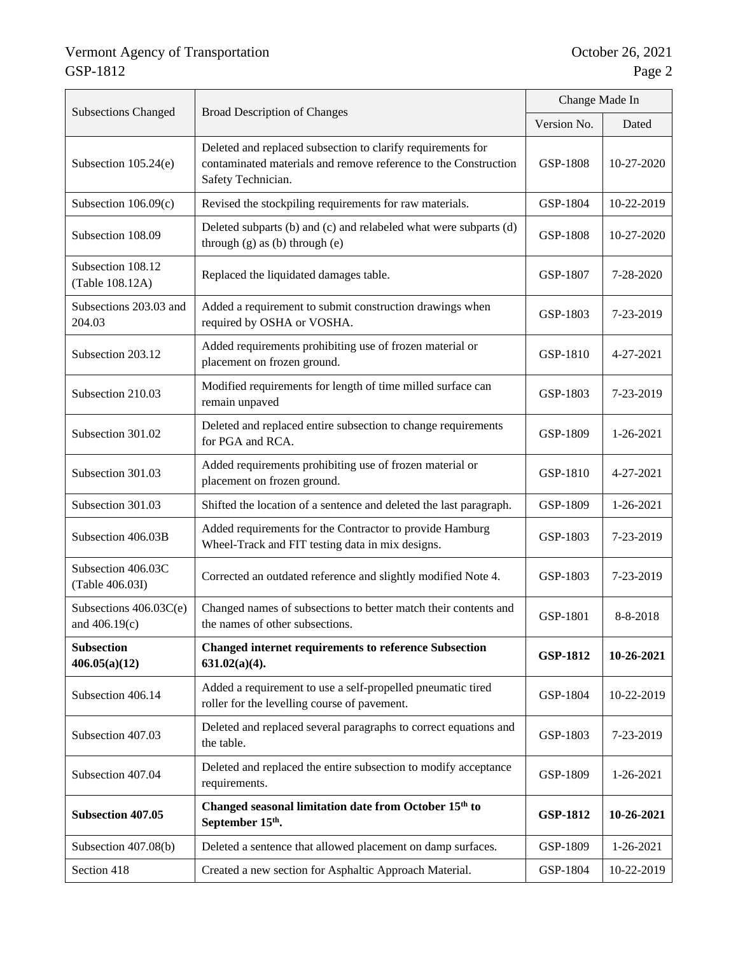# Vermont Agency of Transportation October 26, 2021<br>
GSP-1812 Page 2 GSP-1812

| <b>Subsections Changed</b><br><b>Broad Description of Changes</b> |                                                                                                                                                      | Change Made In  |            |
|-------------------------------------------------------------------|------------------------------------------------------------------------------------------------------------------------------------------------------|-----------------|------------|
|                                                                   |                                                                                                                                                      |                 | Dated      |
| Subsection 105.24(e)                                              | Deleted and replaced subsection to clarify requirements for<br>contaminated materials and remove reference to the Construction<br>Safety Technician. | GSP-1808        | 10-27-2020 |
| Subsection 106.09(c)                                              | Revised the stockpiling requirements for raw materials.                                                                                              | GSP-1804        | 10-22-2019 |
| Subsection 108.09                                                 | Deleted subparts (b) and (c) and relabeled what were subparts (d)<br>through $(g)$ as $(b)$ through $(e)$                                            | GSP-1808        | 10-27-2020 |
| Subsection 108.12<br>(Table 108.12A)                              | Replaced the liquidated damages table.                                                                                                               | GSP-1807        | 7-28-2020  |
| Subsections 203.03 and<br>204.03                                  | Added a requirement to submit construction drawings when<br>required by OSHA or VOSHA.                                                               | GSP-1803        | 7-23-2019  |
| Subsection 203.12                                                 | Added requirements prohibiting use of frozen material or<br>placement on frozen ground.                                                              | GSP-1810        | 4-27-2021  |
| Subsection 210.03                                                 | Modified requirements for length of time milled surface can<br>remain unpaved                                                                        | GSP-1803        | 7-23-2019  |
| Subsection 301.02                                                 | Deleted and replaced entire subsection to change requirements<br>for PGA and RCA.                                                                    | GSP-1809        | 1-26-2021  |
| Subsection 301.03                                                 | Added requirements prohibiting use of frozen material or<br>placement on frozen ground.                                                              | GSP-1810        | 4-27-2021  |
| Subsection 301.03                                                 | Shifted the location of a sentence and deleted the last paragraph.                                                                                   | GSP-1809        | 1-26-2021  |
| Subsection 406.03B                                                | Added requirements for the Contractor to provide Hamburg<br>Wheel-Track and FIT testing data in mix designs.                                         | GSP-1803        | 7-23-2019  |
| Subsection 406.03C<br>(Table 406.03I)                             | Corrected an outdated reference and slightly modified Note 4.                                                                                        | GSP-1803        | 7-23-2019  |
| Subsections 406.03C(e)<br>and 406.19(c)                           | Changed names of subsections to better match their contents and<br>the names of other subsections.                                                   | GSP-1801        | 8-8-2018   |
| <b>Subsection</b><br>406.05(a)(12)                                | <b>Changed internet requirements to reference Subsection</b><br>$631.02(a)(4)$ .                                                                     | <b>GSP-1812</b> | 10-26-2021 |
| Subsection 406.14                                                 | Added a requirement to use a self-propelled pneumatic tired<br>roller for the levelling course of pavement.                                          | GSP-1804        | 10-22-2019 |
| Subsection 407.03                                                 | Deleted and replaced several paragraphs to correct equations and<br>the table.                                                                       | GSP-1803        | 7-23-2019  |
| Subsection 407.04                                                 | Deleted and replaced the entire subsection to modify acceptance<br>requirements.                                                                     | GSP-1809        | 1-26-2021  |
| <b>Subsection 407.05</b>                                          | Changed seasonal limitation date from October 15 <sup>th</sup> to<br>September 15th.                                                                 | <b>GSP-1812</b> | 10-26-2021 |
| Subsection 407.08(b)                                              | Deleted a sentence that allowed placement on damp surfaces.                                                                                          | GSP-1809        | 1-26-2021  |
| Section 418                                                       | Created a new section for Asphaltic Approach Material.                                                                                               | GSP-1804        | 10-22-2019 |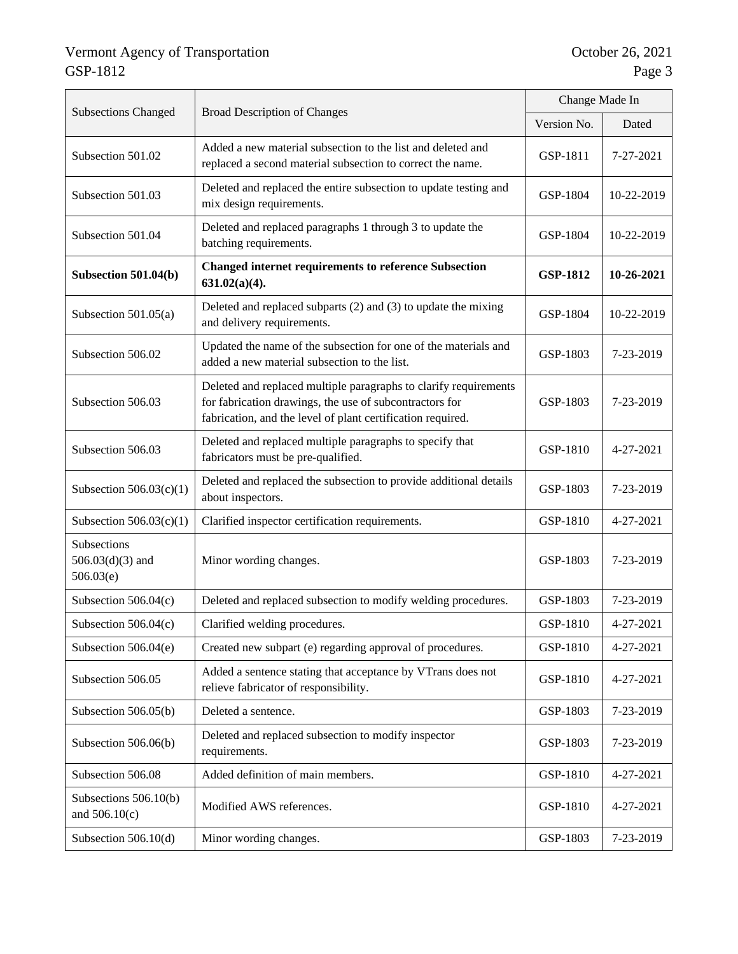|                                                |                                                                                                                                                                                            | Change Made In  |            |
|------------------------------------------------|--------------------------------------------------------------------------------------------------------------------------------------------------------------------------------------------|-----------------|------------|
| <b>Subsections Changed</b>                     | <b>Broad Description of Changes</b>                                                                                                                                                        |                 | Dated      |
| Subsection 501.02                              | Added a new material subsection to the list and deleted and<br>replaced a second material subsection to correct the name.                                                                  | GSP-1811        | 7-27-2021  |
| Subsection 501.03                              | Deleted and replaced the entire subsection to update testing and<br>mix design requirements.                                                                                               | GSP-1804        | 10-22-2019 |
| Subsection 501.04                              | Deleted and replaced paragraphs 1 through 3 to update the<br>batching requirements.                                                                                                        | GSP-1804        | 10-22-2019 |
| Subsection 501.04(b)                           | <b>Changed internet requirements to reference Subsection</b><br>$631.02(a)(4)$ .                                                                                                           | <b>GSP-1812</b> | 10-26-2021 |
| Subsection $501.05(a)$                         | Deleted and replaced subparts (2) and (3) to update the mixing<br>and delivery requirements.                                                                                               | GSP-1804        | 10-22-2019 |
| Subsection 506.02                              | Updated the name of the subsection for one of the materials and<br>added a new material subsection to the list.                                                                            | GSP-1803        | 7-23-2019  |
| Subsection 506.03                              | Deleted and replaced multiple paragraphs to clarify requirements<br>for fabrication drawings, the use of subcontractors for<br>fabrication, and the level of plant certification required. | GSP-1803        | 7-23-2019  |
| Subsection 506.03                              | Deleted and replaced multiple paragraphs to specify that<br>fabricators must be pre-qualified.                                                                                             | GSP-1810        | 4-27-2021  |
| Subsection $506.03(c)(1)$                      | Deleted and replaced the subsection to provide additional details<br>about inspectors.                                                                                                     | GSP-1803        | 7-23-2019  |
| Subsection $506.03(c)(1)$                      | Clarified inspector certification requirements.                                                                                                                                            | GSP-1810        | 4-27-2021  |
| Subsections<br>$506.03(d)(3)$ and<br>506.03(e) | Minor wording changes.                                                                                                                                                                     | GSP-1803        | 7-23-2019  |
| Subsection $506.04(c)$                         | Deleted and replaced subsection to modify welding procedures.                                                                                                                              | GSP-1803        | 7-23-2019  |
| Subsection 506.04(c)                           | Clarified welding procedures.                                                                                                                                                              | GSP-1810        | 4-27-2021  |
| Subsection $506.04(e)$                         | Created new subpart (e) regarding approval of procedures.                                                                                                                                  | GSP-1810        | 4-27-2021  |
| Subsection 506.05                              | Added a sentence stating that acceptance by VTrans does not<br>relieve fabricator of responsibility.                                                                                       | GSP-1810        | 4-27-2021  |
| Subsection 506.05(b)                           | Deleted a sentence.                                                                                                                                                                        | GSP-1803        | 7-23-2019  |
| Subsection 506.06(b)                           | Deleted and replaced subsection to modify inspector<br>requirements.                                                                                                                       | GSP-1803        | 7-23-2019  |
| Subsection 506.08                              | Added definition of main members.                                                                                                                                                          | GSP-1810        | 4-27-2021  |
| Subsections $506.10(b)$<br>and $506.10(c)$     | Modified AWS references.                                                                                                                                                                   | GSP-1810        | 4-27-2021  |
| Subsection $506.10(d)$                         | Minor wording changes.                                                                                                                                                                     | GSP-1803        | 7-23-2019  |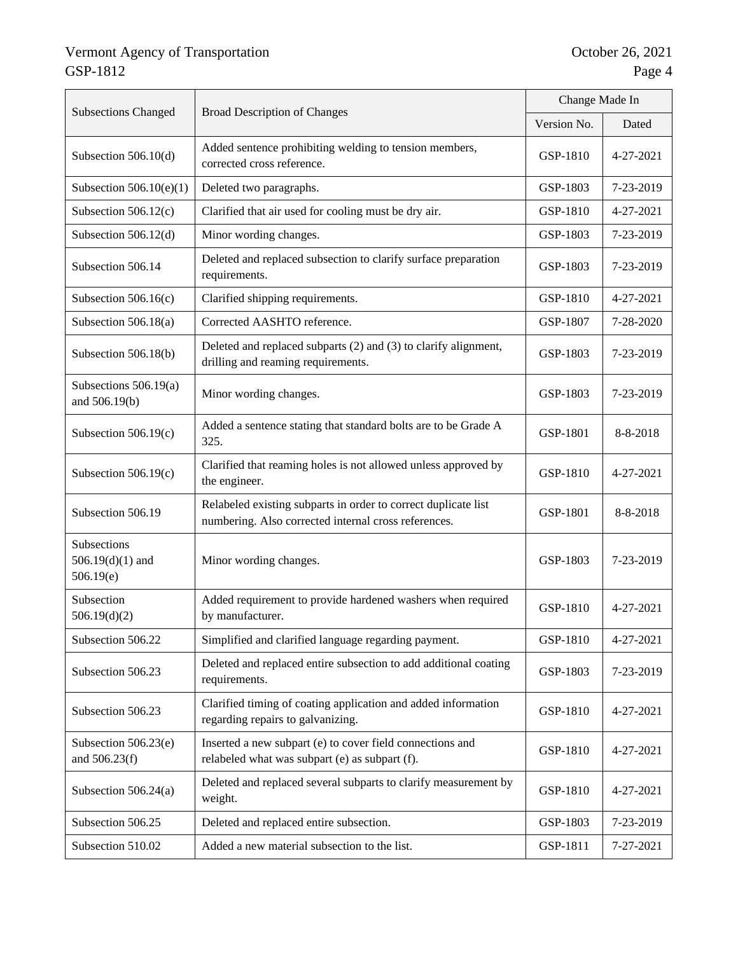|                                                | <b>Broad Description of Changes</b>                                                                                    | Change Made In |                 |
|------------------------------------------------|------------------------------------------------------------------------------------------------------------------------|----------------|-----------------|
| <b>Subsections Changed</b>                     |                                                                                                                        |                | Dated           |
| Subsection $506.10(d)$                         | Added sentence prohibiting welding to tension members,<br>corrected cross reference.                                   | GSP-1810       | $4 - 27 - 2021$ |
| Subsection $506.10(e)(1)$                      | Deleted two paragraphs.                                                                                                | GSP-1803       | 7-23-2019       |
| Subsection $506.12(c)$                         | Clarified that air used for cooling must be dry air.                                                                   | GSP-1810       | $4 - 27 - 2021$ |
| Subsection 506.12(d)                           | Minor wording changes.                                                                                                 | GSP-1803       | 7-23-2019       |
| Subsection 506.14                              | Deleted and replaced subsection to clarify surface preparation<br>requirements.                                        | GSP-1803       | 7-23-2019       |
| Subsection $506.16(c)$                         | Clarified shipping requirements.                                                                                       | GSP-1810       | 4-27-2021       |
| Subsection 506.18(a)                           | Corrected AASHTO reference.                                                                                            | GSP-1807       | 7-28-2020       |
| Subsection 506.18(b)                           | Deleted and replaced subparts (2) and (3) to clarify alignment,<br>drilling and reaming requirements.                  | GSP-1803       | 7-23-2019       |
| Subsections $506.19(a)$<br>and 506.19(b)       | Minor wording changes.                                                                                                 | GSP-1803       | 7-23-2019       |
| Subsection $506.19(c)$                         | Added a sentence stating that standard bolts are to be Grade A<br>325.                                                 | GSP-1801       | 8-8-2018        |
| Subsection $506.19(c)$                         | Clarified that reaming holes is not allowed unless approved by<br>the engineer.                                        | GSP-1810       | 4-27-2021       |
| Subsection 506.19                              | Relabeled existing subparts in order to correct duplicate list<br>numbering. Also corrected internal cross references. | GSP-1801       | 8-8-2018        |
| Subsections<br>$506.19(d)(1)$ and<br>506.19(e) | Minor wording changes.                                                                                                 | GSP-1803       | 7-23-2019       |
| Subsection<br>506.19(d)(2)                     | Added requirement to provide hardened washers when required<br>by manufacturer.                                        | GSP-1810       | 4-27-2021       |
| Subsection 506.22                              | Simplified and clarified language regarding payment.                                                                   | GSP-1810       | 4-27-2021       |
| Subsection 506.23                              | Deleted and replaced entire subsection to add additional coating<br>requirements.                                      | GSP-1803       | 7-23-2019       |
| Subsection 506.23                              | Clarified timing of coating application and added information<br>regarding repairs to galvanizing.                     | GSP-1810       | 4-27-2021       |
| Subsection 506.23(e)<br>and 506.23(f)          | Inserted a new subpart (e) to cover field connections and<br>relabeled what was subpart (e) as subpart (f).            | GSP-1810       | 4-27-2021       |
| Subsection 506.24(a)                           | Deleted and replaced several subparts to clarify measurement by<br>weight.                                             | GSP-1810       | 4-27-2021       |
| Subsection 506.25                              | Deleted and replaced entire subsection.                                                                                | GSP-1803       | 7-23-2019       |
| Subsection 510.02                              | Added a new material subsection to the list.                                                                           | GSP-1811       | 7-27-2021       |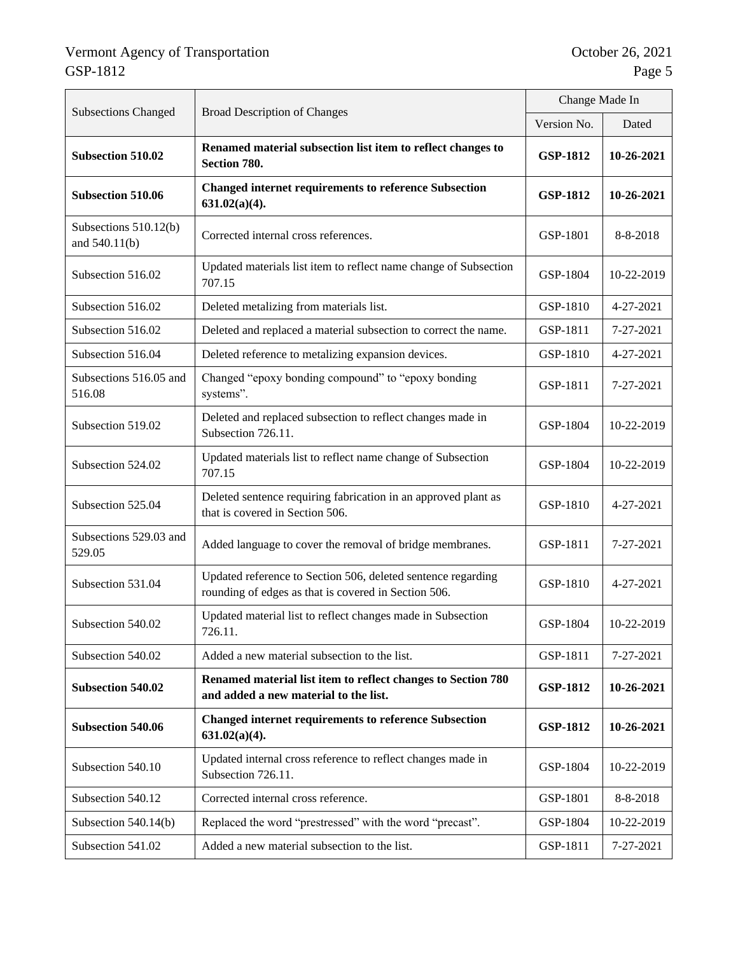|                                        |                                                                                                                      |                 | Change Made In |
|----------------------------------------|----------------------------------------------------------------------------------------------------------------------|-----------------|----------------|
| <b>Subsections Changed</b>             | <b>Broad Description of Changes</b>                                                                                  | Version No.     | Dated          |
| <b>Subsection 510.02</b>               | Renamed material subsection list item to reflect changes to<br><b>Section 780.</b>                                   | <b>GSP-1812</b> | 10-26-2021     |
| <b>Subsection 510.06</b>               | <b>Changed internet requirements to reference Subsection</b><br>$631.02(a)(4)$ .                                     | <b>GSP-1812</b> | 10-26-2021     |
| Subsections 510.12(b)<br>and 540.11(b) | Corrected internal cross references.                                                                                 | GSP-1801        | 8-8-2018       |
| Subsection 516.02                      | Updated materials list item to reflect name change of Subsection<br>707.15                                           | GSP-1804        | 10-22-2019     |
| Subsection 516.02                      | Deleted metalizing from materials list.                                                                              | GSP-1810        | 4-27-2021      |
| Subsection 516.02                      | Deleted and replaced a material subsection to correct the name.                                                      | GSP-1811        | 7-27-2021      |
| Subsection 516.04                      | Deleted reference to metalizing expansion devices.                                                                   | GSP-1810        | 4-27-2021      |
| Subsections 516.05 and<br>516.08       | Changed "epoxy bonding compound" to "epoxy bonding<br>systems".                                                      | GSP-1811        | 7-27-2021      |
| Subsection 519.02                      | Deleted and replaced subsection to reflect changes made in<br>Subsection 726.11.                                     | GSP-1804        | 10-22-2019     |
| Subsection 524.02                      | Updated materials list to reflect name change of Subsection<br>707.15                                                | GSP-1804        | 10-22-2019     |
| Subsection 525.04                      | Deleted sentence requiring fabrication in an approved plant as<br>that is covered in Section 506.                    | GSP-1810        | 4-27-2021      |
| Subsections 529.03 and<br>529.05       | Added language to cover the removal of bridge membranes.                                                             | GSP-1811        | 7-27-2021      |
| Subsection 531.04                      | Updated reference to Section 506, deleted sentence regarding<br>rounding of edges as that is covered in Section 506. | GSP-1810        | 4-27-2021      |
| Subsection 540.02                      | Updated material list to reflect changes made in Subsection<br>726.11.                                               | GSP-1804        | 10-22-2019     |
| Subsection 540.02                      | Added a new material subsection to the list.                                                                         | GSP-1811        | 7-27-2021      |
| <b>Subsection 540.02</b>               | Renamed material list item to reflect changes to Section 780<br>and added a new material to the list.                | <b>GSP-1812</b> | 10-26-2021     |
| <b>Subsection 540.06</b>               | <b>Changed internet requirements to reference Subsection</b><br>$631.02(a)(4)$ .                                     | <b>GSP-1812</b> | 10-26-2021     |
| Subsection 540.10                      | Updated internal cross reference to reflect changes made in<br>Subsection 726.11.                                    | GSP-1804        | 10-22-2019     |
| Subsection 540.12                      | Corrected internal cross reference.                                                                                  | GSP-1801        | 8-8-2018       |
| Subsection $540.14(b)$                 | Replaced the word "prestressed" with the word "precast".                                                             | GSP-1804        | 10-22-2019     |
| Subsection 541.02                      | Added a new material subsection to the list.                                                                         | GSP-1811        | 7-27-2021      |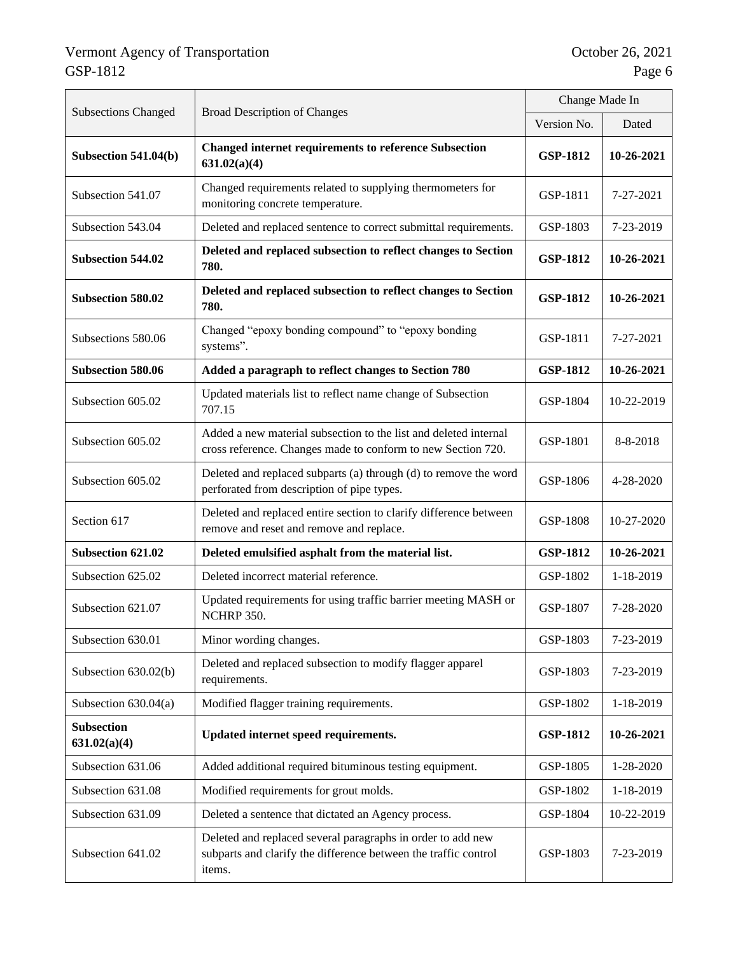|                                   | <b>Subsections Changed</b><br><b>Broad Description of Changes</b>                                                                        |                 | Change Made In |  |
|-----------------------------------|------------------------------------------------------------------------------------------------------------------------------------------|-----------------|----------------|--|
|                                   |                                                                                                                                          |                 | Dated          |  |
| Subsection $541.04(b)$            | <b>Changed internet requirements to reference Subsection</b><br>631.02(a)(4)                                                             | <b>GSP-1812</b> | 10-26-2021     |  |
| Subsection 541.07                 | Changed requirements related to supplying thermometers for<br>monitoring concrete temperature.                                           | GSP-1811        | 7-27-2021      |  |
| Subsection 543.04                 | Deleted and replaced sentence to correct submittal requirements.                                                                         | GSP-1803        | 7-23-2019      |  |
| <b>Subsection 544.02</b>          | Deleted and replaced subsection to reflect changes to Section<br>780.                                                                    | <b>GSP-1812</b> | 10-26-2021     |  |
| <b>Subsection 580.02</b>          | Deleted and replaced subsection to reflect changes to Section<br>780.                                                                    | <b>GSP-1812</b> | 10-26-2021     |  |
| Subsections 580.06                | Changed "epoxy bonding compound" to "epoxy bonding<br>systems".                                                                          | GSP-1811        | 7-27-2021      |  |
| <b>Subsection 580.06</b>          | Added a paragraph to reflect changes to Section 780                                                                                      | <b>GSP-1812</b> | 10-26-2021     |  |
| Subsection 605.02                 | Updated materials list to reflect name change of Subsection<br>707.15                                                                    | GSP-1804        | 10-22-2019     |  |
| Subsection 605.02                 | Added a new material subsection to the list and deleted internal<br>cross reference. Changes made to conform to new Section 720.         | GSP-1801        | 8-8-2018       |  |
| Subsection 605.02                 | Deleted and replaced subparts (a) through (d) to remove the word<br>perforated from description of pipe types.                           | GSP-1806        | 4-28-2020      |  |
| Section 617                       | Deleted and replaced entire section to clarify difference between<br>remove and reset and remove and replace.                            | GSP-1808        | 10-27-2020     |  |
| <b>Subsection 621.02</b>          | Deleted emulsified asphalt from the material list.                                                                                       | <b>GSP-1812</b> | 10-26-2021     |  |
| Subsection 625.02                 | Deleted incorrect material reference.                                                                                                    | GSP-1802        | 1-18-2019      |  |
| Subsection 621.07                 | Updated requirements for using traffic barrier meeting MASH or<br>NCHRP 350.                                                             | GSP-1807        | 7-28-2020      |  |
| Subsection 630.01                 | Minor wording changes.                                                                                                                   | GSP-1803        | 7-23-2019      |  |
| Subsection 630.02(b)              | Deleted and replaced subsection to modify flagger apparel<br>requirements.                                                               | GSP-1803        | 7-23-2019      |  |
| Subsection $630.04(a)$            | Modified flagger training requirements.                                                                                                  | GSP-1802        | 1-18-2019      |  |
| <b>Subsection</b><br>631.02(a)(4) | Updated internet speed requirements.                                                                                                     | <b>GSP-1812</b> | 10-26-2021     |  |
| Subsection 631.06                 | Added additional required bituminous testing equipment.                                                                                  | GSP-1805        | 1-28-2020      |  |
| Subsection 631.08                 | Modified requirements for grout molds.                                                                                                   | GSP-1802        | 1-18-2019      |  |
| Subsection 631.09                 | Deleted a sentence that dictated an Agency process.                                                                                      | GSP-1804        | 10-22-2019     |  |
| Subsection 641.02                 | Deleted and replaced several paragraphs in order to add new<br>subparts and clarify the difference between the traffic control<br>items. | GSP-1803        | 7-23-2019      |  |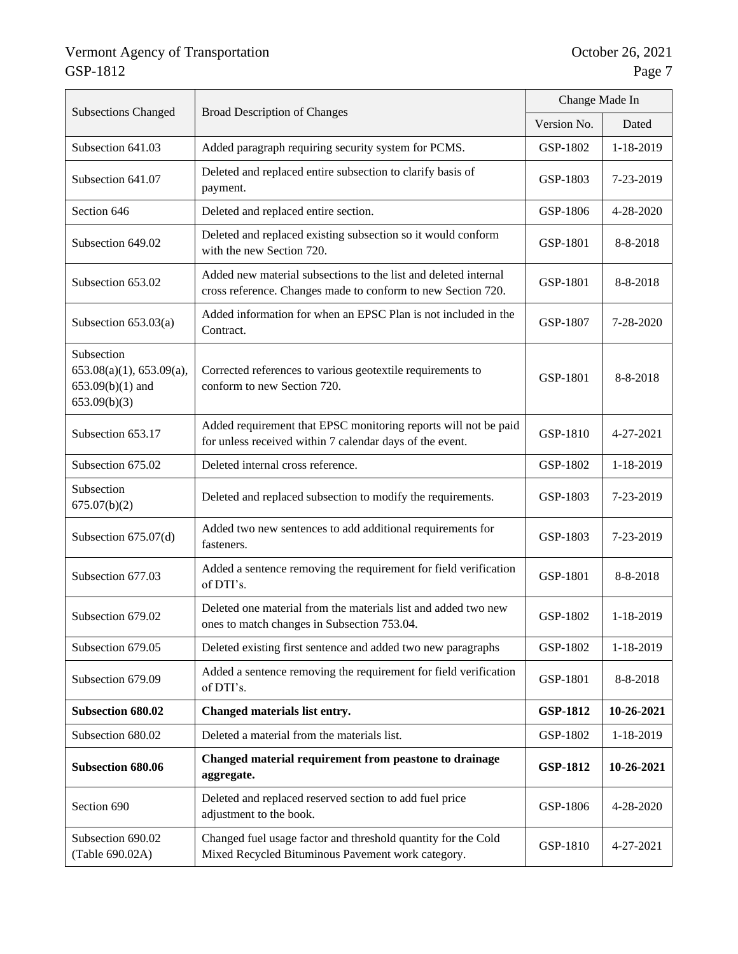|                                                                                    |                                                                                                                                 | Change Made In  |            |
|------------------------------------------------------------------------------------|---------------------------------------------------------------------------------------------------------------------------------|-----------------|------------|
| <b>Subsections Changed</b>                                                         | <b>Broad Description of Changes</b>                                                                                             | Version No.     | Dated      |
| Subsection 641.03                                                                  | Added paragraph requiring security system for PCMS.                                                                             | GSP-1802        | 1-18-2019  |
| Subsection 641.07                                                                  | Deleted and replaced entire subsection to clarify basis of<br>payment.                                                          | GSP-1803        | 7-23-2019  |
| Section 646                                                                        | Deleted and replaced entire section.                                                                                            | GSP-1806        | 4-28-2020  |
| Subsection 649.02                                                                  | Deleted and replaced existing subsection so it would conform<br>with the new Section 720.                                       | GSP-1801        | 8-8-2018   |
| Subsection 653.02                                                                  | Added new material subsections to the list and deleted internal<br>cross reference. Changes made to conform to new Section 720. | GSP-1801        | 8-8-2018   |
| Subsection $653.03(a)$                                                             | Added information for when an EPSC Plan is not included in the<br>Contract.                                                     | GSP-1807        | 7-28-2020  |
| Subsection<br>$653.08(a)(1)$ , $653.09(a)$ ,<br>$653.09(b)(1)$ and<br>653.09(b)(3) | Corrected references to various geotextile requirements to<br>conform to new Section 720.                                       | GSP-1801        | 8-8-2018   |
| Subsection 653.17                                                                  | Added requirement that EPSC monitoring reports will not be paid<br>for unless received within 7 calendar days of the event.     | GSP-1810        | 4-27-2021  |
| Subsection 675.02                                                                  | Deleted internal cross reference.                                                                                               | GSP-1802        | 1-18-2019  |
| Subsection<br>675.07(b)(2)                                                         | Deleted and replaced subsection to modify the requirements.                                                                     | GSP-1803        | 7-23-2019  |
| Subsection 675.07(d)                                                               | Added two new sentences to add additional requirements for<br>fasteners.                                                        | GSP-1803        | 7-23-2019  |
| Subsection 677.03                                                                  | Added a sentence removing the requirement for field verification<br>of DTI's.                                                   | GSP-1801        | 8-8-2018   |
| Subsection 679.02                                                                  | Deleted one material from the materials list and added two new<br>ones to match changes in Subsection 753.04.                   | GSP-1802        | 1-18-2019  |
| Subsection 679.05                                                                  | Deleted existing first sentence and added two new paragraphs                                                                    | GSP-1802        | 1-18-2019  |
| Subsection 679.09                                                                  | Added a sentence removing the requirement for field verification<br>of DTI's.                                                   | GSP-1801        | 8-8-2018   |
| <b>Subsection 680.02</b>                                                           | Changed materials list entry.                                                                                                   | <b>GSP-1812</b> | 10-26-2021 |
| Subsection 680.02                                                                  | Deleted a material from the materials list.                                                                                     | GSP-1802        | 1-18-2019  |
| <b>Subsection 680.06</b>                                                           | Changed material requirement from peastone to drainage<br>aggregate.                                                            |                 | 10-26-2021 |
| Section 690                                                                        | Deleted and replaced reserved section to add fuel price<br>adjustment to the book.                                              | GSP-1806        | 4-28-2020  |
| Subsection 690.02<br>(Table 690.02A)                                               | Changed fuel usage factor and threshold quantity for the Cold<br>Mixed Recycled Bituminous Pavement work category.              | GSP-1810        | 4-27-2021  |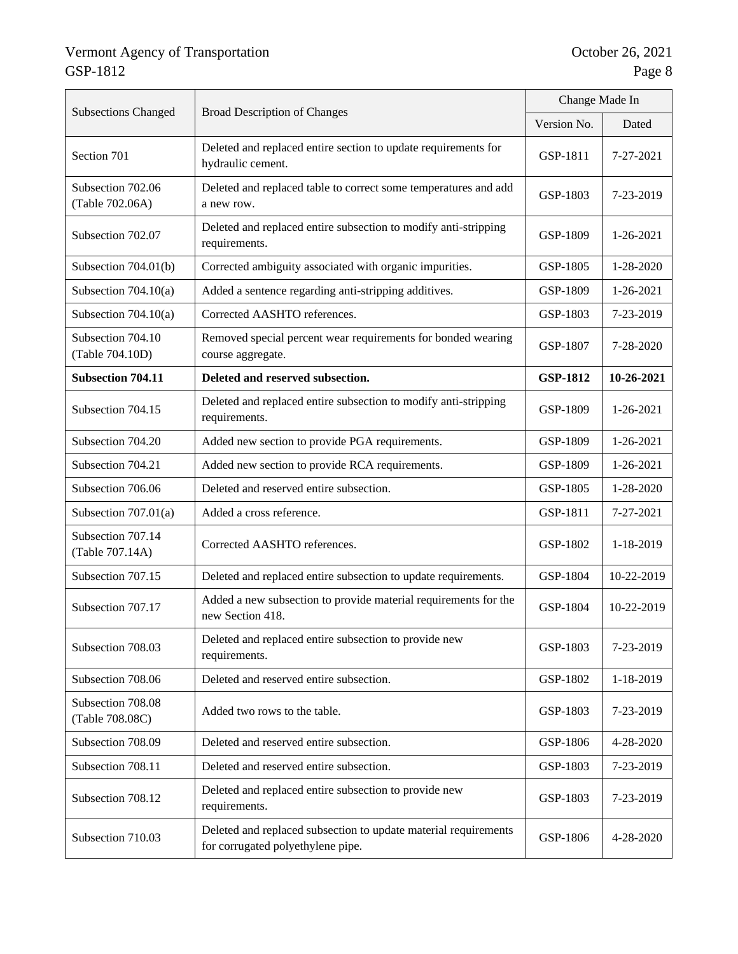| <b>Subsections Changed</b><br><b>Broad Description of Changes</b> |                                                                                                      | Change Made In  |                 |
|-------------------------------------------------------------------|------------------------------------------------------------------------------------------------------|-----------------|-----------------|
|                                                                   |                                                                                                      |                 | Dated           |
| Section 701                                                       | Deleted and replaced entire section to update requirements for<br>hydraulic cement.                  | GSP-1811        | 7-27-2021       |
| Subsection 702.06<br>(Table 702.06A)                              | Deleted and replaced table to correct some temperatures and add<br>a new row.                        | GSP-1803        | 7-23-2019       |
| Subsection 702.07                                                 | Deleted and replaced entire subsection to modify anti-stripping<br>requirements.                     | GSP-1809        | $1 - 26 - 2021$ |
| Subsection 704.01(b)                                              | Corrected ambiguity associated with organic impurities.                                              | GSP-1805        | 1-28-2020       |
| Subsection $704.10(a)$                                            | Added a sentence regarding anti-stripping additives.                                                 | GSP-1809        | $1 - 26 - 2021$ |
| Subsection $704.10(a)$                                            | Corrected AASHTO references.                                                                         | GSP-1803        | 7-23-2019       |
| Subsection 704.10<br>(Table 704.10D)                              | Removed special percent wear requirements for bonded wearing<br>course aggregate.                    | GSP-1807        | 7-28-2020       |
| <b>Subsection 704.11</b>                                          | Deleted and reserved subsection.                                                                     | <b>GSP-1812</b> | 10-26-2021      |
| Subsection 704.15                                                 | Deleted and replaced entire subsection to modify anti-stripping<br>requirements.                     | GSP-1809        | 1-26-2021       |
| Subsection 704.20                                                 | Added new section to provide PGA requirements.                                                       | GSP-1809        | $1 - 26 - 2021$ |
| Subsection 704.21                                                 | Added new section to provide RCA requirements.                                                       | GSP-1809        | $1 - 26 - 2021$ |
| Subsection 706.06                                                 | Deleted and reserved entire subsection.                                                              | GSP-1805        | 1-28-2020       |
| Subsection $707.01(a)$                                            | Added a cross reference.                                                                             | GSP-1811        | 7-27-2021       |
| Subsection 707.14<br>(Table 707.14A)                              | Corrected AASHTO references.                                                                         | GSP-1802        | 1-18-2019       |
| Subsection 707.15                                                 | Deleted and replaced entire subsection to update requirements.                                       | GSP-1804        | 10-22-2019      |
| Subsection 707.17                                                 | Added a new subsection to provide material requirements for the<br>new Section 418.                  | GSP-1804        | 10-22-2019      |
| Subsection 708.03                                                 | Deleted and replaced entire subsection to provide new<br>requirements.                               | GSP-1803        | 7-23-2019       |
| Subsection 708.06                                                 | Deleted and reserved entire subsection.                                                              | GSP-1802        | 1-18-2019       |
| Subsection 708.08<br>(Table 708.08C)                              | Added two rows to the table.                                                                         | GSP-1803        | 7-23-2019       |
| Subsection 708.09                                                 | Deleted and reserved entire subsection.                                                              | GSP-1806        | 4-28-2020       |
| Subsection 708.11                                                 | Deleted and reserved entire subsection.                                                              | GSP-1803        | 7-23-2019       |
| Subsection 708.12                                                 | Deleted and replaced entire subsection to provide new<br>requirements.                               | GSP-1803        | 7-23-2019       |
| Subsection 710.03                                                 | Deleted and replaced subsection to update material requirements<br>for corrugated polyethylene pipe. | GSP-1806        | 4-28-2020       |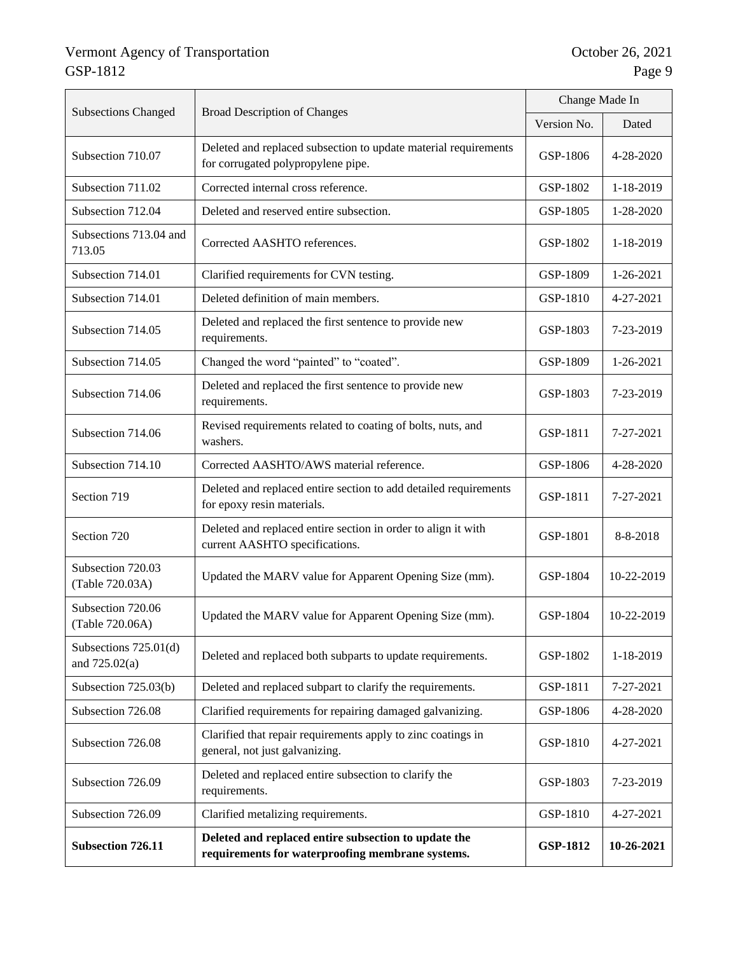|                                            |                                                                                                          |                 | Change Made In |  |
|--------------------------------------------|----------------------------------------------------------------------------------------------------------|-----------------|----------------|--|
| <b>Subsections Changed</b>                 | <b>Broad Description of Changes</b>                                                                      | Version No.     | Dated          |  |
| Subsection 710.07                          | Deleted and replaced subsection to update material requirements<br>for corrugated polypropylene pipe.    | GSP-1806        | 4-28-2020      |  |
| Subsection 711.02                          | Corrected internal cross reference.                                                                      | GSP-1802        | 1-18-2019      |  |
| Subsection 712.04                          | Deleted and reserved entire subsection.                                                                  | GSP-1805        | 1-28-2020      |  |
| Subsections 713.04 and<br>713.05           | Corrected AASHTO references.                                                                             | GSP-1802        | 1-18-2019      |  |
| Subsection 714.01                          | Clarified requirements for CVN testing.                                                                  | GSP-1809        | 1-26-2021      |  |
| Subsection 714.01                          | Deleted definition of main members.                                                                      | GSP-1810        | 4-27-2021      |  |
| Subsection 714.05                          | Deleted and replaced the first sentence to provide new<br>requirements.                                  | GSP-1803        | 7-23-2019      |  |
| Subsection 714.05                          | Changed the word "painted" to "coated".                                                                  | GSP-1809        | 1-26-2021      |  |
| Subsection 714.06                          | Deleted and replaced the first sentence to provide new<br>requirements.                                  | GSP-1803        | 7-23-2019      |  |
| Subsection 714.06                          | Revised requirements related to coating of bolts, nuts, and<br>washers.                                  | GSP-1811        | 7-27-2021      |  |
| Subsection 714.10                          | Corrected AASHTO/AWS material reference.                                                                 | GSP-1806        | 4-28-2020      |  |
| Section 719                                | Deleted and replaced entire section to add detailed requirements<br>for epoxy resin materials.           | GSP-1811        | 7-27-2021      |  |
| Section 720                                | Deleted and replaced entire section in order to align it with<br>current AASHTO specifications.          | GSP-1801        | 8-8-2018       |  |
| Subsection 720.03<br>(Table 720.03A)       | Updated the MARV value for Apparent Opening Size (mm).                                                   | GSP-1804        | 10-22-2019     |  |
| Subsection 720.06<br>(Table 720.06A)       | Updated the MARV value for Apparent Opening Size (mm).                                                   | GSP-1804        | 10-22-2019     |  |
| Subsections $725.01(d)$<br>and $725.02(a)$ | Deleted and replaced both subparts to update requirements.                                               | GSP-1802        | 1-18-2019      |  |
| Subsection 725.03(b)                       | Deleted and replaced subpart to clarify the requirements.                                                | GSP-1811        | 7-27-2021      |  |
| Subsection 726.08                          | Clarified requirements for repairing damaged galvanizing.                                                | GSP-1806        | 4-28-2020      |  |
| Subsection 726.08                          | Clarified that repair requirements apply to zinc coatings in<br>general, not just galvanizing.           | GSP-1810        | 4-27-2021      |  |
| Subsection 726.09                          | Deleted and replaced entire subsection to clarify the<br>requirements.                                   | GSP-1803        | 7-23-2019      |  |
| Subsection 726.09                          | Clarified metalizing requirements.                                                                       | GSP-1810        | 4-27-2021      |  |
| <b>Subsection 726.11</b>                   | Deleted and replaced entire subsection to update the<br>requirements for waterproofing membrane systems. | <b>GSP-1812</b> | 10-26-2021     |  |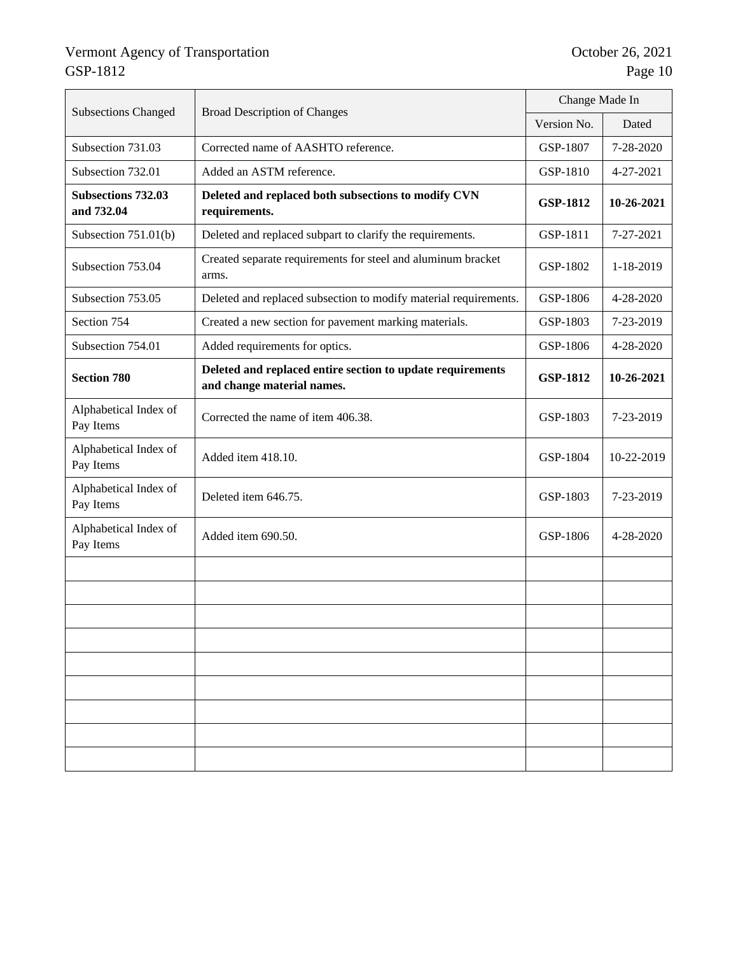|                                         |                                                                                          | Change Made In  |            |
|-----------------------------------------|------------------------------------------------------------------------------------------|-----------------|------------|
| <b>Subsections Changed</b>              | <b>Broad Description of Changes</b>                                                      | Version No.     | Dated      |
| Subsection 731.03                       | Corrected name of AASHTO reference.                                                      | GSP-1807        | 7-28-2020  |
| Subsection 732.01                       | Added an ASTM reference.                                                                 | GSP-1810        | 4-27-2021  |
| <b>Subsections 732.03</b><br>and 732.04 | Deleted and replaced both subsections to modify CVN<br>requirements.                     | <b>GSP-1812</b> | 10-26-2021 |
| Subsection 751.01(b)                    | Deleted and replaced subpart to clarify the requirements.                                | GSP-1811        | 7-27-2021  |
| Subsection 753.04                       | Created separate requirements for steel and aluminum bracket<br>arms.                    | GSP-1802        | 1-18-2019  |
| Subsection 753.05                       | Deleted and replaced subsection to modify material requirements.                         | GSP-1806        | 4-28-2020  |
| Section 754                             | Created a new section for pavement marking materials.                                    | GSP-1803        | 7-23-2019  |
| Subsection 754.01                       | Added requirements for optics.                                                           | GSP-1806        | 4-28-2020  |
| <b>Section 780</b>                      | Deleted and replaced entire section to update requirements<br>and change material names. | <b>GSP-1812</b> | 10-26-2021 |
| Alphabetical Index of<br>Pay Items      | Corrected the name of item 406.38.                                                       | GSP-1803        | 7-23-2019  |
| Alphabetical Index of<br>Pay Items      | Added item 418.10.                                                                       | GSP-1804        | 10-22-2019 |
| Alphabetical Index of<br>Pay Items      | Deleted item 646.75.                                                                     | GSP-1803        | 7-23-2019  |
| Alphabetical Index of<br>Pay Items      | Added item 690.50.                                                                       | GSP-1806        | 4-28-2020  |
|                                         |                                                                                          |                 |            |
|                                         |                                                                                          |                 |            |
|                                         |                                                                                          |                 |            |
|                                         |                                                                                          |                 |            |
|                                         |                                                                                          |                 |            |
|                                         |                                                                                          |                 |            |
|                                         |                                                                                          |                 |            |
|                                         |                                                                                          |                 |            |
|                                         |                                                                                          |                 |            |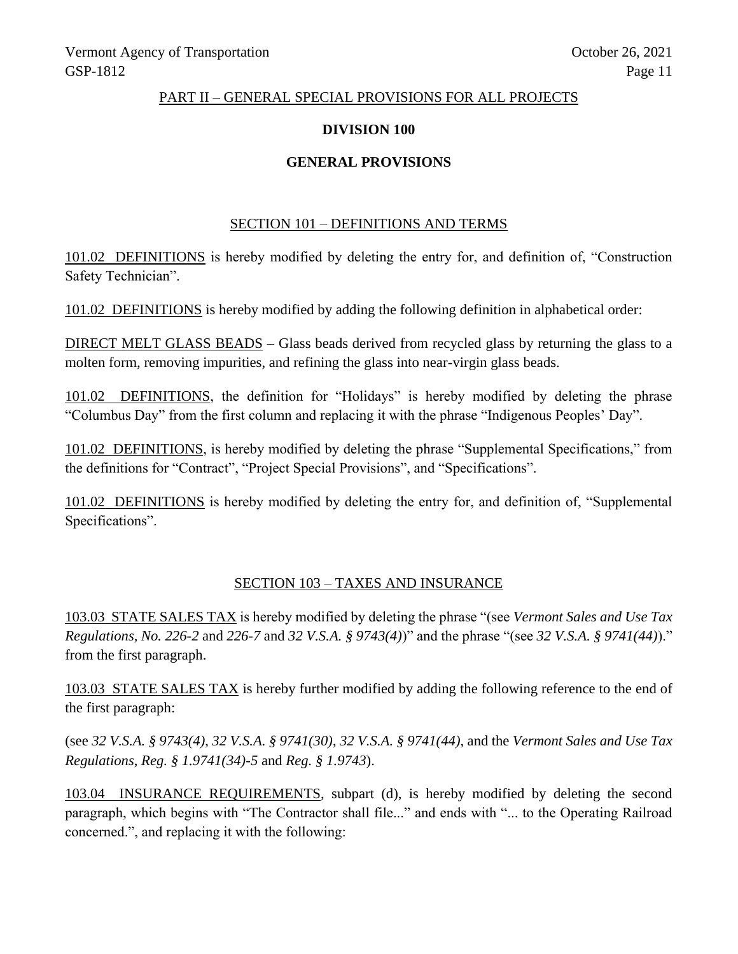#### PART II – GENERAL SPECIAL PROVISIONS FOR ALL PROJECTS

# **DIVISION 100**

# **GENERAL PROVISIONS**

# SECTION 101 – DEFINITIONS AND TERMS

101.02 DEFINITIONS is hereby modified by deleting the entry for, and definition of, "Construction Safety Technician".

101.02 DEFINITIONS is hereby modified by adding the following definition in alphabetical order:

DIRECT MELT GLASS BEADS – Glass beads derived from recycled glass by returning the glass to a molten form, removing impurities, and refining the glass into near-virgin glass beads.

101.02 DEFINITIONS, the definition for "Holidays" is hereby modified by deleting the phrase "Columbus Day" from the first column and replacing it with the phrase "Indigenous Peoples' Day".

101.02 DEFINITIONS, is hereby modified by deleting the phrase "Supplemental Specifications," from the definitions for "Contract", "Project Special Provisions", and "Specifications".

101.02 DEFINITIONS is hereby modified by deleting the entry for, and definition of, "Supplemental Specifications".

# SECTION 103 – TAXES AND INSURANCE

103.03 STATE SALES TAX is hereby modified by deleting the phrase "(see *Vermont Sales and Use Tax Regulations, No. 226-2* and *226-7* and *32 V.S.A. § 9743(4)*)" and the phrase "(see *32 V.S.A. § 9741(44)*)." from the first paragraph.

103.03 STATE SALES TAX is hereby further modified by adding the following reference to the end of the first paragraph:

(see *32 V.S.A. § 9743(4)*, *32 V.S.A. § 9741(30)*, *32 V.S.A. § 9741(44)*, and the *Vermont Sales and Use Tax Regulations*, *Reg. § 1.9741(34)-5* and *Reg. § 1.9743*).

103.04 INSURANCE REQUIREMENTS, subpart (d), is hereby modified by deleting the second paragraph, which begins with "The Contractor shall file..." and ends with "... to the Operating Railroad concerned.", and replacing it with the following: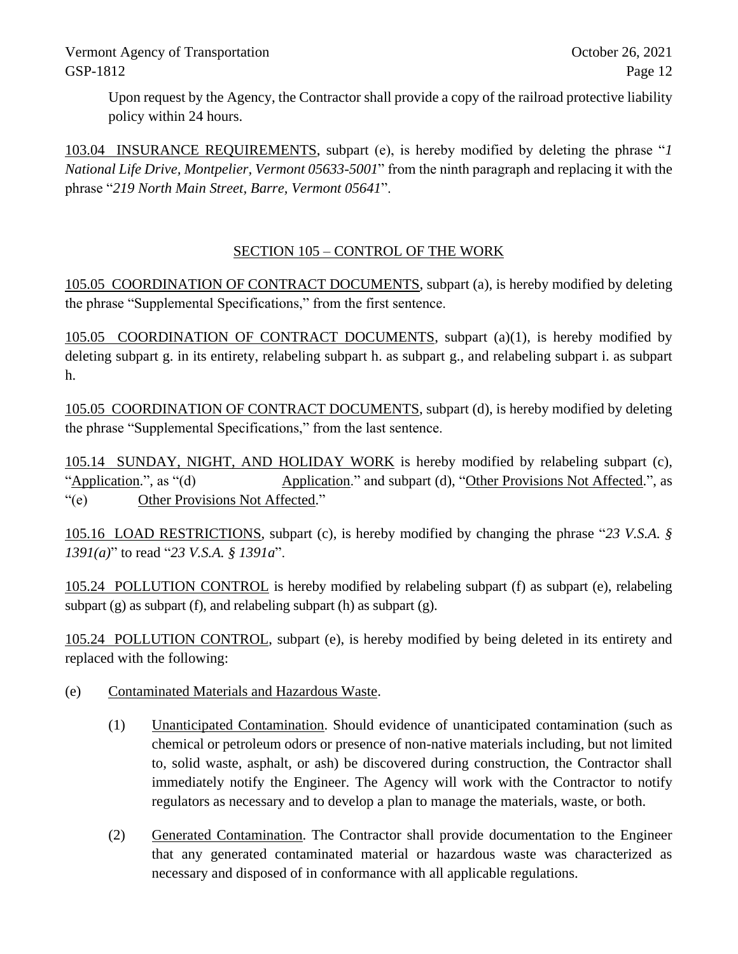Upon request by the Agency, the Contractor shall provide a copy of the railroad protective liability policy within 24 hours.

103.04 INSURANCE REQUIREMENTS, subpart (e), is hereby modified by deleting the phrase "*1 National Life Drive, Montpelier, Vermont 05633-5001*" from the ninth paragraph and replacing it with the phrase "*219 North Main Street, Barre, Vermont 05641*".

# SECTION 105 – CONTROL OF THE WORK

105.05 COORDINATION OF CONTRACT DOCUMENTS, subpart (a), is hereby modified by deleting the phrase "Supplemental Specifications," from the first sentence.

105.05 COORDINATION OF CONTRACT DOCUMENTS, subpart (a)(1), is hereby modified by deleting subpart g. in its entirety, relabeling subpart h. as subpart g., and relabeling subpart i. as subpart h.

105.05 COORDINATION OF CONTRACT DOCUMENTS, subpart (d), is hereby modified by deleting the phrase "Supplemental Specifications," from the last sentence.

105.14 SUNDAY, NIGHT, AND HOLIDAY WORK is hereby modified by relabeling subpart (c), "Application.", as "(d) Application." and subpart (d), "Other Provisions Not Affected.", as "(e) Other Provisions Not Affected."

105.16 LOAD RESTRICTIONS, subpart (c), is hereby modified by changing the phrase "*23 V.S.A. § 1391(a)*" to read "*23 V.S.A. § 1391a*".

105.24 POLLUTION CONTROL is hereby modified by relabeling subpart (f) as subpart (e), relabeling subpart (g) as subpart (f), and relabeling subpart (h) as subpart (g).

105.24 POLLUTION CONTROL, subpart (e), is hereby modified by being deleted in its entirety and replaced with the following:

- (e) Contaminated Materials and Hazardous Waste.
	- (1) Unanticipated Contamination. Should evidence of unanticipated contamination (such as chemical or petroleum odors or presence of non-native materials including, but not limited to, solid waste, asphalt, or ash) be discovered during construction, the Contractor shall immediately notify the Engineer. The Agency will work with the Contractor to notify regulators as necessary and to develop a plan to manage the materials, waste, or both.
	- (2) Generated Contamination. The Contractor shall provide documentation to the Engineer that any generated contaminated material or hazardous waste was characterized as necessary and disposed of in conformance with all applicable regulations.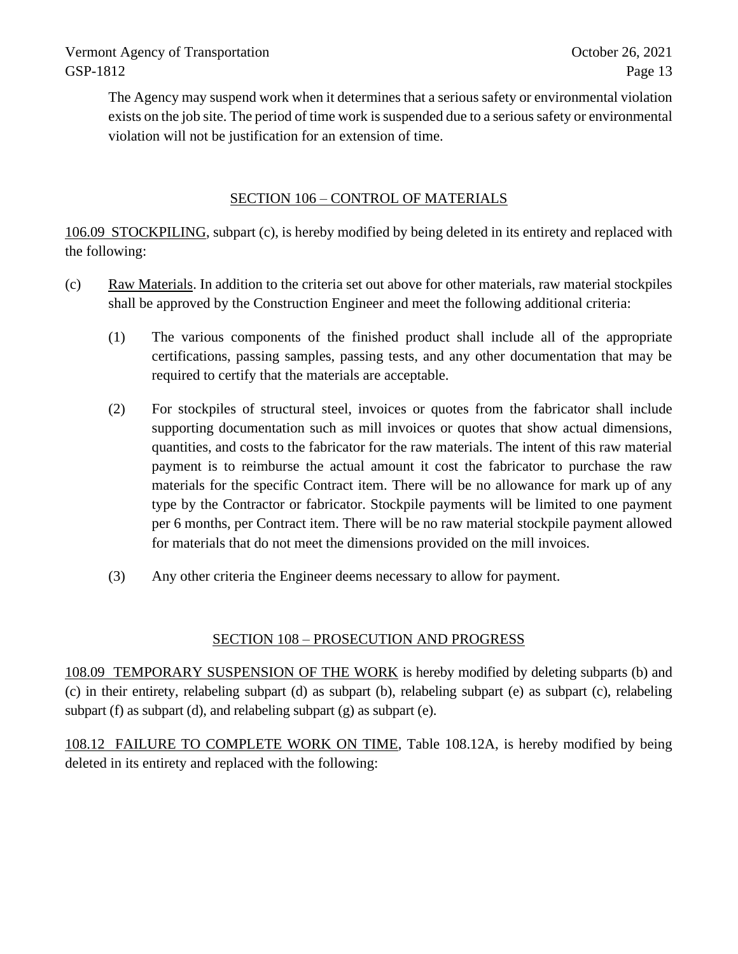The Agency may suspend work when it determines that a serious safety or environmental violation exists on the job site. The period of time work is suspended due to a serious safety or environmental violation will not be justification for an extension of time.

## SECTION 106 – CONTROL OF MATERIALS

106.09 STOCKPILING, subpart (c), is hereby modified by being deleted in its entirety and replaced with the following:

- (c) Raw Materials. In addition to the criteria set out above for other materials, raw material stockpiles shall be approved by the Construction Engineer and meet the following additional criteria:
	- (1) The various components of the finished product shall include all of the appropriate certifications, passing samples, passing tests, and any other documentation that may be required to certify that the materials are acceptable.
	- (2) For stockpiles of structural steel, invoices or quotes from the fabricator shall include supporting documentation such as mill invoices or quotes that show actual dimensions, quantities, and costs to the fabricator for the raw materials. The intent of this raw material payment is to reimburse the actual amount it cost the fabricator to purchase the raw materials for the specific Contract item. There will be no allowance for mark up of any type by the Contractor or fabricator. Stockpile payments will be limited to one payment per 6 months, per Contract item. There will be no raw material stockpile payment allowed for materials that do not meet the dimensions provided on the mill invoices.
	- (3) Any other criteria the Engineer deems necessary to allow for payment.

#### SECTION 108 – PROSECUTION AND PROGRESS

108.09 TEMPORARY SUSPENSION OF THE WORK is hereby modified by deleting subparts (b) and (c) in their entirety, relabeling subpart (d) as subpart (b), relabeling subpart (e) as subpart (c), relabeling subpart (f) as subpart (d), and relabeling subpart (g) as subpart (e).

108.12 FAILURE TO COMPLETE WORK ON TIME, Table 108.12A, is hereby modified by being deleted in its entirety and replaced with the following: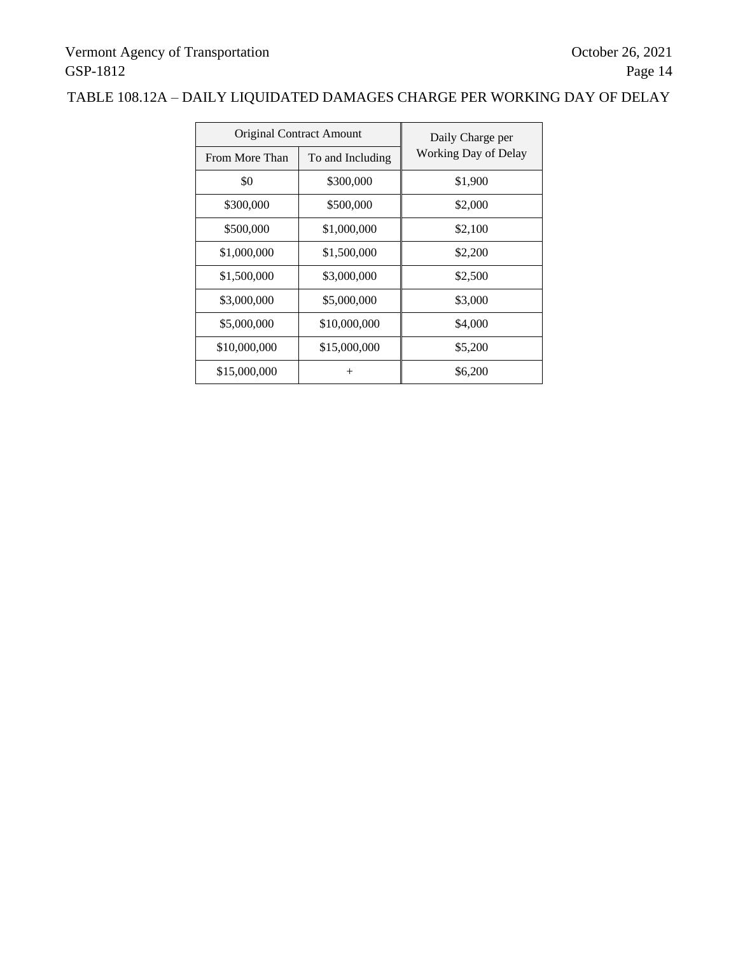# TABLE 108.12A – DAILY LIQUIDATED DAMAGES CHARGE PER WORKING DAY OF DELAY

| <b>Original Contract Amount</b> |                  | Daily Charge per     |
|---------------------------------|------------------|----------------------|
| From More Than                  | To and Including | Working Day of Delay |
| \$0                             | \$300,000        | \$1,900              |
| \$300,000                       | \$500,000        | \$2,000              |
| \$500,000                       | \$1,000,000      | \$2,100              |
| \$1,000,000                     | \$1,500,000      | \$2,200              |
| \$1,500,000                     | \$3,000,000      | \$2,500              |
| \$3,000,000                     | \$5,000,000      | \$3,000              |
| \$5,000,000                     | \$10,000,000     | \$4,000              |
| \$10,000,000                    | \$15,000,000     | \$5,200              |
| \$15,000,000                    | $^+$             | \$6,200              |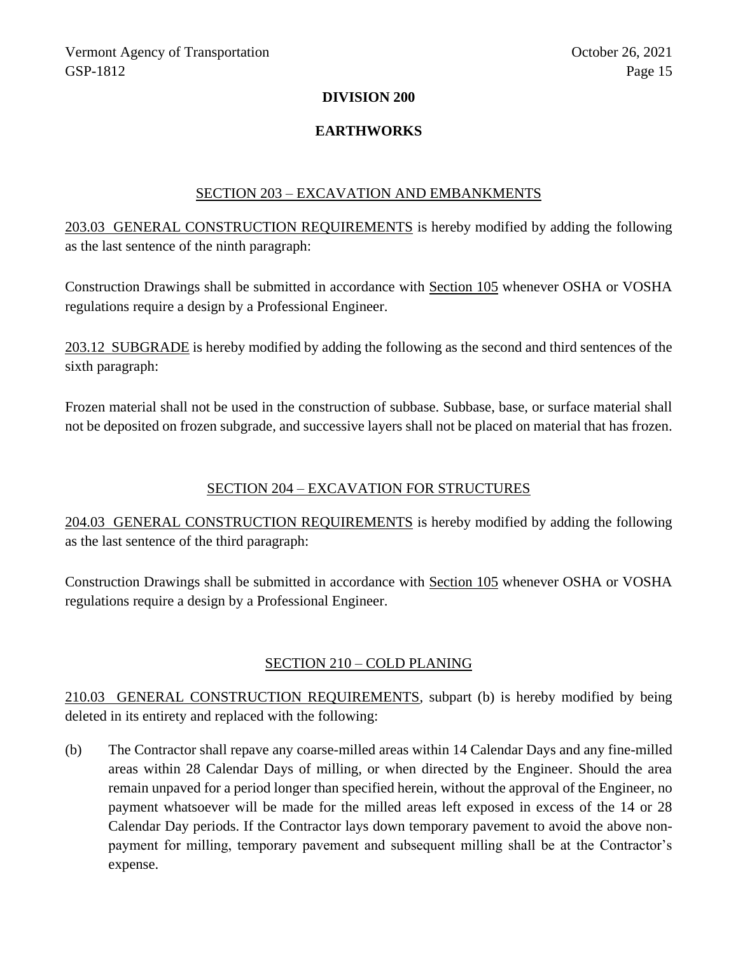#### **DIVISION 200**

## **EARTHWORKS**

#### SECTION 203 – EXCAVATION AND EMBANKMENTS

203.03 GENERAL CONSTRUCTION REQUIREMENTS is hereby modified by adding the following as the last sentence of the ninth paragraph:

Construction Drawings shall be submitted in accordance with Section 105 whenever OSHA or VOSHA regulations require a design by a Professional Engineer.

203.12 SUBGRADE is hereby modified by adding the following as the second and third sentences of the sixth paragraph:

Frozen material shall not be used in the construction of subbase. Subbase, base, or surface material shall not be deposited on frozen subgrade, and successive layers shall not be placed on material that has frozen.

#### SECTION 204 – EXCAVATION FOR STRUCTURES

204.03 GENERAL CONSTRUCTION REQUIREMENTS is hereby modified by adding the following as the last sentence of the third paragraph:

Construction Drawings shall be submitted in accordance with Section 105 whenever OSHA or VOSHA regulations require a design by a Professional Engineer.

# SECTION 210 – COLD PLANING

210.03 GENERAL CONSTRUCTION REQUIREMENTS, subpart (b) is hereby modified by being deleted in its entirety and replaced with the following:

(b) The Contractor shall repave any coarse-milled areas within 14 Calendar Days and any fine-milled areas within 28 Calendar Days of milling, or when directed by the Engineer. Should the area remain unpaved for a period longer than specified herein, without the approval of the Engineer, no payment whatsoever will be made for the milled areas left exposed in excess of the 14 or 28 Calendar Day periods. If the Contractor lays down temporary pavement to avoid the above nonpayment for milling, temporary pavement and subsequent milling shall be at the Contractor's expense.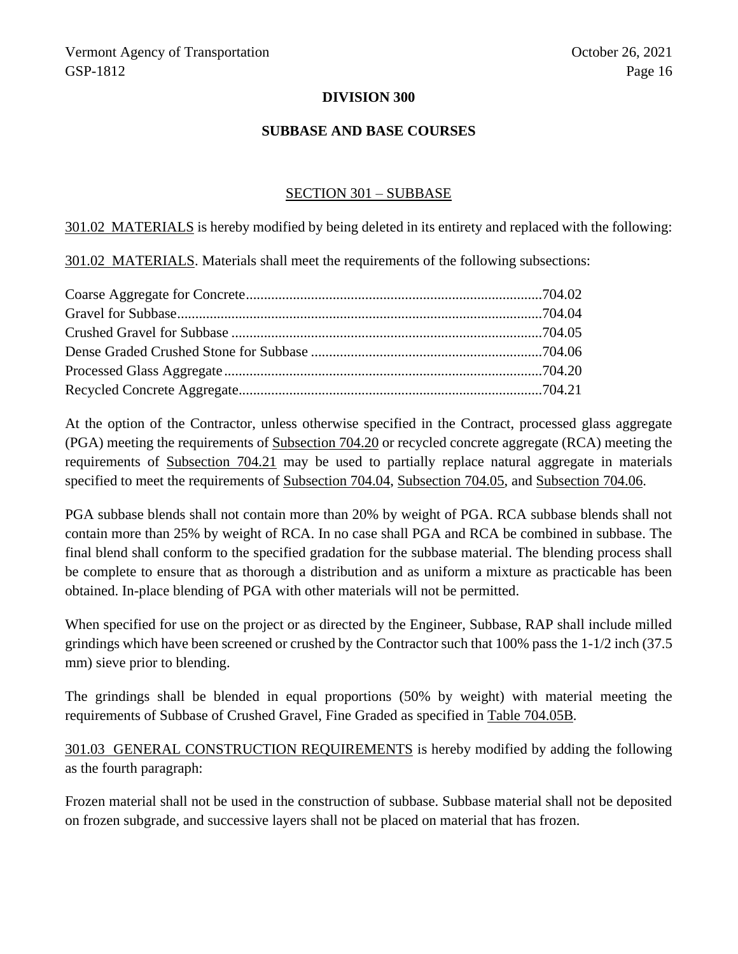#### **DIVISION 300**

#### **SUBBASE AND BASE COURSES**

#### SECTION 301 – SUBBASE

301.02 MATERIALS is hereby modified by being deleted in its entirety and replaced with the following:

301.02 MATERIALS. Materials shall meet the requirements of the following subsections:

At the option of the Contractor, unless otherwise specified in the Contract, processed glass aggregate (PGA) meeting the requirements of Subsection 704.20 or recycled concrete aggregate (RCA) meeting the requirements of Subsection 704.21 may be used to partially replace natural aggregate in materials specified to meet the requirements of Subsection 704.04, Subsection 704.05, and Subsection 704.06.

PGA subbase blends shall not contain more than 20% by weight of PGA. RCA subbase blends shall not contain more than 25% by weight of RCA. In no case shall PGA and RCA be combined in subbase. The final blend shall conform to the specified gradation for the subbase material. The blending process shall be complete to ensure that as thorough a distribution and as uniform a mixture as practicable has been obtained. In-place blending of PGA with other materials will not be permitted.

When specified for use on the project or as directed by the Engineer, Subbase, RAP shall include milled grindings which have been screened or crushed by the Contractor such that 100% pass the 1-1/2 inch (37.5 mm) sieve prior to blending.

The grindings shall be blended in equal proportions (50% by weight) with material meeting the requirements of Subbase of Crushed Gravel, Fine Graded as specified in Table 704.05B*.*

301.03 GENERAL CONSTRUCTION REQUIREMENTS is hereby modified by adding the following as the fourth paragraph:

Frozen material shall not be used in the construction of subbase. Subbase material shall not be deposited on frozen subgrade, and successive layers shall not be placed on material that has frozen.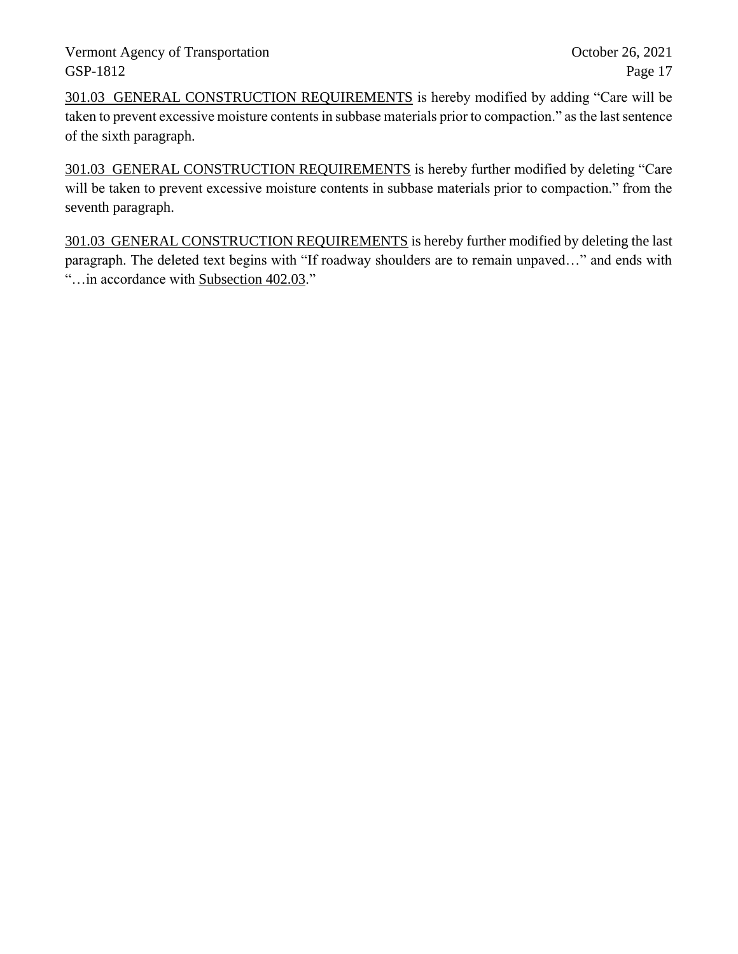301.03 GENERAL CONSTRUCTION REQUIREMENTS is hereby modified by adding "Care will be taken to prevent excessive moisture contents in subbase materials prior to compaction." as the last sentence of the sixth paragraph.

301.03 GENERAL CONSTRUCTION REQUIREMENTS is hereby further modified by deleting "Care will be taken to prevent excessive moisture contents in subbase materials prior to compaction." from the seventh paragraph.

301.03 GENERAL CONSTRUCTION REQUIREMENTS is hereby further modified by deleting the last paragraph. The deleted text begins with "If roadway shoulders are to remain unpaved…" and ends with "…in accordance with Subsection 402.03."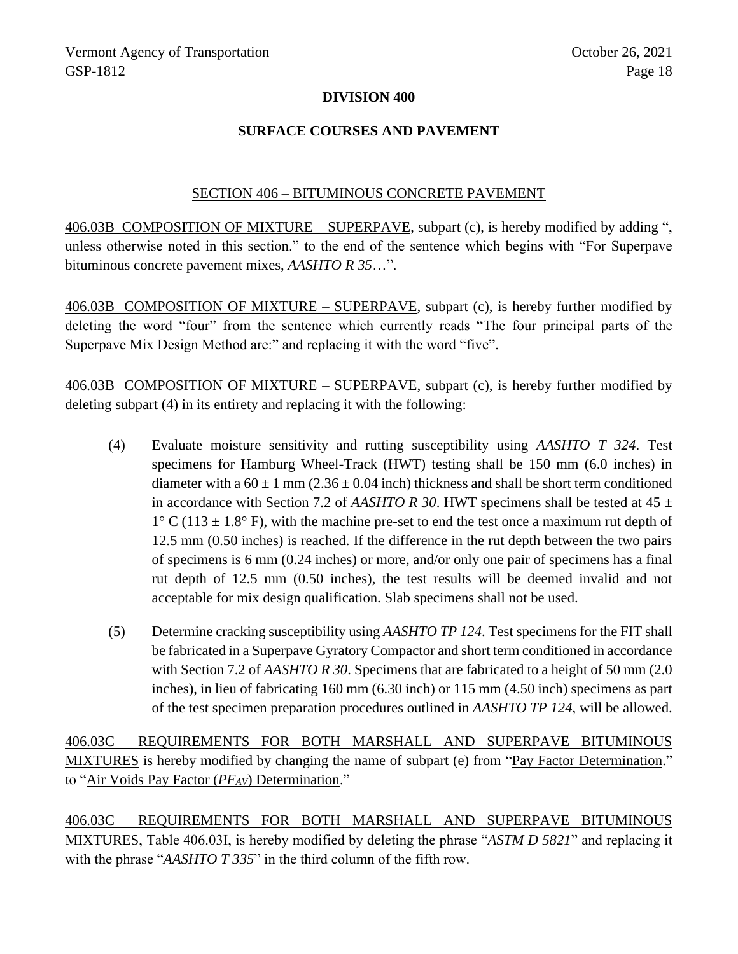#### **DIVISION 400**

### **SURFACE COURSES AND PAVEMENT**

#### SECTION 406 – BITUMINOUS CONCRETE PAVEMENT

406.03B COMPOSITION OF MIXTURE – SUPERPAVE, subpart (c), is hereby modified by adding ", unless otherwise noted in this section." to the end of the sentence which begins with "For Superpave bituminous concrete pavement mixes, *AASHTO R 35*…".

406.03B COMPOSITION OF MIXTURE – SUPERPAVE, subpart (c), is hereby further modified by deleting the word "four" from the sentence which currently reads "The four principal parts of the Superpave Mix Design Method are:" and replacing it with the word "five".

406.03B COMPOSITION OF MIXTURE – SUPERPAVE, subpart (c), is hereby further modified by deleting subpart (4) in its entirety and replacing it with the following:

- (4) Evaluate moisture sensitivity and rutting susceptibility using *AASHTO T 324*. Test specimens for Hamburg Wheel-Track (HWT) testing shall be 150 mm (6.0 inches) in diameter with a  $60 \pm 1$  mm (2.36  $\pm$  0.04 inch) thickness and shall be short term conditioned in accordance with Section 7.2 of *AASHTO R 30*. HWT specimens shall be tested at  $45 \pm$  $1^{\circ}$  C (113  $\pm$  1.8° F), with the machine pre-set to end the test once a maximum rut depth of 12.5 mm (0.50 inches) is reached. If the difference in the rut depth between the two pairs of specimens is 6 mm (0.24 inches) or more, and/or only one pair of specimens has a final rut depth of 12.5 mm (0.50 inches), the test results will be deemed invalid and not acceptable for mix design qualification. Slab specimens shall not be used.
- (5) Determine cracking susceptibility using *AASHTO TP 124*. Test specimens for the FIT shall be fabricated in a Superpave Gyratory Compactor and short term conditioned in accordance with Section 7.2 of *AASHTO R 30*. Specimens that are fabricated to a height of 50 mm (2.0) inches), in lieu of fabricating 160 mm (6.30 inch) or 115 mm (4.50 inch) specimens as part of the test specimen preparation procedures outlined in *AASHTO TP 124*, will be allowed.

406.03C REQUIREMENTS FOR BOTH MARSHALL AND SUPERPAVE BITUMINOUS MIXTURES is hereby modified by changing the name of subpart (e) from "Pay Factor Determination." to "Air Voids Pay Factor (*PFAV*) Determination."

406.03C REQUIREMENTS FOR BOTH MARSHALL AND SUPERPAVE BITUMINOUS MIXTURES, Table 406.03I, is hereby modified by deleting the phrase "*ASTM D 5821*" and replacing it with the phrase "*AASHTO T 335*" in the third column of the fifth row.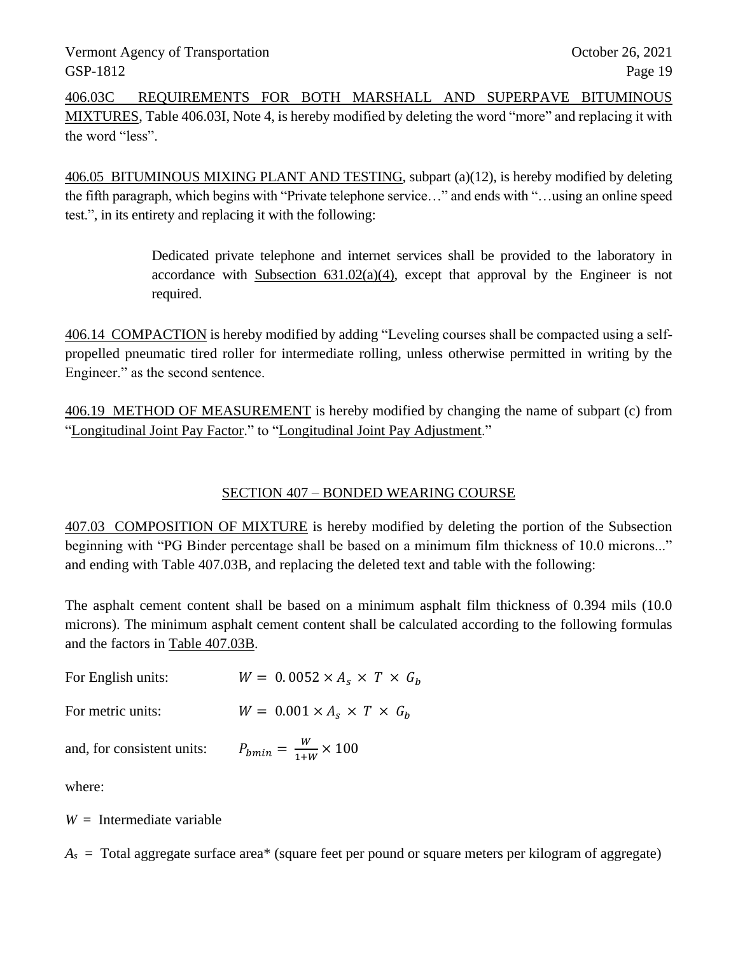406.03C REQUIREMENTS FOR BOTH MARSHALL AND SUPERPAVE BITUMINOUS MIXTURES, Table 406.03I, Note 4, is hereby modified by deleting the word "more" and replacing it with the word "less".

406.05 BITUMINOUS MIXING PLANT AND TESTING, subpart (a)(12), is hereby modified by deleting the fifth paragraph, which begins with "Private telephone service…" and ends with "…using an online speed test.", in its entirety and replacing it with the following:

> Dedicated private telephone and internet services shall be provided to the laboratory in accordance with Subsection  $631.02(a)(4)$ , except that approval by the Engineer is not required.

406.14 COMPACTION is hereby modified by adding "Leveling courses shall be compacted using a selfpropelled pneumatic tired roller for intermediate rolling, unless otherwise permitted in writing by the Engineer." as the second sentence.

406.19 METHOD OF MEASUREMENT is hereby modified by changing the name of subpart (c) from "Longitudinal Joint Pay Factor." to "Longitudinal Joint Pay Adjustment."

# SECTION 407 – BONDED WEARING COURSE

407.03 COMPOSITION OF MIXTURE is hereby modified by deleting the portion of the Subsection beginning with "PG Binder percentage shall be based on a minimum film thickness of 10.0 microns..." and ending with Table 407.03B, and replacing the deleted text and table with the following:

The asphalt cement content shall be based on a minimum asphalt film thickness of 0.394 mils (10.0 microns). The minimum asphalt cement content shall be calculated according to the following formulas and the factors in Table 407.03B.

| For English units:         | $W = 0.0052 \times A_s \times T \times G_h$ |
|----------------------------|---------------------------------------------|
| For metric units:          | $W = 0.001 \times A_s \times T \times G_h$  |
| and, for consistent units: | $P_{bmin} = \frac{W}{1+W} \times 100$       |

where:

 $W =$  Intermediate variable

 $A<sub>s</sub>$  = Total aggregate surface area<sup>\*</sup> (square feet per pound or square meters per kilogram of aggregate)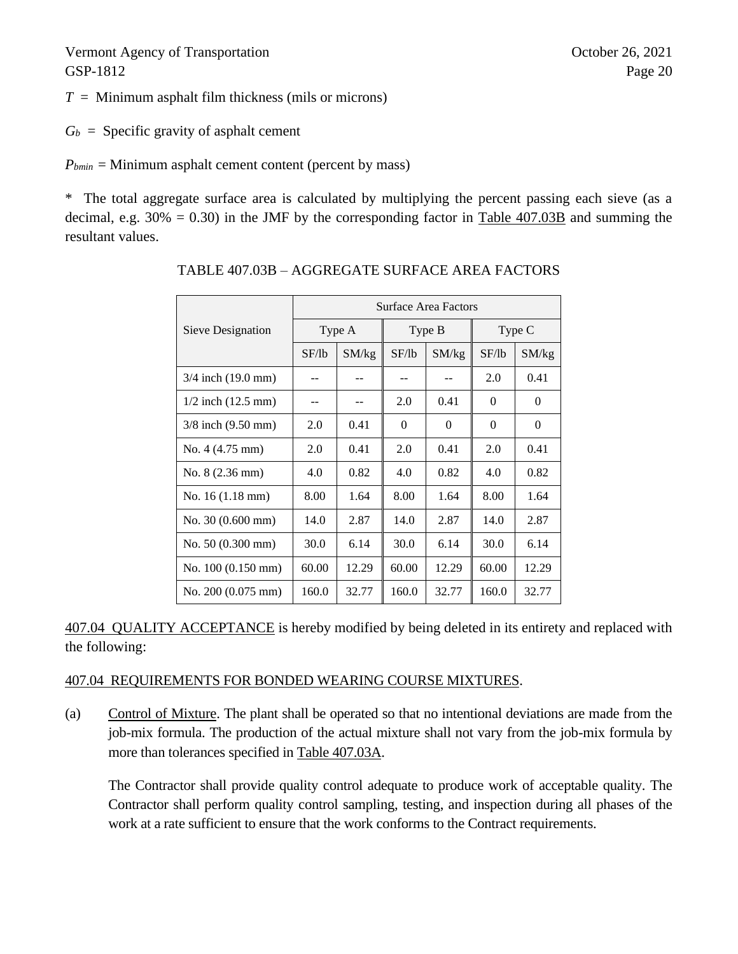$T =$  Minimum asphalt film thickness (mils or microns)

 $G_b$  = Specific gravity of asphalt cement

 $P_{bmin}$  = Minimum asphalt cement content (percent by mass)

\* The total aggregate surface area is calculated by multiplying the percent passing each sieve (as a decimal, e.g.  $30\% = 0.30$ ) in the JMF by the corresponding factor in Table 407.03B and summing the resultant values.

|                                | <b>Surface Area Factors</b> |       |          |          |          |          |  |
|--------------------------------|-----------------------------|-------|----------|----------|----------|----------|--|
| Sieve Designation              | Type A                      |       | Type B   |          | Type C   |          |  |
|                                | SF/1b                       | SM/kg | SF/lb    | SM/kg    | SF/lb    | SM/kg    |  |
| $3/4$ inch $(19.0 \text{ mm})$ |                             |       |          |          | 2.0      | 0.41     |  |
| $1/2$ inch $(12.5 \text{ mm})$ |                             |       | 2.0      | 0.41     | $\Omega$ | $\Omega$ |  |
| $3/8$ inch $(9.50$ mm)         | 2.0                         | 0.41  | $\theta$ | $\Omega$ | $\Omega$ | $\Omega$ |  |
| No. $4(4.75 \text{ mm})$       | 2.0                         | 0.41  | 2.0      | 0.41     | 2.0      | 0.41     |  |
| No. 8 (2.36 mm)                | 4.0                         | 0.82  | 4.0      | 0.82     | 4.0      | 0.82     |  |
| No. 16 (1.18 mm)               | 8.00                        | 1.64  | 8.00     | 1.64     | 8.00     | 1.64     |  |
| No. $30(0.600 \text{ mm})$     | 14.0                        | 2.87  | 14.0     | 2.87     | 14.0     | 2.87     |  |
| No. $50(0.300 \text{ mm})$     | 30.0                        | 6.14  | 30.0     | 6.14     | 30.0     | 6.14     |  |
| No. $100(0.150 \text{ mm})$    | 60.00                       | 12.29 | 60.00    | 12.29    | 60.00    | 12.29    |  |
| No. 200 (0.075 mm)             | 160.0                       | 32.77 | 160.0    | 32.77    | 160.0    | 32.77    |  |

#### TABLE 407.03B – AGGREGATE SURFACE AREA FACTORS

407.04 QUALITY ACCEPTANCE is hereby modified by being deleted in its entirety and replaced with the following:

#### 407.04 REQUIREMENTS FOR BONDED WEARING COURSE MIXTURES.

(a) Control of Mixture. The plant shall be operated so that no intentional deviations are made from the job-mix formula. The production of the actual mixture shall not vary from the job-mix formula by more than tolerances specified in Table 407.03A.

The Contractor shall provide quality control adequate to produce work of acceptable quality. The Contractor shall perform quality control sampling, testing, and inspection during all phases of the work at a rate sufficient to ensure that the work conforms to the Contract requirements.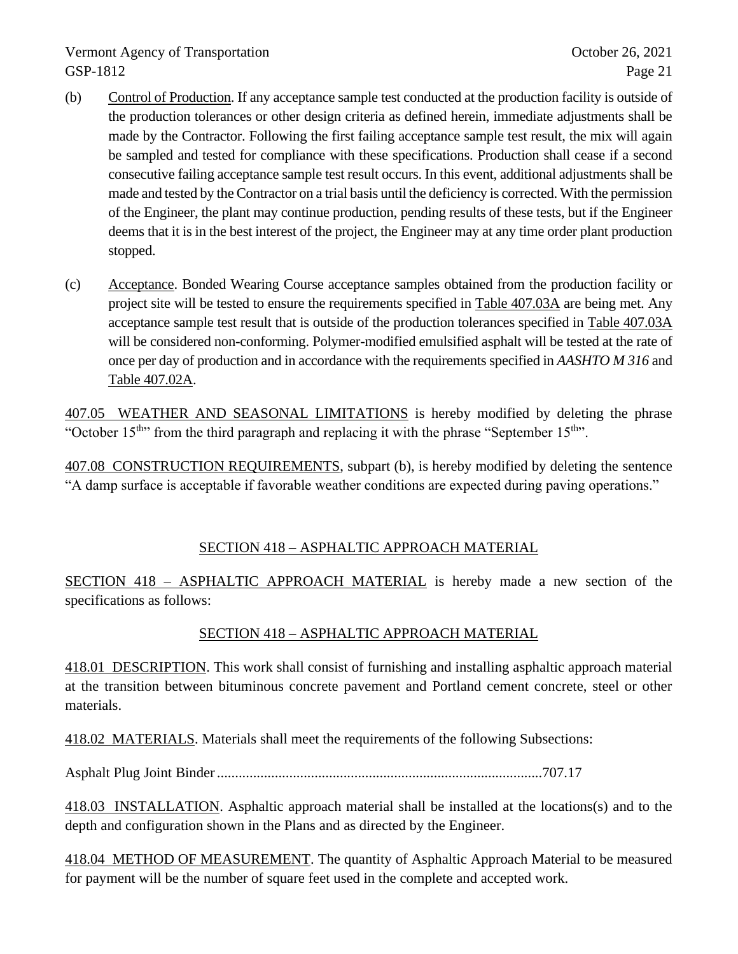- (b) Control of Production. If any acceptance sample test conducted at the production facility is outside of the production tolerances or other design criteria as defined herein, immediate adjustments shall be made by the Contractor. Following the first failing acceptance sample test result, the mix will again be sampled and tested for compliance with these specifications. Production shall cease if a second consecutive failing acceptance sample test result occurs. In this event, additional adjustments shall be made and tested by the Contractor on a trial basis until the deficiency is corrected. With the permission of the Engineer, the plant may continue production, pending results of these tests, but if the Engineer deems that it is in the best interest of the project, the Engineer may at any time order plant production stopped.
- (c) Acceptance. Bonded Wearing Course acceptance samples obtained from the production facility or project site will be tested to ensure the requirements specified in Table 407.03A are being met. Any acceptance sample test result that is outside of the production tolerances specified in Table 407.03A will be considered non-conforming. Polymer-modified emulsified asphalt will be tested at the rate of once per day of production and in accordance with the requirements specified in *AASHTO M 316* and Table 407.02A.

407.05 WEATHER AND SEASONAL LIMITATIONS is hereby modified by deleting the phrase "October  $15<sup>th</sup>$ " from the third paragraph and replacing it with the phrase "September  $15<sup>th</sup>$ ".

407.08 CONSTRUCTION REQUIREMENTS, subpart (b), is hereby modified by deleting the sentence "A damp surface is acceptable if favorable weather conditions are expected during paving operations."

# SECTION 418 – ASPHALTIC APPROACH MATERIAL

SECTION 418 – ASPHALTIC APPROACH MATERIAL is hereby made a new section of the specifications as follows:

# SECTION 418 – ASPHALTIC APPROACH MATERIAL

418.01 DESCRIPTION. This work shall consist of furnishing and installing asphaltic approach material at the transition between bituminous concrete pavement and Portland cement concrete, steel or other materials.

418.02 MATERIALS. Materials shall meet the requirements of the following Subsections:

Asphalt Plug Joint Binder..........................................................................................707.17

418.03 INSTALLATION. Asphaltic approach material shall be installed at the locations(s) and to the depth and configuration shown in the Plans and as directed by the Engineer.

418.04 METHOD OF MEASUREMENT. The quantity of Asphaltic Approach Material to be measured for payment will be the number of square feet used in the complete and accepted work.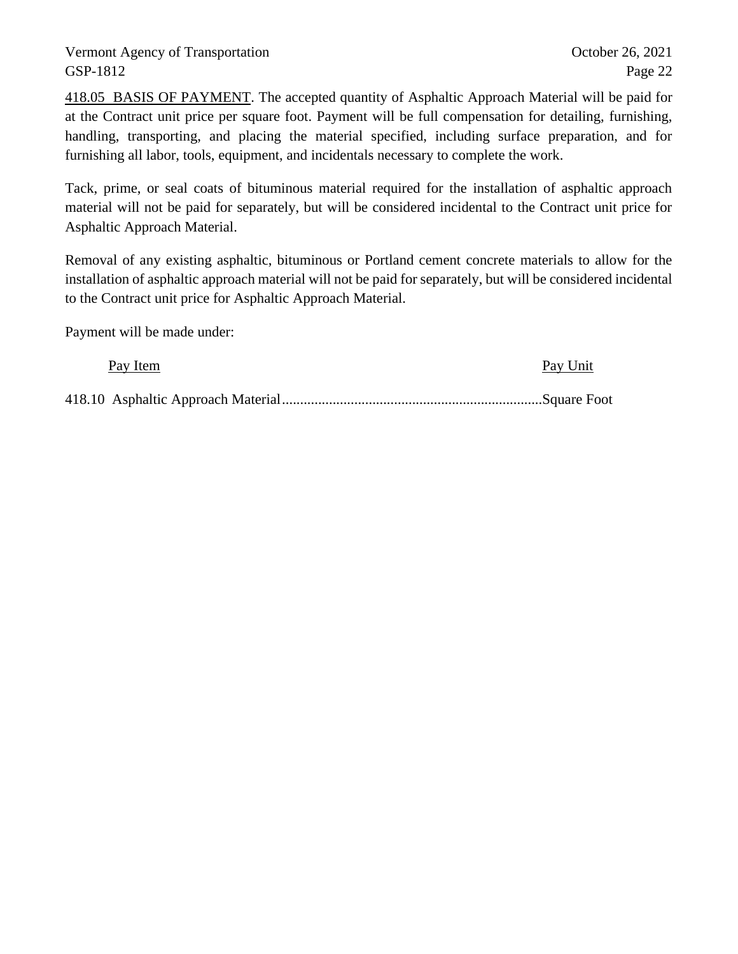418.05 BASIS OF PAYMENT. The accepted quantity of Asphaltic Approach Material will be paid for at the Contract unit price per square foot. Payment will be full compensation for detailing, furnishing, handling, transporting, and placing the material specified, including surface preparation, and for furnishing all labor, tools, equipment, and incidentals necessary to complete the work.

Tack, prime, or seal coats of bituminous material required for the installation of asphaltic approach material will not be paid for separately, but will be considered incidental to the Contract unit price for Asphaltic Approach Material.

Removal of any existing asphaltic, bituminous or Portland cement concrete materials to allow for the installation of asphaltic approach material will not be paid for separately, but will be considered incidental to the Contract unit price for Asphaltic Approach Material.

Payment will be made under:

Pay Item Pay Unit

418.10 Asphaltic Approach Material........................................................................Square Foot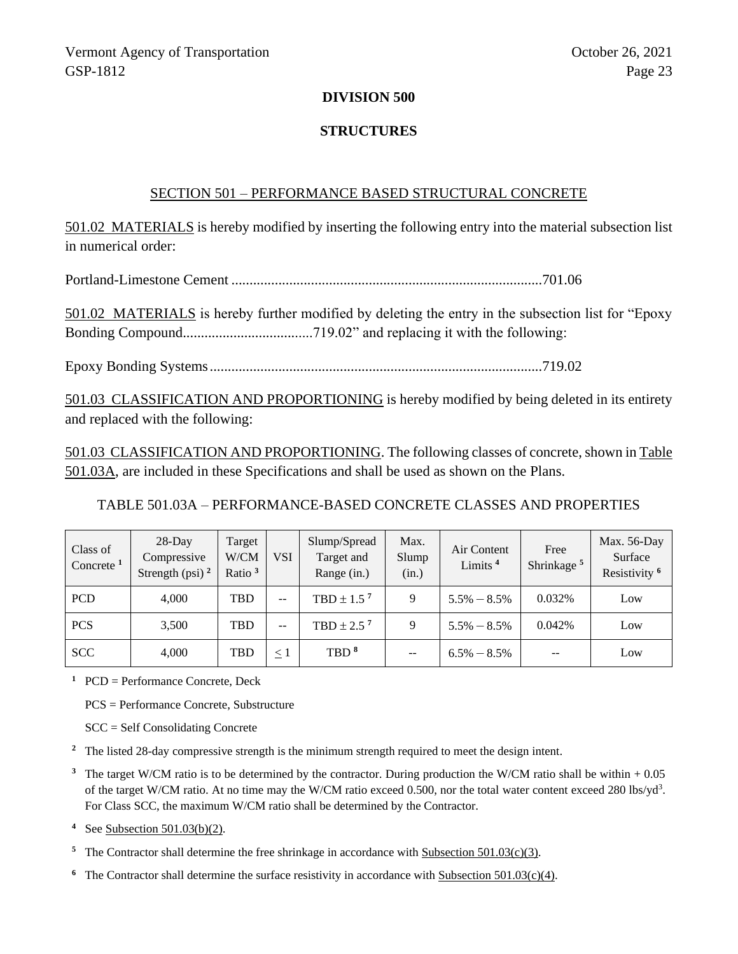#### **DIVISION 500**

#### **STRUCTURES**

#### SECTION 501 – PERFORMANCE BASED STRUCTURAL CONCRETE

501.02 MATERIALS is hereby modified by inserting the following entry into the material subsection list in numerical order:

Portland-Limestone Cement ......................................................................................701.06

501.02 MATERIALS is hereby further modified by deleting the entry in the subsection list for "Epoxy Bonding Compound....................................719.02" and replacing it with the following:

Epoxy Bonding Systems............................................................................................719.02

501.03 CLASSIFICATION AND PROPORTIONING is hereby modified by being deleted in its entirety and replaced with the following:

501.03 CLASSIFICATION AND PROPORTIONING. The following classes of concrete, shown in Table 501.03A, are included in these Specifications and shall be used as shown on the Plans.

#### TABLE 501.03A – PERFORMANCE-BASED CONCRETE CLASSES AND PROPERTIES

| Class of<br>Concrete <sup>1</sup> | $28$ -Day<br>Compressive<br>Strength (psi) $^2$ | Target<br>W/CM<br>Ratio $3$ | <b>VSI</b> | Slump/Spread<br>Target and<br>Range (in.) | Max.<br>Slump<br>(in.) | Air Content<br>Limits <sup>4</sup> | Free<br>Shrinkage <sup>5</sup> | Max. $56$ -Day<br>Surface<br>Resistivity <sup>6</sup> |
|-----------------------------------|-------------------------------------------------|-----------------------------|------------|-------------------------------------------|------------------------|------------------------------------|--------------------------------|-------------------------------------------------------|
| <b>PCD</b>                        | 4.000                                           | TBD                         | $- -$      | TBD $\pm$ 1.5 <sup>7</sup>                | 9                      | $5.5\% - 8.5\%$                    | 0.032%                         | Low                                                   |
| <b>PCS</b>                        | 3.500                                           | TBD                         | $- -$      | TBD $\pm$ 2.5 <sup>7</sup>                | 9                      | $5.5\% - 8.5\%$                    | 0.042%                         | Low                                                   |
| <b>SCC</b>                        | 4,000                                           | TBD                         | $\leq$ 1   | TBD <sup>8</sup>                          | $- -$                  | $6.5\% - 8.5\%$                    | --                             | Low                                                   |

**<sup>1</sup>** PCD = Performance Concrete, Deck

PCS = Performance Concrete, Substructure

SCC = Self Consolidating Concrete

**<sup>2</sup>** The listed 28-day compressive strength is the minimum strength required to meet the design intent.

**<sup>3</sup>** The target W/CM ratio is to be determined by the contractor. During production the W/CM ratio shall be within + 0.05 of the target W/CM ratio. At no time may the W/CM ratio exceed 0.500, nor the total water content exceed 280 lbs/yd<sup>3</sup>. For Class SCC, the maximum W/CM ratio shall be determined by the Contractor.

**<sup>4</sup>** See Subsection 501.03(b)(2).

- <sup>5</sup> The Contractor shall determine the free shrinkage in accordance with Subsection 501.03(c)(3).
- <sup>6</sup> The Contractor shall determine the surface resistivity in accordance with Subsection 501.03(c)(4).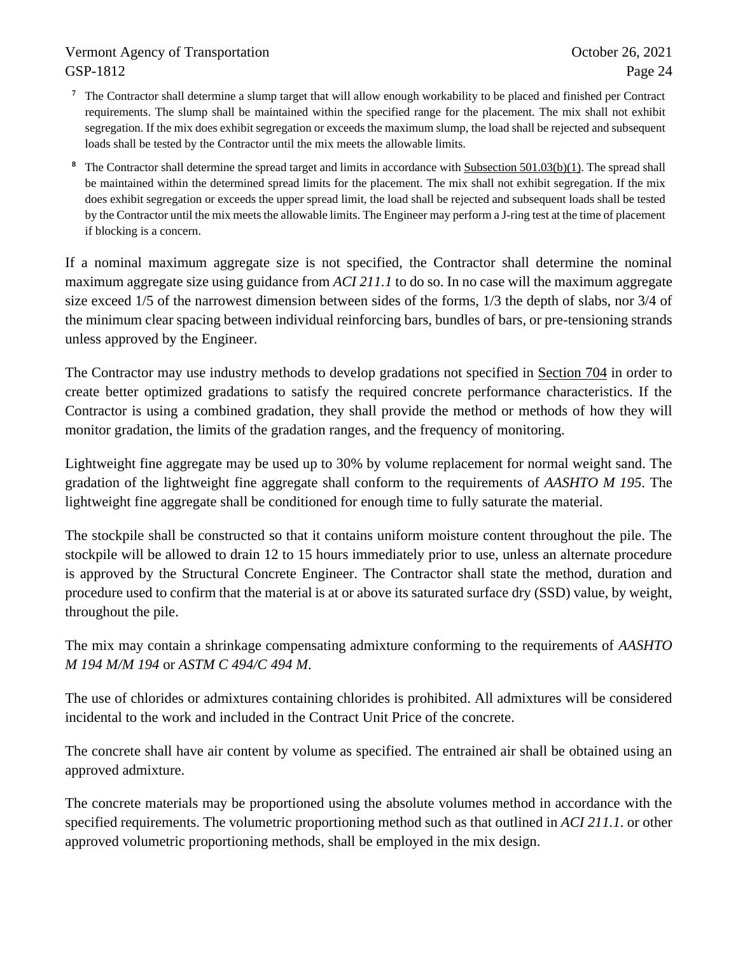- **<sup>7</sup>** The Contractor shall determine a slump target that will allow enough workability to be placed and finished per Contract requirements. The slump shall be maintained within the specified range for the placement. The mix shall not exhibit segregation. If the mix does exhibit segregation or exceeds the maximum slump, the load shall be rejected and subsequent loads shall be tested by the Contractor until the mix meets the allowable limits.
- **<sup>8</sup>** The Contractor shall determine the spread target and limits in accordance with Subsection 501.03(b)(1). The spread shall be maintained within the determined spread limits for the placement. The mix shall not exhibit segregation. If the mix does exhibit segregation or exceeds the upper spread limit, the load shall be rejected and subsequent loads shall be tested by the Contractor until the mix meets the allowable limits. The Engineer may perform a J-ring test at the time of placement if blocking is a concern.

If a nominal maximum aggregate size is not specified, the Contractor shall determine the nominal maximum aggregate size using guidance from *ACI 211.1* to do so. In no case will the maximum aggregate size exceed 1/5 of the narrowest dimension between sides of the forms, 1/3 the depth of slabs, nor 3/4 of the minimum clear spacing between individual reinforcing bars, bundles of bars, or pre-tensioning strands unless approved by the Engineer.

The Contractor may use industry methods to develop gradations not specified in Section 704 in order to create better optimized gradations to satisfy the required concrete performance characteristics. If the Contractor is using a combined gradation, they shall provide the method or methods of how they will monitor gradation, the limits of the gradation ranges, and the frequency of monitoring.

Lightweight fine aggregate may be used up to 30% by volume replacement for normal weight sand. The gradation of the lightweight fine aggregate shall conform to the requirements of *AASHTO M 195*. The lightweight fine aggregate shall be conditioned for enough time to fully saturate the material.

The stockpile shall be constructed so that it contains uniform moisture content throughout the pile. The stockpile will be allowed to drain 12 to 15 hours immediately prior to use, unless an alternate procedure is approved by the Structural Concrete Engineer. The Contractor shall state the method, duration and procedure used to confirm that the material is at or above its saturated surface dry (SSD) value, by weight, throughout the pile.

The mix may contain a shrinkage compensating admixture conforming to the requirements of *AASHTO M 194 M/M 194* or *ASTM C 494/C 494 M*.

The use of chlorides or admixtures containing chlorides is prohibited. All admixtures will be considered incidental to the work and included in the Contract Unit Price of the concrete.

The concrete shall have air content by volume as specified. The entrained air shall be obtained using an approved admixture.

The concrete materials may be proportioned using the absolute volumes method in accordance with the specified requirements. The volumetric proportioning method such as that outlined in *ACI 211.1*. or other approved volumetric proportioning methods, shall be employed in the mix design.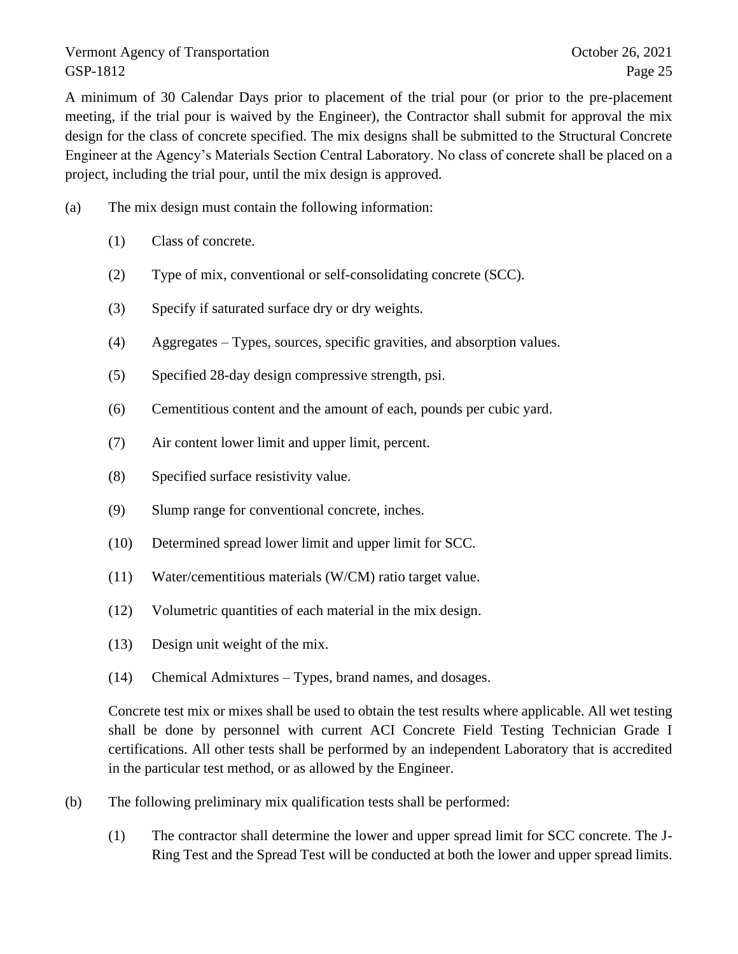A minimum of 30 Calendar Days prior to placement of the trial pour (or prior to the pre-placement meeting, if the trial pour is waived by the Engineer), the Contractor shall submit for approval the mix design for the class of concrete specified. The mix designs shall be submitted to the Structural Concrete Engineer at the Agency's Materials Section Central Laboratory. No class of concrete shall be placed on a project, including the trial pour, until the mix design is approved.

- (a) The mix design must contain the following information:
	- (1) Class of concrete.
	- (2) Type of mix, conventional or self-consolidating concrete (SCC).
	- (3) Specify if saturated surface dry or dry weights.
	- (4) Aggregates Types, sources, specific gravities, and absorption values.
	- (5) Specified 28-day design compressive strength, psi.
	- (6) Cementitious content and the amount of each, pounds per cubic yard.
	- (7) Air content lower limit and upper limit, percent.
	- (8) Specified surface resistivity value.
	- (9) Slump range for conventional concrete, inches.
	- (10) Determined spread lower limit and upper limit for SCC.
	- (11) Water/cementitious materials (W/CM) ratio target value.
	- (12) Volumetric quantities of each material in the mix design.
	- (13) Design unit weight of the mix.
	- (14) Chemical Admixtures Types, brand names, and dosages.

Concrete test mix or mixes shall be used to obtain the test results where applicable. All wet testing shall be done by personnel with current ACI Concrete Field Testing Technician Grade I certifications. All other tests shall be performed by an independent Laboratory that is accredited in the particular test method, or as allowed by the Engineer.

- (b) The following preliminary mix qualification tests shall be performed:
	- (1) The contractor shall determine the lower and upper spread limit for SCC concrete. The J-Ring Test and the Spread Test will be conducted at both the lower and upper spread limits.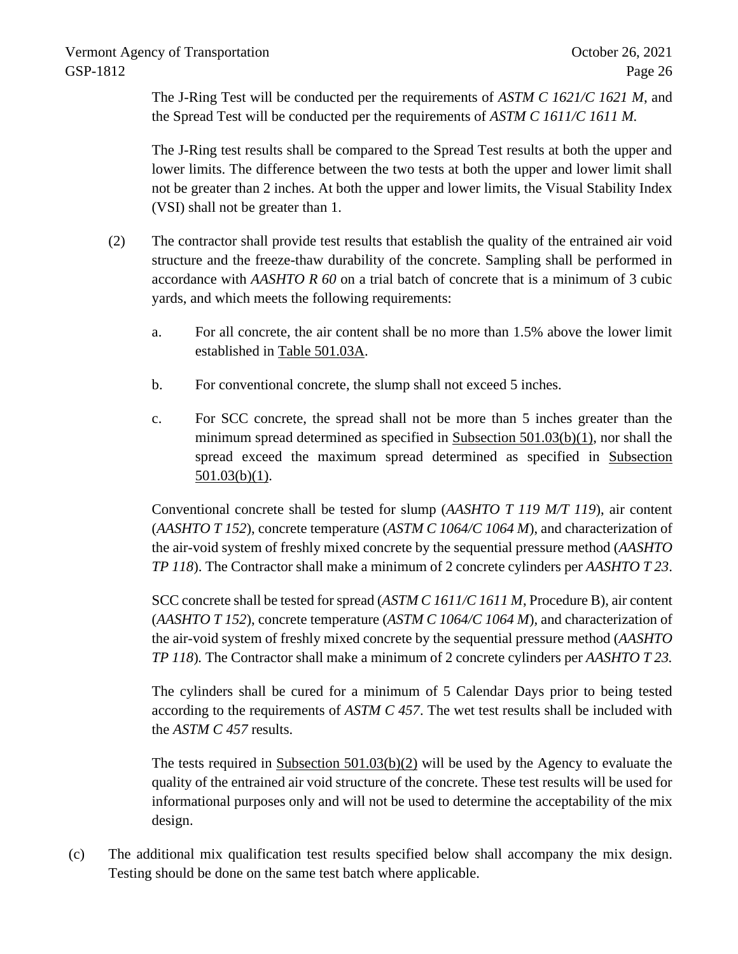The J-Ring Test will be conducted per the requirements of *ASTM C 1621/C 1621 M*, and the Spread Test will be conducted per the requirements of *ASTM C 1611/C 1611 M.*

The J-Ring test results shall be compared to the Spread Test results at both the upper and lower limits. The difference between the two tests at both the upper and lower limit shall not be greater than 2 inches. At both the upper and lower limits, the Visual Stability Index (VSI) shall not be greater than 1.

- (2) The contractor shall provide test results that establish the quality of the entrained air void structure and the freeze-thaw durability of the concrete. Sampling shall be performed in accordance with *AASHTO R 60* on a trial batch of concrete that is a minimum of 3 cubic yards, and which meets the following requirements:
	- a. For all concrete, the air content shall be no more than 1.5% above the lower limit established in Table 501.03A.
	- b. For conventional concrete, the slump shall not exceed 5 inches.
	- c. For SCC concrete, the spread shall not be more than 5 inches greater than the minimum spread determined as specified in Subsection 501.03(b)(1), nor shall the spread exceed the maximum spread determined as specified in Subsection  $501.03(b)(1)$ .

Conventional concrete shall be tested for slump (*AASHTO T 119 M/T 119*), air content (*AASHTO T 152*), concrete temperature (*ASTM C 1064/C 1064 M*), and characterization of the air-void system of freshly mixed concrete by the sequential pressure method (*AASHTO TP 118*). The Contractor shall make a minimum of 2 concrete cylinders per *AASHTO T 23*.

SCC concrete shall be tested for spread (*ASTM C 1611/C 1611 M*, Procedure B), air content (*AASHTO T 152*), concrete temperature (*ASTM C 1064/C 1064 M*)*,* and characterization of the air-void system of freshly mixed concrete by the sequential pressure method (*AASHTO TP 118*)*.* The Contractor shall make a minimum of 2 concrete cylinders per *AASHTO T 23.*

The cylinders shall be cured for a minimum of 5 Calendar Days prior to being tested according to the requirements of *ASTM C 457*. The wet test results shall be included with the *ASTM C 457* results.

The tests required in Subsection 501.03(b)(2) will be used by the Agency to evaluate the quality of the entrained air void structure of the concrete. These test results will be used for informational purposes only and will not be used to determine the acceptability of the mix design.

(c) The additional mix qualification test results specified below shall accompany the mix design. Testing should be done on the same test batch where applicable.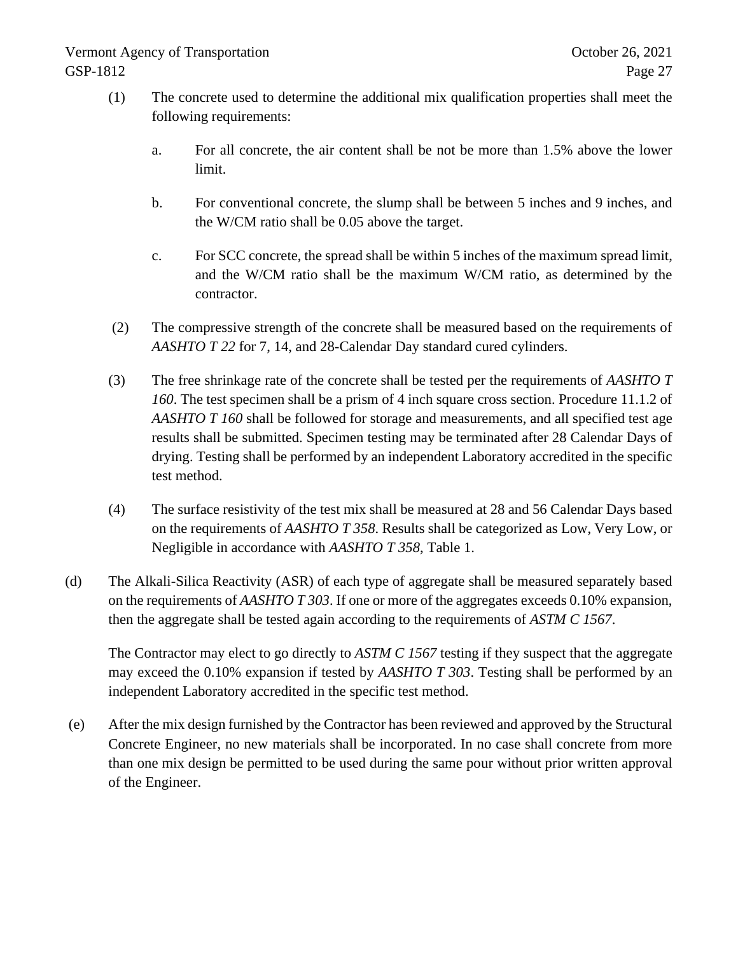- (1) The concrete used to determine the additional mix qualification properties shall meet the following requirements:
	- a. For all concrete, the air content shall be not be more than 1.5% above the lower limit.
	- b. For conventional concrete, the slump shall be between 5 inches and 9 inches, and the W/CM ratio shall be 0.05 above the target.
	- c. For SCC concrete, the spread shall be within 5 inches of the maximum spread limit, and the W/CM ratio shall be the maximum W/CM ratio, as determined by the contractor.
- (2) The compressive strength of the concrete shall be measured based on the requirements of *AASHTO T 22* for 7, 14, and 28-Calendar Day standard cured cylinders.
- (3) The free shrinkage rate of the concrete shall be tested per the requirements of *AASHTO T 160*. The test specimen shall be a prism of 4 inch square cross section. Procedure 11.1.2 of *AASHTO T 160* shall be followed for storage and measurements, and all specified test age results shall be submitted. Specimen testing may be terminated after 28 Calendar Days of drying. Testing shall be performed by an independent Laboratory accredited in the specific test method.
- (4) The surface resistivity of the test mix shall be measured at 28 and 56 Calendar Days based on the requirements of *AASHTO T 358*. Results shall be categorized as Low, Very Low, or Negligible in accordance with *AASHTO T 358*, Table 1.
- (d) The Alkali-Silica Reactivity (ASR) of each type of aggregate shall be measured separately based on the requirements of *AASHTO T 303*. If one or more of the aggregates exceeds 0.10% expansion, then the aggregate shall be tested again according to the requirements of *ASTM C 1567*.

The Contractor may elect to go directly to *ASTM C 1567* testing if they suspect that the aggregate may exceed the 0.10% expansion if tested by *AASHTO T 303*. Testing shall be performed by an independent Laboratory accredited in the specific test method.

(e) After the mix design furnished by the Contractor has been reviewed and approved by the Structural Concrete Engineer, no new materials shall be incorporated. In no case shall concrete from more than one mix design be permitted to be used during the same pour without prior written approval of the Engineer.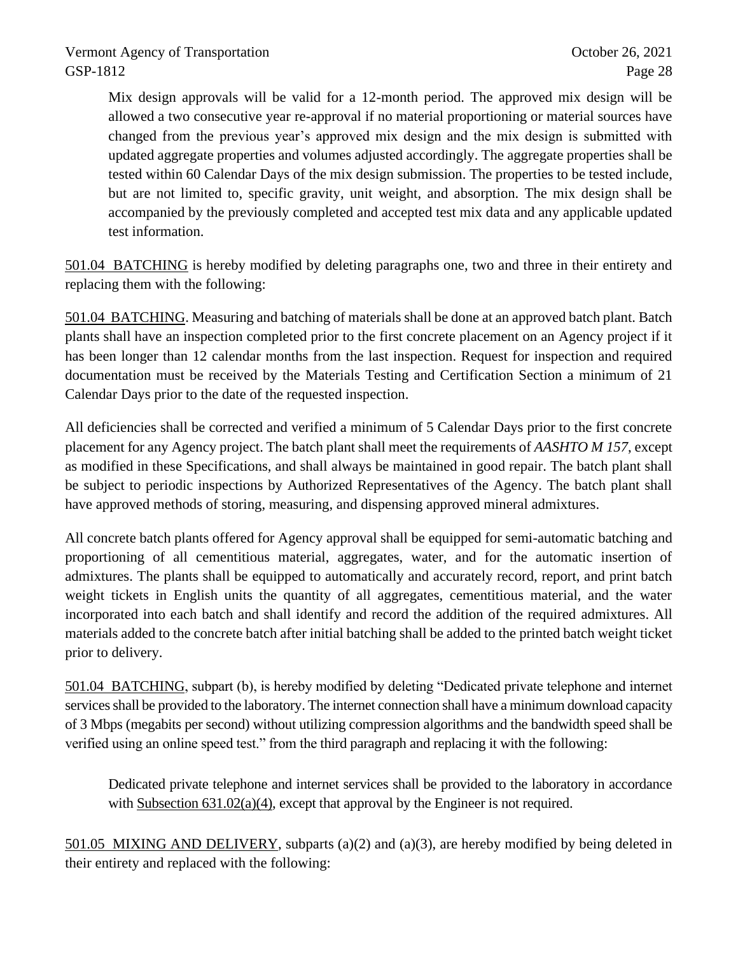Mix design approvals will be valid for a 12-month period. The approved mix design will be allowed a two consecutive year re-approval if no material proportioning or material sources have changed from the previous year's approved mix design and the mix design is submitted with updated aggregate properties and volumes adjusted accordingly. The aggregate properties shall be tested within 60 Calendar Days of the mix design submission. The properties to be tested include, but are not limited to, specific gravity, unit weight, and absorption. The mix design shall be accompanied by the previously completed and accepted test mix data and any applicable updated test information.

501.04 BATCHING is hereby modified by deleting paragraphs one, two and three in their entirety and replacing them with the following:

501.04 BATCHING. Measuring and batching of materials shall be done at an approved batch plant. Batch plants shall have an inspection completed prior to the first concrete placement on an Agency project if it has been longer than 12 calendar months from the last inspection. Request for inspection and required documentation must be received by the Materials Testing and Certification Section a minimum of 21 Calendar Days prior to the date of the requested inspection.

All deficiencies shall be corrected and verified a minimum of 5 Calendar Days prior to the first concrete placement for any Agency project. The batch plant shall meet the requirements of *AASHTO M 157*, except as modified in these Specifications, and shall always be maintained in good repair. The batch plant shall be subject to periodic inspections by Authorized Representatives of the Agency. The batch plant shall have approved methods of storing, measuring, and dispensing approved mineral admixtures.

All concrete batch plants offered for Agency approval shall be equipped for semi-automatic batching and proportioning of all cementitious material, aggregates, water, and for the automatic insertion of admixtures. The plants shall be equipped to automatically and accurately record, report, and print batch weight tickets in English units the quantity of all aggregates, cementitious material, and the water incorporated into each batch and shall identify and record the addition of the required admixtures. All materials added to the concrete batch after initial batching shall be added to the printed batch weight ticket prior to delivery.

501.04 BATCHING, subpart (b), is hereby modified by deleting "Dedicated private telephone and internet services shall be provided to the laboratory. The internet connection shall have a minimum download capacity of 3 Mbps (megabits per second) without utilizing compression algorithms and the bandwidth speed shall be verified using an online speed test." from the third paragraph and replacing it with the following:

Dedicated private telephone and internet services shall be provided to the laboratory in accordance with Subsection 631.02(a)(4), except that approval by the Engineer is not required.

501.05 MIXING AND DELIVERY, subparts (a)(2) and (a)(3), are hereby modified by being deleted in their entirety and replaced with the following: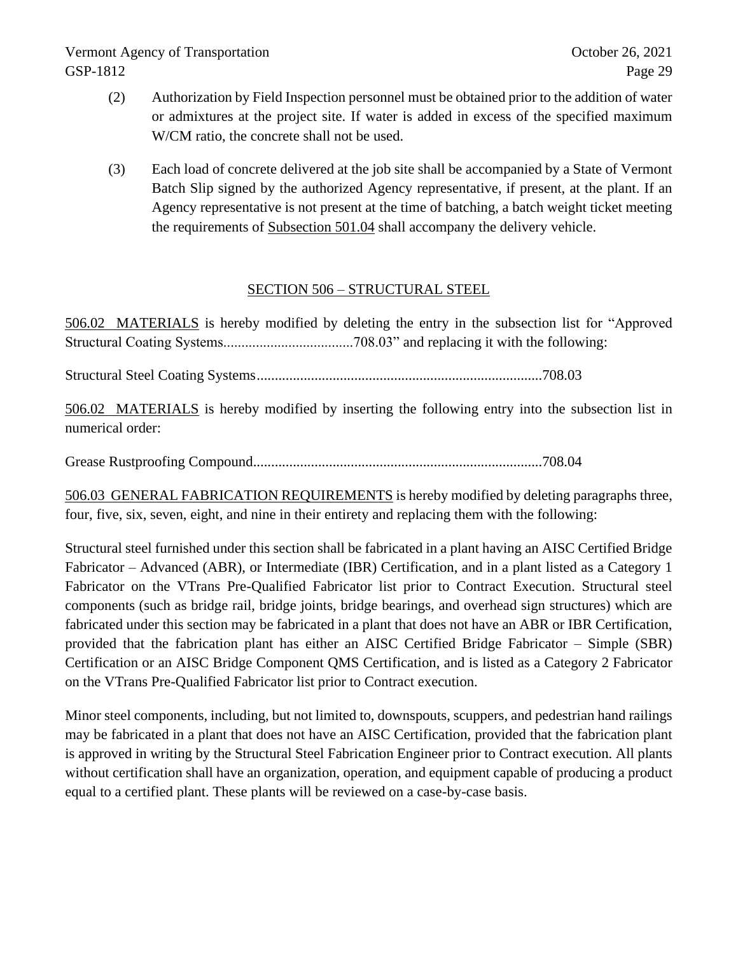- (2) Authorization by Field Inspection personnel must be obtained prior to the addition of water or admixtures at the project site. If water is added in excess of the specified maximum W/CM ratio, the concrete shall not be used.
- (3) Each load of concrete delivered at the job site shall be accompanied by a State of Vermont Batch Slip signed by the authorized Agency representative, if present, at the plant. If an Agency representative is not present at the time of batching, a batch weight ticket meeting the requirements of Subsection 501.04 shall accompany the delivery vehicle.

# SECTION 506 – STRUCTURAL STEEL

506.02 MATERIALS is hereby modified by deleting the entry in the subsection list for "Approved Structural Coating Systems....................................708.03" and replacing it with the following:

Structural Steel Coating Systems...............................................................................708.03

506.02 MATERIALS is hereby modified by inserting the following entry into the subsection list in numerical order:

Grease Rustproofing Compound................................................................................708.04

506.03 GENERAL FABRICATION REQUIREMENTS is hereby modified by deleting paragraphs three, four, five, six, seven, eight, and nine in their entirety and replacing them with the following:

Structural steel furnished under this section shall be fabricated in a plant having an AISC Certified Bridge Fabricator – Advanced (ABR), or Intermediate (IBR) Certification, and in a plant listed as a Category 1 Fabricator on the VTrans Pre-Qualified Fabricator list prior to Contract Execution. Structural steel components (such as bridge rail, bridge joints, bridge bearings, and overhead sign structures) which are fabricated under this section may be fabricated in a plant that does not have an ABR or IBR Certification, provided that the fabrication plant has either an AISC Certified Bridge Fabricator – Simple (SBR) Certification or an AISC Bridge Component QMS Certification, and is listed as a Category 2 Fabricator on the VTrans Pre-Qualified Fabricator list prior to Contract execution.

Minor steel components, including, but not limited to, downspouts, scuppers, and pedestrian hand railings may be fabricated in a plant that does not have an AISC Certification, provided that the fabrication plant is approved in writing by the Structural Steel Fabrication Engineer prior to Contract execution. All plants without certification shall have an organization, operation, and equipment capable of producing a product equal to a certified plant. These plants will be reviewed on a case-by-case basis.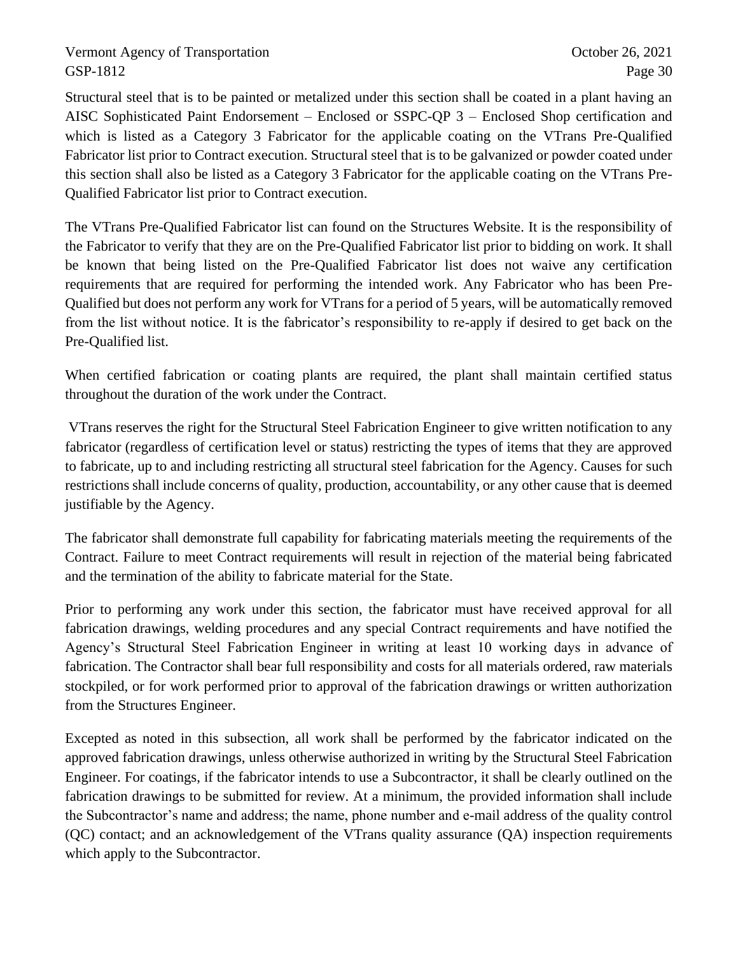Structural steel that is to be painted or metalized under this section shall be coated in a plant having an AISC Sophisticated Paint Endorsement – Enclosed or SSPC-QP 3 – Enclosed Shop certification and which is listed as a Category 3 Fabricator for the applicable coating on the VTrans Pre-Qualified Fabricator list prior to Contract execution. Structural steel that is to be galvanized or powder coated under this section shall also be listed as a Category 3 Fabricator for the applicable coating on the VTrans Pre-Qualified Fabricator list prior to Contract execution.

The VTrans Pre-Qualified Fabricator list can found on the Structures Website. It is the responsibility of the Fabricator to verify that they are on the Pre-Qualified Fabricator list prior to bidding on work. It shall be known that being listed on the Pre-Qualified Fabricator list does not waive any certification requirements that are required for performing the intended work. Any Fabricator who has been Pre-Qualified but does not perform any work for VTrans for a period of 5 years, will be automatically removed from the list without notice. It is the fabricator's responsibility to re-apply if desired to get back on the Pre-Qualified list.

When certified fabrication or coating plants are required, the plant shall maintain certified status throughout the duration of the work under the Contract.

VTrans reserves the right for the Structural Steel Fabrication Engineer to give written notification to any fabricator (regardless of certification level or status) restricting the types of items that they are approved to fabricate, up to and including restricting all structural steel fabrication for the Agency. Causes for such restrictions shall include concerns of quality, production, accountability, or any other cause that is deemed justifiable by the Agency.

The fabricator shall demonstrate full capability for fabricating materials meeting the requirements of the Contract. Failure to meet Contract requirements will result in rejection of the material being fabricated and the termination of the ability to fabricate material for the State.

Prior to performing any work under this section, the fabricator must have received approval for all fabrication drawings, welding procedures and any special Contract requirements and have notified the Agency's Structural Steel Fabrication Engineer in writing at least 10 working days in advance of fabrication. The Contractor shall bear full responsibility and costs for all materials ordered, raw materials stockpiled, or for work performed prior to approval of the fabrication drawings or written authorization from the Structures Engineer.

Excepted as noted in this subsection, all work shall be performed by the fabricator indicated on the approved fabrication drawings, unless otherwise authorized in writing by the Structural Steel Fabrication Engineer. For coatings, if the fabricator intends to use a Subcontractor, it shall be clearly outlined on the fabrication drawings to be submitted for review. At a minimum, the provided information shall include the Subcontractor's name and address; the name, phone number and e-mail address of the quality control (QC) contact; and an acknowledgement of the VTrans quality assurance (QA) inspection requirements which apply to the Subcontractor.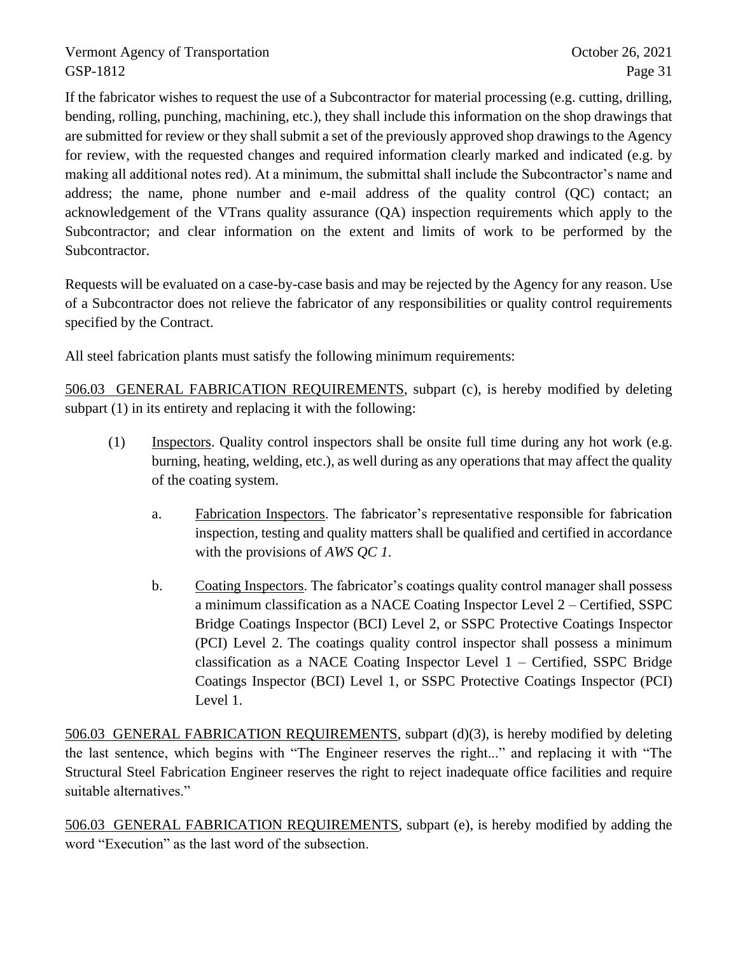If the fabricator wishes to request the use of a Subcontractor for material processing (e.g. cutting, drilling, bending, rolling, punching, machining, etc.), they shall include this information on the shop drawings that are submitted for review or they shall submit a set of the previously approved shop drawings to the Agency for review, with the requested changes and required information clearly marked and indicated (e.g. by making all additional notes red). At a minimum, the submittal shall include the Subcontractor's name and address; the name, phone number and e-mail address of the quality control (QC) contact; an acknowledgement of the VTrans quality assurance (QA) inspection requirements which apply to the Subcontractor; and clear information on the extent and limits of work to be performed by the Subcontractor.

Requests will be evaluated on a case-by-case basis and may be rejected by the Agency for any reason. Use of a Subcontractor does not relieve the fabricator of any responsibilities or quality control requirements specified by the Contract.

All steel fabrication plants must satisfy the following minimum requirements:

506.03 GENERAL FABRICATION REQUIREMENTS, subpart (c), is hereby modified by deleting subpart (1) in its entirety and replacing it with the following:

- (1) Inspectors. Quality control inspectors shall be onsite full time during any hot work (e.g. burning, heating, welding, etc.), as well during as any operations that may affect the quality of the coating system.
	- a. Fabrication Inspectors. The fabricator's representative responsible for fabrication inspection, testing and quality matters shall be qualified and certified in accordance with the provisions of *AWS QC 1*.
	- b. Coating Inspectors. The fabricator's coatings quality control manager shall possess a minimum classification as a NACE Coating Inspector Level 2 – Certified, SSPC Bridge Coatings Inspector (BCI) Level 2, or SSPC Protective Coatings Inspector (PCI) Level 2. The coatings quality control inspector shall possess a minimum classification as a NACE Coating Inspector Level 1 – Certified, SSPC Bridge Coatings Inspector (BCI) Level 1, or SSPC Protective Coatings Inspector (PCI) Level 1.

506.03 GENERAL FABRICATION REQUIREMENTS, subpart (d)(3), is hereby modified by deleting the last sentence, which begins with "The Engineer reserves the right..." and replacing it with "The Structural Steel Fabrication Engineer reserves the right to reject inadequate office facilities and require suitable alternatives."

506.03 GENERAL FABRICATION REQUIREMENTS, subpart (e), is hereby modified by adding the word "Execution" as the last word of the subsection.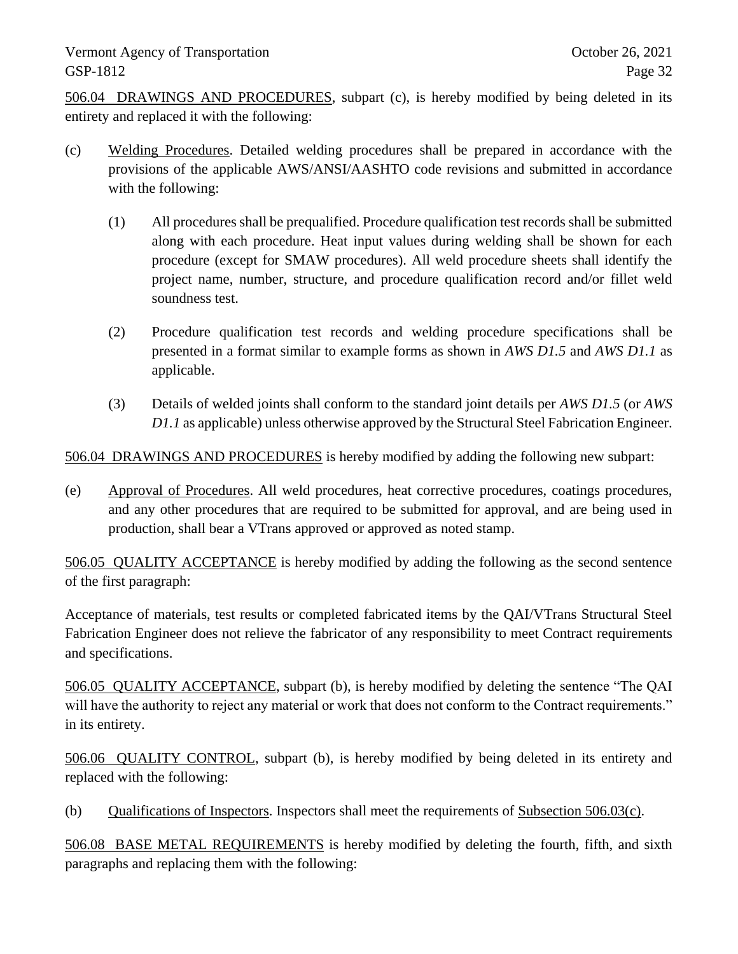506.04 DRAWINGS AND PROCEDURES, subpart (c), is hereby modified by being deleted in its entirety and replaced it with the following:

- (c) Welding Procedures. Detailed welding procedures shall be prepared in accordance with the provisions of the applicable AWS/ANSI/AASHTO code revisions and submitted in accordance with the following:
	- (1) All procedures shall be prequalified. Procedure qualification test records shall be submitted along with each procedure. Heat input values during welding shall be shown for each procedure (except for SMAW procedures). All weld procedure sheets shall identify the project name, number, structure, and procedure qualification record and/or fillet weld soundness test.
	- (2) Procedure qualification test records and welding procedure specifications shall be presented in a format similar to example forms as shown in *AWS D1.5* and *AWS D1.1* as applicable.
	- (3) Details of welded joints shall conform to the standard joint details per *AWS D1.5* (or *AWS D1.1* as applicable) unless otherwise approved by the Structural Steel Fabrication Engineer.

506.04 DRAWINGS AND PROCEDURES is hereby modified by adding the following new subpart:

(e) Approval of Procedures. All weld procedures, heat corrective procedures, coatings procedures, and any other procedures that are required to be submitted for approval, and are being used in production, shall bear a VTrans approved or approved as noted stamp.

506.05 QUALITY ACCEPTANCE is hereby modified by adding the following as the second sentence of the first paragraph:

Acceptance of materials, test results or completed fabricated items by the QAI/VTrans Structural Steel Fabrication Engineer does not relieve the fabricator of any responsibility to meet Contract requirements and specifications.

506.05 QUALITY ACCEPTANCE, subpart (b), is hereby modified by deleting the sentence "The QAI will have the authority to reject any material or work that does not conform to the Contract requirements." in its entirety.

506.06 QUALITY CONTROL, subpart (b), is hereby modified by being deleted in its entirety and replaced with the following:

(b) Qualifications of Inspectors. Inspectors shall meet the requirements of Subsection 506.03(c).

506.08 BASE METAL REQUIREMENTS is hereby modified by deleting the fourth, fifth, and sixth paragraphs and replacing them with the following: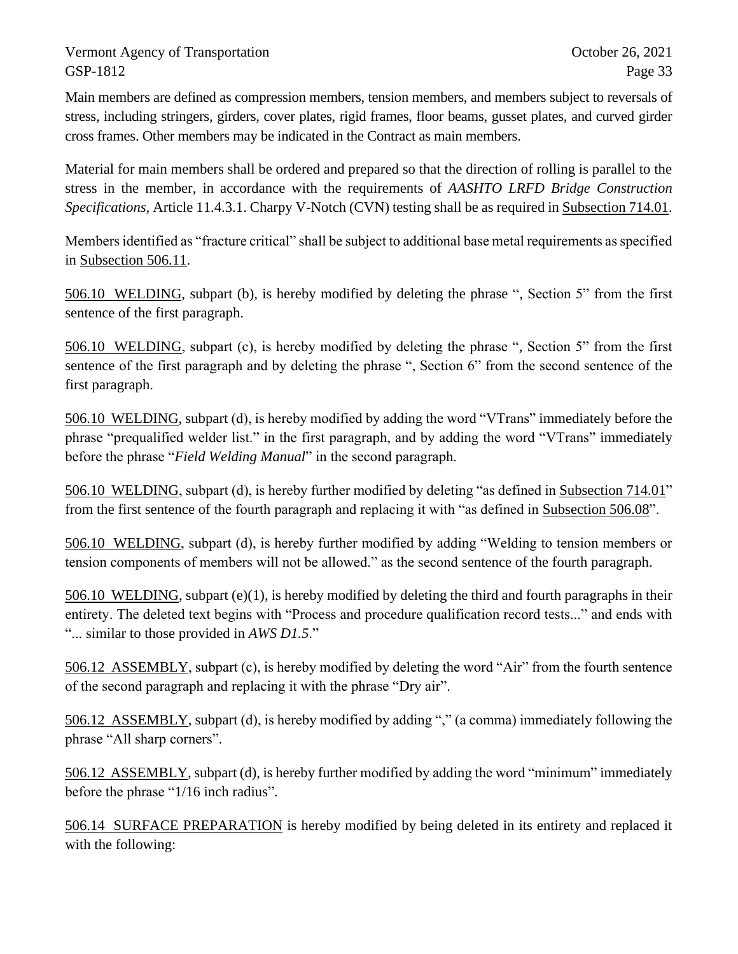Main members are defined as compression members, tension members, and members subject to reversals of stress, including stringers, girders, cover plates, rigid frames, floor beams, gusset plates, and curved girder cross frames. Other members may be indicated in the Contract as main members.

Material for main members shall be ordered and prepared so that the direction of rolling is parallel to the stress in the member, in accordance with the requirements of *AASHTO LRFD Bridge Construction Specifications,* Article 11.4.3.1. Charpy V-Notch (CVN) testing shall be as required in Subsection 714.01.

Members identified as "fracture critical" shall be subject to additional base metal requirements as specified in Subsection 506.11.

506.10 WELDING, subpart (b), is hereby modified by deleting the phrase ", Section 5" from the first sentence of the first paragraph.

506.10 WELDING, subpart (c), is hereby modified by deleting the phrase ", Section 5" from the first sentence of the first paragraph and by deleting the phrase ", Section 6" from the second sentence of the first paragraph.

506.10 WELDING, subpart (d), is hereby modified by adding the word "VTrans" immediately before the phrase "prequalified welder list." in the first paragraph, and by adding the word "VTrans" immediately before the phrase "*Field Welding Manual*" in the second paragraph.

506.10 WELDING, subpart (d), is hereby further modified by deleting "as defined in Subsection 714.01" from the first sentence of the fourth paragraph and replacing it with "as defined in Subsection 506.08".

506.10 WELDING, subpart (d), is hereby further modified by adding "Welding to tension members or tension components of members will not be allowed." as the second sentence of the fourth paragraph.

506.10 WELDING, subpart (e)(1), is hereby modified by deleting the third and fourth paragraphs in their entirety. The deleted text begins with "Process and procedure qualification record tests..." and ends with "... similar to those provided in *AWS D1.5*."

506.12 ASSEMBLY, subpart (c), is hereby modified by deleting the word "Air" from the fourth sentence of the second paragraph and replacing it with the phrase "Dry air".

506.12 ASSEMBLY, subpart (d), is hereby modified by adding "," (a comma) immediately following the phrase "All sharp corners".

506.12 ASSEMBLY, subpart (d), is hereby further modified by adding the word "minimum" immediately before the phrase "1/16 inch radius".

506.14 SURFACE PREPARATION is hereby modified by being deleted in its entirety and replaced it with the following: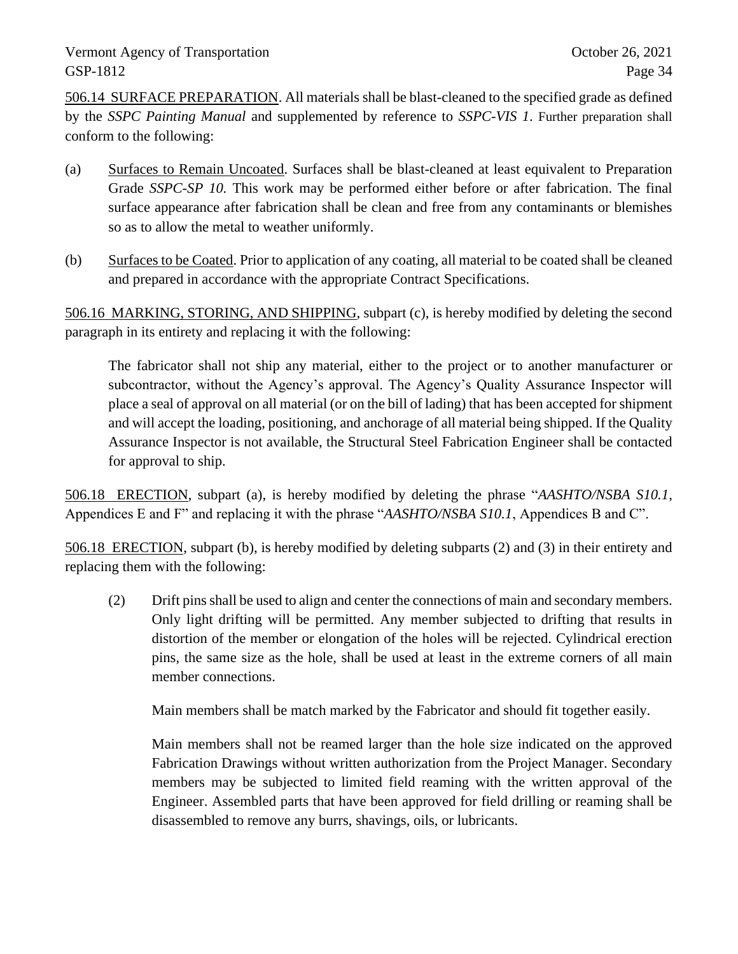506.14 SURFACE PREPARATION. All materials shall be blast-cleaned to the specified grade as defined by the *SSPC Painting Manual* and supplemented by reference to *SSPC-VIS 1*. Further preparation shall conform to the following:

- (a) Surfaces to Remain Uncoated. Surfaces shall be blast-cleaned at least equivalent to Preparation Grade *SSPC-SP 10.* This work may be performed either before or after fabrication. The final surface appearance after fabrication shall be clean and free from any contaminants or blemishes so as to allow the metal to weather uniformly.
- (b) Surfaces to be Coated. Prior to application of any coating, all material to be coated shall be cleaned and prepared in accordance with the appropriate Contract Specifications.

506.16 MARKING, STORING, AND SHIPPING, subpart (c), is hereby modified by deleting the second paragraph in its entirety and replacing it with the following:

The fabricator shall not ship any material, either to the project or to another manufacturer or subcontractor, without the Agency's approval. The Agency's Quality Assurance Inspector will place a seal of approval on all material (or on the bill of lading) that has been accepted for shipment and will accept the loading, positioning, and anchorage of all material being shipped. If the Quality Assurance Inspector is not available, the Structural Steel Fabrication Engineer shall be contacted for approval to ship.

506.18 ERECTION, subpart (a), is hereby modified by deleting the phrase "*AASHTO/NSBA S10.1*, Appendices E and F" and replacing it with the phrase "*AASHTO/NSBA S10.1*, Appendices B and C".

506.18 ERECTION, subpart (b), is hereby modified by deleting subparts (2) and (3) in their entirety and replacing them with the following:

(2) Drift pins shall be used to align and center the connections of main and secondary members. Only light drifting will be permitted. Any member subjected to drifting that results in distortion of the member or elongation of the holes will be rejected. Cylindrical erection pins, the same size as the hole, shall be used at least in the extreme corners of all main member connections.

Main members shall be match marked by the Fabricator and should fit together easily.

Main members shall not be reamed larger than the hole size indicated on the approved Fabrication Drawings without written authorization from the Project Manager. Secondary members may be subjected to limited field reaming with the written approval of the Engineer. Assembled parts that have been approved for field drilling or reaming shall be disassembled to remove any burrs, shavings, oils, or lubricants.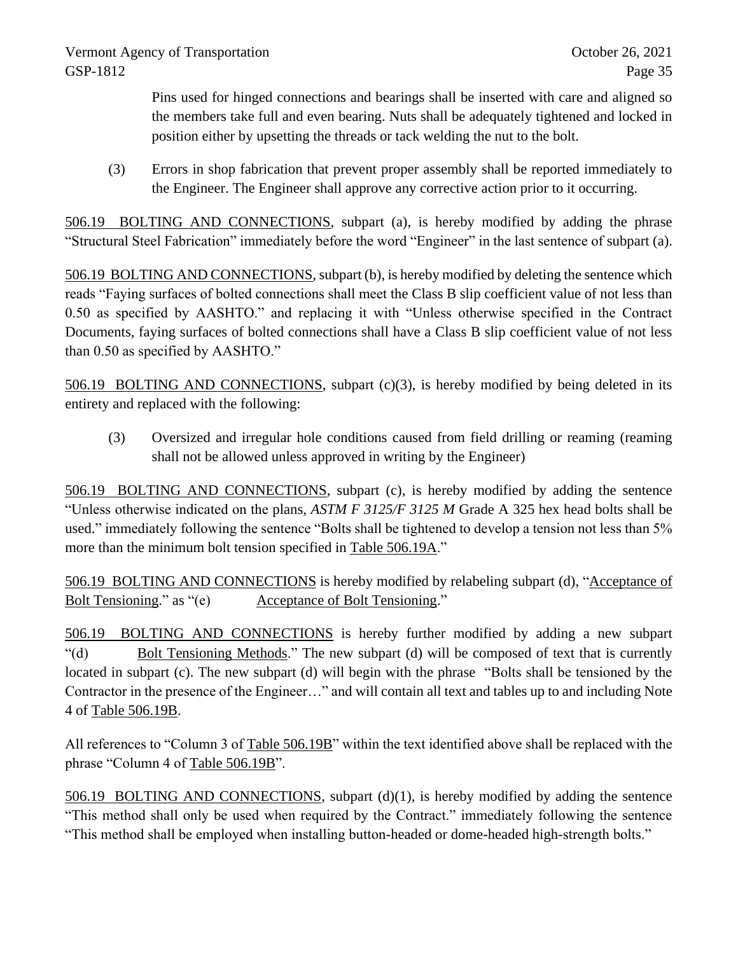Pins used for hinged connections and bearings shall be inserted with care and aligned so the members take full and even bearing. Nuts shall be adequately tightened and locked in position either by upsetting the threads or tack welding the nut to the bolt.

(3) Errors in shop fabrication that prevent proper assembly shall be reported immediately to the Engineer. The Engineer shall approve any corrective action prior to it occurring.

506.19 BOLTING AND CONNECTIONS, subpart (a), is hereby modified by adding the phrase "Structural Steel Fabrication" immediately before the word "Engineer" in the last sentence of subpart (a).

506.19 BOLTING AND CONNECTIONS, subpart (b), is hereby modified by deleting the sentence which reads "Faying surfaces of bolted connections shall meet the Class B slip coefficient value of not less than 0.50 as specified by AASHTO." and replacing it with "Unless otherwise specified in the Contract Documents, faying surfaces of bolted connections shall have a Class B slip coefficient value of not less than 0.50 as specified by AASHTO."

506.19 BOLTING AND CONNECTIONS, subpart (c)(3), is hereby modified by being deleted in its entirety and replaced with the following:

(3) Oversized and irregular hole conditions caused from field drilling or reaming (reaming shall not be allowed unless approved in writing by the Engineer)

506.19 BOLTING AND CONNECTIONS, subpart (c), is hereby modified by adding the sentence "Unless otherwise indicated on the plans, *ASTM F 3125/F 3125 M* Grade A 325 hex head bolts shall be used." immediately following the sentence "Bolts shall be tightened to develop a tension not less than 5% more than the minimum bolt tension specified in Table 506.19A."

506.19 BOLTING AND CONNECTIONS is hereby modified by relabeling subpart (d), "Acceptance of Bolt Tensioning." as "(e) Acceptance of Bolt Tensioning."

506.19 BOLTING AND CONNECTIONS is hereby further modified by adding a new subpart "(d) Bolt Tensioning Methods." The new subpart (d) will be composed of text that is currently located in subpart (c). The new subpart (d) will begin with the phrase "Bolts shall be tensioned by the Contractor in the presence of the Engineer…" and will contain all text and tables up to and including Note 4 of Table 506.19B.

All references to "Column 3 of Table 506.19B" within the text identified above shall be replaced with the phrase "Column 4 of Table 506.19B".

506.19 BOLTING AND CONNECTIONS, subpart (d)(1), is hereby modified by adding the sentence "This method shall only be used when required by the Contract." immediately following the sentence "This method shall be employed when installing button-headed or dome-headed high-strength bolts."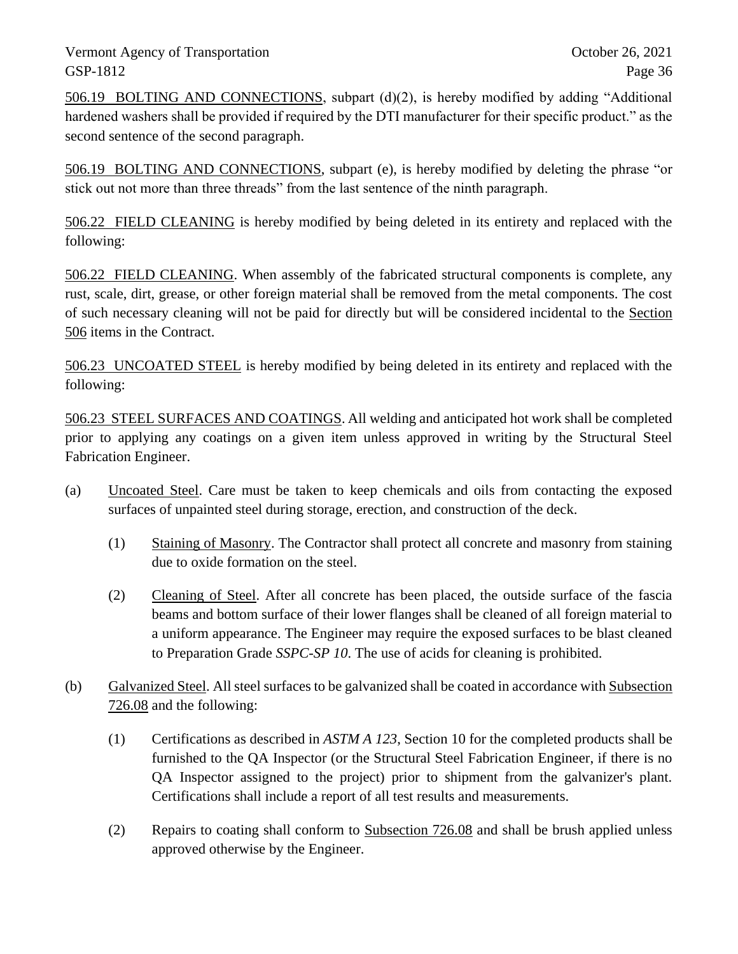506.19 BOLTING AND CONNECTIONS, subpart (d)(2), is hereby modified by adding "Additional hardened washers shall be provided if required by the DTI manufacturer for their specific product." as the second sentence of the second paragraph.

506.19 BOLTING AND CONNECTIONS, subpart (e), is hereby modified by deleting the phrase "or stick out not more than three threads" from the last sentence of the ninth paragraph.

506.22 FIELD CLEANING is hereby modified by being deleted in its entirety and replaced with the following:

506.22 FIELD CLEANING. When assembly of the fabricated structural components is complete, any rust, scale, dirt, grease, or other foreign material shall be removed from the metal components. The cost of such necessary cleaning will not be paid for directly but will be considered incidental to the Section 506 items in the Contract.

506.23 UNCOATED STEEL is hereby modified by being deleted in its entirety and replaced with the following:

506.23 STEEL SURFACES AND COATINGS. All welding and anticipated hot work shall be completed prior to applying any coatings on a given item unless approved in writing by the Structural Steel Fabrication Engineer.

- (a) Uncoated Steel. Care must be taken to keep chemicals and oils from contacting the exposed surfaces of unpainted steel during storage, erection, and construction of the deck.
	- (1) Staining of Masonry. The Contractor shall protect all concrete and masonry from staining due to oxide formation on the steel.
	- (2) Cleaning of Steel. After all concrete has been placed, the outside surface of the fascia beams and bottom surface of their lower flanges shall be cleaned of all foreign material to a uniform appearance. The Engineer may require the exposed surfaces to be blast cleaned to Preparation Grade *SSPC-SP 10*. The use of acids for cleaning is prohibited.
- (b) Galvanized Steel. All steel surfaces to be galvanized shall be coated in accordance with Subsection 726.08 and the following:
	- (1) Certifications as described in *ASTM A 123*, Section 10 for the completed products shall be furnished to the QA Inspector (or the Structural Steel Fabrication Engineer, if there is no QA Inspector assigned to the project) prior to shipment from the galvanizer's plant. Certifications shall include a report of all test results and measurements.
	- (2) Repairs to coating shall conform to Subsection 726.08 and shall be brush applied unless approved otherwise by the Engineer.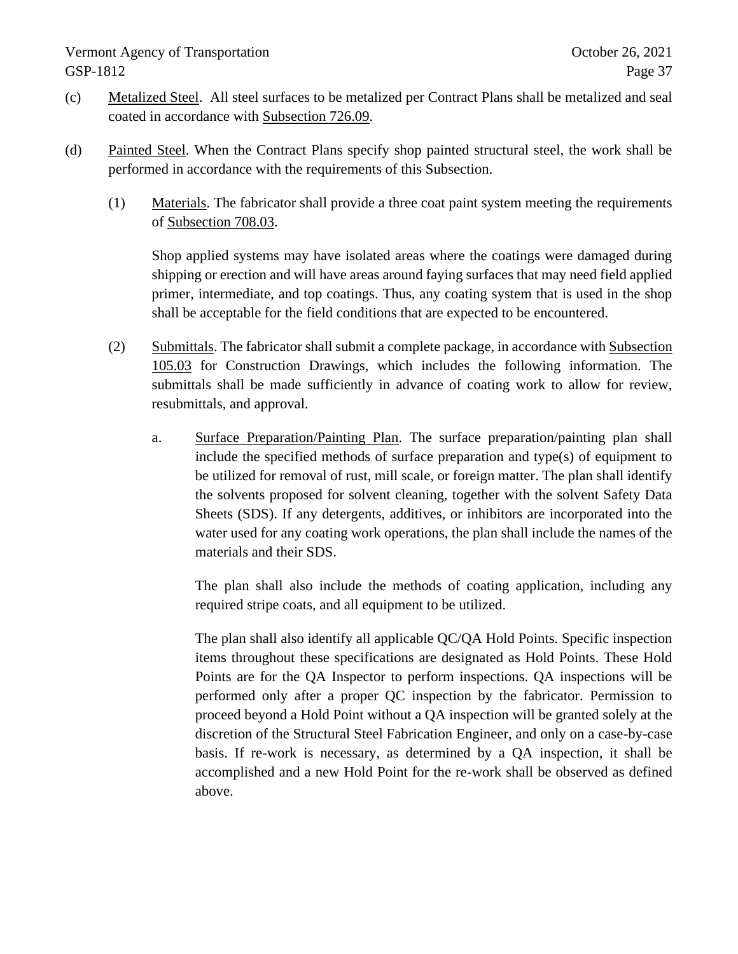- (c) Metalized Steel. All steel surfaces to be metalized per Contract Plans shall be metalized and seal coated in accordance with Subsection 726.09.
- (d) Painted Steel. When the Contract Plans specify shop painted structural steel, the work shall be performed in accordance with the requirements of this Subsection.
	- (1) Materials. The fabricator shall provide a three coat paint system meeting the requirements of Subsection 708.03.

Shop applied systems may have isolated areas where the coatings were damaged during shipping or erection and will have areas around faying surfaces that may need field applied primer, intermediate, and top coatings. Thus, any coating system that is used in the shop shall be acceptable for the field conditions that are expected to be encountered.

- (2) Submittals. The fabricator shall submit a complete package, in accordance with Subsection 105.03 for Construction Drawings, which includes the following information. The submittals shall be made sufficiently in advance of coating work to allow for review, resubmittals, and approval.
	- a. Surface Preparation/Painting Plan. The surface preparation/painting plan shall include the specified methods of surface preparation and type(s) of equipment to be utilized for removal of rust, mill scale, or foreign matter. The plan shall identify the solvents proposed for solvent cleaning, together with the solvent Safety Data Sheets (SDS). If any detergents, additives, or inhibitors are incorporated into the water used for any coating work operations, the plan shall include the names of the materials and their SDS.

The plan shall also include the methods of coating application, including any required stripe coats, and all equipment to be utilized.

The plan shall also identify all applicable QC/QA Hold Points. Specific inspection items throughout these specifications are designated as Hold Points. These Hold Points are for the QA Inspector to perform inspections. QA inspections will be performed only after a proper QC inspection by the fabricator. Permission to proceed beyond a Hold Point without a QA inspection will be granted solely at the discretion of the Structural Steel Fabrication Engineer, and only on a case-by-case basis. If re-work is necessary, as determined by a QA inspection, it shall be accomplished and a new Hold Point for the re-work shall be observed as defined above.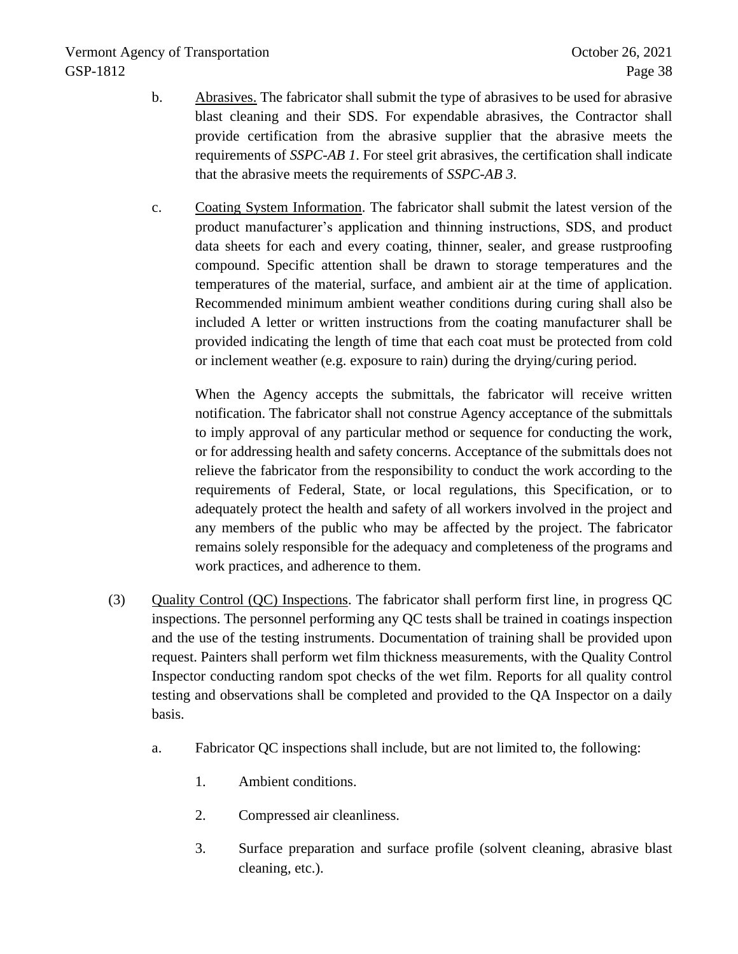- b. Abrasives. The fabricator shall submit the type of abrasives to be used for abrasive blast cleaning and their SDS. For expendable abrasives, the Contractor shall provide certification from the abrasive supplier that the abrasive meets the requirements of *SSPC-AB 1*. For steel grit abrasives, the certification shall indicate that the abrasive meets the requirements of *SSPC-AB 3*.
- c. Coating System Information. The fabricator shall submit the latest version of the product manufacturer's application and thinning instructions, SDS, and product data sheets for each and every coating, thinner, sealer, and grease rustproofing compound. Specific attention shall be drawn to storage temperatures and the temperatures of the material, surface, and ambient air at the time of application. Recommended minimum ambient weather conditions during curing shall also be included A letter or written instructions from the coating manufacturer shall be provided indicating the length of time that each coat must be protected from cold or inclement weather (e.g. exposure to rain) during the drying/curing period.

When the Agency accepts the submittals, the fabricator will receive written notification. The fabricator shall not construe Agency acceptance of the submittals to imply approval of any particular method or sequence for conducting the work, or for addressing health and safety concerns. Acceptance of the submittals does not relieve the fabricator from the responsibility to conduct the work according to the requirements of Federal, State, or local regulations, this Specification, or to adequately protect the health and safety of all workers involved in the project and any members of the public who may be affected by the project. The fabricator remains solely responsible for the adequacy and completeness of the programs and work practices, and adherence to them.

- (3) Quality Control (QC) Inspections. The fabricator shall perform first line, in progress QC inspections. The personnel performing any QC tests shall be trained in coatings inspection and the use of the testing instruments. Documentation of training shall be provided upon request. Painters shall perform wet film thickness measurements, with the Quality Control Inspector conducting random spot checks of the wet film. Reports for all quality control testing and observations shall be completed and provided to the QA Inspector on a daily basis.
	- a. Fabricator QC inspections shall include, but are not limited to, the following:
		- 1. Ambient conditions.
		- 2. Compressed air cleanliness.
		- 3. Surface preparation and surface profile (solvent cleaning, abrasive blast cleaning, etc.).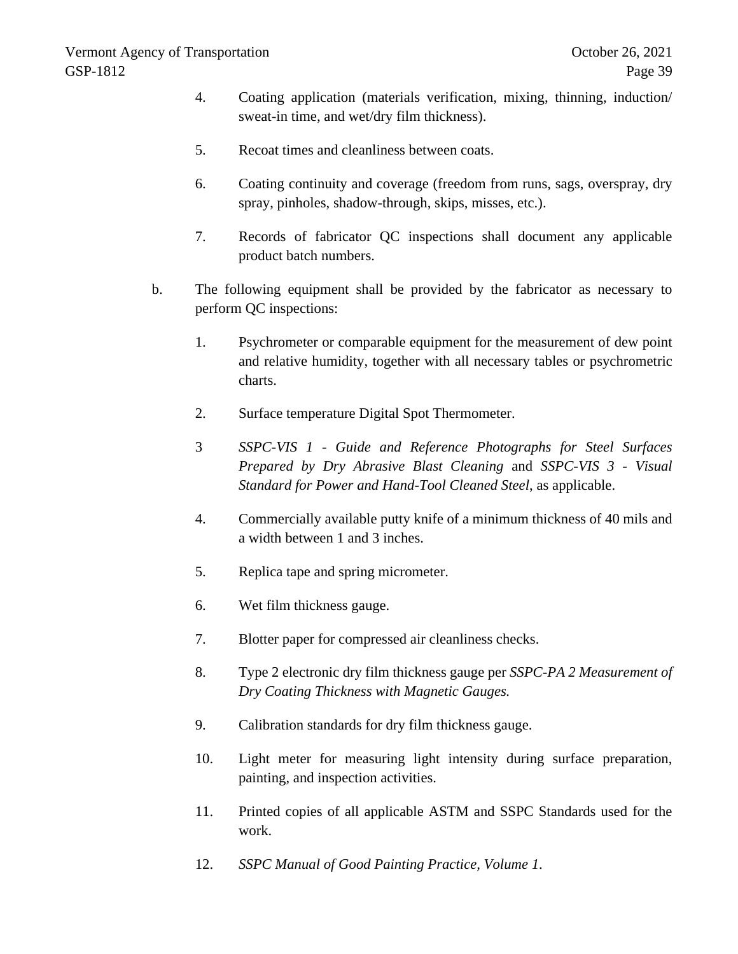- 4. Coating application (materials verification, mixing, thinning, induction/ sweat-in time, and wet/dry film thickness).
- 5. Recoat times and cleanliness between coats.
- 6. Coating continuity and coverage (freedom from runs, sags, overspray, dry spray, pinholes, shadow-through, skips, misses, etc.).
- 7. Records of fabricator QC inspections shall document any applicable product batch numbers.
- b. The following equipment shall be provided by the fabricator as necessary to perform QC inspections:
	- 1. Psychrometer or comparable equipment for the measurement of dew point and relative humidity, together with all necessary tables or psychrometric charts.
	- 2. Surface temperature Digital Spot Thermometer.
	- 3 *SSPC-VIS 1 - Guide and Reference Photographs for Steel Surfaces Prepared by Dry Abrasive Blast Cleaning* and *SSPC-VIS 3 - Visual Standard for Power and Hand-Tool Cleaned Steel*, as applicable.
	- 4. Commercially available putty knife of a minimum thickness of 40 mils and a width between 1 and 3 inches.
	- 5. Replica tape and spring micrometer.
	- 6. Wet film thickness gauge.
	- 7. Blotter paper for compressed air cleanliness checks.
	- 8. Type 2 electronic dry film thickness gauge per *SSPC-PA 2 Measurement of Dry Coating Thickness with Magnetic Gauges.*
	- 9. Calibration standards for dry film thickness gauge.
	- 10. Light meter for measuring light intensity during surface preparation, painting, and inspection activities.
	- 11. Printed copies of all applicable ASTM and SSPC Standards used for the work.
	- 12. *SSPC Manual of Good Painting Practice, Volume 1*.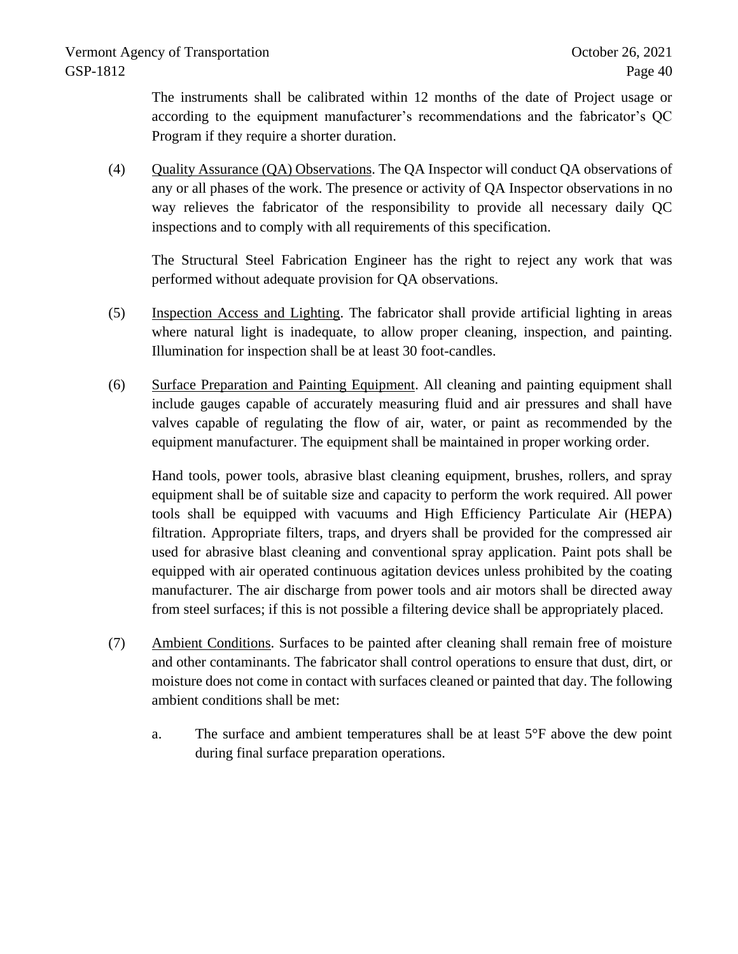The instruments shall be calibrated within 12 months of the date of Project usage or according to the equipment manufacturer's recommendations and the fabricator's QC Program if they require a shorter duration.

(4) Quality Assurance (QA) Observations. The QA Inspector will conduct QA observations of any or all phases of the work. The presence or activity of QA Inspector observations in no way relieves the fabricator of the responsibility to provide all necessary daily QC inspections and to comply with all requirements of this specification.

The Structural Steel Fabrication Engineer has the right to reject any work that was performed without adequate provision for QA observations.

- (5) Inspection Access and Lighting. The fabricator shall provide artificial lighting in areas where natural light is inadequate, to allow proper cleaning, inspection, and painting. Illumination for inspection shall be at least 30 foot-candles.
- (6) Surface Preparation and Painting Equipment. All cleaning and painting equipment shall include gauges capable of accurately measuring fluid and air pressures and shall have valves capable of regulating the flow of air, water, or paint as recommended by the equipment manufacturer. The equipment shall be maintained in proper working order.

Hand tools, power tools, abrasive blast cleaning equipment, brushes, rollers, and spray equipment shall be of suitable size and capacity to perform the work required. All power tools shall be equipped with vacuums and High Efficiency Particulate Air (HEPA) filtration. Appropriate filters, traps, and dryers shall be provided for the compressed air used for abrasive blast cleaning and conventional spray application. Paint pots shall be equipped with air operated continuous agitation devices unless prohibited by the coating manufacturer. The air discharge from power tools and air motors shall be directed away from steel surfaces; if this is not possible a filtering device shall be appropriately placed.

- (7) Ambient Conditions. Surfaces to be painted after cleaning shall remain free of moisture and other contaminants. The fabricator shall control operations to ensure that dust, dirt, or moisture does not come in contact with surfaces cleaned or painted that day. The following ambient conditions shall be met:
	- a. The surface and ambient temperatures shall be at least  $5^{\circ}$ F above the dew point during final surface preparation operations.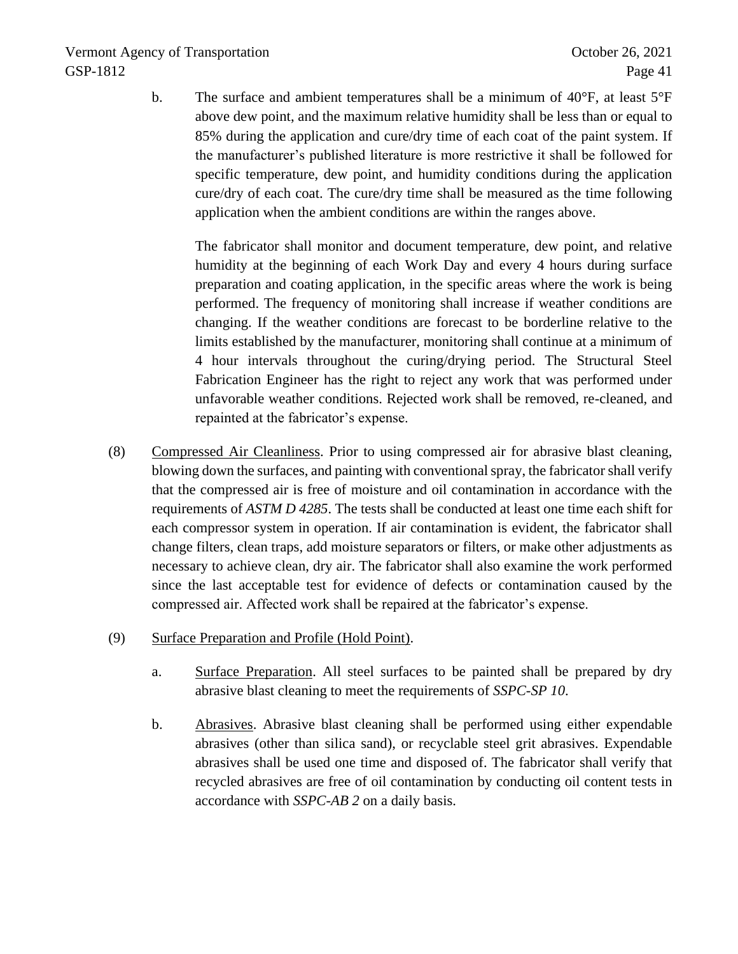b. The surface and ambient temperatures shall be a minimum of 40°F, at least 5°F above dew point, and the maximum relative humidity shall be less than or equal to 85% during the application and cure/dry time of each coat of the paint system. If the manufacturer's published literature is more restrictive it shall be followed for specific temperature, dew point, and humidity conditions during the application cure/dry of each coat. The cure/dry time shall be measured as the time following application when the ambient conditions are within the ranges above.

The fabricator shall monitor and document temperature, dew point, and relative humidity at the beginning of each Work Day and every 4 hours during surface preparation and coating application, in the specific areas where the work is being performed. The frequency of monitoring shall increase if weather conditions are changing. If the weather conditions are forecast to be borderline relative to the limits established by the manufacturer, monitoring shall continue at a minimum of 4 hour intervals throughout the curing/drying period. The Structural Steel Fabrication Engineer has the right to reject any work that was performed under unfavorable weather conditions. Rejected work shall be removed, re-cleaned, and repainted at the fabricator's expense.

- (8) Compressed Air Cleanliness. Prior to using compressed air for abrasive blast cleaning, blowing down the surfaces, and painting with conventional spray, the fabricator shall verify that the compressed air is free of moisture and oil contamination in accordance with the requirements of *ASTM D 4285*. The tests shall be conducted at least one time each shift for each compressor system in operation. If air contamination is evident, the fabricator shall change filters, clean traps, add moisture separators or filters, or make other adjustments as necessary to achieve clean, dry air. The fabricator shall also examine the work performed since the last acceptable test for evidence of defects or contamination caused by the compressed air. Affected work shall be repaired at the fabricator's expense.
- (9) Surface Preparation and Profile (Hold Point).
	- a. Surface Preparation. All steel surfaces to be painted shall be prepared by dry abrasive blast cleaning to meet the requirements of *SSPC-SP 10*.
	- b. Abrasives. Abrasive blast cleaning shall be performed using either expendable abrasives (other than silica sand), or recyclable steel grit abrasives. Expendable abrasives shall be used one time and disposed of. The fabricator shall verify that recycled abrasives are free of oil contamination by conducting oil content tests in accordance with *SSPC-AB 2* on a daily basis.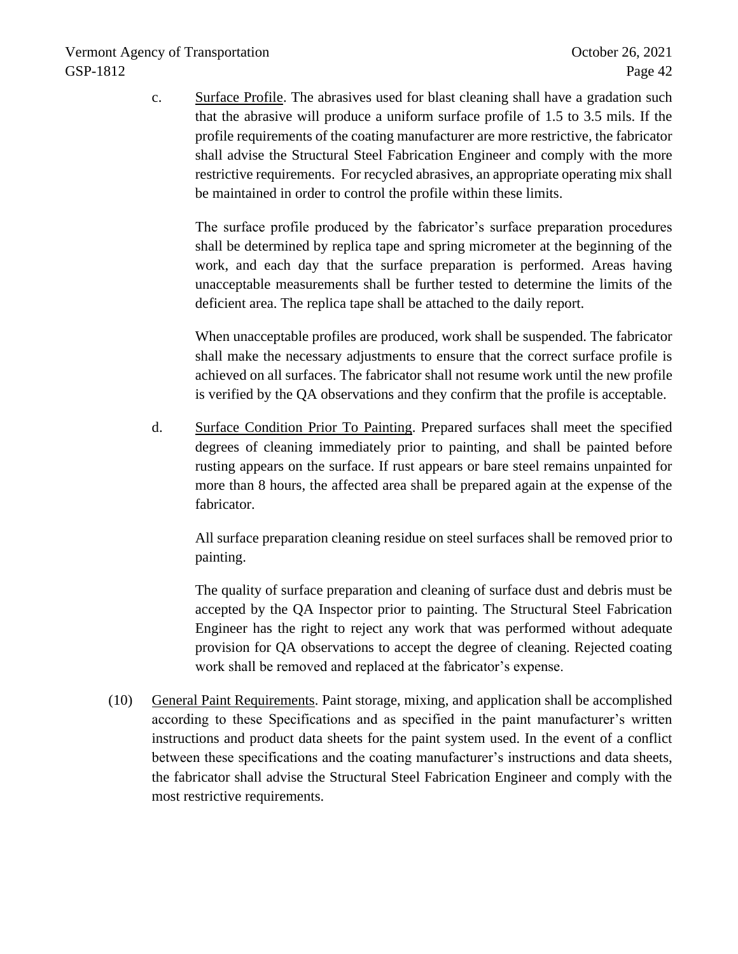c. Surface Profile. The abrasives used for blast cleaning shall have a gradation such that the abrasive will produce a uniform surface profile of 1.5 to 3.5 mils. If the profile requirements of the coating manufacturer are more restrictive, the fabricator shall advise the Structural Steel Fabrication Engineer and comply with the more restrictive requirements. For recycled abrasives, an appropriate operating mix shall be maintained in order to control the profile within these limits.

The surface profile produced by the fabricator's surface preparation procedures shall be determined by replica tape and spring micrometer at the beginning of the work, and each day that the surface preparation is performed. Areas having unacceptable measurements shall be further tested to determine the limits of the deficient area. The replica tape shall be attached to the daily report.

When unacceptable profiles are produced, work shall be suspended. The fabricator shall make the necessary adjustments to ensure that the correct surface profile is achieved on all surfaces. The fabricator shall not resume work until the new profile is verified by the QA observations and they confirm that the profile is acceptable.

d. Surface Condition Prior To Painting. Prepared surfaces shall meet the specified degrees of cleaning immediately prior to painting, and shall be painted before rusting appears on the surface. If rust appears or bare steel remains unpainted for more than 8 hours, the affected area shall be prepared again at the expense of the fabricator.

All surface preparation cleaning residue on steel surfaces shall be removed prior to painting.

The quality of surface preparation and cleaning of surface dust and debris must be accepted by the QA Inspector prior to painting. The Structural Steel Fabrication Engineer has the right to reject any work that was performed without adequate provision for QA observations to accept the degree of cleaning. Rejected coating work shall be removed and replaced at the fabricator's expense.

(10) General Paint Requirements. Paint storage, mixing, and application shall be accomplished according to these Specifications and as specified in the paint manufacturer's written instructions and product data sheets for the paint system used. In the event of a conflict between these specifications and the coating manufacturer's instructions and data sheets, the fabricator shall advise the Structural Steel Fabrication Engineer and comply with the most restrictive requirements.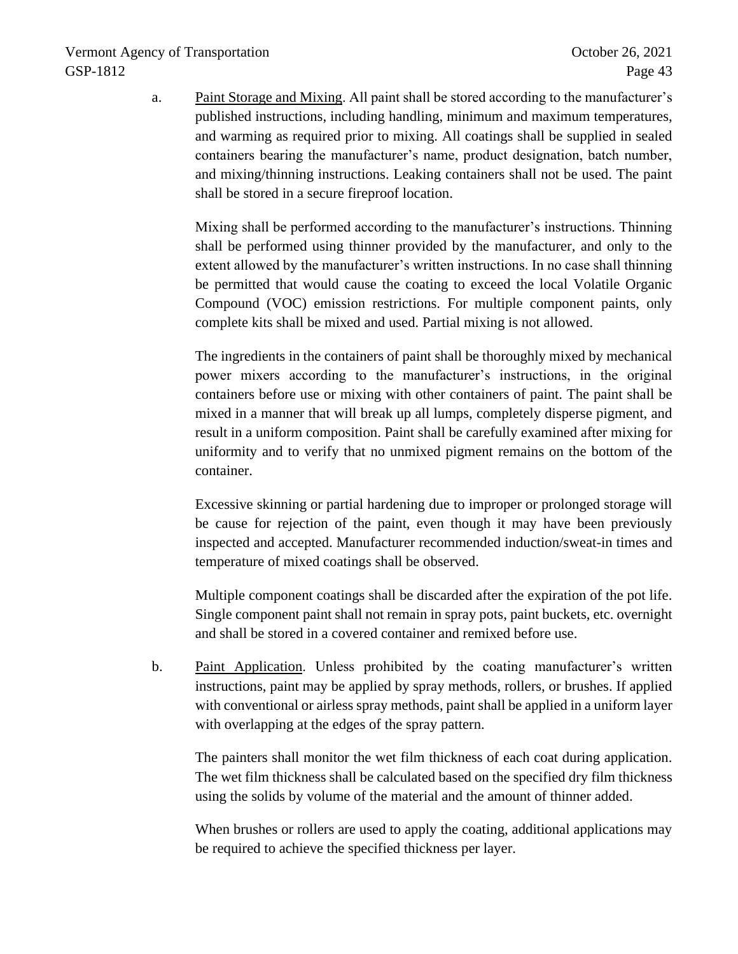a. Paint Storage and Mixing. All paint shall be stored according to the manufacturer's published instructions, including handling, minimum and maximum temperatures, and warming as required prior to mixing. All coatings shall be supplied in sealed containers bearing the manufacturer's name, product designation, batch number, and mixing/thinning instructions. Leaking containers shall not be used. The paint shall be stored in a secure fireproof location.

Mixing shall be performed according to the manufacturer's instructions. Thinning shall be performed using thinner provided by the manufacturer, and only to the extent allowed by the manufacturer's written instructions. In no case shall thinning be permitted that would cause the coating to exceed the local Volatile Organic Compound (VOC) emission restrictions. For multiple component paints, only complete kits shall be mixed and used. Partial mixing is not allowed.

The ingredients in the containers of paint shall be thoroughly mixed by mechanical power mixers according to the manufacturer's instructions, in the original containers before use or mixing with other containers of paint. The paint shall be mixed in a manner that will break up all lumps, completely disperse pigment, and result in a uniform composition. Paint shall be carefully examined after mixing for uniformity and to verify that no unmixed pigment remains on the bottom of the container.

Excessive skinning or partial hardening due to improper or prolonged storage will be cause for rejection of the paint, even though it may have been previously inspected and accepted. Manufacturer recommended induction/sweat-in times and temperature of mixed coatings shall be observed.

Multiple component coatings shall be discarded after the expiration of the pot life. Single component paint shall not remain in spray pots, paint buckets, etc. overnight and shall be stored in a covered container and remixed before use.

b. Paint Application. Unless prohibited by the coating manufacturer's written instructions, paint may be applied by spray methods, rollers, or brushes. If applied with conventional or airless spray methods, paint shall be applied in a uniform layer with overlapping at the edges of the spray pattern.

The painters shall monitor the wet film thickness of each coat during application. The wet film thickness shall be calculated based on the specified dry film thickness using the solids by volume of the material and the amount of thinner added.

When brushes or rollers are used to apply the coating, additional applications may be required to achieve the specified thickness per layer.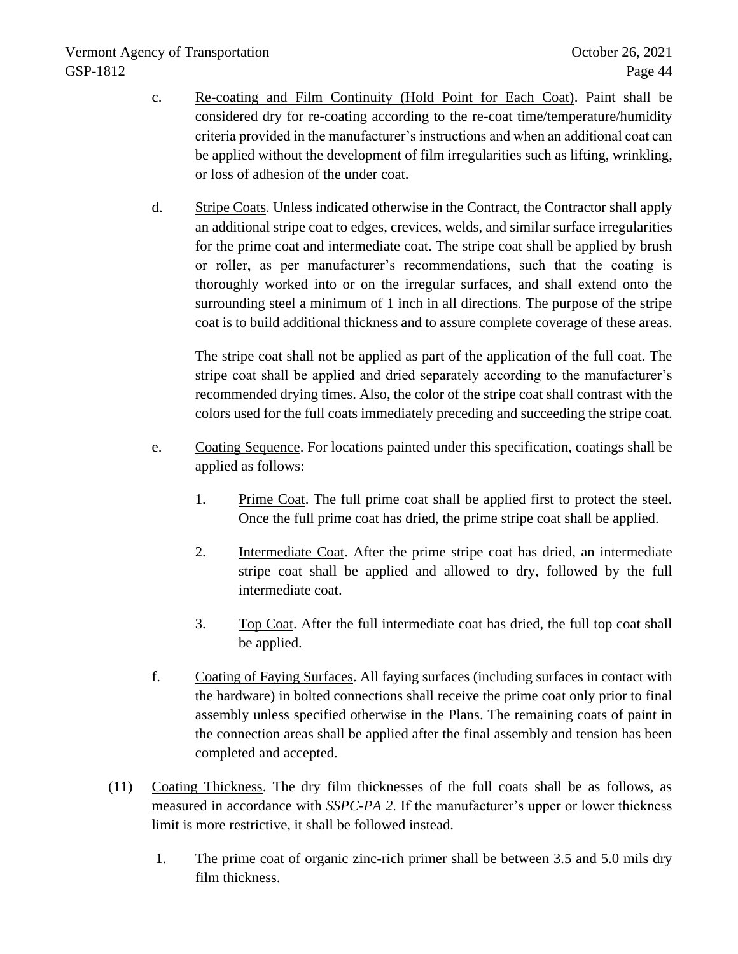- c. Re-coating and Film Continuity (Hold Point for Each Coat). Paint shall be considered dry for re-coating according to the re-coat time/temperature/humidity criteria provided in the manufacturer's instructions and when an additional coat can be applied without the development of film irregularities such as lifting, wrinkling, or loss of adhesion of the under coat.
- d. Stripe Coats. Unless indicated otherwise in the Contract, the Contractor shall apply an additional stripe coat to edges, crevices, welds, and similar surface irregularities for the prime coat and intermediate coat. The stripe coat shall be applied by brush or roller, as per manufacturer's recommendations, such that the coating is thoroughly worked into or on the irregular surfaces, and shall extend onto the surrounding steel a minimum of 1 inch in all directions. The purpose of the stripe coat is to build additional thickness and to assure complete coverage of these areas.

The stripe coat shall not be applied as part of the application of the full coat. The stripe coat shall be applied and dried separately according to the manufacturer's recommended drying times. Also, the color of the stripe coat shall contrast with the colors used for the full coats immediately preceding and succeeding the stripe coat.

- e. Coating Sequence. For locations painted under this specification, coatings shall be applied as follows:
	- 1. Prime Coat. The full prime coat shall be applied first to protect the steel. Once the full prime coat has dried, the prime stripe coat shall be applied.
	- 2. Intermediate Coat. After the prime stripe coat has dried, an intermediate stripe coat shall be applied and allowed to dry, followed by the full intermediate coat.
	- 3. Top Coat. After the full intermediate coat has dried, the full top coat shall be applied.
- f. Coating of Faying Surfaces. All faying surfaces (including surfaces in contact with the hardware) in bolted connections shall receive the prime coat only prior to final assembly unless specified otherwise in the Plans. The remaining coats of paint in the connection areas shall be applied after the final assembly and tension has been completed and accepted.
- (11) Coating Thickness. The dry film thicknesses of the full coats shall be as follows, as measured in accordance with *SSPC-PA 2*. If the manufacturer's upper or lower thickness limit is more restrictive, it shall be followed instead.
	- 1. The prime coat of organic zinc-rich primer shall be between 3.5 and 5.0 mils dry film thickness.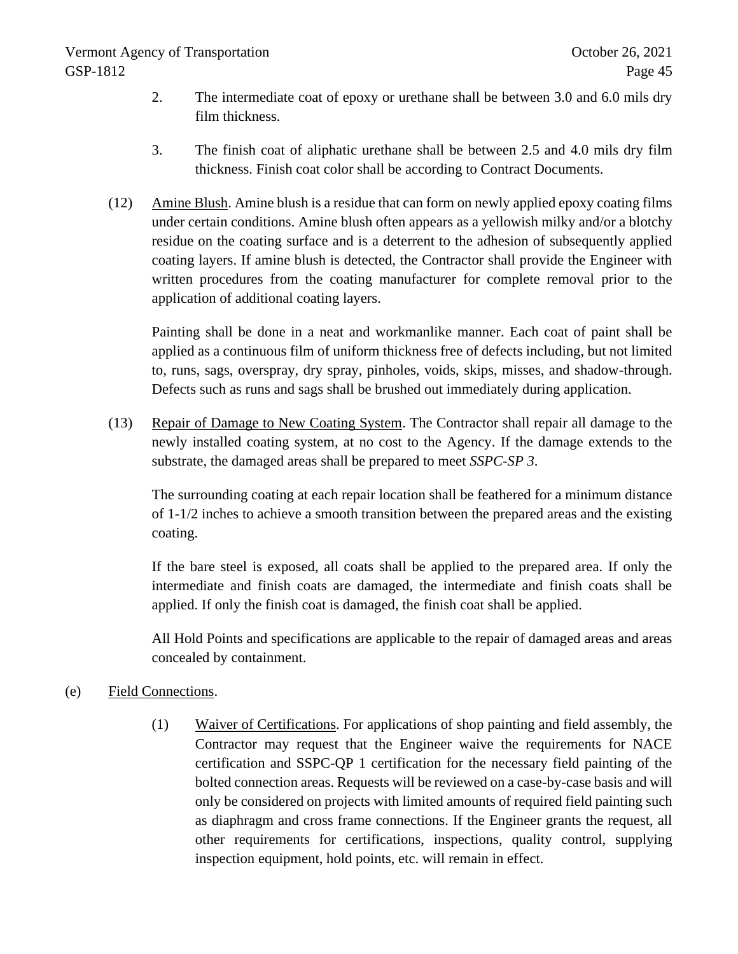- 2. The intermediate coat of epoxy or urethane shall be between 3.0 and 6.0 mils dry film thickness.
- 3. The finish coat of aliphatic urethane shall be between 2.5 and 4.0 mils dry film thickness. Finish coat color shall be according to Contract Documents.
- (12) Amine Blush. Amine blush is a residue that can form on newly applied epoxy coating films under certain conditions. Amine blush often appears as a yellowish milky and/or a blotchy residue on the coating surface and is a deterrent to the adhesion of subsequently applied coating layers. If amine blush is detected, the Contractor shall provide the Engineer with written procedures from the coating manufacturer for complete removal prior to the application of additional coating layers.

Painting shall be done in a neat and workmanlike manner. Each coat of paint shall be applied as a continuous film of uniform thickness free of defects including, but not limited to, runs, sags, overspray, dry spray, pinholes, voids, skips, misses, and shadow-through. Defects such as runs and sags shall be brushed out immediately during application.

(13) Repair of Damage to New Coating System. The Contractor shall repair all damage to the newly installed coating system, at no cost to the Agency. If the damage extends to the substrate, the damaged areas shall be prepared to meet *SSPC-SP 3*.

The surrounding coating at each repair location shall be feathered for a minimum distance of 1-1/2 inches to achieve a smooth transition between the prepared areas and the existing coating.

If the bare steel is exposed, all coats shall be applied to the prepared area. If only the intermediate and finish coats are damaged, the intermediate and finish coats shall be applied. If only the finish coat is damaged, the finish coat shall be applied.

All Hold Points and specifications are applicable to the repair of damaged areas and areas concealed by containment.

# (e) Field Connections.

(1) Waiver of Certifications. For applications of shop painting and field assembly, the Contractor may request that the Engineer waive the requirements for NACE certification and SSPC-QP 1 certification for the necessary field painting of the bolted connection areas. Requests will be reviewed on a case-by-case basis and will only be considered on projects with limited amounts of required field painting such as diaphragm and cross frame connections. If the Engineer grants the request, all other requirements for certifications, inspections, quality control, supplying inspection equipment, hold points, etc. will remain in effect.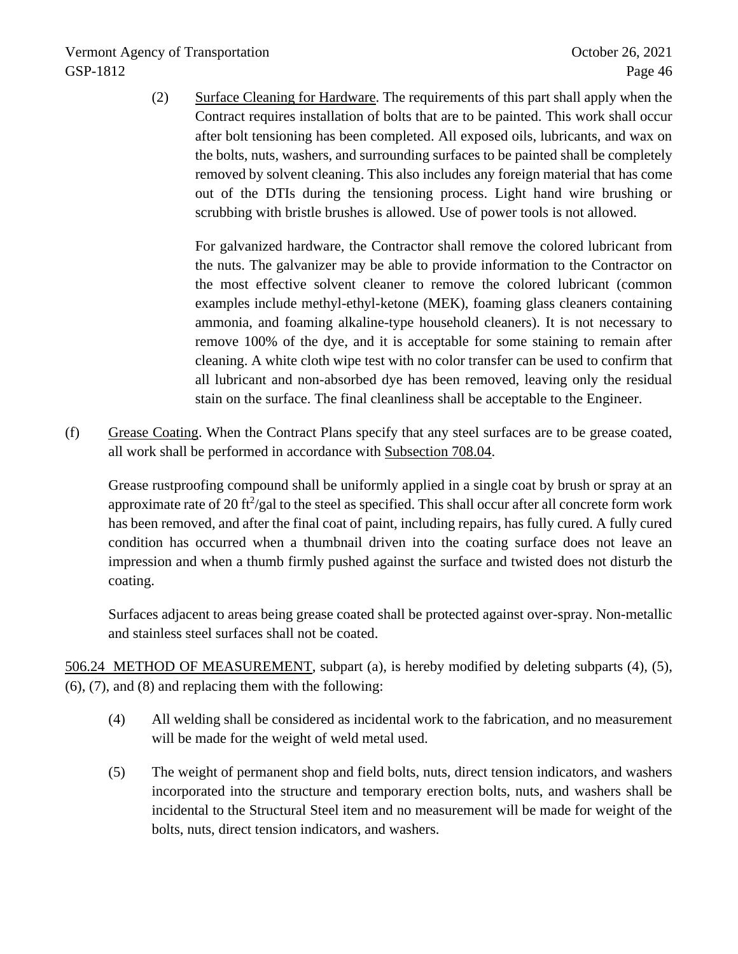(2) Surface Cleaning for Hardware. The requirements of this part shall apply when the Contract requires installation of bolts that are to be painted. This work shall occur after bolt tensioning has been completed. All exposed oils, lubricants, and wax on the bolts, nuts, washers, and surrounding surfaces to be painted shall be completely removed by solvent cleaning. This also includes any foreign material that has come out of the DTIs during the tensioning process. Light hand wire brushing or scrubbing with bristle brushes is allowed. Use of power tools is not allowed.

For galvanized hardware, the Contractor shall remove the colored lubricant from the nuts. The galvanizer may be able to provide information to the Contractor on the most effective solvent cleaner to remove the colored lubricant (common examples include methyl-ethyl-ketone (MEK), foaming glass cleaners containing ammonia, and foaming alkaline-type household cleaners). It is not necessary to remove 100% of the dye, and it is acceptable for some staining to remain after cleaning. A white cloth wipe test with no color transfer can be used to confirm that all lubricant and non-absorbed dye has been removed, leaving only the residual stain on the surface. The final cleanliness shall be acceptable to the Engineer.

(f) Grease Coating. When the Contract Plans specify that any steel surfaces are to be grease coated, all work shall be performed in accordance with Subsection 708.04.

Grease rustproofing compound shall be uniformly applied in a single coat by brush or spray at an approximate rate of 20 ft<sup>2</sup>/gal to the steel as specified. This shall occur after all concrete form work has been removed, and after the final coat of paint, including repairs, has fully cured. A fully cured condition has occurred when a thumbnail driven into the coating surface does not leave an impression and when a thumb firmly pushed against the surface and twisted does not disturb the coating.

Surfaces adjacent to areas being grease coated shall be protected against over-spray. Non-metallic and stainless steel surfaces shall not be coated.

506.24 METHOD OF MEASUREMENT, subpart (a), is hereby modified by deleting subparts (4), (5), (6), (7), and (8) and replacing them with the following:

- (4) All welding shall be considered as incidental work to the fabrication, and no measurement will be made for the weight of weld metal used.
- (5) The weight of permanent shop and field bolts, nuts, direct tension indicators, and washers incorporated into the structure and temporary erection bolts, nuts, and washers shall be incidental to the Structural Steel item and no measurement will be made for weight of the bolts, nuts, direct tension indicators, and washers.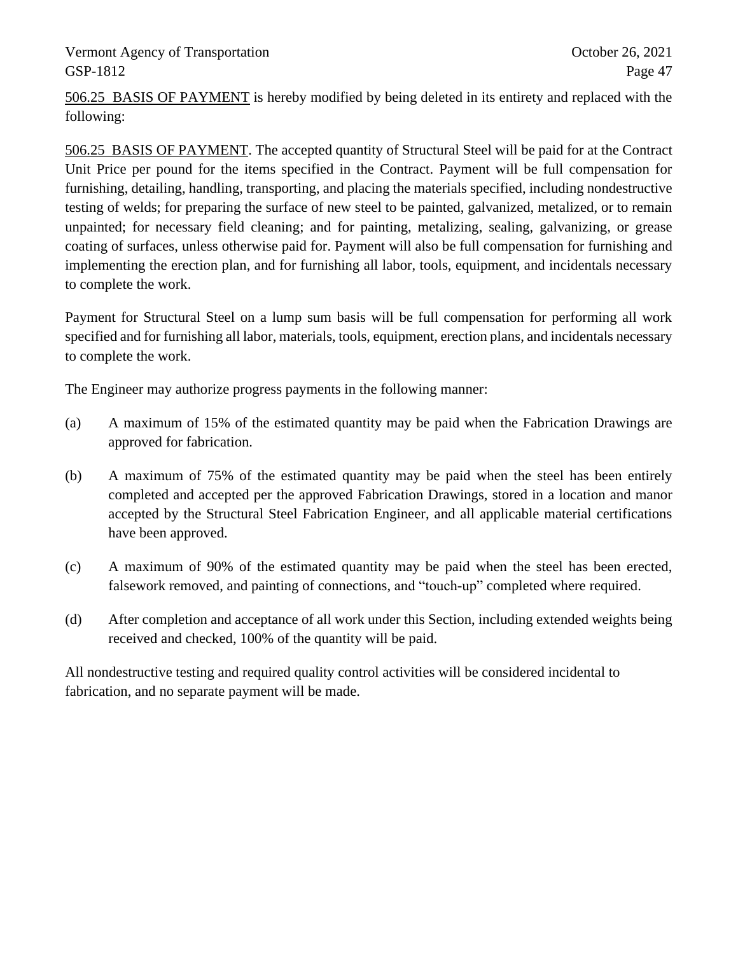506.25 BASIS OF PAYMENT is hereby modified by being deleted in its entirety and replaced with the following:

506.25 BASIS OF PAYMENT. The accepted quantity of Structural Steel will be paid for at the Contract Unit Price per pound for the items specified in the Contract. Payment will be full compensation for furnishing, detailing, handling, transporting, and placing the materials specified, including nondestructive testing of welds; for preparing the surface of new steel to be painted, galvanized, metalized, or to remain unpainted; for necessary field cleaning; and for painting, metalizing, sealing, galvanizing, or grease coating of surfaces, unless otherwise paid for. Payment will also be full compensation for furnishing and implementing the erection plan, and for furnishing all labor, tools, equipment, and incidentals necessary to complete the work.

Payment for Structural Steel on a lump sum basis will be full compensation for performing all work specified and for furnishing all labor, materials, tools, equipment, erection plans, and incidentals necessary to complete the work.

The Engineer may authorize progress payments in the following manner:

- (a) A maximum of 15% of the estimated quantity may be paid when the Fabrication Drawings are approved for fabrication.
- (b) A maximum of 75% of the estimated quantity may be paid when the steel has been entirely completed and accepted per the approved Fabrication Drawings, stored in a location and manor accepted by the Structural Steel Fabrication Engineer, and all applicable material certifications have been approved.
- (c) A maximum of 90% of the estimated quantity may be paid when the steel has been erected, falsework removed, and painting of connections, and "touch-up" completed where required.
- (d) After completion and acceptance of all work under this Section, including extended weights being received and checked, 100% of the quantity will be paid.

All nondestructive testing and required quality control activities will be considered incidental to fabrication, and no separate payment will be made.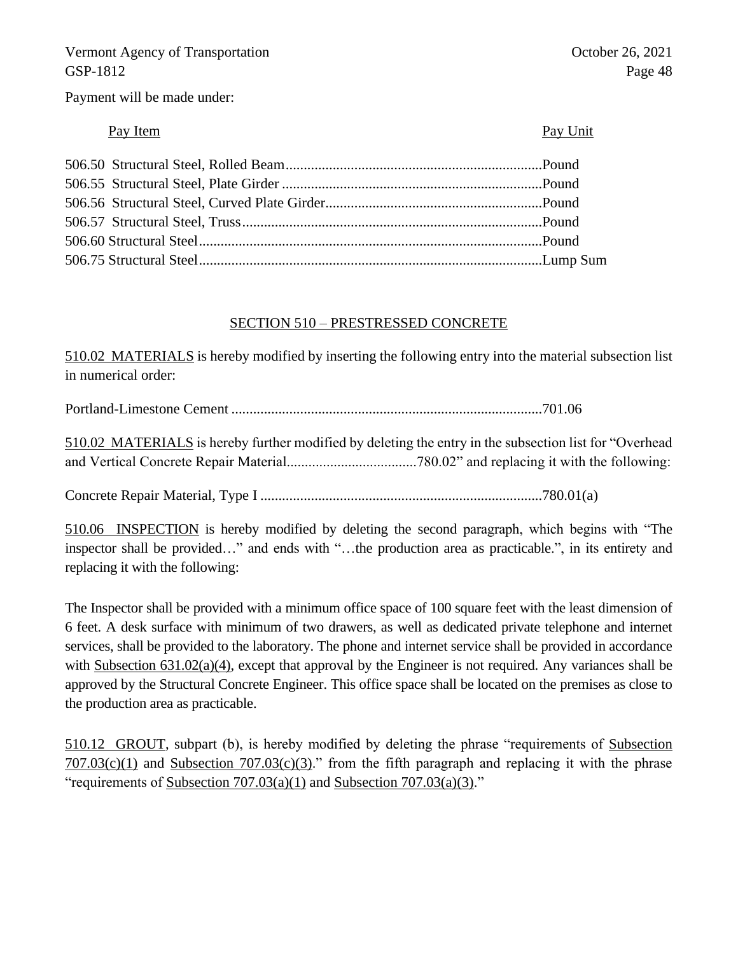Payment will be made under:

## Pay Item Pay Unit

# SECTION 510 – PRESTRESSED CONCRETE

510.02 MATERIALS is hereby modified by inserting the following entry into the material subsection list in numerical order:

Portland-Limestone Cement ......................................................................................701.06

510.02 MATERIALS is hereby further modified by deleting the entry in the subsection list for "Overhead and Vertical Concrete Repair Material....................................780.02" and replacing it with the following:

Concrete Repair Material, Type I ..............................................................................780.01(a)

510.06 INSPECTION is hereby modified by deleting the second paragraph, which begins with "The inspector shall be provided…" and ends with "…the production area as practicable.", in its entirety and replacing it with the following:

The Inspector shall be provided with a minimum office space of 100 square feet with the least dimension of 6 feet. A desk surface with minimum of two drawers, as well as dedicated private telephone and internet services, shall be provided to the laboratory. The phone and internet service shall be provided in accordance with Subsection 631.02(a)(4), except that approval by the Engineer is not required. Any variances shall be approved by the Structural Concrete Engineer. This office space shall be located on the premises as close to the production area as practicable.

510.12 GROUT, subpart (b), is hereby modified by deleting the phrase "requirements of Subsection  $707.03(c)(1)$  and Subsection  $707.03(c)(3)$ ." from the fifth paragraph and replacing it with the phrase "requirements of Subsection  $707.03(a)(1)$  and Subsection  $707.03(a)(3)$ ."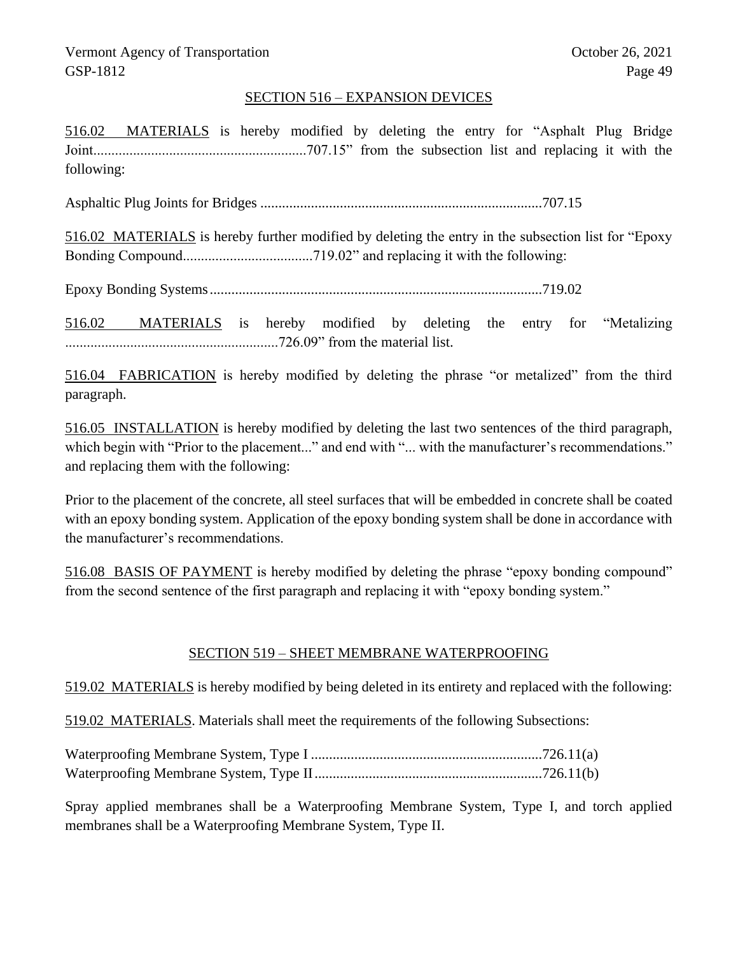## SECTION 516 – EXPANSION DEVICES

516.02 MATERIALS is hereby modified by deleting the entry for "Asphalt Plug Bridge Joint...........................................................707.15" from the subsection list and replacing it with the following:

Asphaltic Plug Joints for Bridges ..............................................................................707.15

516.02 MATERIALS is hereby further modified by deleting the entry in the subsection list for "Epoxy Bonding Compound....................................719.02" and replacing it with the following:

Epoxy Bonding Systems............................................................................................719.02

516.02 MATERIALS is hereby modified by deleting the entry for "Metalizing ...........................................................726.09" from the material list.

516.04 FABRICATION is hereby modified by deleting the phrase "or metalized" from the third paragraph.

516.05 INSTALLATION is hereby modified by deleting the last two sentences of the third paragraph, which begin with "Prior to the placement..." and end with "... with the manufacturer's recommendations." and replacing them with the following:

Prior to the placement of the concrete, all steel surfaces that will be embedded in concrete shall be coated with an epoxy bonding system. Application of the epoxy bonding system shall be done in accordance with the manufacturer's recommendations.

516.08 BASIS OF PAYMENT is hereby modified by deleting the phrase "epoxy bonding compound" from the second sentence of the first paragraph and replacing it with "epoxy bonding system."

## SECTION 519 – SHEET MEMBRANE WATERPROOFING

519.02 MATERIALS is hereby modified by being deleted in its entirety and replaced with the following:

519.02 MATERIALS. Materials shall meet the requirements of the following Subsections:

Spray applied membranes shall be a Waterproofing Membrane System, Type I, and torch applied membranes shall be a Waterproofing Membrane System, Type II.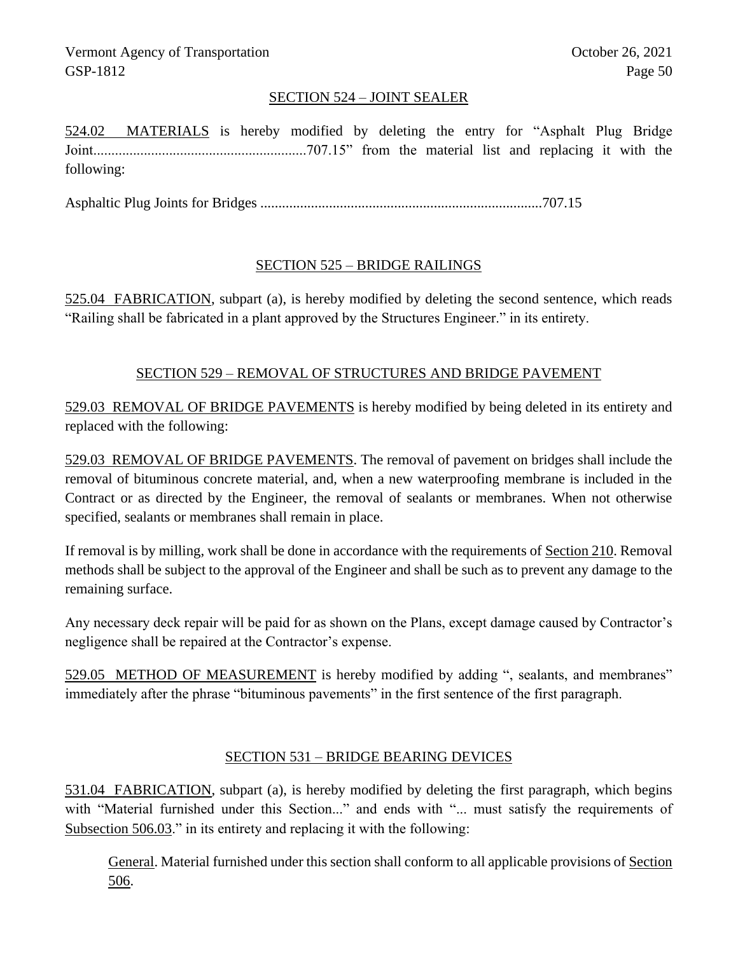# SECTION 524 – JOINT SEALER

524.02 MATERIALS is hereby modified by deleting the entry for "Asphalt Plug Bridge Joint...........................................................707.15" from the material list and replacing it with the following:

Asphaltic Plug Joints for Bridges ..............................................................................707.15

# SECTION 525 – BRIDGE RAILINGS

525.04 FABRICATION, subpart (a), is hereby modified by deleting the second sentence, which reads "Railing shall be fabricated in a plant approved by the Structures Engineer." in its entirety.

## SECTION 529 – REMOVAL OF STRUCTURES AND BRIDGE PAVEMENT

529.03 REMOVAL OF BRIDGE PAVEMENTS is hereby modified by being deleted in its entirety and replaced with the following:

529.03 REMOVAL OF BRIDGE PAVEMENTS. The removal of pavement on bridges shall include the removal of bituminous concrete material, and, when a new waterproofing membrane is included in the Contract or as directed by the Engineer, the removal of sealants or membranes. When not otherwise specified, sealants or membranes shall remain in place.

If removal is by milling, work shall be done in accordance with the requirements of Section 210. Removal methods shall be subject to the approval of the Engineer and shall be such as to prevent any damage to the remaining surface.

Any necessary deck repair will be paid for as shown on the Plans, except damage caused by Contractor's negligence shall be repaired at the Contractor's expense.

529.05 METHOD OF MEASUREMENT is hereby modified by adding ", sealants, and membranes" immediately after the phrase "bituminous pavements" in the first sentence of the first paragraph.

## SECTION 531 – BRIDGE BEARING DEVICES

531.04 FABRICATION, subpart (a), is hereby modified by deleting the first paragraph, which begins with "Material furnished under this Section..." and ends with "... must satisfy the requirements of Subsection 506.03." in its entirety and replacing it with the following:

General. Material furnished under this section shall conform to all applicable provisions of Section 506.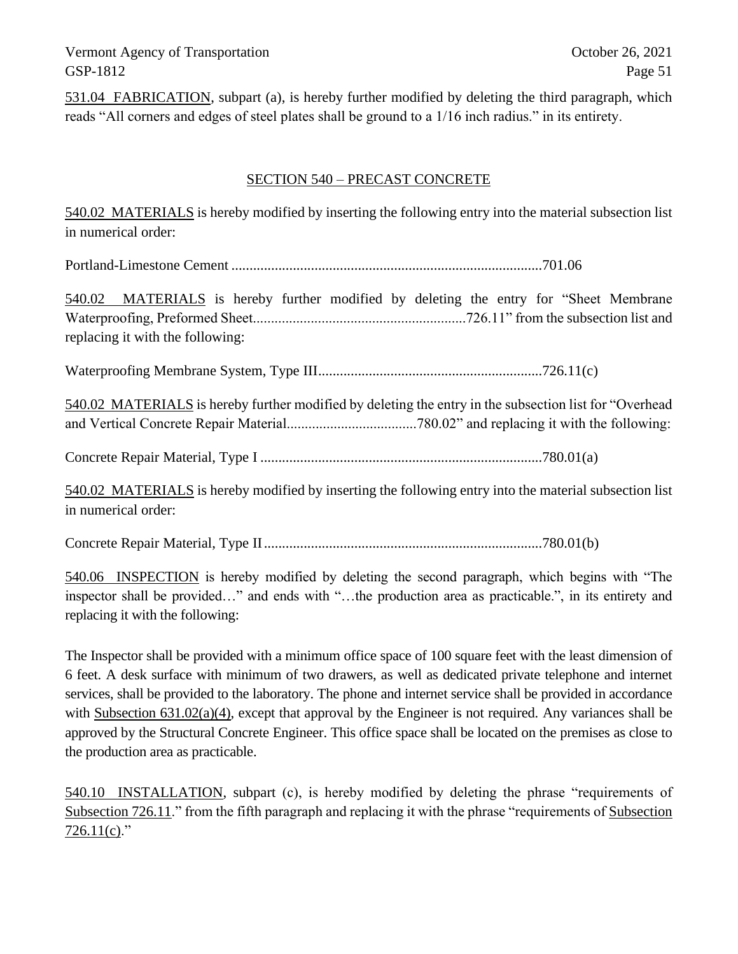531.04 FABRICATION, subpart (a), is hereby further modified by deleting the third paragraph, which reads "All corners and edges of steel plates shall be ground to a 1/16 inch radius." in its entirety.

## SECTION 540 – PRECAST CONCRETE

540.02 MATERIALS is hereby modified by inserting the following entry into the material subsection list in numerical order:

Portland-Limestone Cement ......................................................................................701.06

540.02 MATERIALS is hereby further modified by deleting the entry for "Sheet Membrane Waterproofing, Preformed Sheet...........................................................726.11" from the subsection list and replacing it with the following:

Waterproofing Membrane System, Type III..............................................................726.11(c)

540.02 MATERIALS is hereby further modified by deleting the entry in the subsection list for "Overhead and Vertical Concrete Repair Material....................................780.02" and replacing it with the following:

Concrete Repair Material, Type I ..............................................................................780.01(a)

540.02 MATERIALS is hereby modified by inserting the following entry into the material subsection list in numerical order:

Concrete Repair Material, Type II.............................................................................780.01(b)

540.06 INSPECTION is hereby modified by deleting the second paragraph, which begins with "The inspector shall be provided…" and ends with "…the production area as practicable.", in its entirety and replacing it with the following:

The Inspector shall be provided with a minimum office space of 100 square feet with the least dimension of 6 feet. A desk surface with minimum of two drawers, as well as dedicated private telephone and internet services, shall be provided to the laboratory. The phone and internet service shall be provided in accordance with Subsection 631.02(a)(4), except that approval by the Engineer is not required. Any variances shall be approved by the Structural Concrete Engineer. This office space shall be located on the premises as close to the production area as practicable.

540.10 INSTALLATION, subpart (c), is hereby modified by deleting the phrase "requirements of Subsection 726.11." from the fifth paragraph and replacing it with the phrase "requirements of Subsection  $726.11(c)$ ."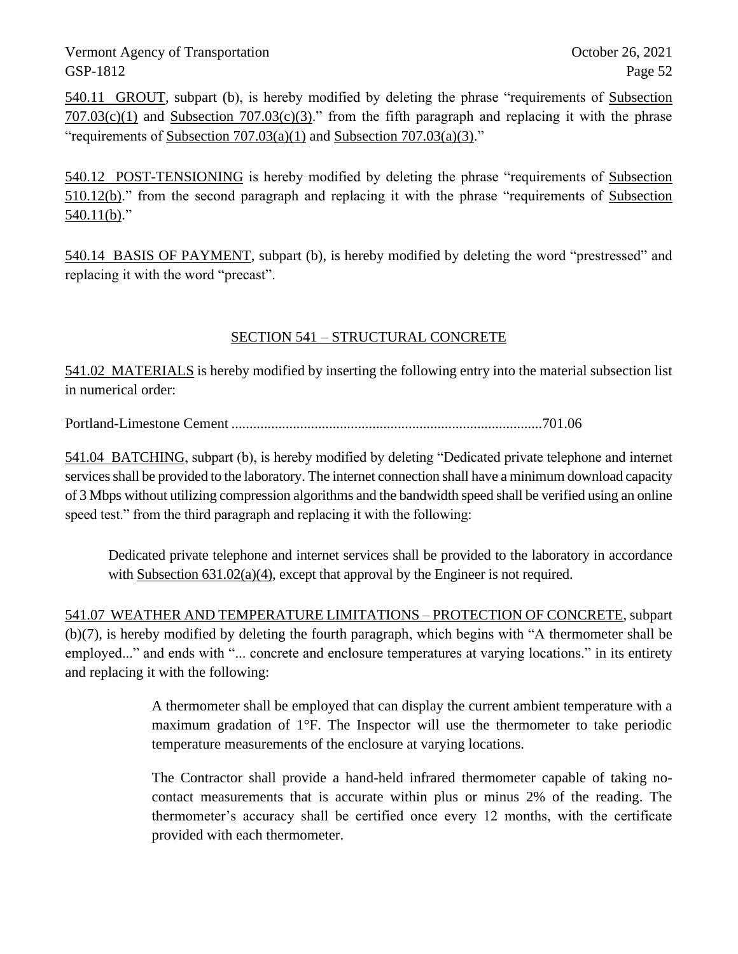540.11 GROUT, subpart (b), is hereby modified by deleting the phrase "requirements of Subsection  $707.03(c)(1)$  and Subsection  $707.03(c)(3)$ ." from the fifth paragraph and replacing it with the phrase "requirements of Subsection  $707.03(a)(1)$  and Subsection  $707.03(a)(3)$ ."

540.12 POST-TENSIONING is hereby modified by deleting the phrase "requirements of Subsection 510.12(b)." from the second paragraph and replacing it with the phrase "requirements of Subsection  $540.11(b)$ ."

540.14 BASIS OF PAYMENT, subpart (b), is hereby modified by deleting the word "prestressed" and replacing it with the word "precast".

# SECTION 541 – STRUCTURAL CONCRETE

541.02 MATERIALS is hereby modified by inserting the following entry into the material subsection list in numerical order:

Portland-Limestone Cement ......................................................................................701.06

541.04 BATCHING, subpart (b), is hereby modified by deleting "Dedicated private telephone and internet services shall be provided to the laboratory. The internet connection shall have a minimum download capacity of 3 Mbps without utilizing compression algorithms and the bandwidth speed shall be verified using an online speed test." from the third paragraph and replacing it with the following:

Dedicated private telephone and internet services shall be provided to the laboratory in accordance with Subsection  $631.02(a)(4)$ , except that approval by the Engineer is not required.

541.07 WEATHER AND TEMPERATURE LIMITATIONS – PROTECTION OF CONCRETE, subpart (b)(7), is hereby modified by deleting the fourth paragraph, which begins with "A thermometer shall be employed..." and ends with "... concrete and enclosure temperatures at varying locations." in its entirety and replacing it with the following:

> A thermometer shall be employed that can display the current ambient temperature with a maximum gradation of 1°F. The Inspector will use the thermometer to take periodic temperature measurements of the enclosure at varying locations.

> The Contractor shall provide a hand-held infrared thermometer capable of taking nocontact measurements that is accurate within plus or minus 2% of the reading. The thermometer's accuracy shall be certified once every 12 months, with the certificate provided with each thermometer.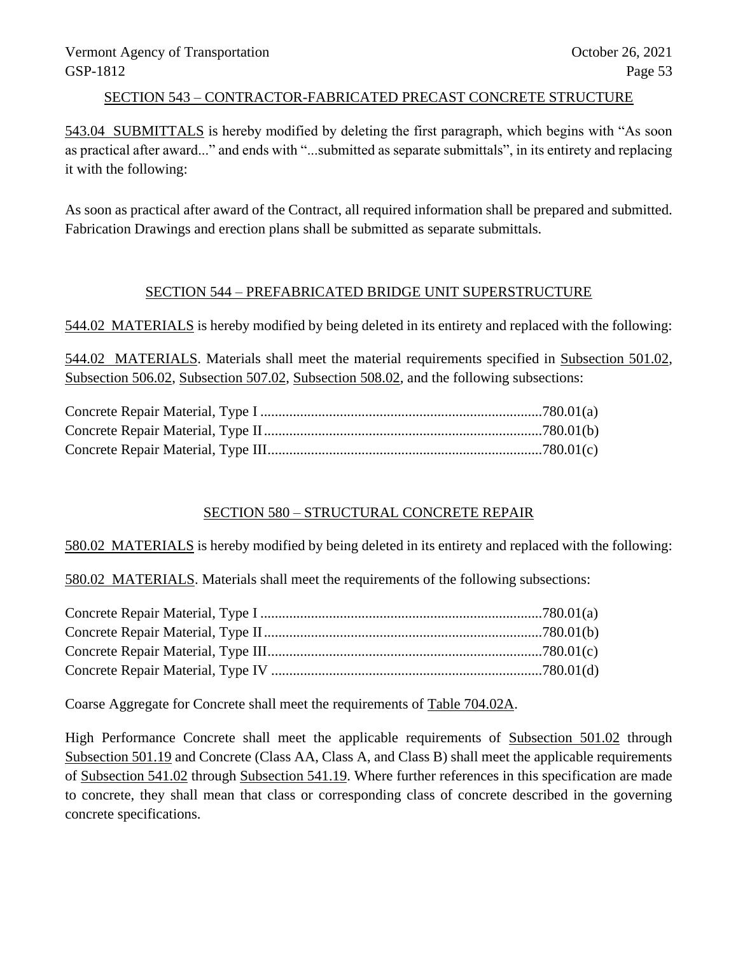## SECTION 543 – CONTRACTOR-FABRICATED PRECAST CONCRETE STRUCTURE

543.04 SUBMITTALS is hereby modified by deleting the first paragraph, which begins with "As soon as practical after award..." and ends with "...submitted as separate submittals", in its entirety and replacing it with the following:

As soon as practical after award of the Contract, all required information shall be prepared and submitted. Fabrication Drawings and erection plans shall be submitted as separate submittals.

# SECTION 544 – PREFABRICATED BRIDGE UNIT SUPERSTRUCTURE

544.02 MATERIALS is hereby modified by being deleted in its entirety and replaced with the following:

544.02 MATERIALS. Materials shall meet the material requirements specified in Subsection 501.02, Subsection 506.02, Subsection 507.02, Subsection 508.02, and the following subsections:

# SECTION 580 – STRUCTURAL CONCRETE REPAIR

580.02 MATERIALS is hereby modified by being deleted in its entirety and replaced with the following:

580.02 MATERIALS. Materials shall meet the requirements of the following subsections:

Coarse Aggregate for Concrete shall meet the requirements of Table 704.02A.

High Performance Concrete shall meet the applicable requirements of Subsection 501.02 through Subsection 501.19 and Concrete (Class AA, Class A, and Class B) shall meet the applicable requirements of Subsection 541.02 through Subsection 541.19. Where further references in this specification are made to concrete, they shall mean that class or corresponding class of concrete described in the governing concrete specifications.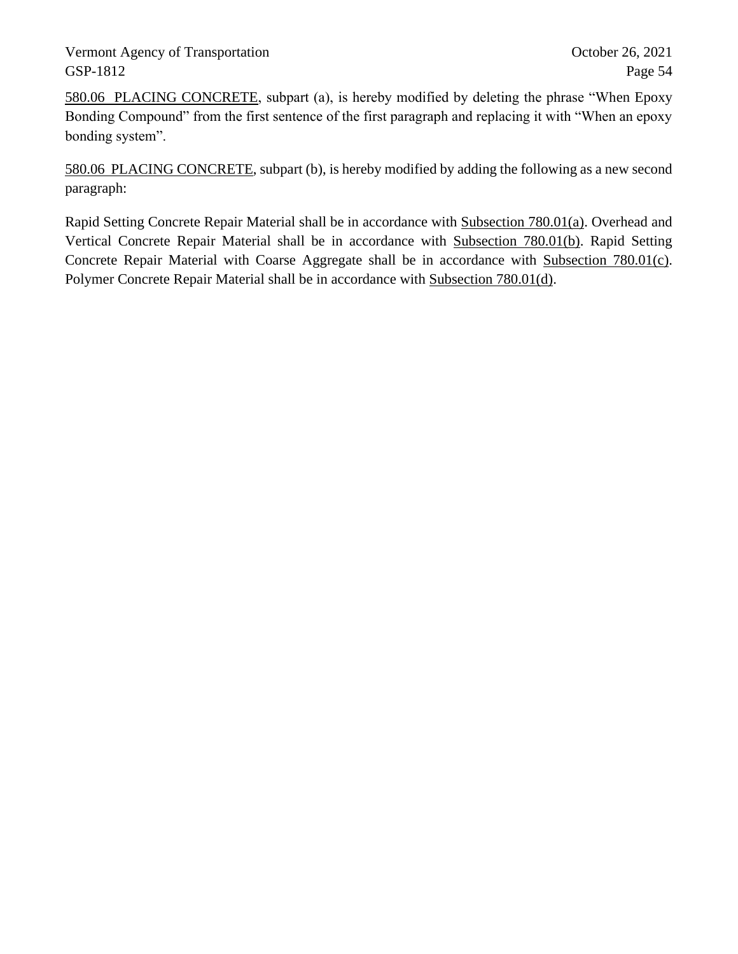580.06 PLACING CONCRETE, subpart (a), is hereby modified by deleting the phrase "When Epoxy Bonding Compound" from the first sentence of the first paragraph and replacing it with "When an epoxy bonding system".

580.06 PLACING CONCRETE, subpart (b), is hereby modified by adding the following as a new second paragraph:

Rapid Setting Concrete Repair Material shall be in accordance with Subsection 780.01(a). Overhead and Vertical Concrete Repair Material shall be in accordance with Subsection 780.01(b). Rapid Setting Concrete Repair Material with Coarse Aggregate shall be in accordance with Subsection 780.01(c). Polymer Concrete Repair Material shall be in accordance with Subsection 780.01(d).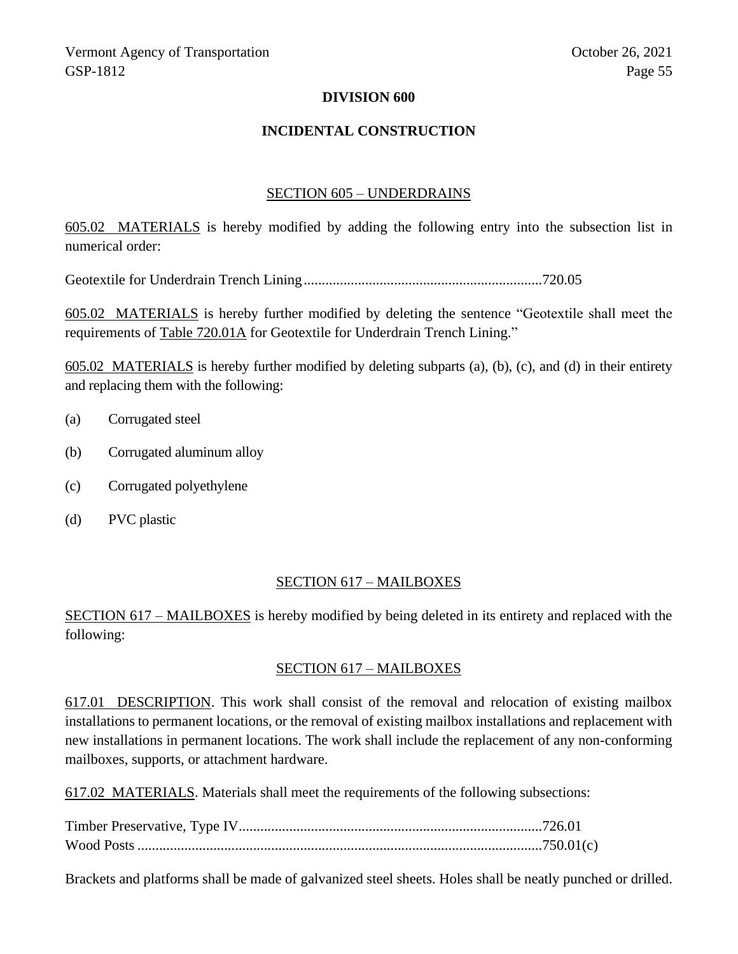## **DIVISION 600**

#### **INCIDENTAL CONSTRUCTION**

#### SECTION 605 – UNDERDRAINS

605.02 MATERIALS is hereby modified by adding the following entry into the subsection list in numerical order:

Geotextile for Underdrain Trench Lining..................................................................720.05

605.02 MATERIALS is hereby further modified by deleting the sentence "Geotextile shall meet the requirements of Table 720.01A for Geotextile for Underdrain Trench Lining."

605.02 MATERIALS is hereby further modified by deleting subparts (a), (b), (c), and (d) in their entirety and replacing them with the following:

- (a) Corrugated steel
- (b) Corrugated aluminum alloy
- (c) Corrugated polyethylene
- (d) PVC plastic

#### SECTION 617 – MAILBOXES

SECTION 617 – MAILBOXES is hereby modified by being deleted in its entirety and replaced with the following:

#### SECTION 617 – MAILBOXES

617.01 DESCRIPTION. This work shall consist of the removal and relocation of existing mailbox installations to permanent locations, or the removal of existing mailbox installations and replacement with new installations in permanent locations. The work shall include the replacement of any non-conforming mailboxes, supports, or attachment hardware.

617.02 MATERIALS. Materials shall meet the requirements of the following subsections:

Brackets and platforms shall be made of galvanized steel sheets. Holes shall be neatly punched or drilled.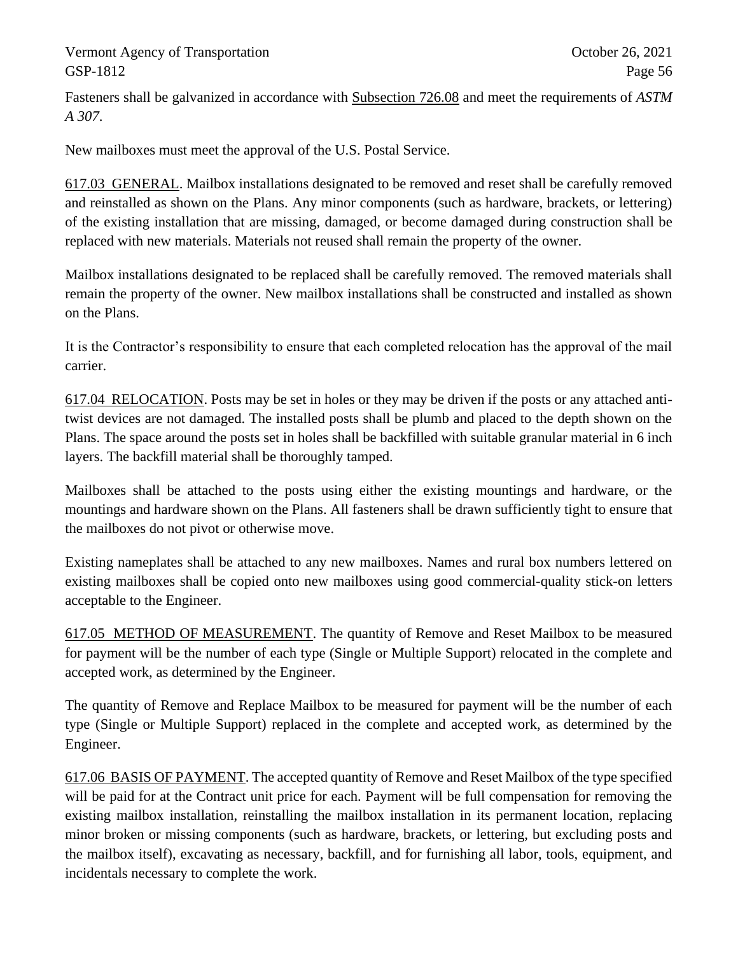Fasteners shall be galvanized in accordance with Subsection 726.08 and meet the requirements of *ASTM A 307*.

New mailboxes must meet the approval of the U.S. Postal Service.

617.03 GENERAL. Mailbox installations designated to be removed and reset shall be carefully removed and reinstalled as shown on the Plans. Any minor components (such as hardware, brackets, or lettering) of the existing installation that are missing, damaged, or become damaged during construction shall be replaced with new materials. Materials not reused shall remain the property of the owner.

Mailbox installations designated to be replaced shall be carefully removed. The removed materials shall remain the property of the owner. New mailbox installations shall be constructed and installed as shown on the Plans.

It is the Contractor's responsibility to ensure that each completed relocation has the approval of the mail carrier.

617.04 RELOCATION. Posts may be set in holes or they may be driven if the posts or any attached antitwist devices are not damaged. The installed posts shall be plumb and placed to the depth shown on the Plans. The space around the posts set in holes shall be backfilled with suitable granular material in 6 inch layers. The backfill material shall be thoroughly tamped.

Mailboxes shall be attached to the posts using either the existing mountings and hardware, or the mountings and hardware shown on the Plans. All fasteners shall be drawn sufficiently tight to ensure that the mailboxes do not pivot or otherwise move.

Existing nameplates shall be attached to any new mailboxes. Names and rural box numbers lettered on existing mailboxes shall be copied onto new mailboxes using good commercial-quality stick-on letters acceptable to the Engineer.

617.05 METHOD OF MEASUREMENT. The quantity of Remove and Reset Mailbox to be measured for payment will be the number of each type (Single or Multiple Support) relocated in the complete and accepted work, as determined by the Engineer.

The quantity of Remove and Replace Mailbox to be measured for payment will be the number of each type (Single or Multiple Support) replaced in the complete and accepted work, as determined by the Engineer.

617.06 BASIS OF PAYMENT. The accepted quantity of Remove and Reset Mailbox of the type specified will be paid for at the Contract unit price for each. Payment will be full compensation for removing the existing mailbox installation, reinstalling the mailbox installation in its permanent location, replacing minor broken or missing components (such as hardware, brackets, or lettering, but excluding posts and the mailbox itself), excavating as necessary, backfill, and for furnishing all labor, tools, equipment, and incidentals necessary to complete the work.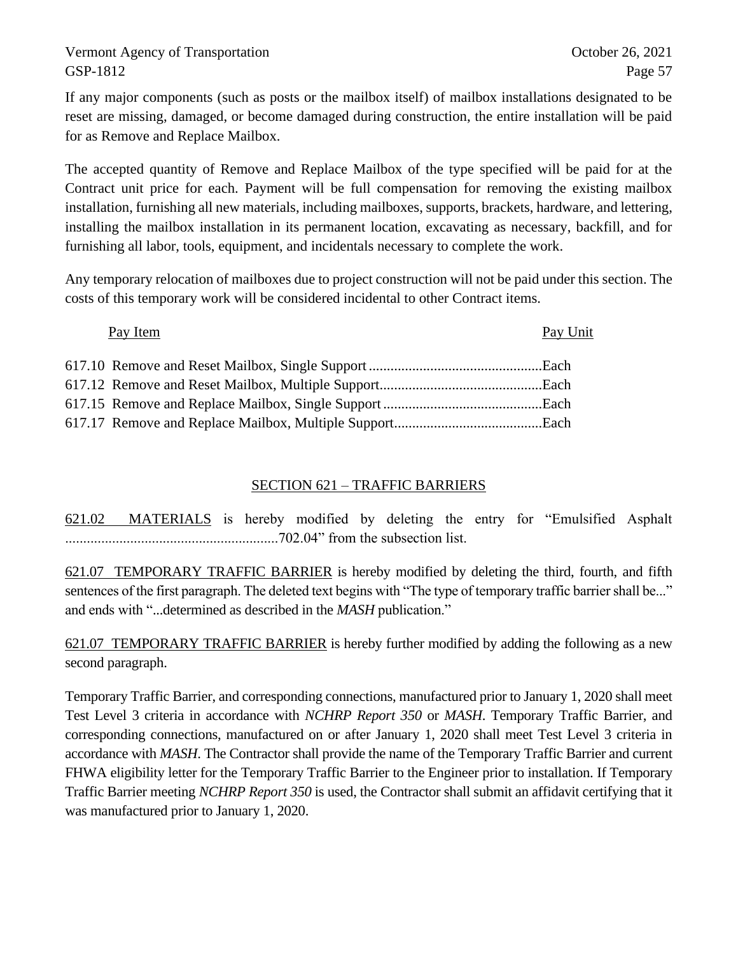If any major components (such as posts or the mailbox itself) of mailbox installations designated to be reset are missing, damaged, or become damaged during construction, the entire installation will be paid for as Remove and Replace Mailbox.

The accepted quantity of Remove and Replace Mailbox of the type specified will be paid for at the Contract unit price for each. Payment will be full compensation for removing the existing mailbox installation, furnishing all new materials, including mailboxes, supports, brackets, hardware, and lettering, installing the mailbox installation in its permanent location, excavating as necessary, backfill, and for furnishing all labor, tools, equipment, and incidentals necessary to complete the work.

Any temporary relocation of mailboxes due to project construction will not be paid under this section. The costs of this temporary work will be considered incidental to other Contract items.

Pay Item Pay Unit

# SECTION 621 – TRAFFIC BARRIERS

621.02 MATERIALS is hereby modified by deleting the entry for "Emulsified Asphalt ...........................................................702.04" from the subsection list.

621.07 TEMPORARY TRAFFIC BARRIER is hereby modified by deleting the third, fourth, and fifth sentences of the first paragraph. The deleted text begins with "The type of temporary traffic barrier shall be..." and ends with "...determined as described in the *MASH* publication."

621.07 TEMPORARY TRAFFIC BARRIER is hereby further modified by adding the following as a new second paragraph.

Temporary Traffic Barrier, and corresponding connections, manufactured prior to January 1, 2020 shall meet Test Level 3 criteria in accordance with *NCHRP Report 350* or *MASH*. Temporary Traffic Barrier, and corresponding connections, manufactured on or after January 1, 2020 shall meet Test Level 3 criteria in accordance with *MASH*. The Contractor shall provide the name of the Temporary Traffic Barrier and current FHWA eligibility letter for the Temporary Traffic Barrier to the Engineer prior to installation. If Temporary Traffic Barrier meeting *NCHRP Report 350* is used, the Contractor shall submit an affidavit certifying that it was manufactured prior to January 1, 2020.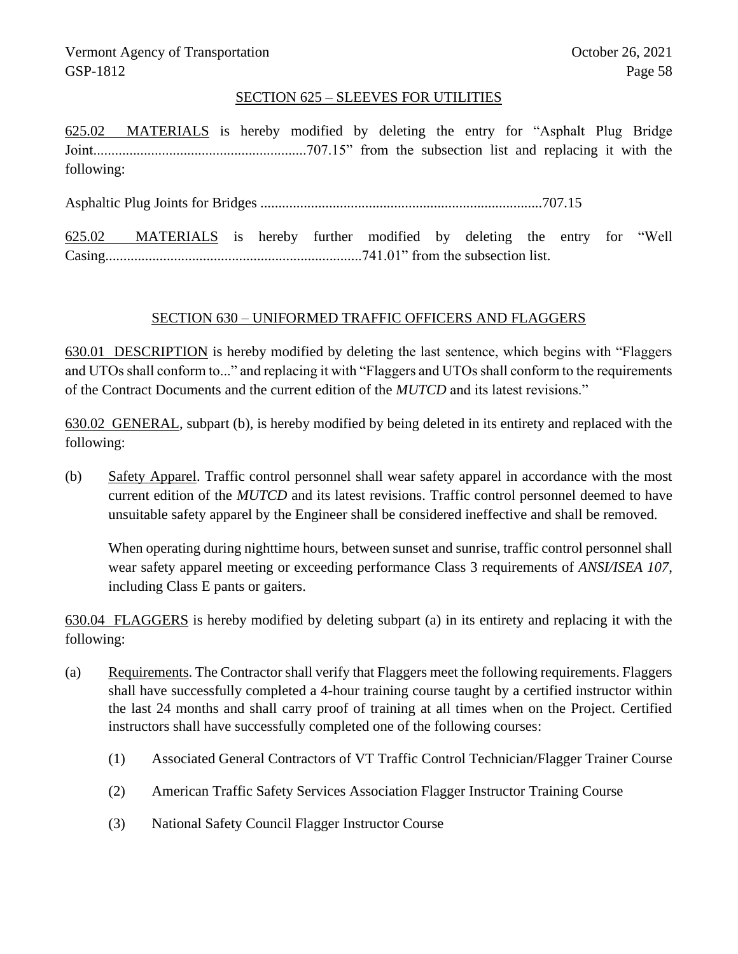### SECTION 625 – SLEEVES FOR UTILITIES

625.02 MATERIALS is hereby modified by deleting the entry for "Asphalt Plug Bridge Joint...........................................................707.15" from the subsection list and replacing it with the following:

Asphaltic Plug Joints for Bridges ..............................................................................707.15

625.02 MATERIALS is hereby further modified by deleting the entry for "Well Casing.......................................................................741.01" from the subsection list.

## SECTION 630 – UNIFORMED TRAFFIC OFFICERS AND FLAGGERS

630.01 DESCRIPTION is hereby modified by deleting the last sentence, which begins with "Flaggers and UTOs shall conform to..." and replacing it with "Flaggers and UTOs shall conform to the requirements of the Contract Documents and the current edition of the *MUTCD* and its latest revisions."

630.02 GENERAL, subpart (b), is hereby modified by being deleted in its entirety and replaced with the following:

(b) Safety Apparel. Traffic control personnel shall wear safety apparel in accordance with the most current edition of the *MUTCD* and its latest revisions. Traffic control personnel deemed to have unsuitable safety apparel by the Engineer shall be considered ineffective and shall be removed.

When operating during nighttime hours, between sunset and sunrise, traffic control personnel shall wear safety apparel meeting or exceeding performance Class 3 requirements of *ANSI/ISEA 107*, including Class E pants or gaiters.

630.04 FLAGGERS is hereby modified by deleting subpart (a) in its entirety and replacing it with the following:

- (a) Requirements. The Contractor shall verify that Flaggers meet the following requirements. Flaggers shall have successfully completed a 4-hour training course taught by a certified instructor within the last 24 months and shall carry proof of training at all times when on the Project. Certified instructors shall have successfully completed one of the following courses:
	- (1) Associated General Contractors of VT Traffic Control Technician/Flagger Trainer Course
	- (2) American Traffic Safety Services Association Flagger Instructor Training Course
	- (3) National Safety Council Flagger Instructor Course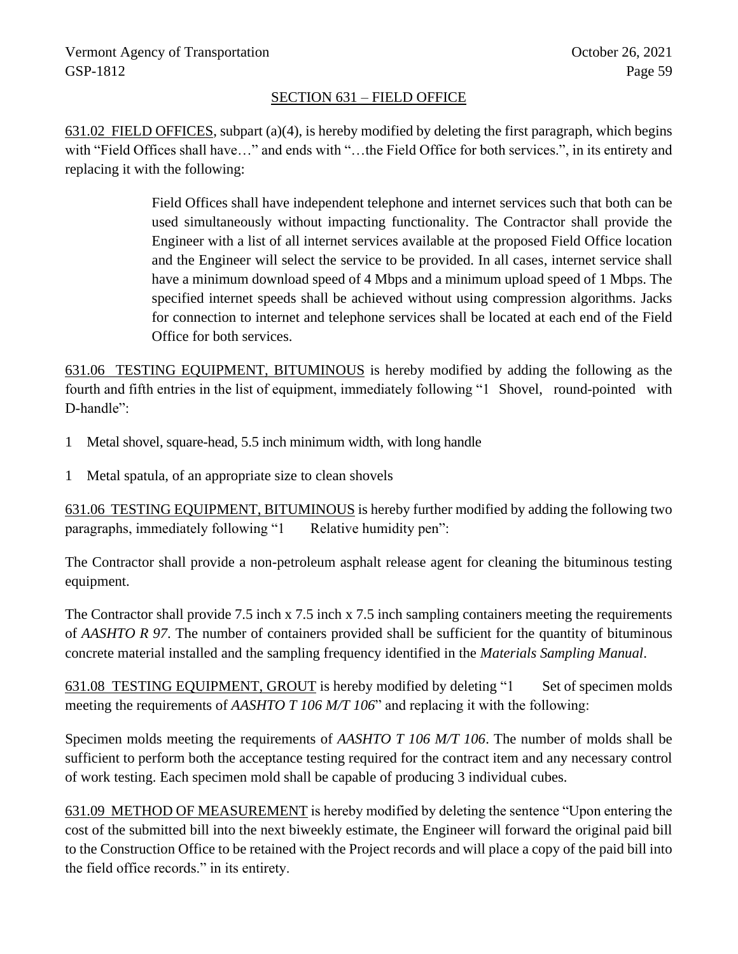# SECTION 631 – FIELD OFFICE

631.02 FIELD OFFICES, subpart (a)(4), is hereby modified by deleting the first paragraph, which begins with "Field Offices shall have…" and ends with "…the Field Office for both services.", in its entirety and replacing it with the following:

> Field Offices shall have independent telephone and internet services such that both can be used simultaneously without impacting functionality. The Contractor shall provide the Engineer with a list of all internet services available at the proposed Field Office location and the Engineer will select the service to be provided. In all cases, internet service shall have a minimum download speed of 4 Mbps and a minimum upload speed of 1 Mbps. The specified internet speeds shall be achieved without using compression algorithms. Jacks for connection to internet and telephone services shall be located at each end of the Field Office for both services.

631.06 TESTING EQUIPMENT, BITUMINOUS is hereby modified by adding the following as the fourth and fifth entries in the list of equipment, immediately following "1 Shovel, round-pointed with D-handle":

- 1 Metal shovel, square-head, 5.5 inch minimum width, with long handle
- 1 Metal spatula, of an appropriate size to clean shovels

631.06 TESTING EQUIPMENT, BITUMINOUS is hereby further modified by adding the following two paragraphs, immediately following "1 Relative humidity pen":

The Contractor shall provide a non-petroleum asphalt release agent for cleaning the bituminous testing equipment.

The Contractor shall provide 7.5 inch x 7.5 inch x 7.5 inch sampling containers meeting the requirements of *AASHTO R 97*. The number of containers provided shall be sufficient for the quantity of bituminous concrete material installed and the sampling frequency identified in the *Materials Sampling Manual*.

631.08 TESTING EQUIPMENT, GROUT is hereby modified by deleting "1 Set of specimen molds meeting the requirements of *AASHTO T 106 M/T 106*" and replacing it with the following:

Specimen molds meeting the requirements of *AASHTO T 106 M/T 106*. The number of molds shall be sufficient to perform both the acceptance testing required for the contract item and any necessary control of work testing. Each specimen mold shall be capable of producing 3 individual cubes.

631.09 METHOD OF MEASUREMENT is hereby modified by deleting the sentence "Upon entering the cost of the submitted bill into the next biweekly estimate, the Engineer will forward the original paid bill to the Construction Office to be retained with the Project records and will place a copy of the paid bill into the field office records." in its entirety.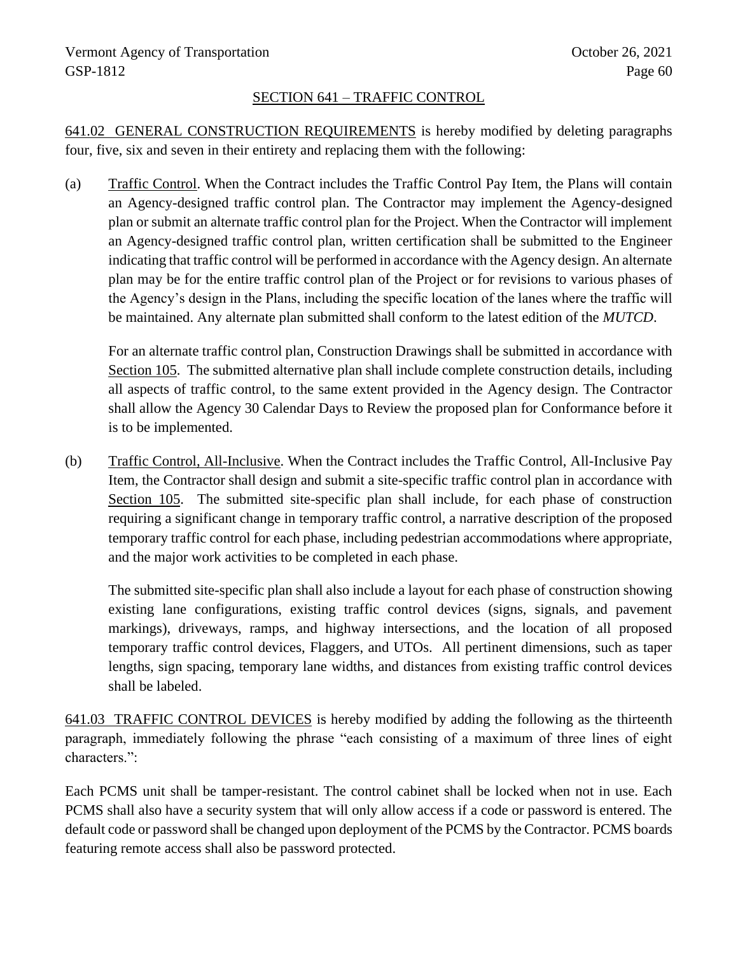# SECTION 641 – TRAFFIC CONTROL

641.02 GENERAL CONSTRUCTION REQUIREMENTS is hereby modified by deleting paragraphs four, five, six and seven in their entirety and replacing them with the following:

(a) Traffic Control. When the Contract includes the Traffic Control Pay Item, the Plans will contain an Agency-designed traffic control plan. The Contractor may implement the Agency-designed plan or submit an alternate traffic control plan for the Project. When the Contractor will implement an Agency-designed traffic control plan, written certification shall be submitted to the Engineer indicating that traffic control will be performed in accordance with the Agency design. An alternate plan may be for the entire traffic control plan of the Project or for revisions to various phases of the Agency's design in the Plans, including the specific location of the lanes where the traffic will be maintained. Any alternate plan submitted shall conform to the latest edition of the *MUTCD*.

For an alternate traffic control plan, Construction Drawings shall be submitted in accordance with Section 105. The submitted alternative plan shall include complete construction details, including all aspects of traffic control, to the same extent provided in the Agency design. The Contractor shall allow the Agency 30 Calendar Days to Review the proposed plan for Conformance before it is to be implemented.

(b) Traffic Control, All-Inclusive. When the Contract includes the Traffic Control, All-Inclusive Pay Item, the Contractor shall design and submit a site-specific traffic control plan in accordance with Section 105. The submitted site-specific plan shall include, for each phase of construction requiring a significant change in temporary traffic control, a narrative description of the proposed temporary traffic control for each phase, including pedestrian accommodations where appropriate, and the major work activities to be completed in each phase.

The submitted site-specific plan shall also include a layout for each phase of construction showing existing lane configurations, existing traffic control devices (signs, signals, and pavement markings), driveways, ramps, and highway intersections, and the location of all proposed temporary traffic control devices, Flaggers, and UTOs. All pertinent dimensions, such as taper lengths, sign spacing, temporary lane widths, and distances from existing traffic control devices shall be labeled.

641.03 TRAFFIC CONTROL DEVICES is hereby modified by adding the following as the thirteenth paragraph, immediately following the phrase "each consisting of a maximum of three lines of eight characters.":

Each PCMS unit shall be tamper-resistant. The control cabinet shall be locked when not in use. Each PCMS shall also have a security system that will only allow access if a code or password is entered. The default code or password shall be changed upon deployment of the PCMS by the Contractor. PCMS boards featuring remote access shall also be password protected.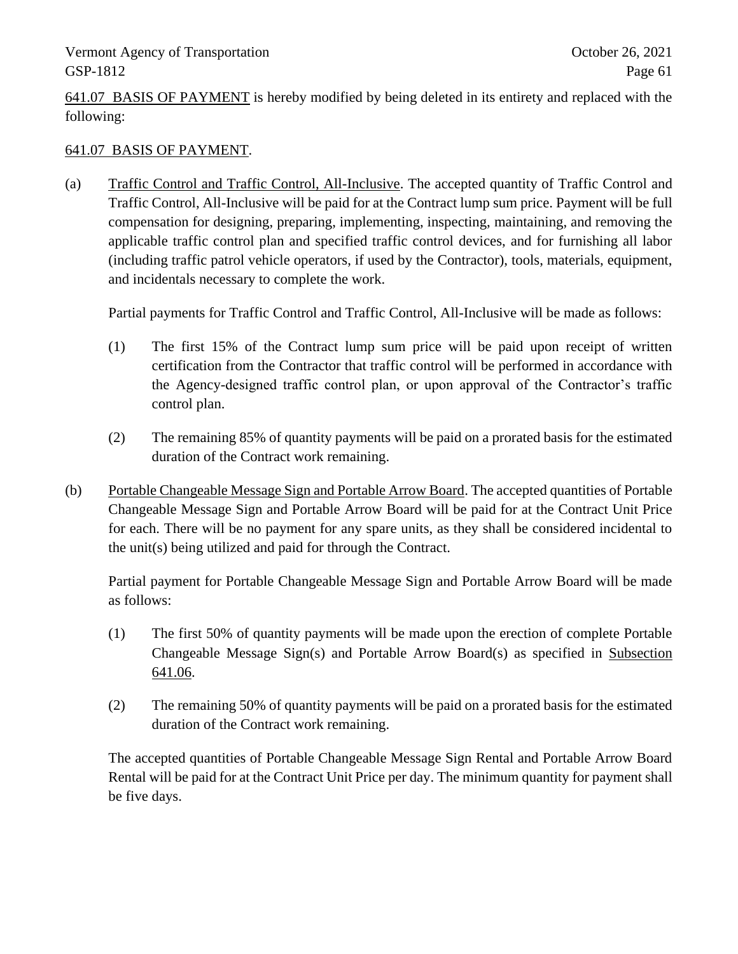641.07 BASIS OF PAYMENT is hereby modified by being deleted in its entirety and replaced with the following:

# 641.07 BASIS OF PAYMENT.

(a) Traffic Control and Traffic Control, All-Inclusive. The accepted quantity of Traffic Control and Traffic Control, All-Inclusive will be paid for at the Contract lump sum price. Payment will be full compensation for designing, preparing, implementing, inspecting, maintaining, and removing the applicable traffic control plan and specified traffic control devices, and for furnishing all labor (including traffic patrol vehicle operators, if used by the Contractor), tools, materials, equipment, and incidentals necessary to complete the work.

Partial payments for Traffic Control and Traffic Control, All-Inclusive will be made as follows:

- (1) The first 15% of the Contract lump sum price will be paid upon receipt of written certification from the Contractor that traffic control will be performed in accordance with the Agency-designed traffic control plan, or upon approval of the Contractor's traffic control plan.
- (2) The remaining 85% of quantity payments will be paid on a prorated basis for the estimated duration of the Contract work remaining.
- (b) Portable Changeable Message Sign and Portable Arrow Board. The accepted quantities of Portable Changeable Message Sign and Portable Arrow Board will be paid for at the Contract Unit Price for each. There will be no payment for any spare units, as they shall be considered incidental to the unit(s) being utilized and paid for through the Contract.

Partial payment for Portable Changeable Message Sign and Portable Arrow Board will be made as follows:

- (1) The first 50% of quantity payments will be made upon the erection of complete Portable Changeable Message Sign(s) and Portable Arrow Board(s) as specified in Subsection 641.06.
- (2) The remaining 50% of quantity payments will be paid on a prorated basis for the estimated duration of the Contract work remaining.

The accepted quantities of Portable Changeable Message Sign Rental and Portable Arrow Board Rental will be paid for at the Contract Unit Price per day. The minimum quantity for payment shall be five days.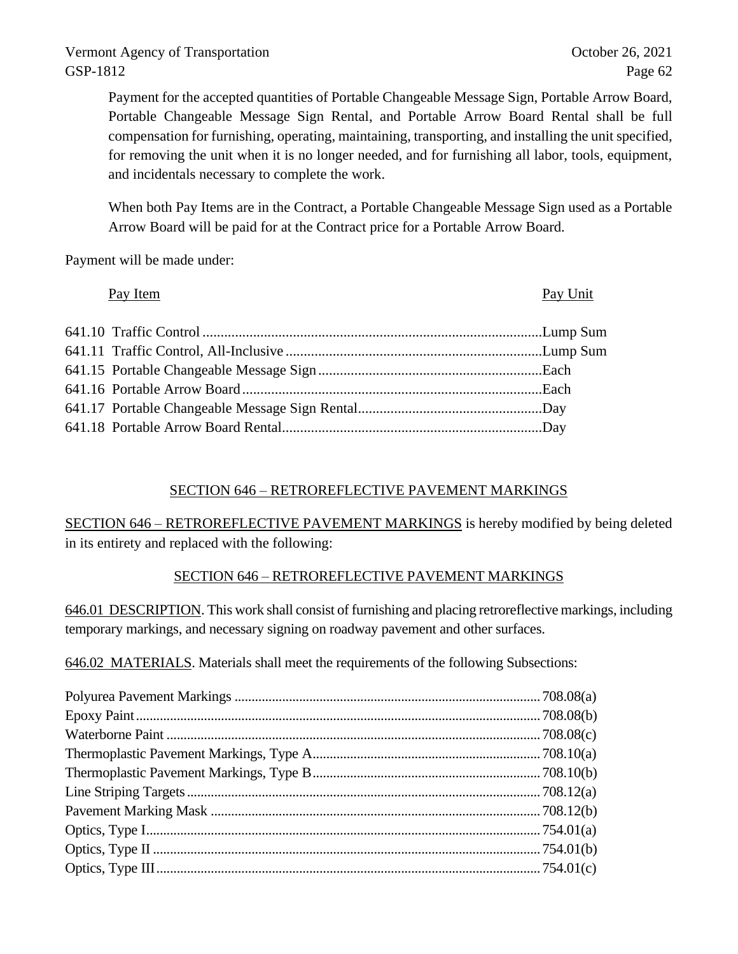Payment for the accepted quantities of Portable Changeable Message Sign, Portable Arrow Board, Portable Changeable Message Sign Rental, and Portable Arrow Board Rental shall be full compensation for furnishing, operating, maintaining, transporting, and installing the unit specified, for removing the unit when it is no longer needed, and for furnishing all labor, tools, equipment, and incidentals necessary to complete the work.

When both Pay Items are in the Contract, a Portable Changeable Message Sign used as a Portable Arrow Board will be paid for at the Contract price for a Portable Arrow Board.

Payment will be made under:

| Pay Item | Pay Unit |
|----------|----------|
|          |          |
|          |          |
|          |          |
|          |          |
|          |          |
|          |          |

# SECTION 646 – RETROREFLECTIVE PAVEMENT MARKINGS

SECTION 646 – RETROREFLECTIVE PAVEMENT MARKINGS is hereby modified by being deleted in its entirety and replaced with the following:

# SECTION 646 – RETROREFLECTIVE PAVEMENT MARKINGS

646.01 DESCRIPTION. This work shall consist of furnishing and placing retroreflective markings, including temporary markings, and necessary signing on roadway pavement and other surfaces.

646.02 MATERIALS. Materials shall meet the requirements of the following Subsections: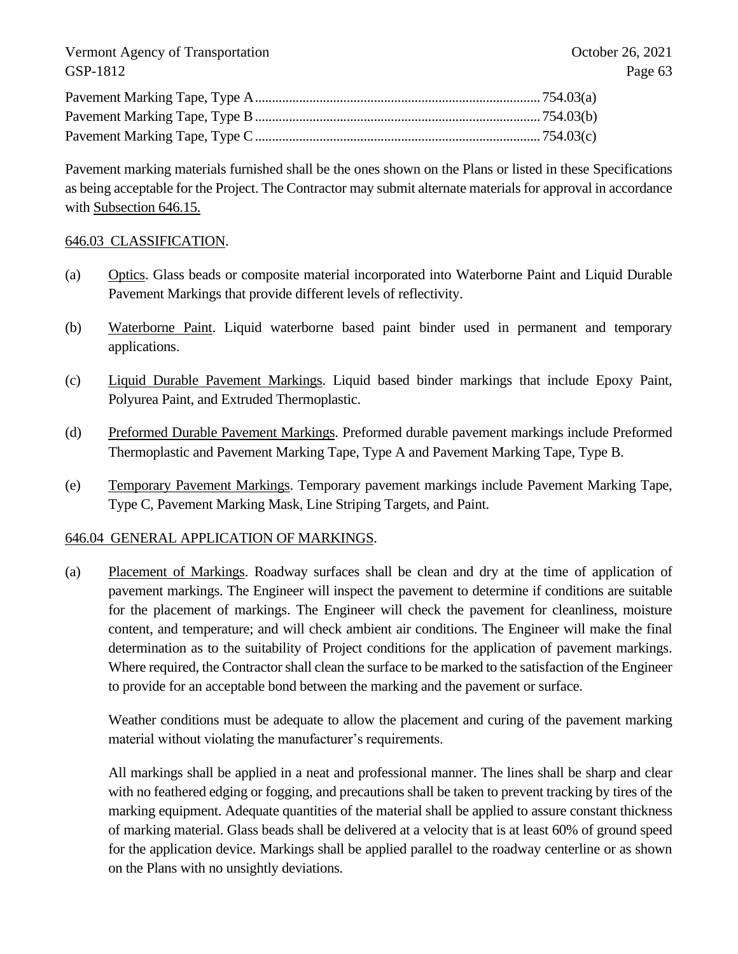Pavement marking materials furnished shall be the ones shown on the Plans or listed in these Specifications as being acceptable for the Project. The Contractor may submit alternate materials for approval in accordance with Subsection 646.15.

#### 646.03 CLASSIFICATION.

- (a) Optics. Glass beads or composite material incorporated into Waterborne Paint and Liquid Durable Pavement Markings that provide different levels of reflectivity.
- (b) Waterborne Paint. Liquid waterborne based paint binder used in permanent and temporary applications.
- (c) Liquid Durable Pavement Markings. Liquid based binder markings that include Epoxy Paint, Polyurea Paint, and Extruded Thermoplastic.
- (d) Preformed Durable Pavement Markings. Preformed durable pavement markings include Preformed Thermoplastic and Pavement Marking Tape, Type A and Pavement Marking Tape, Type B.
- (e) Temporary Pavement Markings. Temporary pavement markings include Pavement Marking Tape, Type C, Pavement Marking Mask, Line Striping Targets, and Paint.

## 646.04 GENERAL APPLICATION OF MARKINGS.

(a) Placement of Markings. Roadway surfaces shall be clean and dry at the time of application of pavement markings. The Engineer will inspect the pavement to determine if conditions are suitable for the placement of markings. The Engineer will check the pavement for cleanliness, moisture content, and temperature; and will check ambient air conditions. The Engineer will make the final determination as to the suitability of Project conditions for the application of pavement markings. Where required, the Contractor shall clean the surface to be marked to the satisfaction of the Engineer to provide for an acceptable bond between the marking and the pavement or surface.

Weather conditions must be adequate to allow the placement and curing of the pavement marking material without violating the manufacturer's requirements.

All markings shall be applied in a neat and professional manner. The lines shall be sharp and clear with no feathered edging or fogging, and precautions shall be taken to prevent tracking by tires of the marking equipment. Adequate quantities of the material shall be applied to assure constant thickness of marking material. Glass beads shall be delivered at a velocity that is at least 60% of ground speed for the application device. Markings shall be applied parallel to the roadway centerline or as shown on the Plans with no unsightly deviations.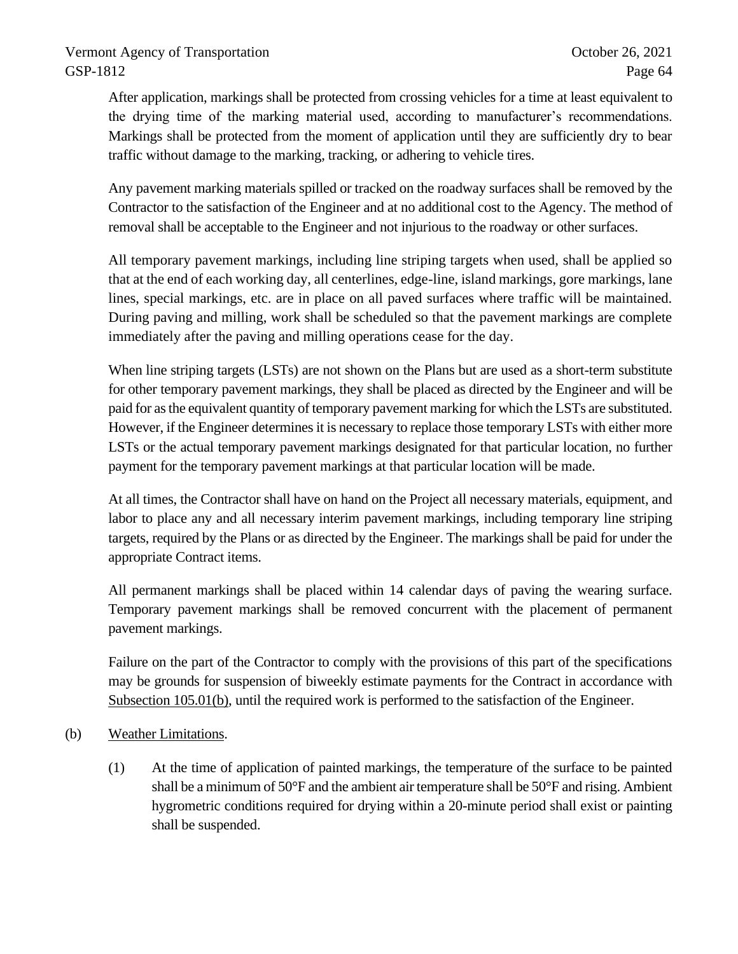After application, markings shall be protected from crossing vehicles for a time at least equivalent to the drying time of the marking material used, according to manufacturer's recommendations. Markings shall be protected from the moment of application until they are sufficiently dry to bear traffic without damage to the marking, tracking, or adhering to vehicle tires.

Any pavement marking materials spilled or tracked on the roadway surfaces shall be removed by the Contractor to the satisfaction of the Engineer and at no additional cost to the Agency. The method of removal shall be acceptable to the Engineer and not injurious to the roadway or other surfaces.

All temporary pavement markings, including line striping targets when used, shall be applied so that at the end of each working day, all centerlines, edge-line, island markings, gore markings, lane lines, special markings, etc. are in place on all paved surfaces where traffic will be maintained. During paving and milling, work shall be scheduled so that the pavement markings are complete immediately after the paving and milling operations cease for the day.

When line striping targets (LSTs) are not shown on the Plans but are used as a short-term substitute for other temporary pavement markings, they shall be placed as directed by the Engineer and will be paid for as the equivalent quantity of temporary pavement marking for which the LSTs are substituted. However, if the Engineer determines it is necessary to replace those temporary LSTs with either more LSTs or the actual temporary pavement markings designated for that particular location, no further payment for the temporary pavement markings at that particular location will be made.

At all times, the Contractor shall have on hand on the Project all necessary materials, equipment, and labor to place any and all necessary interim pavement markings, including temporary line striping targets, required by the Plans or as directed by the Engineer. The markings shall be paid for under the appropriate Contract items.

All permanent markings shall be placed within 14 calendar days of paving the wearing surface. Temporary pavement markings shall be removed concurrent with the placement of permanent pavement markings.

Failure on the part of the Contractor to comply with the provisions of this part of the specifications may be grounds for suspension of biweekly estimate payments for the Contract in accordance with Subsection 105.01(b), until the required work is performed to the satisfaction of the Engineer.

- (b) Weather Limitations.
	- (1) At the time of application of painted markings, the temperature of the surface to be painted shall be a minimum of 50°F and the ambient air temperature shall be 50°F and rising. Ambient hygrometric conditions required for drying within a 20-minute period shall exist or painting shall be suspended.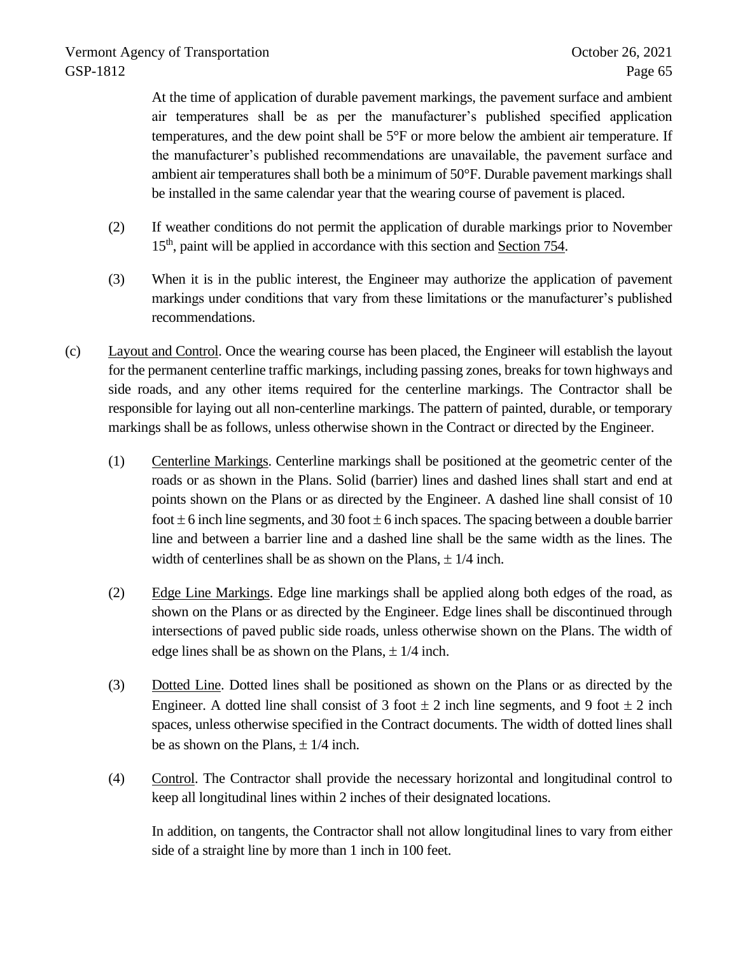At the time of application of durable pavement markings, the pavement surface and ambient air temperatures shall be as per the manufacturer's published specified application temperatures, and the dew point shall be 5°F or more below the ambient air temperature. If the manufacturer's published recommendations are unavailable, the pavement surface and ambient air temperatures shall both be a minimum of 50°F. Durable pavement markings shall be installed in the same calendar year that the wearing course of pavement is placed.

- (2) If weather conditions do not permit the application of durable markings prior to November 15<sup>th</sup>, paint will be applied in accordance with this section and Section 754.
- (3) When it is in the public interest, the Engineer may authorize the application of pavement markings under conditions that vary from these limitations or the manufacturer's published recommendations.
- (c) Layout and Control. Once the wearing course has been placed, the Engineer will establish the layout for the permanent centerline traffic markings, including passing zones, breaks for town highways and side roads, and any other items required for the centerline markings. The Contractor shall be responsible for laying out all non-centerline markings. The pattern of painted, durable, or temporary markings shall be as follows, unless otherwise shown in the Contract or directed by the Engineer.
	- (1) Centerline Markings. Centerline markings shall be positioned at the geometric center of the roads or as shown in the Plans. Solid (barrier) lines and dashed lines shall start and end at points shown on the Plans or as directed by the Engineer. A dashed line shall consist of 10 foot  $\pm$  6 inch line segments, and 30 foot  $\pm$  6 inch spaces. The spacing between a double barrier line and between a barrier line and a dashed line shall be the same width as the lines. The width of centerlines shall be as shown on the Plans,  $\pm$  1/4 inch.
	- (2) Edge Line Markings. Edge line markings shall be applied along both edges of the road, as shown on the Plans or as directed by the Engineer. Edge lines shall be discontinued through intersections of paved public side roads, unless otherwise shown on the Plans. The width of edge lines shall be as shown on the Plans,  $\pm$  1/4 inch.
	- (3) Dotted Line. Dotted lines shall be positioned as shown on the Plans or as directed by the Engineer. A dotted line shall consist of 3 foot  $\pm$  2 inch line segments, and 9 foot  $\pm$  2 inch spaces, unless otherwise specified in the Contract documents. The width of dotted lines shall be as shown on the Plans,  $\pm$  1/4 inch.
	- (4) Control. The Contractor shall provide the necessary horizontal and longitudinal control to keep all longitudinal lines within 2 inches of their designated locations.

In addition, on tangents, the Contractor shall not allow longitudinal lines to vary from either side of a straight line by more than 1 inch in 100 feet.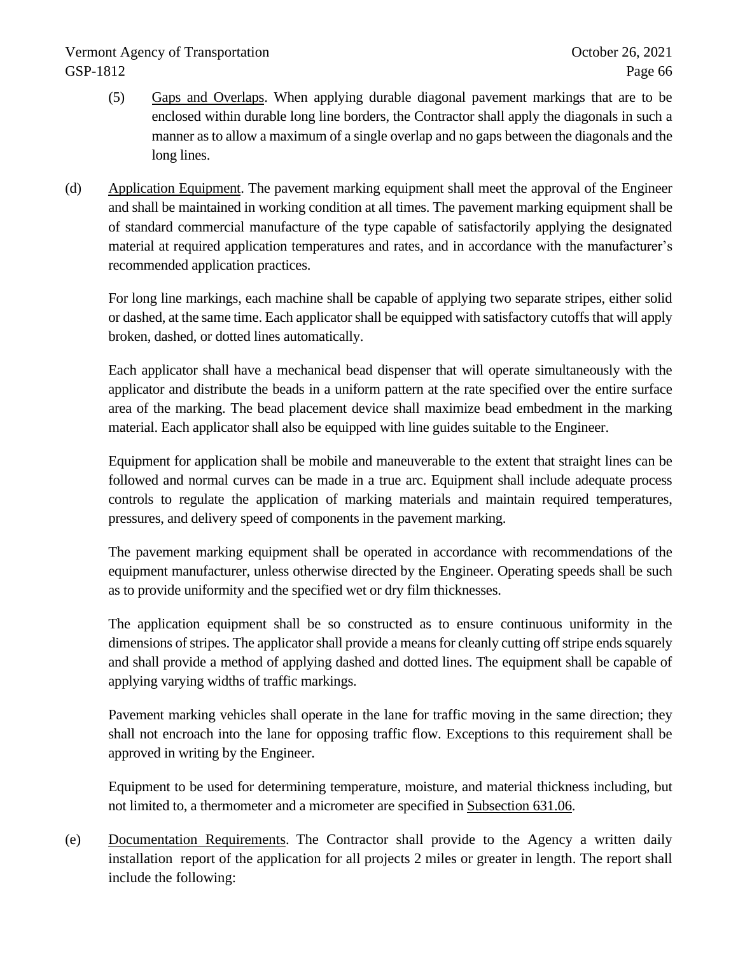- (5) Gaps and Overlaps. When applying durable diagonal pavement markings that are to be enclosed within durable long line borders, the Contractor shall apply the diagonals in such a manner as to allow a maximum of a single overlap and no gaps between the diagonals and the long lines.
- (d) Application Equipment. The pavement marking equipment shall meet the approval of the Engineer and shall be maintained in working condition at all times. The pavement marking equipment shall be of standard commercial manufacture of the type capable of satisfactorily applying the designated material at required application temperatures and rates, and in accordance with the manufacturer's recommended application practices.

For long line markings, each machine shall be capable of applying two separate stripes, either solid or dashed, at the same time. Each applicator shall be equipped with satisfactory cutoffs that will apply broken, dashed, or dotted lines automatically.

Each applicator shall have a mechanical bead dispenser that will operate simultaneously with the applicator and distribute the beads in a uniform pattern at the rate specified over the entire surface area of the marking. The bead placement device shall maximize bead embedment in the marking material. Each applicator shall also be equipped with line guides suitable to the Engineer.

Equipment for application shall be mobile and maneuverable to the extent that straight lines can be followed and normal curves can be made in a true arc. Equipment shall include adequate process controls to regulate the application of marking materials and maintain required temperatures, pressures, and delivery speed of components in the pavement marking.

The pavement marking equipment shall be operated in accordance with recommendations of the equipment manufacturer, unless otherwise directed by the Engineer. Operating speeds shall be such as to provide uniformity and the specified wet or dry film thicknesses.

The application equipment shall be so constructed as to ensure continuous uniformity in the dimensions of stripes. The applicator shall provide a means for cleanly cutting off stripe ends squarely and shall provide a method of applying dashed and dotted lines. The equipment shall be capable of applying varying widths of traffic markings.

Pavement marking vehicles shall operate in the lane for traffic moving in the same direction; they shall not encroach into the lane for opposing traffic flow. Exceptions to this requirement shall be approved in writing by the Engineer.

Equipment to be used for determining temperature, moisture, and material thickness including, but not limited to, a thermometer and a micrometer are specified in Subsection 631.06.

(e) Documentation Requirements. The Contractor shall provide to the Agency a written daily installation report of the application for all projects 2 miles or greater in length. The report shall include the following: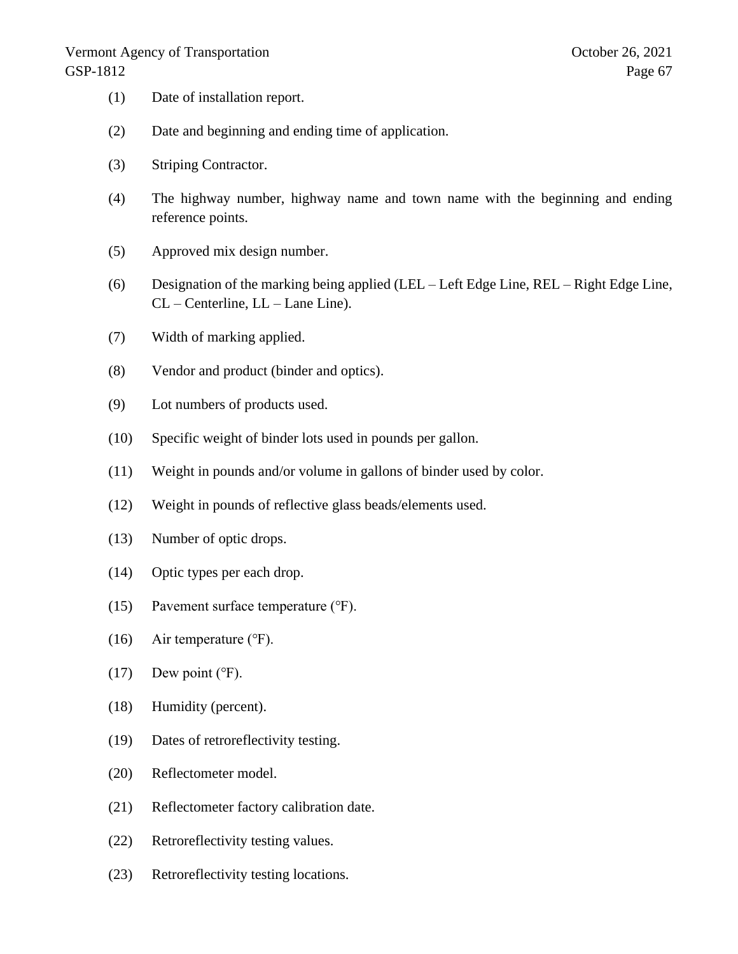- (1) Date of installation report.
- (2) Date and beginning and ending time of application.
- (3) Striping Contractor.
- (4) The highway number, highway name and town name with the beginning and ending reference points.
- (5) Approved mix design number.
- (6) Designation of the marking being applied (LEL Left Edge Line, REL Right Edge Line, CL – Centerline, LL – Lane Line).
- (7) Width of marking applied.
- (8) Vendor and product (binder and optics).
- (9) Lot numbers of products used.
- (10) Specific weight of binder lots used in pounds per gallon.
- (11) Weight in pounds and/or volume in gallons of binder used by color.
- (12) Weight in pounds of reflective glass beads/elements used.
- (13) Number of optic drops.
- (14) Optic types per each drop.
- (15) Pavement surface temperature (℉).
- (16) Air temperature  $(°F)$ .
- $(17)$  Dew point ( $\degree$ F).
- (18) Humidity (percent).
- (19) Dates of retroreflectivity testing.
- (20) Reflectometer model.
- (21) Reflectometer factory calibration date.
- (22) Retroreflectivity testing values.
- (23) Retroreflectivity testing locations.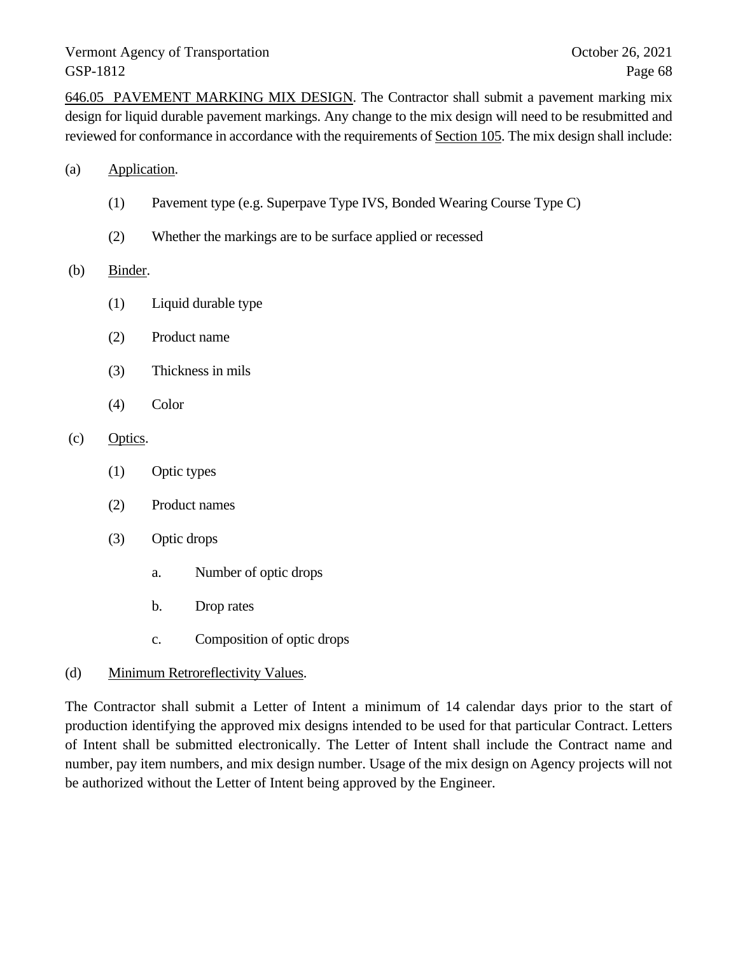646.05 PAVEMENT MARKING MIX DESIGN. The Contractor shall submit a pavement marking mix design for liquid durable pavement markings. Any change to the mix design will need to be resubmitted and reviewed for conformance in accordance with the requirements of Section 105. The mix design shall include:

- (a) Application.
	- (1) Pavement type (e.g. Superpave Type IVS, Bonded Wearing Course Type C)
	- (2) Whether the markings are to be surface applied or recessed

#### (b) Binder.

- (1) Liquid durable type
- (2) Product name
- (3) Thickness in mils
- (4) Color

#### (c) Optics.

- (1) Optic types
- (2) Product names
- (3) Optic drops
	- a. Number of optic drops
	- b. Drop rates
	- c. Composition of optic drops

## (d) Minimum Retroreflectivity Values.

The Contractor shall submit a Letter of Intent a minimum of 14 calendar days prior to the start of production identifying the approved mix designs intended to be used for that particular Contract. Letters of Intent shall be submitted electronically. The Letter of Intent shall include the Contract name and number, pay item numbers, and mix design number. Usage of the mix design on Agency projects will not be authorized without the Letter of Intent being approved by the Engineer.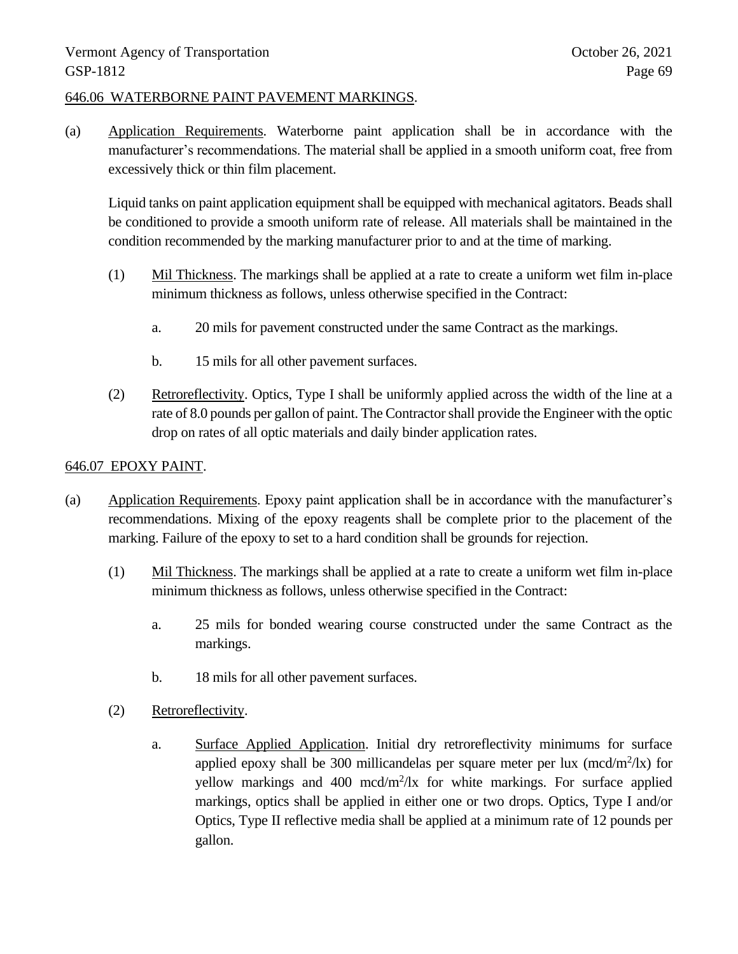## 646.06 WATERBORNE PAINT PAVEMENT MARKINGS.

(a) Application Requirements. Waterborne paint application shall be in accordance with the manufacturer's recommendations. The material shall be applied in a smooth uniform coat, free from excessively thick or thin film placement.

Liquid tanks on paint application equipment shall be equipped with mechanical agitators. Beads shall be conditioned to provide a smooth uniform rate of release. All materials shall be maintained in the condition recommended by the marking manufacturer prior to and at the time of marking.

- (1) Mil Thickness. The markings shall be applied at a rate to create a uniform wet film in-place minimum thickness as follows, unless otherwise specified in the Contract:
	- a. 20 mils for pavement constructed under the same Contract as the markings.
	- b. 15 mils for all other pavement surfaces.
- (2) Retroreflectivity. Optics, Type I shall be uniformly applied across the width of the line at a rate of 8.0 pounds per gallon of paint. The Contractor shall provide the Engineer with the optic drop on rates of all optic materials and daily binder application rates.

## 646.07 EPOXY PAINT.

- (a) Application Requirements. Epoxy paint application shall be in accordance with the manufacturer's recommendations. Mixing of the epoxy reagents shall be complete prior to the placement of the marking. Failure of the epoxy to set to a hard condition shall be grounds for rejection.
	- (1) Mil Thickness. The markings shall be applied at a rate to create a uniform wet film in-place minimum thickness as follows, unless otherwise specified in the Contract:
		- a. 25 mils for bonded wearing course constructed under the same Contract as the markings.
		- b. 18 mils for all other pavement surfaces.
	- (2) Retroreflectivity.
		- a. Surface Applied Application. Initial dry retroreflectivity minimums for surface applied epoxy shall be 300 millicandelas per square meter per lux  $(mcd/m^2/lx)$  for yellow markings and 400 mcd/m<sup>2</sup>/lx for white markings. For surface applied markings, optics shall be applied in either one or two drops. Optics, Type I and/or Optics, Type II reflective media shall be applied at a minimum rate of 12 pounds per gallon.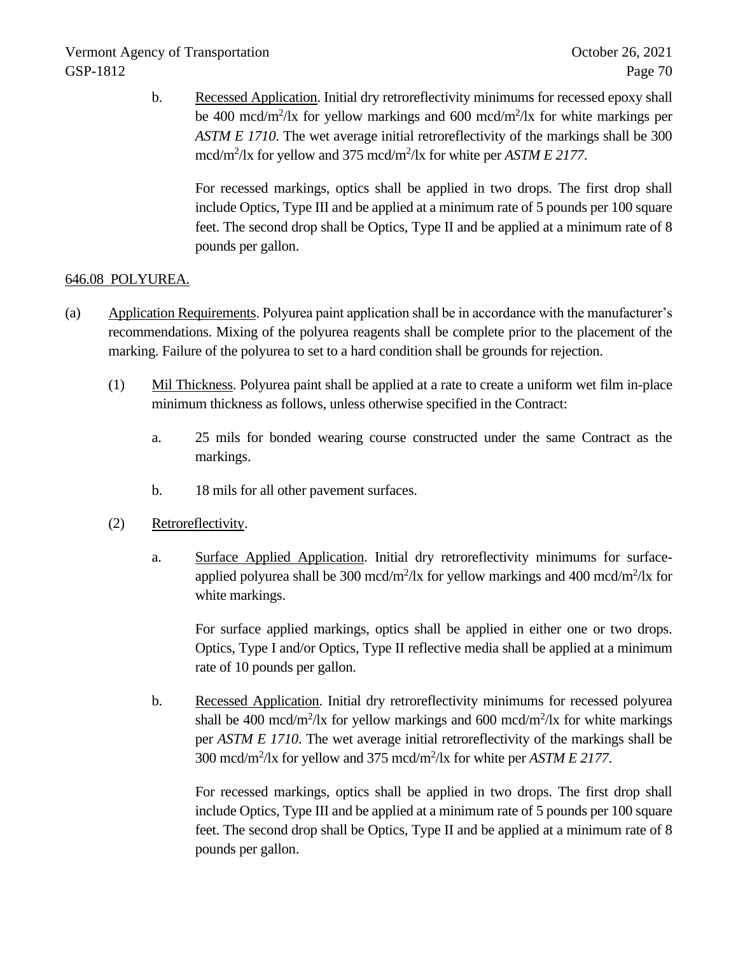b. Recessed Application. Initial dry retroreflectivity minimums for recessed epoxy shall be 400 mcd/m<sup>2</sup>/lx for yellow markings and 600 mcd/m<sup>2</sup>/lx for white markings per *ASTM E 1710*. The wet average initial retroreflectivity of the markings shall be 300 mcd/m<sup>2</sup>/lx for yellow and 375 mcd/m<sup>2</sup>/lx for white per *ASTM E 2177*.

For recessed markings, optics shall be applied in two drops. The first drop shall include Optics, Type III and be applied at a minimum rate of 5 pounds per 100 square feet. The second drop shall be Optics, Type II and be applied at a minimum rate of 8 pounds per gallon.

# 646.08 POLYUREA.

- (a) Application Requirements. Polyurea paint application shall be in accordance with the manufacturer's recommendations. Mixing of the polyurea reagents shall be complete prior to the placement of the marking. Failure of the polyurea to set to a hard condition shall be grounds for rejection.
	- (1) Mil Thickness. Polyurea paint shall be applied at a rate to create a uniform wet film in-place minimum thickness as follows, unless otherwise specified in the Contract:
		- a. 25 mils for bonded wearing course constructed under the same Contract as the markings.
		- b. 18 mils for all other pavement surfaces.
	- (2) Retroreflectivity.
		- a. Surface Applied Application. Initial dry retroreflectivity minimums for surfaceapplied polyurea shall be 300 mcd/m<sup>2</sup>/lx for yellow markings and 400 mcd/m<sup>2</sup>/lx for white markings.

For surface applied markings, optics shall be applied in either one or two drops. Optics, Type I and/or Optics, Type II reflective media shall be applied at a minimum rate of 10 pounds per gallon.

b. Recessed Application. Initial dry retroreflectivity minimums for recessed polyurea shall be 400 mcd/m<sup>2</sup>/lx for yellow markings and 600 mcd/m<sup>2</sup>/lx for white markings per *ASTM E 1710*. The wet average initial retroreflectivity of the markings shall be 300 mcd/m<sup>2</sup> /lx for yellow and 375 mcd/m<sup>2</sup> /lx for white per *ASTM E 2177*.

For recessed markings, optics shall be applied in two drops. The first drop shall include Optics, Type III and be applied at a minimum rate of 5 pounds per 100 square feet. The second drop shall be Optics, Type II and be applied at a minimum rate of 8 pounds per gallon.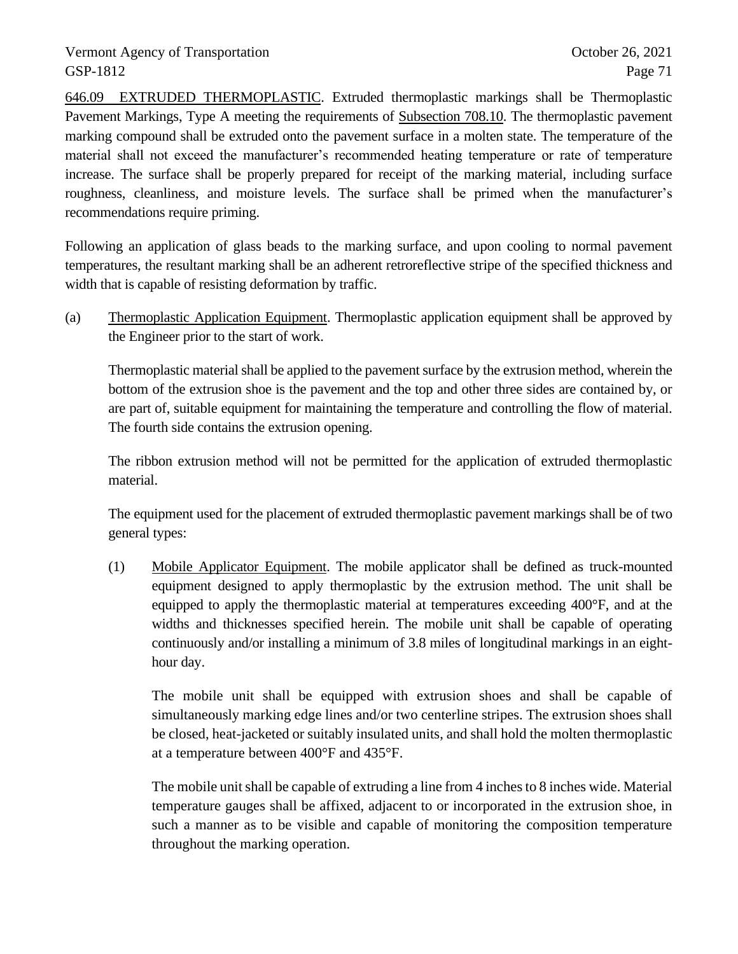646.09 EXTRUDED THERMOPLASTIC. Extruded thermoplastic markings shall be Thermoplastic Pavement Markings, Type A meeting the requirements of Subsection 708.10. The thermoplastic pavement marking compound shall be extruded onto the pavement surface in a molten state. The temperature of the material shall not exceed the manufacturer's recommended heating temperature or rate of temperature increase. The surface shall be properly prepared for receipt of the marking material, including surface roughness, cleanliness, and moisture levels. The surface shall be primed when the manufacturer's recommendations require priming.

Following an application of glass beads to the marking surface, and upon cooling to normal pavement temperatures, the resultant marking shall be an adherent retroreflective stripe of the specified thickness and width that is capable of resisting deformation by traffic.

(a) Thermoplastic Application Equipment. Thermoplastic application equipment shall be approved by the Engineer prior to the start of work.

Thermoplastic material shall be applied to the pavement surface by the extrusion method, wherein the bottom of the extrusion shoe is the pavement and the top and other three sides are contained by, or are part of, suitable equipment for maintaining the temperature and controlling the flow of material. The fourth side contains the extrusion opening.

The ribbon extrusion method will not be permitted for the application of extruded thermoplastic material.

The equipment used for the placement of extruded thermoplastic pavement markings shall be of two general types:

(1) Mobile Applicator Equipment. The mobile applicator shall be defined as truck-mounted equipment designed to apply thermoplastic by the extrusion method. The unit shall be equipped to apply the thermoplastic material at temperatures exceeding 400°F, and at the widths and thicknesses specified herein. The mobile unit shall be capable of operating continuously and/or installing a minimum of 3.8 miles of longitudinal markings in an eighthour day.

The mobile unit shall be equipped with extrusion shoes and shall be capable of simultaneously marking edge lines and/or two centerline stripes. The extrusion shoes shall be closed, heat-jacketed or suitably insulated units, and shall hold the molten thermoplastic at a temperature between 400°F and 435°F.

The mobile unit shall be capable of extruding a line from 4 inches to 8 inches wide. Material temperature gauges shall be affixed, adjacent to or incorporated in the extrusion shoe, in such a manner as to be visible and capable of monitoring the composition temperature throughout the marking operation.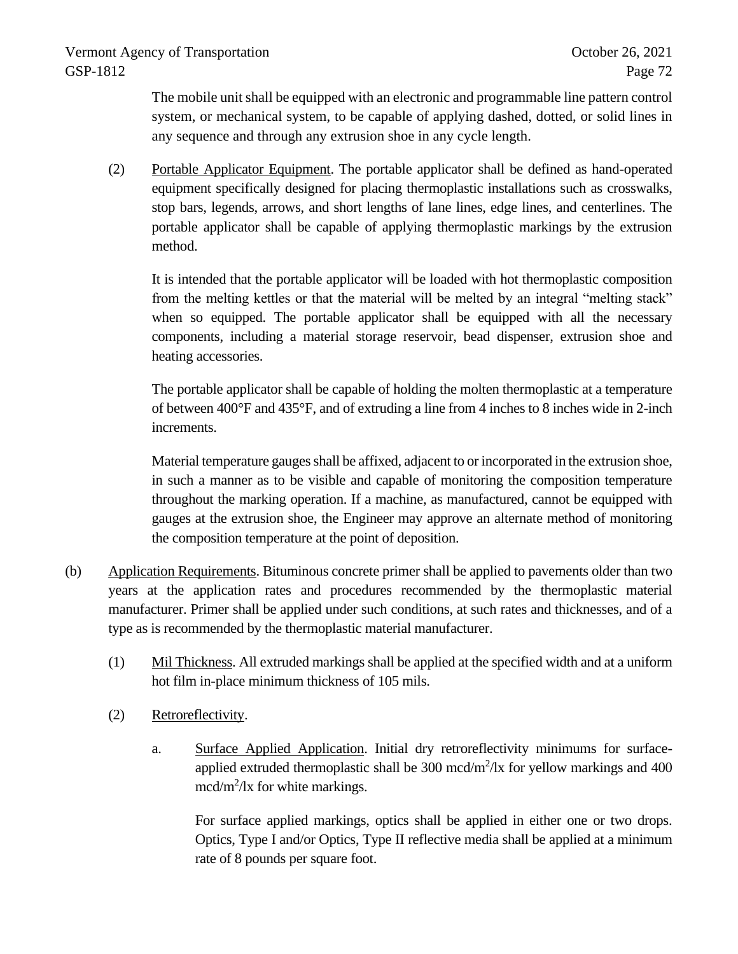The mobile unit shall be equipped with an electronic and programmable line pattern control system, or mechanical system, to be capable of applying dashed, dotted, or solid lines in any sequence and through any extrusion shoe in any cycle length.

(2) Portable Applicator Equipment. The portable applicator shall be defined as hand-operated equipment specifically designed for placing thermoplastic installations such as crosswalks, stop bars, legends, arrows, and short lengths of lane lines, edge lines, and centerlines. The portable applicator shall be capable of applying thermoplastic markings by the extrusion method.

It is intended that the portable applicator will be loaded with hot thermoplastic composition from the melting kettles or that the material will be melted by an integral "melting stack" when so equipped. The portable applicator shall be equipped with all the necessary components, including a material storage reservoir, bead dispenser, extrusion shoe and heating accessories.

The portable applicator shall be capable of holding the molten thermoplastic at a temperature of between 400°F and 435°F, and of extruding a line from 4 inches to 8 inches wide in 2-inch increments.

Material temperature gauges shall be affixed, adjacent to or incorporated in the extrusion shoe, in such a manner as to be visible and capable of monitoring the composition temperature throughout the marking operation. If a machine, as manufactured, cannot be equipped with gauges at the extrusion shoe, the Engineer may approve an alternate method of monitoring the composition temperature at the point of deposition.

- (b) Application Requirements. Bituminous concrete primer shall be applied to pavements older than two years at the application rates and procedures recommended by the thermoplastic material manufacturer. Primer shall be applied under such conditions, at such rates and thicknesses, and of a type as is recommended by the thermoplastic material manufacturer.
	- (1) Mil Thickness. All extruded markings shall be applied at the specified width and at a uniform hot film in-place minimum thickness of 105 mils.
	- (2) Retroreflectivity.
		- a. Surface Applied Application. Initial dry retroreflectivity minimums for surfaceapplied extruded thermoplastic shall be  $300 \text{ mod/m}^2/\text{lx}$  for yellow markings and  $400$ mcd/m<sup>2</sup>/lx for white markings.

For surface applied markings, optics shall be applied in either one or two drops. Optics, Type I and/or Optics, Type II reflective media shall be applied at a minimum rate of 8 pounds per square foot.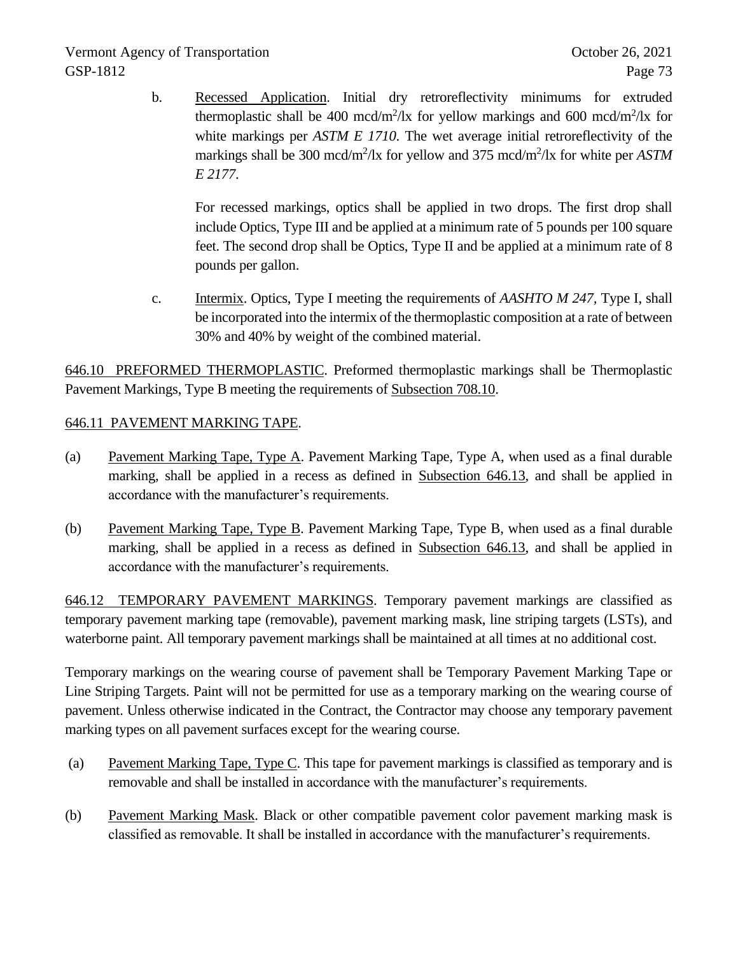b. Recessed Application. Initial dry retroreflectivity minimums for extruded thermoplastic shall be 400 mcd/m<sup>2</sup>/lx for yellow markings and 600 mcd/m<sup>2</sup>/lx for white markings per *ASTM E 1710*. The wet average initial retroreflectivity of the markings shall be 300 mcd/m<sup>2</sup>/lx for yellow and 375 mcd/m<sup>2</sup>/lx for white per *ASTM E 2177*.

For recessed markings, optics shall be applied in two drops. The first drop shall include Optics, Type III and be applied at a minimum rate of 5 pounds per 100 square feet. The second drop shall be Optics, Type II and be applied at a minimum rate of 8 pounds per gallon.

c. Intermix. Optics, Type I meeting the requirements of *AASHTO M 247,* Type I, shall be incorporated into the intermix of the thermoplastic composition at a rate of between 30% and 40% by weight of the combined material.

646.10 PREFORMED THERMOPLASTIC. Preformed thermoplastic markings shall be Thermoplastic Pavement Markings, Type B meeting the requirements of Subsection 708.10.

## 646.11 PAVEMENT MARKING TAPE.

- (a) Pavement Marking Tape, Type A. Pavement Marking Tape, Type A, when used as a final durable marking, shall be applied in a recess as defined in Subsection 646.13, and shall be applied in accordance with the manufacturer's requirements.
- (b) Pavement Marking Tape, Type B. Pavement Marking Tape, Type B, when used as a final durable marking, shall be applied in a recess as defined in Subsection 646.13, and shall be applied in accordance with the manufacturer's requirements.

646.12 TEMPORARY PAVEMENT MARKINGS. Temporary pavement markings are classified as temporary pavement marking tape (removable), pavement marking mask, line striping targets (LSTs), and waterborne paint. All temporary pavement markings shall be maintained at all times at no additional cost.

Temporary markings on the wearing course of pavement shall be Temporary Pavement Marking Tape or Line Striping Targets. Paint will not be permitted for use as a temporary marking on the wearing course of pavement. Unless otherwise indicated in the Contract, the Contractor may choose any temporary pavement marking types on all pavement surfaces except for the wearing course.

- (a) Pavement Marking Tape, Type C. This tape for pavement markings is classified as temporary and is removable and shall be installed in accordance with the manufacturer's requirements.
- (b) Pavement Marking Mask. Black or other compatible pavement color pavement marking mask is classified as removable. It shall be installed in accordance with the manufacturer's requirements.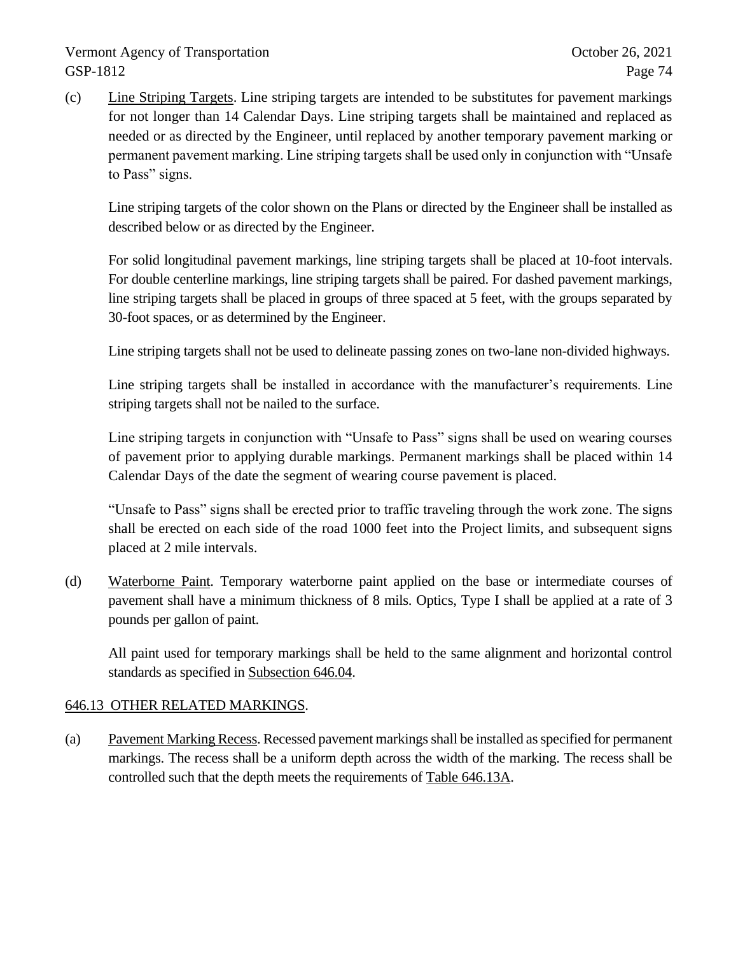(c) Line Striping Targets. Line striping targets are intended to be substitutes for pavement markings for not longer than 14 Calendar Days. Line striping targets shall be maintained and replaced as needed or as directed by the Engineer, until replaced by another temporary pavement marking or permanent pavement marking. Line striping targets shall be used only in conjunction with "Unsafe to Pass" signs.

Line striping targets of the color shown on the Plans or directed by the Engineer shall be installed as described below or as directed by the Engineer.

For solid longitudinal pavement markings, line striping targets shall be placed at 10-foot intervals. For double centerline markings, line striping targets shall be paired. For dashed pavement markings, line striping targets shall be placed in groups of three spaced at 5 feet, with the groups separated by 30-foot spaces, or as determined by the Engineer.

Line striping targets shall not be used to delineate passing zones on two-lane non-divided highways.

Line striping targets shall be installed in accordance with the manufacturer's requirements. Line striping targets shall not be nailed to the surface.

Line striping targets in conjunction with "Unsafe to Pass" signs shall be used on wearing courses of pavement prior to applying durable markings. Permanent markings shall be placed within 14 Calendar Days of the date the segment of wearing course pavement is placed.

"Unsafe to Pass" signs shall be erected prior to traffic traveling through the work zone. The signs shall be erected on each side of the road 1000 feet into the Project limits, and subsequent signs placed at 2 mile intervals.

(d) Waterborne Paint. Temporary waterborne paint applied on the base or intermediate courses of pavement shall have a minimum thickness of 8 mils. Optics, Type I shall be applied at a rate of 3 pounds per gallon of paint.

All paint used for temporary markings shall be held to the same alignment and horizontal control standards as specified in Subsection 646.04.

## 646.13 OTHER RELATED MARKINGS.

(a) Pavement Marking Recess. Recessed pavement markings shall be installed as specified for permanent markings. The recess shall be a uniform depth across the width of the marking. The recess shall be controlled such that the depth meets the requirements of Table 646.13A.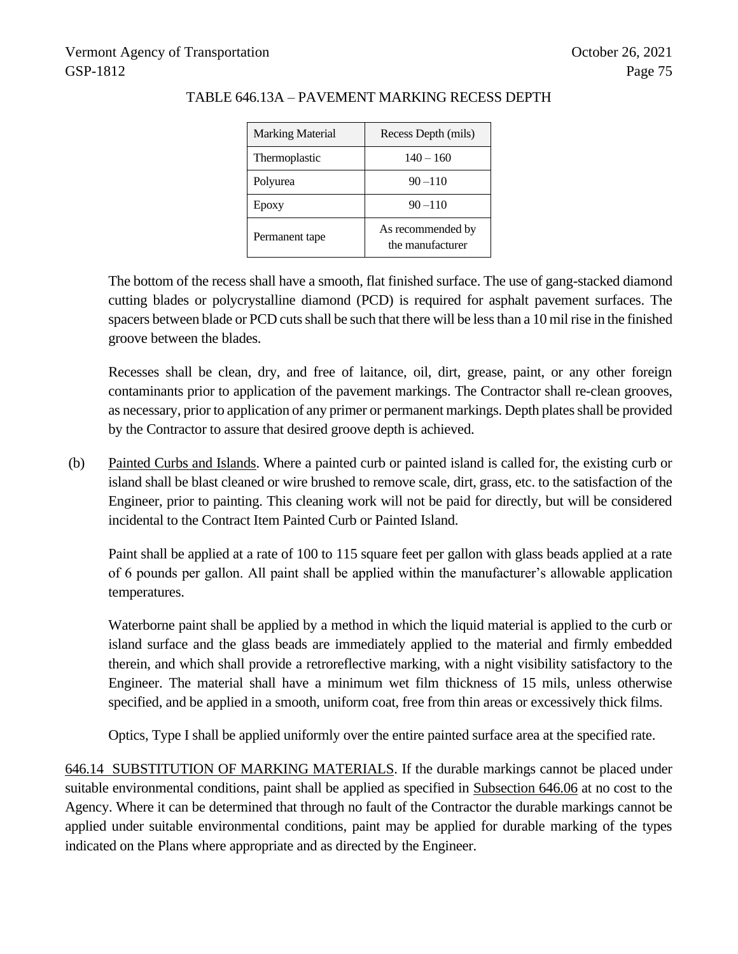| Marking Material | Recess Depth (mils)                   |
|------------------|---------------------------------------|
| Thermoplastic    | $140 - 160$                           |
| Polyurea         | $90 - 110$                            |
| Epoxy            | $90 - 110$                            |
| Permanent tape   | As recommended by<br>the manufacturer |

## TABLE 646.13A – PAVEMENT MARKING RECESS DEPTH

The bottom of the recess shall have a smooth, flat finished surface. The use of gang-stacked diamond cutting blades or polycrystalline diamond (PCD) is required for asphalt pavement surfaces. The spacers between blade or PCD cuts shall be such that there will be less than a 10 mil rise in the finished groove between the blades.

Recesses shall be clean, dry, and free of laitance, oil, dirt, grease, paint, or any other foreign contaminants prior to application of the pavement markings. The Contractor shall re-clean grooves, as necessary, prior to application of any primer or permanent markings. Depth plates shall be provided by the Contractor to assure that desired groove depth is achieved.

(b) Painted Curbs and Islands. Where a painted curb or painted island is called for, the existing curb or island shall be blast cleaned or wire brushed to remove scale, dirt, grass, etc. to the satisfaction of the Engineer, prior to painting. This cleaning work will not be paid for directly, but will be considered incidental to the Contract Item Painted Curb or Painted Island.

Paint shall be applied at a rate of 100 to 115 square feet per gallon with glass beads applied at a rate of 6 pounds per gallon. All paint shall be applied within the manufacturer's allowable application temperatures.

Waterborne paint shall be applied by a method in which the liquid material is applied to the curb or island surface and the glass beads are immediately applied to the material and firmly embedded therein, and which shall provide a retroreflective marking, with a night visibility satisfactory to the Engineer. The material shall have a minimum wet film thickness of 15 mils, unless otherwise specified, and be applied in a smooth, uniform coat, free from thin areas or excessively thick films.

Optics, Type I shall be applied uniformly over the entire painted surface area at the specified rate.

646.14 SUBSTITUTION OF MARKING MATERIALS. If the durable markings cannot be placed under suitable environmental conditions, paint shall be applied as specified in Subsection 646.06 at no cost to the Agency. Where it can be determined that through no fault of the Contractor the durable markings cannot be applied under suitable environmental conditions, paint may be applied for durable marking of the types indicated on the Plans where appropriate and as directed by the Engineer.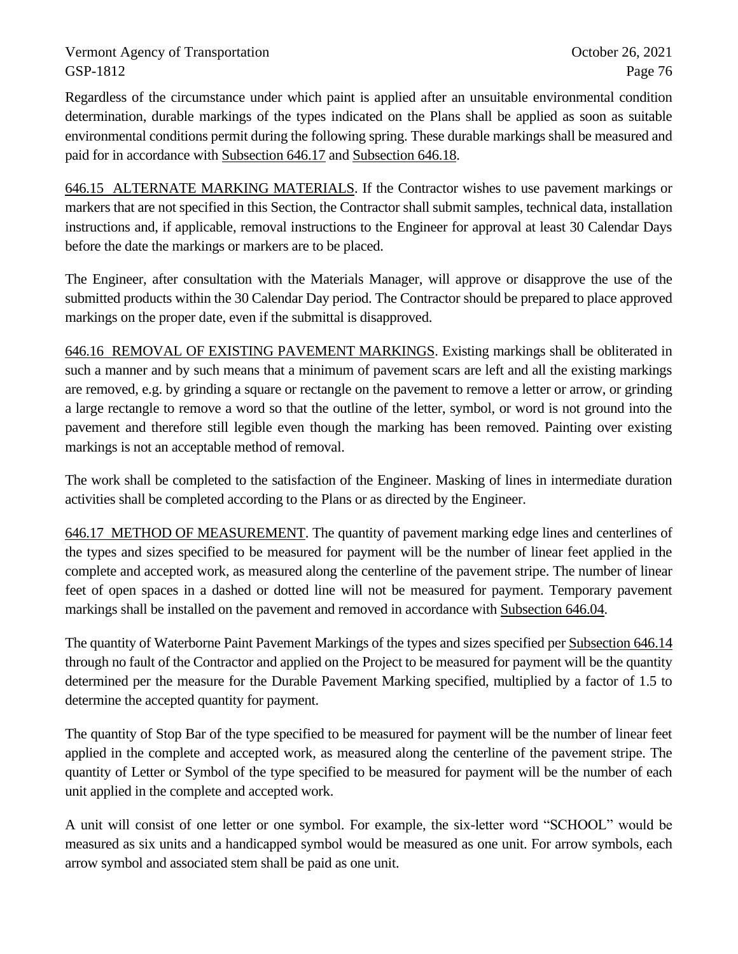Regardless of the circumstance under which paint is applied after an unsuitable environmental condition determination, durable markings of the types indicated on the Plans shall be applied as soon as suitable environmental conditions permit during the following spring. These durable markings shall be measured and paid for in accordance with Subsection 646.17 and Subsection 646.18.

646.15 ALTERNATE MARKING MATERIALS. If the Contractor wishes to use pavement markings or markers that are not specified in this Section, the Contractor shall submit samples, technical data, installation instructions and, if applicable, removal instructions to the Engineer for approval at least 30 Calendar Days before the date the markings or markers are to be placed.

The Engineer, after consultation with the Materials Manager, will approve or disapprove the use of the submitted products within the 30 Calendar Day period. The Contractor should be prepared to place approved markings on the proper date, even if the submittal is disapproved.

646.16 REMOVAL OF EXISTING PAVEMENT MARKINGS. Existing markings shall be obliterated in such a manner and by such means that a minimum of pavement scars are left and all the existing markings are removed, e.g. by grinding a square or rectangle on the pavement to remove a letter or arrow, or grinding a large rectangle to remove a word so that the outline of the letter, symbol, or word is not ground into the pavement and therefore still legible even though the marking has been removed. Painting over existing markings is not an acceptable method of removal.

The work shall be completed to the satisfaction of the Engineer. Masking of lines in intermediate duration activities shall be completed according to the Plans or as directed by the Engineer.

646.17 METHOD OF MEASUREMENT. The quantity of pavement marking edge lines and centerlines of the types and sizes specified to be measured for payment will be the number of linear feet applied in the complete and accepted work, as measured along the centerline of the pavement stripe. The number of linear feet of open spaces in a dashed or dotted line will not be measured for payment. Temporary pavement markings shall be installed on the pavement and removed in accordance with Subsection 646.04.

The quantity of Waterborne Paint Pavement Markings of the types and sizes specified per Subsection 646.14 through no fault of the Contractor and applied on the Project to be measured for payment will be the quantity determined per the measure for the Durable Pavement Marking specified, multiplied by a factor of 1.5 to determine the accepted quantity for payment.

The quantity of Stop Bar of the type specified to be measured for payment will be the number of linear feet applied in the complete and accepted work, as measured along the centerline of the pavement stripe. The quantity of Letter or Symbol of the type specified to be measured for payment will be the number of each unit applied in the complete and accepted work.

A unit will consist of one letter or one symbol. For example, the six-letter word "SCHOOL" would be measured as six units and a handicapped symbol would be measured as one unit. For arrow symbols, each arrow symbol and associated stem shall be paid as one unit.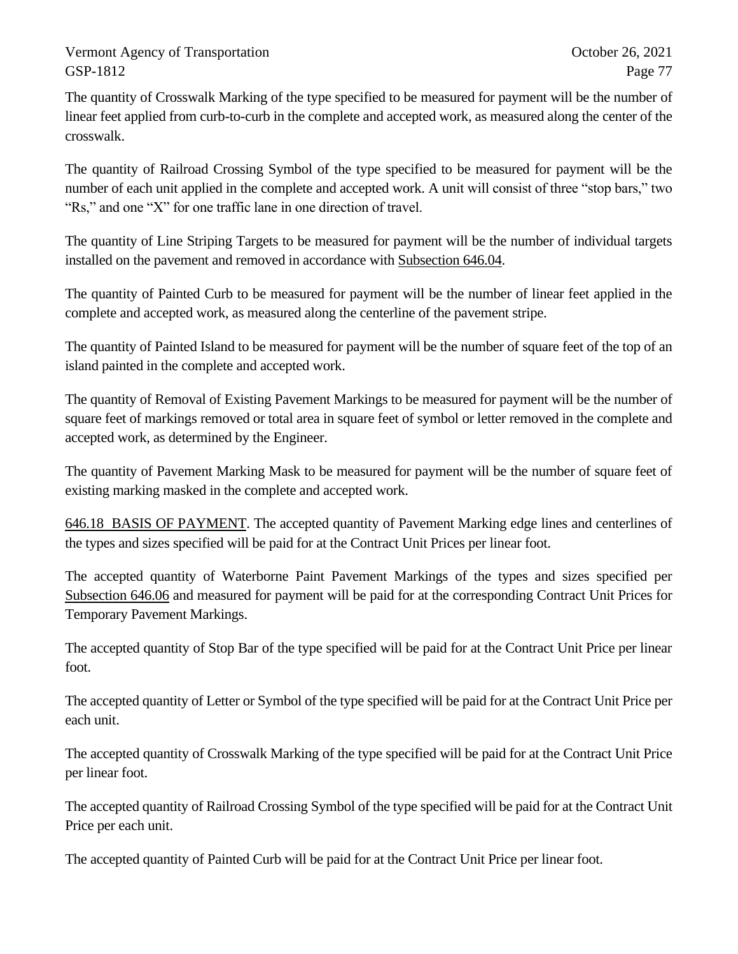The quantity of Crosswalk Marking of the type specified to be measured for payment will be the number of linear feet applied from curb-to-curb in the complete and accepted work, as measured along the center of the crosswalk.

The quantity of Railroad Crossing Symbol of the type specified to be measured for payment will be the number of each unit applied in the complete and accepted work. A unit will consist of three "stop bars," two "Rs," and one "X" for one traffic lane in one direction of travel.

The quantity of Line Striping Targets to be measured for payment will be the number of individual targets installed on the pavement and removed in accordance with Subsection 646.04.

The quantity of Painted Curb to be measured for payment will be the number of linear feet applied in the complete and accepted work, as measured along the centerline of the pavement stripe.

The quantity of Painted Island to be measured for payment will be the number of square feet of the top of an island painted in the complete and accepted work.

The quantity of Removal of Existing Pavement Markings to be measured for payment will be the number of square feet of markings removed or total area in square feet of symbol or letter removed in the complete and accepted work, as determined by the Engineer.

The quantity of Pavement Marking Mask to be measured for payment will be the number of square feet of existing marking masked in the complete and accepted work.

646.18 BASIS OF PAYMENT. The accepted quantity of Pavement Marking edge lines and centerlines of the types and sizes specified will be paid for at the Contract Unit Prices per linear foot.

The accepted quantity of Waterborne Paint Pavement Markings of the types and sizes specified per Subsection 646.06 and measured for payment will be paid for at the corresponding Contract Unit Prices for Temporary Pavement Markings.

The accepted quantity of Stop Bar of the type specified will be paid for at the Contract Unit Price per linear foot.

The accepted quantity of Letter or Symbol of the type specified will be paid for at the Contract Unit Price per each unit.

The accepted quantity of Crosswalk Marking of the type specified will be paid for at the Contract Unit Price per linear foot.

The accepted quantity of Railroad Crossing Symbol of the type specified will be paid for at the Contract Unit Price per each unit.

The accepted quantity of Painted Curb will be paid for at the Contract Unit Price per linear foot.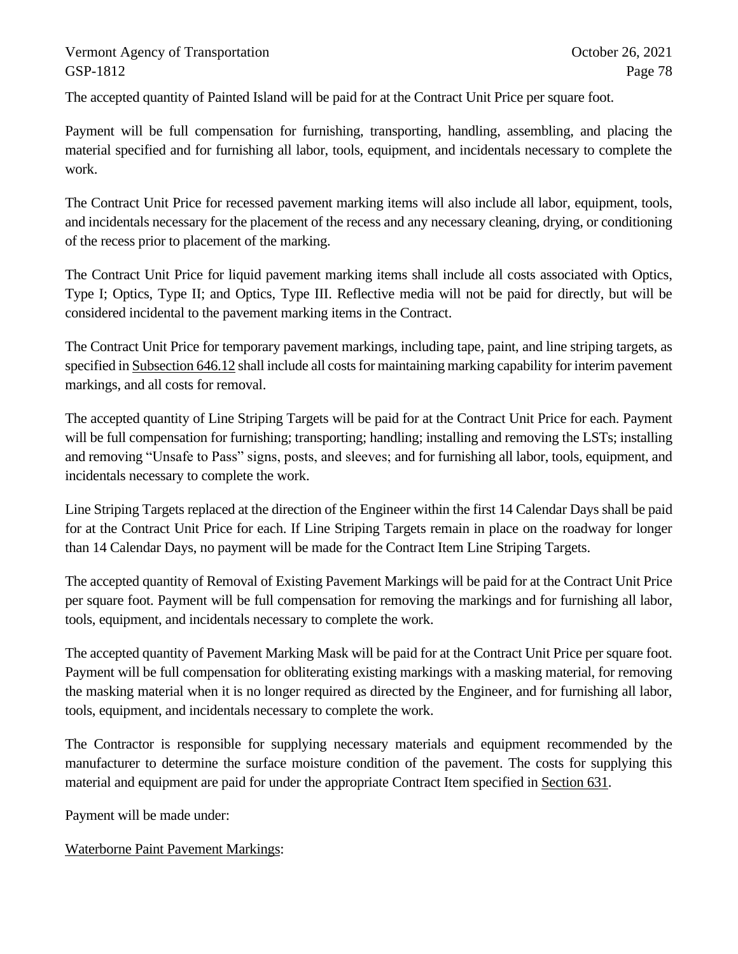The accepted quantity of Painted Island will be paid for at the Contract Unit Price per square foot.

Payment will be full compensation for furnishing, transporting, handling, assembling, and placing the material specified and for furnishing all labor, tools, equipment, and incidentals necessary to complete the work.

The Contract Unit Price for recessed pavement marking items will also include all labor, equipment, tools, and incidentals necessary for the placement of the recess and any necessary cleaning, drying, or conditioning of the recess prior to placement of the marking.

The Contract Unit Price for liquid pavement marking items shall include all costs associated with Optics, Type I; Optics, Type II; and Optics, Type III. Reflective media will not be paid for directly, but will be considered incidental to the pavement marking items in the Contract.

The Contract Unit Price for temporary pavement markings, including tape, paint, and line striping targets, as specified in Subsection 646.12 shall include all costs for maintaining marking capability for interim pavement markings, and all costs for removal.

The accepted quantity of Line Striping Targets will be paid for at the Contract Unit Price for each. Payment will be full compensation for furnishing; transporting; handling; installing and removing the LSTs; installing and removing "Unsafe to Pass" signs, posts, and sleeves; and for furnishing all labor, tools, equipment, and incidentals necessary to complete the work.

Line Striping Targets replaced at the direction of the Engineer within the first 14 Calendar Days shall be paid for at the Contract Unit Price for each. If Line Striping Targets remain in place on the roadway for longer than 14 Calendar Days, no payment will be made for the Contract Item Line Striping Targets.

The accepted quantity of Removal of Existing Pavement Markings will be paid for at the Contract Unit Price per square foot. Payment will be full compensation for removing the markings and for furnishing all labor, tools, equipment, and incidentals necessary to complete the work.

The accepted quantity of Pavement Marking Mask will be paid for at the Contract Unit Price per square foot. Payment will be full compensation for obliterating existing markings with a masking material, for removing the masking material when it is no longer required as directed by the Engineer, and for furnishing all labor, tools, equipment, and incidentals necessary to complete the work.

The Contractor is responsible for supplying necessary materials and equipment recommended by the manufacturer to determine the surface moisture condition of the pavement. The costs for supplying this material and equipment are paid for under the appropriate Contract Item specified in Section 631.

Payment will be made under:

Waterborne Paint Pavement Markings: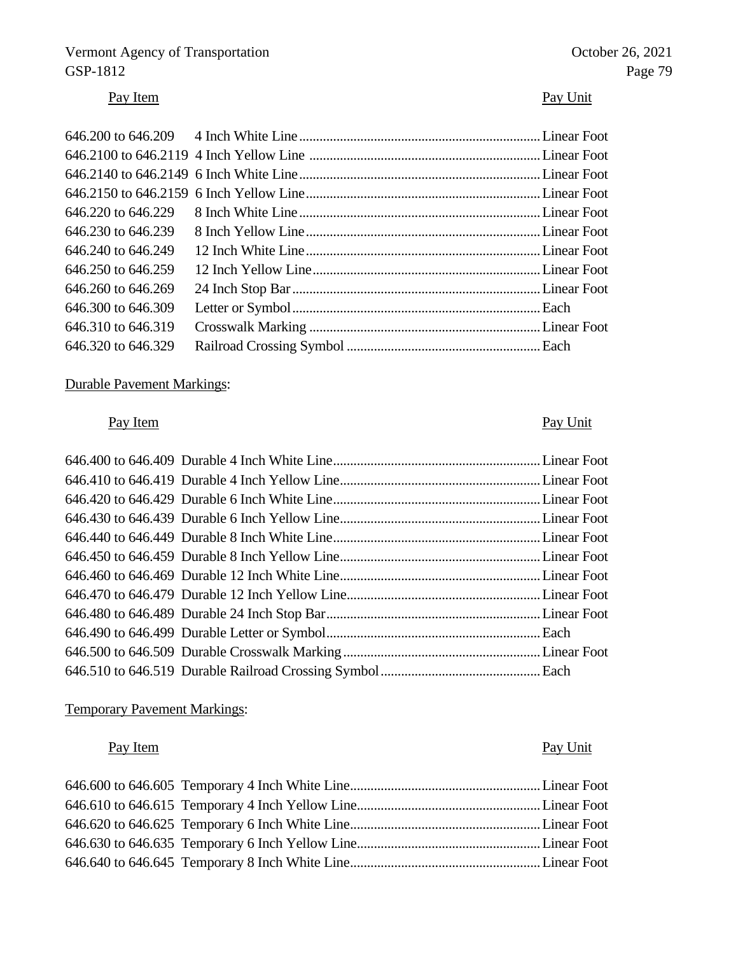## Vermont Agency of Transportation October 26, 2021<br>
GSP-1812 Page 79 GSP-1812 Page 79

# Pay Item Pay Unit

| $646.220$ to $646.229$ |  |
|------------------------|--|
| 646,230 to 646,239     |  |
| 646,240 to 646,249     |  |
| 646.250 to 646.259     |  |
| 646,260 to 646,269     |  |
| 646.300 to 646.309     |  |
| 646.310 to 646.319     |  |
| 646.320 to 646.329     |  |

## Durable Pavement Markings:

## Pay Item Pay Unit

## Temporary Pavement Markings:

# Pay Item Pay Unit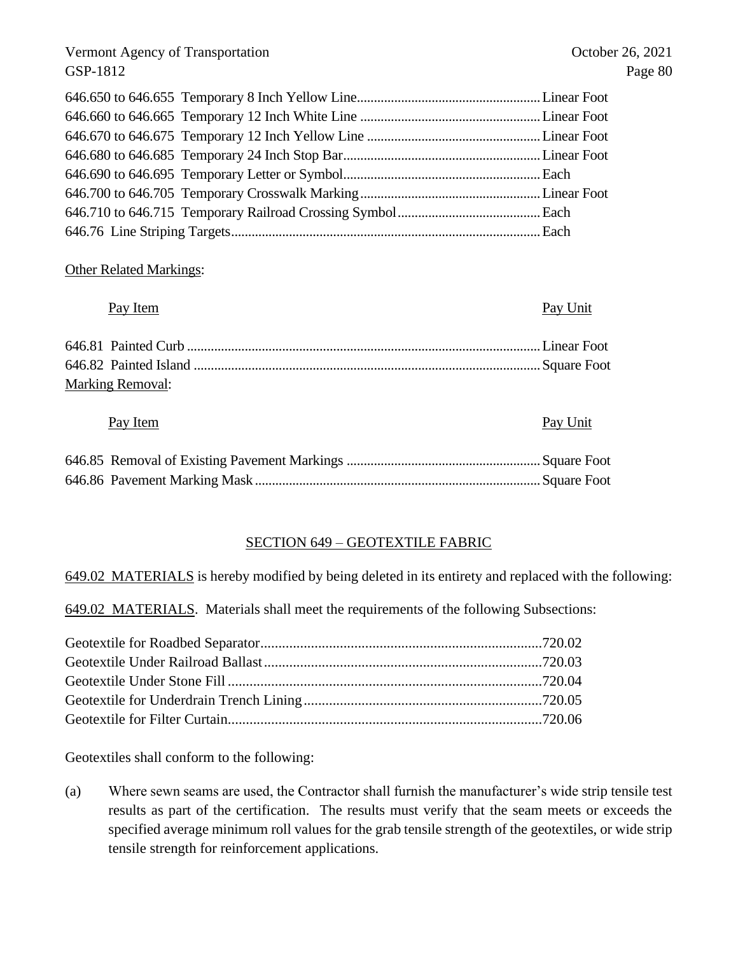## Other Related Markings:

## Pay Item Pay Unit

| <b>Marking Removal:</b> |  |
|-------------------------|--|

#### Pay Item Pay Unit

### SECTION 649 – GEOTEXTILE FABRIC

649.02 MATERIALS is hereby modified by being deleted in its entirety and replaced with the following:

649.02 MATERIALS. Materials shall meet the requirements of the following Subsections:

Geotextiles shall conform to the following:

(a) Where sewn seams are used, the Contractor shall furnish the manufacturer's wide strip tensile test results as part of the certification. The results must verify that the seam meets or exceeds the specified average minimum roll values for the grab tensile strength of the geotextiles, or wide strip tensile strength for reinforcement applications.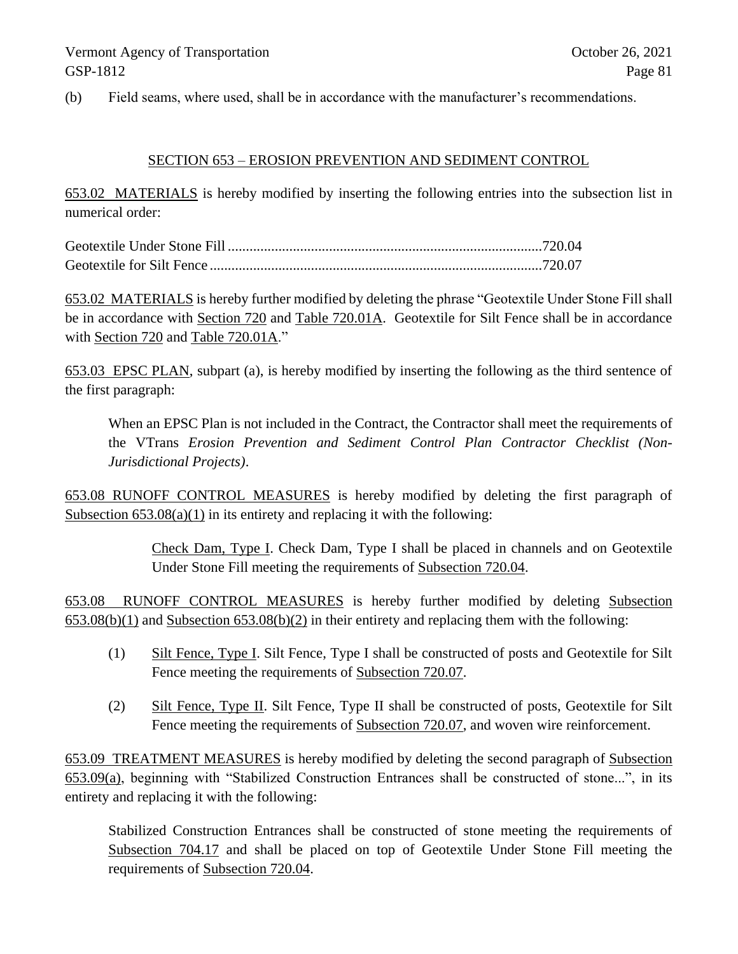(b) Field seams, where used, shall be in accordance with the manufacturer's recommendations.

## SECTION 653 – EROSION PREVENTION AND SEDIMENT CONTROL

653.02 MATERIALS is hereby modified by inserting the following entries into the subsection list in numerical order:

653.02 MATERIALS is hereby further modified by deleting the phrase "Geotextile Under Stone Fill shall be in accordance with Section 720 and Table 720.01A. Geotextile for Silt Fence shall be in accordance with Section 720 and Table 720.01A."

653.03 EPSC PLAN, subpart (a), is hereby modified by inserting the following as the third sentence of the first paragraph:

When an EPSC Plan is not included in the Contract, the Contractor shall meet the requirements of the VTrans *Erosion Prevention and Sediment Control Plan Contractor Checklist (Non-Jurisdictional Projects)*.

653.08 RUNOFF CONTROL MEASURES is hereby modified by deleting the first paragraph of Subsection  $653.08(a)(1)$  in its entirety and replacing it with the following:

> Check Dam, Type I. Check Dam, Type I shall be placed in channels and on Geotextile Under Stone Fill meeting the requirements of Subsection 720.04.

653.08 RUNOFF CONTROL MEASURES is hereby further modified by deleting Subsection 653.08(b)(1) and Subsection 653.08(b)(2) in their entirety and replacing them with the following:

- (1) Silt Fence, Type I. Silt Fence, Type I shall be constructed of posts and Geotextile for Silt Fence meeting the requirements of Subsection 720.07.
- (2) Silt Fence, Type II. Silt Fence, Type II shall be constructed of posts, Geotextile for Silt Fence meeting the requirements of Subsection 720.07, and woven wire reinforcement.

653.09 TREATMENT MEASURES is hereby modified by deleting the second paragraph of Subsection 653.09(a), beginning with "Stabilized Construction Entrances shall be constructed of stone...", in its entirety and replacing it with the following:

Stabilized Construction Entrances shall be constructed of stone meeting the requirements of Subsection 704.17 and shall be placed on top of Geotextile Under Stone Fill meeting the requirements of Subsection 720.04.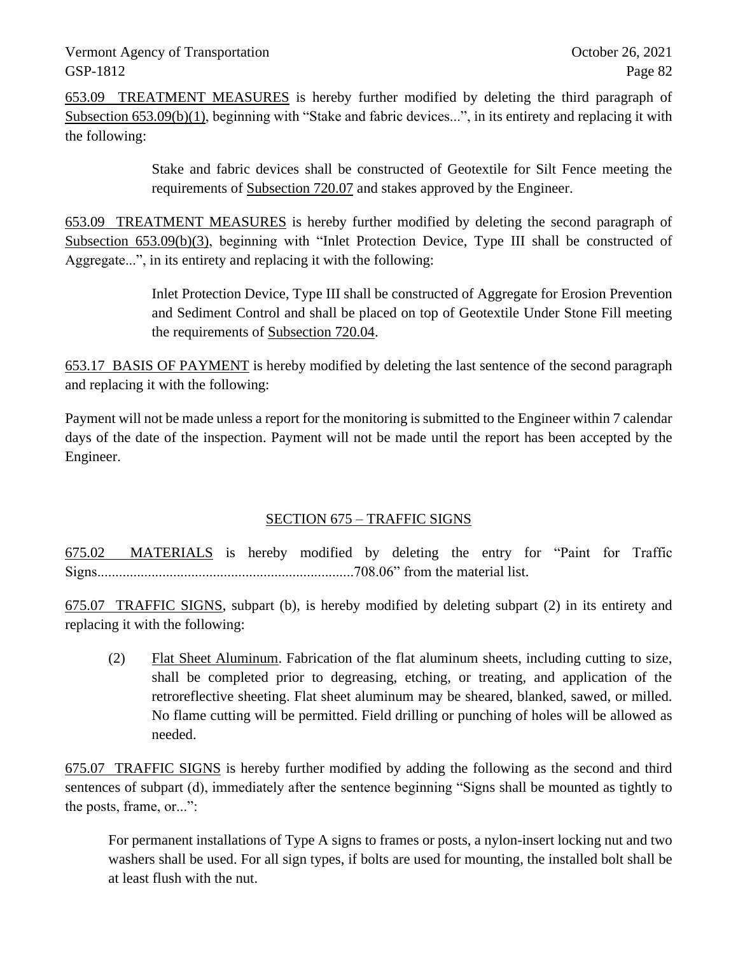653.09 TREATMENT MEASURES is hereby further modified by deleting the third paragraph of Subsection 653.09(b)(1), beginning with "Stake and fabric devices...", in its entirety and replacing it with the following:

> Stake and fabric devices shall be constructed of Geotextile for Silt Fence meeting the requirements of Subsection 720.07 and stakes approved by the Engineer.

653.09 TREATMENT MEASURES is hereby further modified by deleting the second paragraph of Subsection 653.09(b)(3), beginning with "Inlet Protection Device, Type III shall be constructed of Aggregate...", in its entirety and replacing it with the following:

> Inlet Protection Device, Type III shall be constructed of Aggregate for Erosion Prevention and Sediment Control and shall be placed on top of Geotextile Under Stone Fill meeting the requirements of Subsection 720.04.

653.17 BASIS OF PAYMENT is hereby modified by deleting the last sentence of the second paragraph and replacing it with the following:

Payment will not be made unless a report for the monitoring is submitted to the Engineer within 7 calendar days of the date of the inspection. Payment will not be made until the report has been accepted by the Engineer.

## SECTION 675 – TRAFFIC SIGNS

675.02 MATERIALS is hereby modified by deleting the entry for "Paint for Traffic Signs.......................................................................708.06" from the material list.

675.07 TRAFFIC SIGNS, subpart (b), is hereby modified by deleting subpart (2) in its entirety and replacing it with the following:

(2) Flat Sheet Aluminum. Fabrication of the flat aluminum sheets, including cutting to size, shall be completed prior to degreasing, etching, or treating, and application of the retroreflective sheeting. Flat sheet aluminum may be sheared, blanked, sawed, or milled. No flame cutting will be permitted. Field drilling or punching of holes will be allowed as needed.

675.07 TRAFFIC SIGNS is hereby further modified by adding the following as the second and third sentences of subpart (d), immediately after the sentence beginning "Signs shall be mounted as tightly to the posts, frame, or...":

For permanent installations of Type A signs to frames or posts, a nylon-insert locking nut and two washers shall be used. For all sign types, if bolts are used for mounting, the installed bolt shall be at least flush with the nut.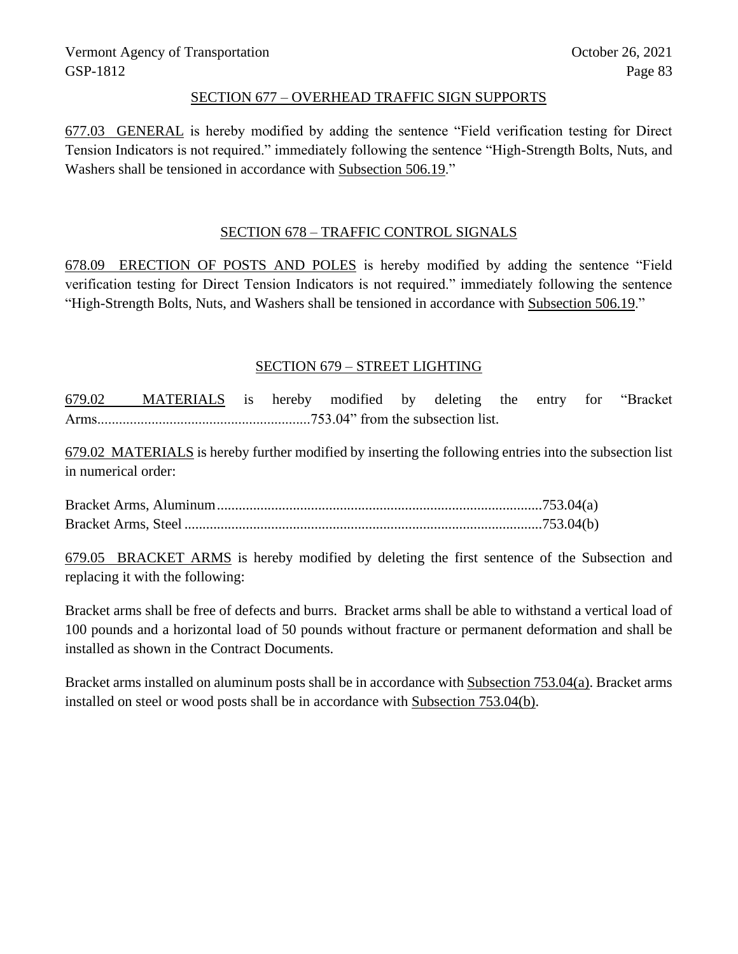#### SECTION 677 – OVERHEAD TRAFFIC SIGN SUPPORTS

677.03 GENERAL is hereby modified by adding the sentence "Field verification testing for Direct Tension Indicators is not required." immediately following the sentence "High-Strength Bolts, Nuts, and Washers shall be tensioned in accordance with Subsection 506.19."

## SECTION 678 – TRAFFIC CONTROL SIGNALS

678.09 ERECTION OF POSTS AND POLES is hereby modified by adding the sentence "Field verification testing for Direct Tension Indicators is not required." immediately following the sentence "High-Strength Bolts, Nuts, and Washers shall be tensioned in accordance with Subsection 506.19."

### SECTION 679 – STREET LIGHTING

679.02 MATERIALS is hereby modified by deleting the entry for "Bracket Arms...........................................................753.04" from the subsection list.

679.02 MATERIALS is hereby further modified by inserting the following entries into the subsection list in numerical order:

Bracket Arms, Aluminum..........................................................................................753.04(a) Bracket Arms, Steel ...................................................................................................753.04(b)

679.05 BRACKET ARMS is hereby modified by deleting the first sentence of the Subsection and replacing it with the following:

Bracket arms shall be free of defects and burrs. Bracket arms shall be able to withstand a vertical load of 100 pounds and a horizontal load of 50 pounds without fracture or permanent deformation and shall be installed as shown in the Contract Documents.

Bracket arms installed on aluminum posts shall be in accordance with Subsection 753.04(a). Bracket arms installed on steel or wood posts shall be in accordance with Subsection 753.04(b).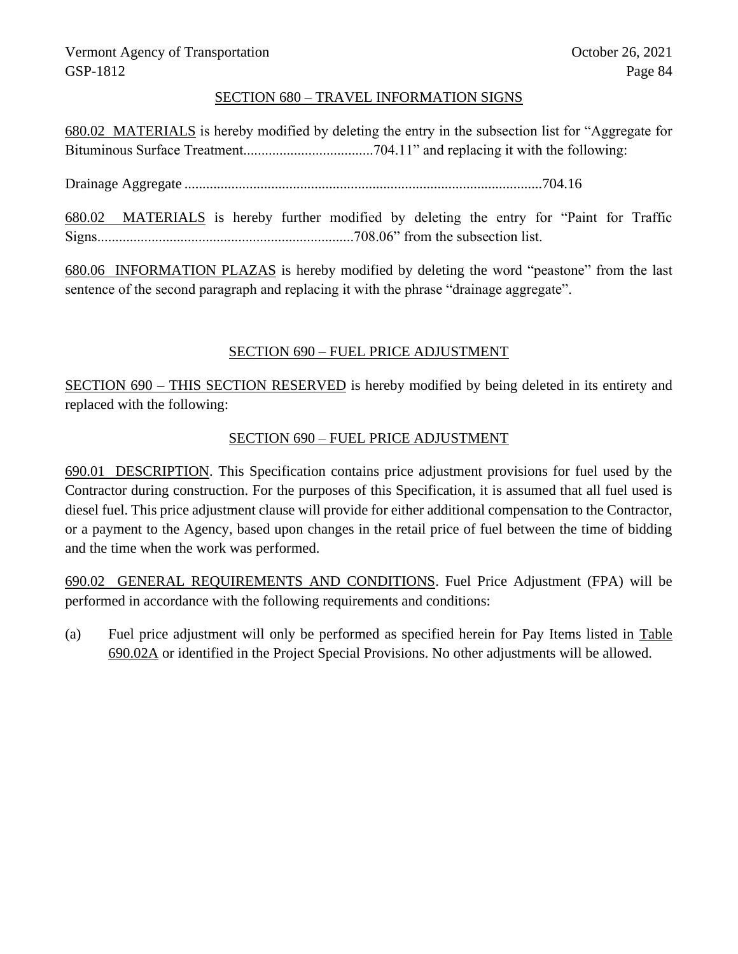### SECTION 680 – TRAVEL INFORMATION SIGNS

680.02 MATERIALS is hereby modified by deleting the entry in the subsection list for "Aggregate for Bituminous Surface Treatment....................................704.11" and replacing it with the following:

Drainage Aggregate ...................................................................................................704.16

680.02 MATERIALS is hereby further modified by deleting the entry for "Paint for Traffic Signs.......................................................................708.06" from the subsection list.

680.06 INFORMATION PLAZAS is hereby modified by deleting the word "peastone" from the last sentence of the second paragraph and replacing it with the phrase "drainage aggregate".

## SECTION 690 – FUEL PRICE ADJUSTMENT

SECTION 690 – THIS SECTION RESERVED is hereby modified by being deleted in its entirety and replaced with the following:

## SECTION 690 – FUEL PRICE ADJUSTMENT

690.01 DESCRIPTION. This Specification contains price adjustment provisions for fuel used by the Contractor during construction. For the purposes of this Specification, it is assumed that all fuel used is diesel fuel. This price adjustment clause will provide for either additional compensation to the Contractor, or a payment to the Agency, based upon changes in the retail price of fuel between the time of bidding and the time when the work was performed.

690.02 GENERAL REQUIREMENTS AND CONDITIONS. Fuel Price Adjustment (FPA) will be performed in accordance with the following requirements and conditions:

(a) Fuel price adjustment will only be performed as specified herein for Pay Items listed in Table 690.02A or identified in the Project Special Provisions. No other adjustments will be allowed.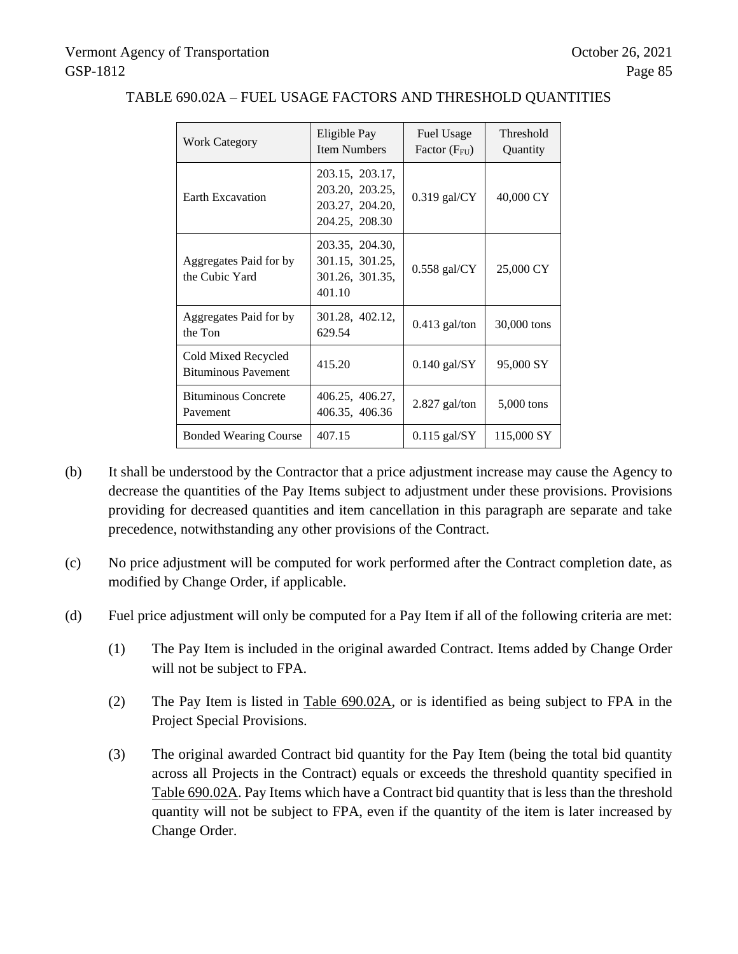| <b>Work Category</b>                              | Eligible Pay<br><b>Item Numbers</b>                                     | <b>Fuel Usage</b><br>Factor (F <sub>FU</sub> ) | Threshold<br>Quantity |
|---------------------------------------------------|-------------------------------------------------------------------------|------------------------------------------------|-----------------------|
| <b>Earth Excavation</b>                           | 203.15, 203.17,<br>203.20, 203.25,<br>203.27, 204.20,<br>204.25, 208.30 | $0.319$ gal/CY                                 | 40,000 CY             |
| Aggregates Paid for by<br>the Cubic Yard          | 203.35, 204.30,<br>301.15, 301.25,<br>301.26, 301.35,<br>401.10         | $0.558$ gal/CY                                 | 25,000 CY             |
| Aggregates Paid for by<br>the Ton                 | 301.28, 402.12,<br>629.54                                               | $0.413$ gal/ton                                | 30,000 tons           |
| Cold Mixed Recycled<br><b>Bituminous Pavement</b> | 415.20                                                                  | $0.140$ gal/SY                                 | 95,000 SY             |
| <b>Bituminous Concrete</b><br>Pavement            | 406.25, 406.27,<br>406.35, 406.36                                       | 2.827 gal/ton                                  | $5,000$ tons          |
| <b>Bonded Wearing Course</b>                      | 407.15                                                                  | $0.115$ gal/SY                                 | 115,000 SY            |

## TABLE 690.02A – FUEL USAGE FACTORS AND THRESHOLD QUANTITIES

- (b) It shall be understood by the Contractor that a price adjustment increase may cause the Agency to decrease the quantities of the Pay Items subject to adjustment under these provisions. Provisions providing for decreased quantities and item cancellation in this paragraph are separate and take precedence, notwithstanding any other provisions of the Contract.
- (c) No price adjustment will be computed for work performed after the Contract completion date, as modified by Change Order, if applicable.
- (d) Fuel price adjustment will only be computed for a Pay Item if all of the following criteria are met:
	- (1) The Pay Item is included in the original awarded Contract. Items added by Change Order will not be subject to FPA.
	- (2) The Pay Item is listed in Table 690.02A, or is identified as being subject to FPA in the Project Special Provisions.
	- (3) The original awarded Contract bid quantity for the Pay Item (being the total bid quantity across all Projects in the Contract) equals or exceeds the threshold quantity specified in Table 690.02A. Pay Items which have a Contract bid quantity that is less than the threshold quantity will not be subject to FPA, even if the quantity of the item is later increased by Change Order.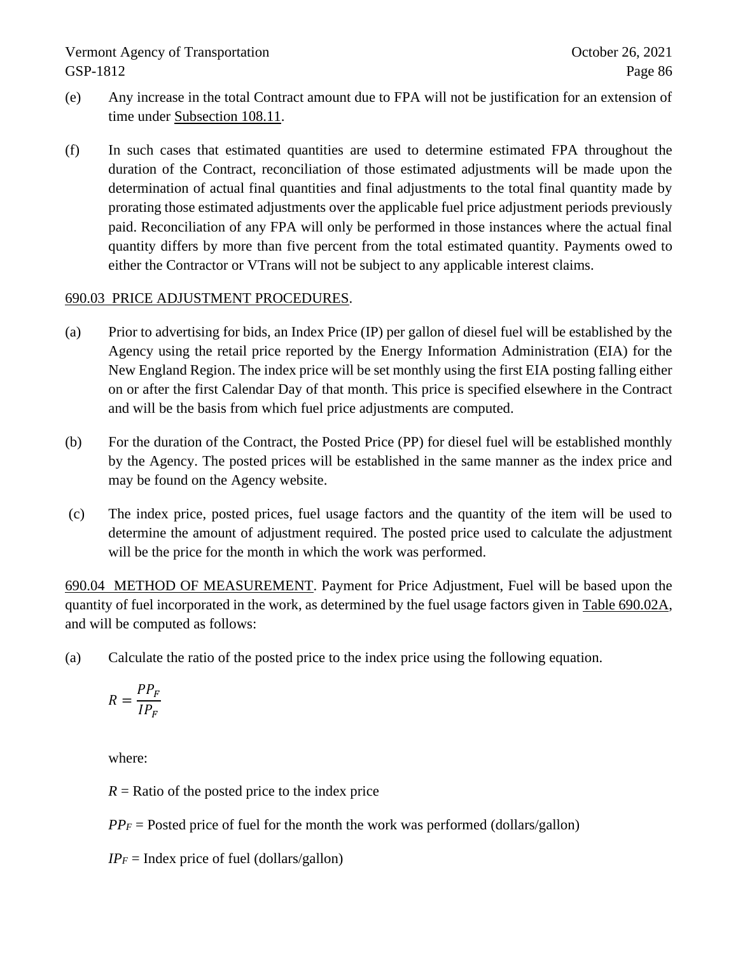- (e) Any increase in the total Contract amount due to FPA will not be justification for an extension of time under Subsection 108.11.
- (f) In such cases that estimated quantities are used to determine estimated FPA throughout the duration of the Contract, reconciliation of those estimated adjustments will be made upon the determination of actual final quantities and final adjustments to the total final quantity made by prorating those estimated adjustments over the applicable fuel price adjustment periods previously paid. Reconciliation of any FPA will only be performed in those instances where the actual final quantity differs by more than five percent from the total estimated quantity. Payments owed to either the Contractor or VTrans will not be subject to any applicable interest claims.

## 690.03 PRICE ADJUSTMENT PROCEDURES.

- (a) Prior to advertising for bids, an Index Price (IP) per gallon of diesel fuel will be established by the Agency using the retail price reported by the Energy Information Administration (EIA) for the New England Region. The index price will be set monthly using the first EIA posting falling either on or after the first Calendar Day of that month. This price is specified elsewhere in the Contract and will be the basis from which fuel price adjustments are computed.
- (b) For the duration of the Contract, the Posted Price (PP) for diesel fuel will be established monthly by the Agency. The posted prices will be established in the same manner as the index price and may be found on the Agency website.
- (c) The index price, posted prices, fuel usage factors and the quantity of the item will be used to determine the amount of adjustment required. The posted price used to calculate the adjustment will be the price for the month in which the work was performed.

690.04 METHOD OF MEASUREMENT. Payment for Price Adjustment, Fuel will be based upon the quantity of fuel incorporated in the work, as determined by the fuel usage factors given in Table 690.02A, and will be computed as follows:

(a) Calculate the ratio of the posted price to the index price using the following equation.

$$
R = \frac{PP_F}{IP_F}
$$

where:

 $R =$ Ratio of the posted price to the index price

 $PP_F$  = Posted price of fuel for the month the work was performed (dollars/gallon)

 $IP_F$  = Index price of fuel (dollars/gallon)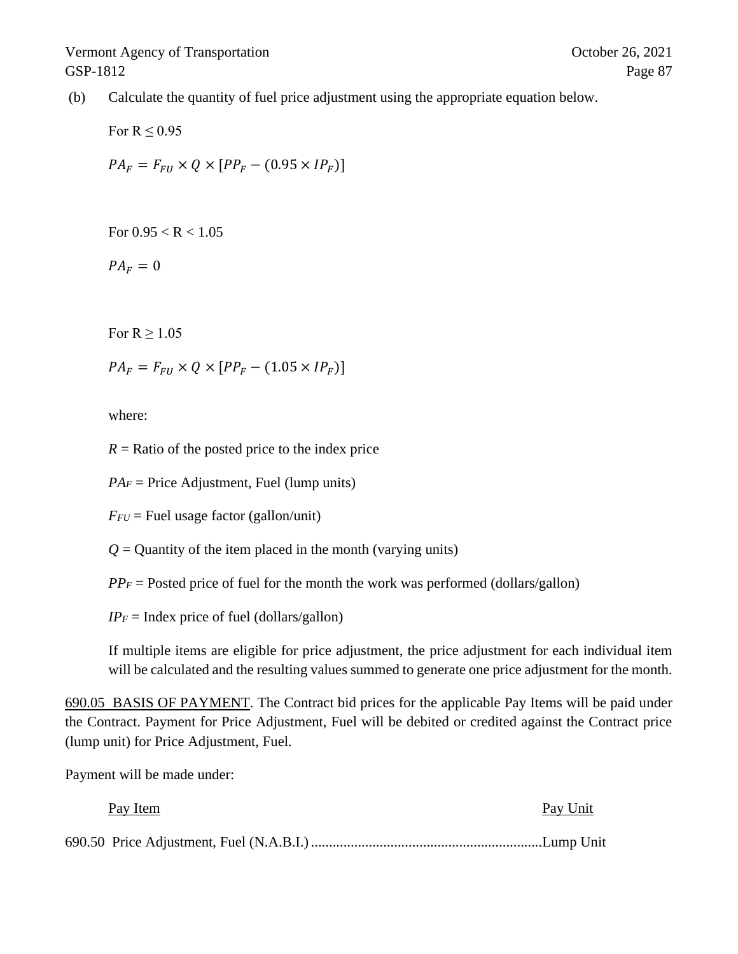(b) Calculate the quantity of fuel price adjustment using the appropriate equation below.

For  $R \leq 0.95$  $PA_F = F_{FI} \times Q \times [PP_F - (0.95 \times IP_F)]$ 

For  $0.95 < R < 1.05$ 

 $PA_F = 0$ 

For  $R > 1.05$ 

 $PA_F = F_{FI} \times Q \times [PP_F - (1.05 \times IP_F)]$ 

where:

 $R =$ Ratio of the posted price to the index price

 $PA<sub>F</sub>$  = Price Adjustment, Fuel (lump units)

 $F_{FU}$  = Fuel usage factor (gallon/unit)

 $Q =$ Quantity of the item placed in the month (varying units)

 $PP_F$  = Posted price of fuel for the month the work was performed (dollars/gallon)

 $IP_F$  = Index price of fuel (dollars/gallon)

If multiple items are eligible for price adjustment, the price adjustment for each individual item will be calculated and the resulting values summed to generate one price adjustment for the month.

690.05 BASIS OF PAYMENT. The Contract bid prices for the applicable Pay Items will be paid under the Contract. Payment for Price Adjustment, Fuel will be debited or credited against the Contract price (lump unit) for Price Adjustment, Fuel.

Payment will be made under:

| Pay Item | Pay Unit |
|----------|----------|
|          |          |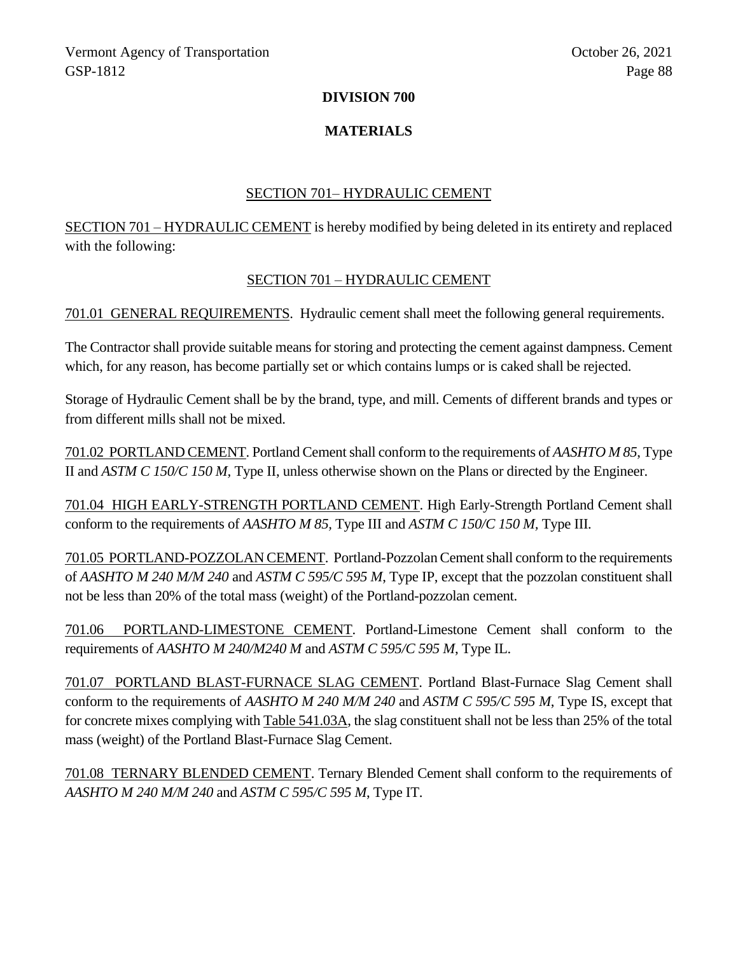#### **DIVISION 700**

### **MATERIALS**

#### SECTION 701– HYDRAULIC CEMENT

SECTION 701 – HYDRAULIC CEMENT is hereby modified by being deleted in its entirety and replaced with the following:

#### SECTION 701 – HYDRAULIC CEMENT

701.01 GENERAL REQUIREMENTS. Hydraulic cement shall meet the following general requirements.

The Contractor shall provide suitable means for storing and protecting the cement against dampness. Cement which, for any reason, has become partially set or which contains lumps or is caked shall be rejected.

Storage of Hydraulic Cement shall be by the brand, type, and mill. Cements of different brands and types or from different mills shall not be mixed.

701.02 PORTLAND CEMENT. Portland Cement shall conform to the requirements of *AASHTO M 85*, Type II and *ASTM C 150/C 150 M,* Type II, unless otherwise shown on the Plans or directed by the Engineer.

701.04 HIGH EARLY-STRENGTH PORTLAND CEMENT. High Early-Strength Portland Cement shall conform to the requirements of *AASHTO M 85,* Type III and *ASTM C 150/C 150 M,* Type III*.*

701.05 PORTLAND-POZZOLAN CEMENT. Portland-Pozzolan Cement shall conform to the requirements of *AASHTO M 240 M/M 240* and *ASTM C 595/C 595 M*, Type IP, except that the pozzolan constituent shall not be less than 20% of the total mass (weight) of the Portland-pozzolan cement.

701.06 PORTLAND-LIMESTONE CEMENT. Portland-Limestone Cement shall conform to the requirements of *AASHTO M 240/M240 M* and *ASTM C 595/C 595 M*, Type IL.

701.07 PORTLAND BLAST-FURNACE SLAG CEMENT. Portland Blast-Furnace Slag Cement shall conform to the requirements of *AASHTO M 240 M/M 240* and *ASTM C 595/C 595 M*, Type IS, except that for concrete mixes complying with Table 541.03A, the slag constituent shall not be less than 25% of the total mass (weight) of the Portland Blast-Furnace Slag Cement.

701.08 TERNARY BLENDED CEMENT. Ternary Blended Cement shall conform to the requirements of *AASHTO M 240 M/M 240* and *ASTM C 595/C 595 M*, Type IT.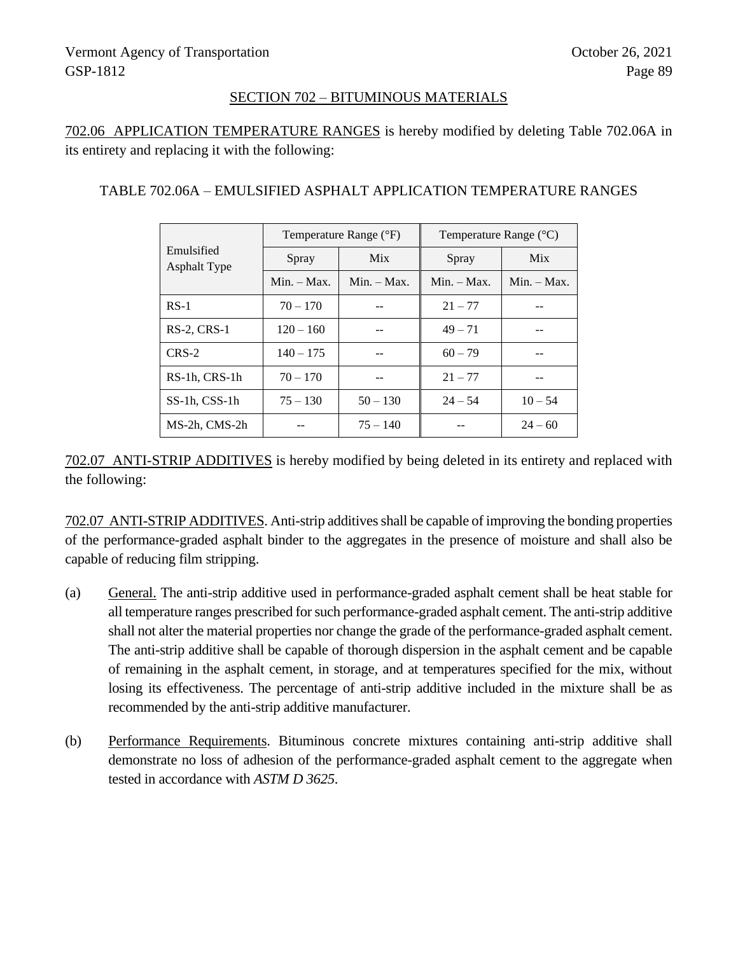#### SECTION 702 – BITUMINOUS MATERIALS

702.06 APPLICATION TEMPERATURE RANGES is hereby modified by deleting Table 702.06A in its entirety and replacing it with the following:

## TABLE 702.06A – EMULSIFIED ASPHALT APPLICATION TEMPERATURE RANGES

|                                   | Temperature Range (°F) |               | Temperature Range $({}^{\circ}C)$ |               |
|-----------------------------------|------------------------|---------------|-----------------------------------|---------------|
| Emulsified<br><b>Asphalt Type</b> | Spray                  | <b>Mix</b>    | Spray                             | <b>Mix</b>    |
|                                   | $Min. - Max.$          | $Min. - Max.$ | $Min. - Max.$                     | $Min. - Max.$ |
| $RS-1$                            | $70 - 170$             |               | $21 - 77$                         |               |
| $RS-2$ , $CRS-1$                  | $120 - 160$            |               | $49 - 71$                         |               |
| $CRS-2$                           | $140 - 175$            |               | $60 - 79$                         |               |
| RS-1h, CRS-1h                     | $70 - 170$             |               | $21 - 77$                         |               |
| SS-1h, CSS-1h                     | $75 - 130$             | $50 - 130$    | $24 - 54$                         | $10 - 54$     |
| MS-2h, CMS-2h                     |                        | $75 - 140$    |                                   | $24 - 60$     |

702.07 ANTI-STRIP ADDITIVES is hereby modified by being deleted in its entirety and replaced with the following:

702.07 ANTI-STRIP ADDITIVES. Anti-strip additives shall be capable of improving the bonding properties of the performance-graded asphalt binder to the aggregates in the presence of moisture and shall also be capable of reducing film stripping.

- (a) General. The anti-strip additive used in performance-graded asphalt cement shall be heat stable for all temperature ranges prescribed for such performance-graded asphalt cement. The anti-strip additive shall not alter the material properties nor change the grade of the performance-graded asphalt cement. The anti-strip additive shall be capable of thorough dispersion in the asphalt cement and be capable of remaining in the asphalt cement, in storage, and at temperatures specified for the mix, without losing its effectiveness. The percentage of anti-strip additive included in the mixture shall be as recommended by the anti-strip additive manufacturer.
- (b) Performance Requirements. Bituminous concrete mixtures containing anti-strip additive shall demonstrate no loss of adhesion of the performance-graded asphalt cement to the aggregate when tested in accordance with *ASTM D 3625*.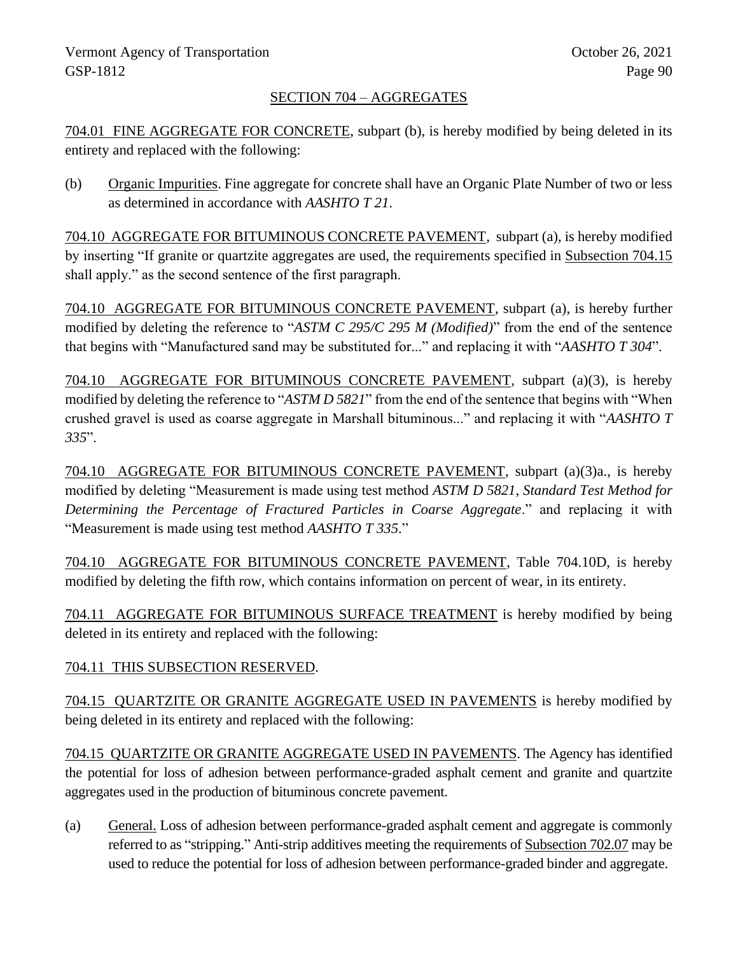## SECTION 704 – AGGREGATES

704.01 FINE AGGREGATE FOR CONCRETE, subpart (b), is hereby modified by being deleted in its entirety and replaced with the following:

(b) Organic Impurities. Fine aggregate for concrete shall have an Organic Plate Number of two or less as determined in accordance with *AASHTO T 21*.

704.10 AGGREGATE FOR BITUMINOUS CONCRETE PAVEMENT, subpart (a), is hereby modified by inserting "If granite or quartzite aggregates are used, the requirements specified in Subsection 704.15 shall apply." as the second sentence of the first paragraph.

704.10 AGGREGATE FOR BITUMINOUS CONCRETE PAVEMENT, subpart (a), is hereby further modified by deleting the reference to "*ASTM C 295/C 295 M (Modified)*" from the end of the sentence that begins with "Manufactured sand may be substituted for..." and replacing it with "*AASHTO T 304*".

704.10 AGGREGATE FOR BITUMINOUS CONCRETE PAVEMENT, subpart (a)(3), is hereby modified by deleting the reference to "*ASTM D 5821*" from the end of the sentence that begins with "When crushed gravel is used as coarse aggregate in Marshall bituminous..." and replacing it with "*AASHTO T 335*".

704.10 AGGREGATE FOR BITUMINOUS CONCRETE PAVEMENT, subpart (a)(3)a., is hereby modified by deleting "Measurement is made using test method *ASTM D 5821*, *Standard Test Method for Determining the Percentage of Fractured Particles in Coarse Aggregate*." and replacing it with "Measurement is made using test method *AASHTO T 335*."

704.10 AGGREGATE FOR BITUMINOUS CONCRETE PAVEMENT, Table 704.10D, is hereby modified by deleting the fifth row, which contains information on percent of wear, in its entirety.

704.11 AGGREGATE FOR BITUMINOUS SURFACE TREATMENT is hereby modified by being deleted in its entirety and replaced with the following:

## 704.11 THIS SUBSECTION RESERVED.

704.15 QUARTZITE OR GRANITE AGGREGATE USED IN PAVEMENTS is hereby modified by being deleted in its entirety and replaced with the following:

704.15 QUARTZITE OR GRANITE AGGREGATE USED IN PAVEMENTS. The Agency has identified the potential for loss of adhesion between performance-graded asphalt cement and granite and quartzite aggregates used in the production of bituminous concrete pavement.

(a) General. Loss of adhesion between performance-graded asphalt cement and aggregate is commonly referred to as "stripping." Anti-strip additives meeting the requirements of Subsection 702.07 may be used to reduce the potential for loss of adhesion between performance-graded binder and aggregate.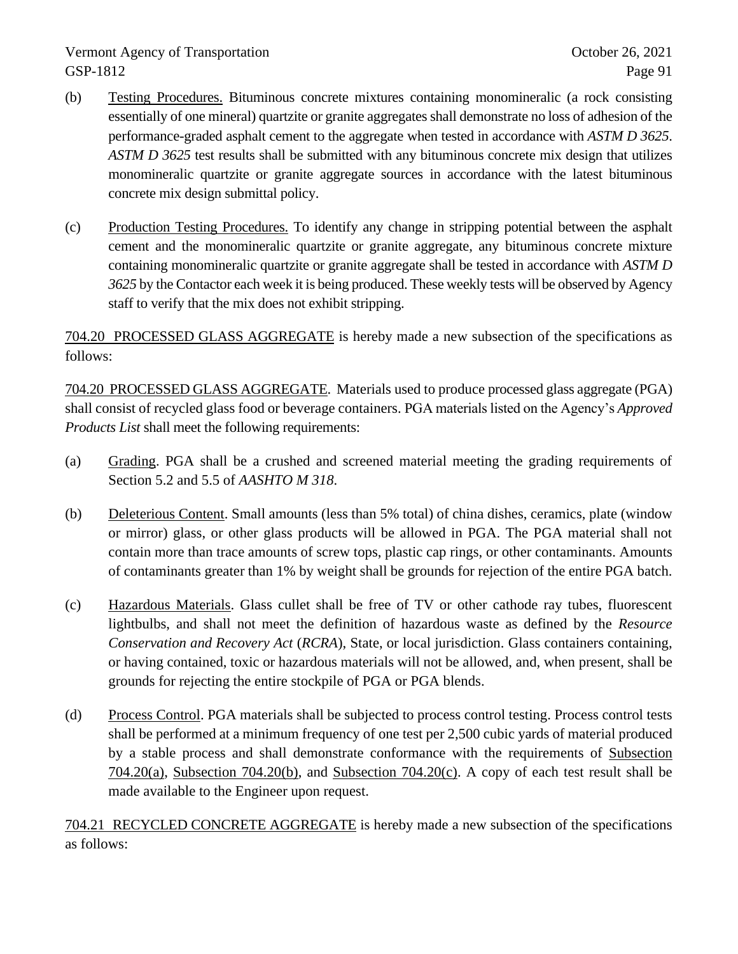- (b) Testing Procedures. Bituminous concrete mixtures containing monomineralic (a rock consisting essentially of one mineral) quartzite or granite aggregates shall demonstrate no loss of adhesion of the performance-graded asphalt cement to the aggregate when tested in accordance with *ASTM D 3625*. *ASTM D 3625* test results shall be submitted with any bituminous concrete mix design that utilizes monomineralic quartzite or granite aggregate sources in accordance with the latest bituminous concrete mix design submittal policy.
- (c) Production Testing Procedures. To identify any change in stripping potential between the asphalt cement and the monomineralic quartzite or granite aggregate, any bituminous concrete mixture containing monomineralic quartzite or granite aggregate shall be tested in accordance with *ASTM D 3625* by the Contactor each week it is being produced. These weekly tests will be observed by Agency staff to verify that the mix does not exhibit stripping.

704.20 PROCESSED GLASS AGGREGATE is hereby made a new subsection of the specifications as follows:

704.20 PROCESSED GLASS AGGREGATE. Materials used to produce processed glass aggregate (PGA) shall consist of recycled glass food or beverage containers. PGA materials listed on the Agency's *Approved Products List* shall meet the following requirements:

- (a) Grading. PGA shall be a crushed and screened material meeting the grading requirements of Section 5.2 and 5.5 of *AASHTO M 318*.
- (b) Deleterious Content. Small amounts (less than 5% total) of china dishes, ceramics, plate (window or mirror) glass, or other glass products will be allowed in PGA. The PGA material shall not contain more than trace amounts of screw tops, plastic cap rings, or other contaminants. Amounts of contaminants greater than 1% by weight shall be grounds for rejection of the entire PGA batch.
- (c) Hazardous Materials. Glass cullet shall be free of TV or other cathode ray tubes, fluorescent lightbulbs, and shall not meet the definition of hazardous waste as defined by the *Resource Conservation and Recovery Act* (*RCRA*), State, or local jurisdiction. Glass containers containing, or having contained, toxic or hazardous materials will not be allowed, and, when present, shall be grounds for rejecting the entire stockpile of PGA or PGA blends.
- (d) Process Control. PGA materials shall be subjected to process control testing. Process control tests shall be performed at a minimum frequency of one test per 2,500 cubic yards of material produced by a stable process and shall demonstrate conformance with the requirements of Subsection 704.20(a), Subsection 704.20(b), and Subsection 704.20(c). A copy of each test result shall be made available to the Engineer upon request.

704.21 RECYCLED CONCRETE AGGREGATE is hereby made a new subsection of the specifications as follows: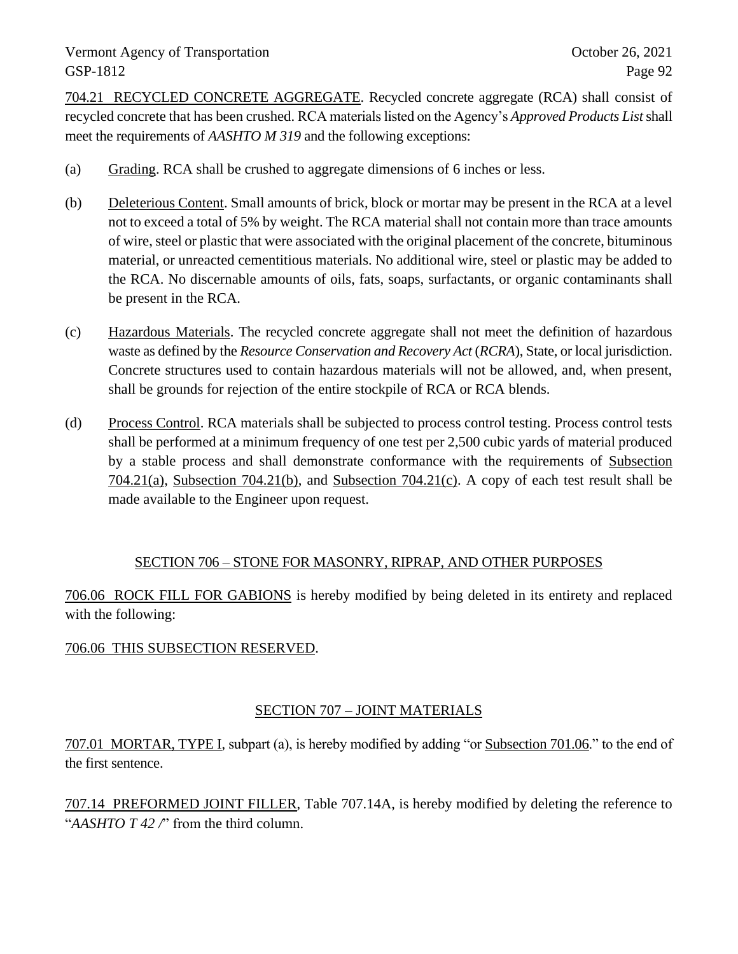704.21 RECYCLED CONCRETE AGGREGATE. Recycled concrete aggregate (RCA) shall consist of recycled concrete that has been crushed. RCA materials listed on the Agency's *Approved Products List*shall meet the requirements of *AASHTO M 319* and the following exceptions:

- (a) Grading. RCA shall be crushed to aggregate dimensions of 6 inches or less.
- (b) Deleterious Content. Small amounts of brick, block or mortar may be present in the RCA at a level not to exceed a total of 5% by weight. The RCA material shall not contain more than trace amounts of wire, steel or plastic that were associated with the original placement of the concrete, bituminous material, or unreacted cementitious materials. No additional wire, steel or plastic may be added to the RCA. No discernable amounts of oils, fats, soaps, surfactants, or organic contaminants shall be present in the RCA.
- (c) Hazardous Materials. The recycled concrete aggregate shall not meet the definition of hazardous waste as defined by the *Resource Conservation and Recovery Act* (*RCRA*), State, or local jurisdiction. Concrete structures used to contain hazardous materials will not be allowed, and, when present, shall be grounds for rejection of the entire stockpile of RCA or RCA blends.
- (d) Process Control. RCA materials shall be subjected to process control testing. Process control tests shall be performed at a minimum frequency of one test per 2,500 cubic yards of material produced by a stable process and shall demonstrate conformance with the requirements of Subsection 704.21(a), Subsection 704.21(b), and Subsection 704.21(c). A copy of each test result shall be made available to the Engineer upon request.

## SECTION 706 – STONE FOR MASONRY, RIPRAP, AND OTHER PURPOSES

706.06 ROCK FILL FOR GABIONS is hereby modified by being deleted in its entirety and replaced with the following:

## 706.06 THIS SUBSECTION RESERVED.

## SECTION 707 – JOINT MATERIALS

707.01 MORTAR, TYPE I, subpart (a), is hereby modified by adding "or Subsection 701.06." to the end of the first sentence.

707.14 PREFORMED JOINT FILLER, Table 707.14A, is hereby modified by deleting the reference to "*AASHTO T 42 /*" from the third column.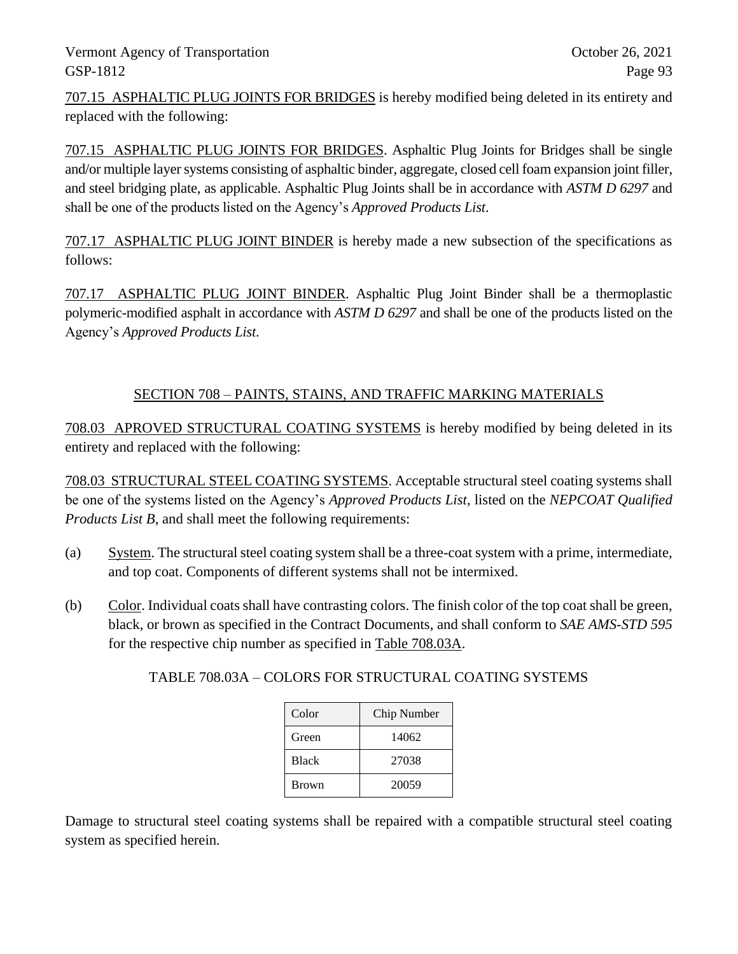707.15 ASPHALTIC PLUG JOINTS FOR BRIDGES is hereby modified being deleted in its entirety and replaced with the following:

707.15 ASPHALTIC PLUG JOINTS FOR BRIDGES. Asphaltic Plug Joints for Bridges shall be single and/or multiple layer systems consisting of asphaltic binder, aggregate, closed cell foam expansion joint filler, and steel bridging plate, as applicable. Asphaltic Plug Joints shall be in accordance with *ASTM D 6297* and shall be one of the products listed on the Agency's *Approved Products List*.

707.17 ASPHALTIC PLUG JOINT BINDER is hereby made a new subsection of the specifications as follows:

707.17 ASPHALTIC PLUG JOINT BINDER. Asphaltic Plug Joint Binder shall be a thermoplastic polymeric-modified asphalt in accordance with *ASTM D 6297* and shall be one of the products listed on the Agency's *Approved Products List*.

## SECTION 708 – PAINTS, STAINS, AND TRAFFIC MARKING MATERIALS

708.03 APROVED STRUCTURAL COATING SYSTEMS is hereby modified by being deleted in its entirety and replaced with the following:

708.03 STRUCTURAL STEEL COATING SYSTEMS. Acceptable structural steel coating systems shall be one of the systems listed on the Agency's *Approved Products List*, listed on the *NEPCOAT Qualified Products List B*, and shall meet the following requirements:

- (a) System. The structural steel coating system shall be a three-coat system with a prime, intermediate, and top coat. Components of different systems shall not be intermixed.
- (b) Color. Individual coats shall have contrasting colors. The finish color of the top coat shall be green, black, or brown as specified in the Contract Documents, and shall conform to *SAE AMS-STD 595* for the respective chip number as specified in Table 708.03A.

| Color        | Chip Number |
|--------------|-------------|
| Green        | 14062       |
| <b>Black</b> | 27038       |
| <b>Brown</b> | 20059       |

TABLE 708.03A – COLORS FOR STRUCTURAL COATING SYSTEMS

Damage to structural steel coating systems shall be repaired with a compatible structural steel coating system as specified herein.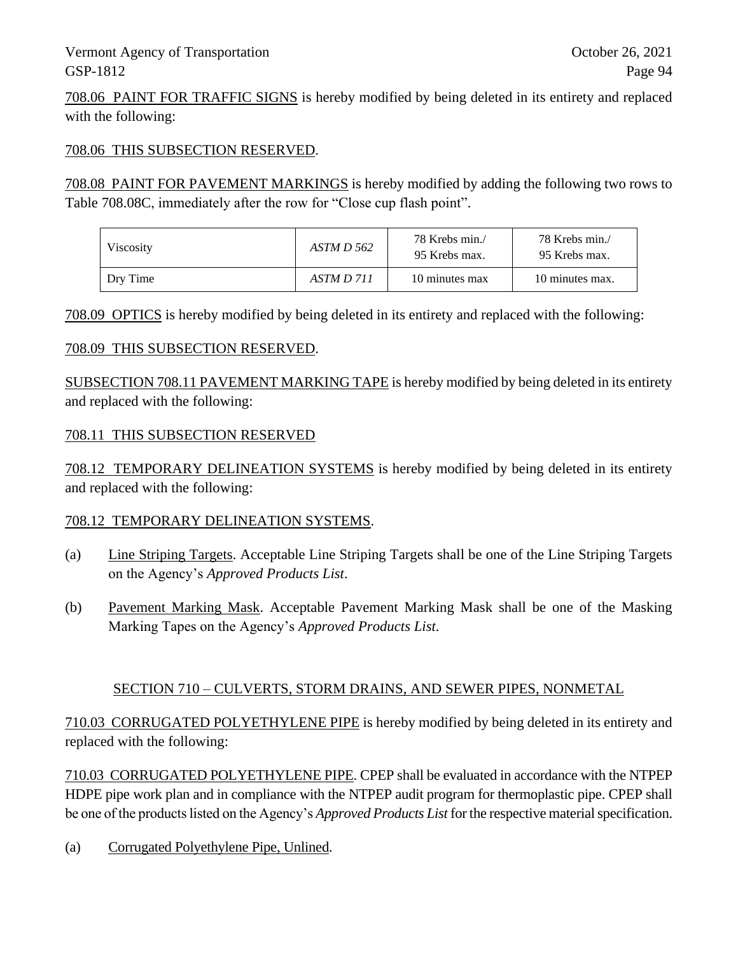708.06 PAINT FOR TRAFFIC SIGNS is hereby modified by being deleted in its entirety and replaced with the following:

## 708.06 THIS SUBSECTION RESERVED.

708.08 PAINT FOR PAVEMENT MARKINGS is hereby modified by adding the following two rows to Table 708.08C, immediately after the row for "Close cup flash point".

| Viscosity | ASTM D 562 | 78 Krebs min./<br>95 Krebs max. | 78 Krebs min./<br>95 Krebs max. |
|-----------|------------|---------------------------------|---------------------------------|
| Dry Time  | ASTM D 711 | 10 minutes max                  | 10 minutes max.                 |

708.09 OPTICS is hereby modified by being deleted in its entirety and replaced with the following:

## 708.09 THIS SUBSECTION RESERVED.

SUBSECTION 708.11 PAVEMENT MARKING TAPE is hereby modified by being deleted in its entirety and replaced with the following:

## 708.11 THIS SUBSECTION RESERVED

708.12 TEMPORARY DELINEATION SYSTEMS is hereby modified by being deleted in its entirety and replaced with the following:

### 708.12 TEMPORARY DELINEATION SYSTEMS.

- (a) Line Striping Targets. Acceptable Line Striping Targets shall be one of the Line Striping Targets on the Agency's *Approved Products List*.
- (b) Pavement Marking Mask. Acceptable Pavement Marking Mask shall be one of the Masking Marking Tapes on the Agency's *Approved Products List*.

### SECTION 710 – CULVERTS, STORM DRAINS, AND SEWER PIPES, NONMETAL

710.03 CORRUGATED POLYETHYLENE PIPE is hereby modified by being deleted in its entirety and replaced with the following:

710.03 CORRUGATED POLYETHYLENE PIPE. CPEP shall be evaluated in accordance with the NTPEP HDPE pipe work plan and in compliance with the NTPEP audit program for thermoplastic pipe. CPEP shall be one of the products listed on the Agency's *Approved Products List* for the respective material specification.

(a) Corrugated Polyethylene Pipe, Unlined.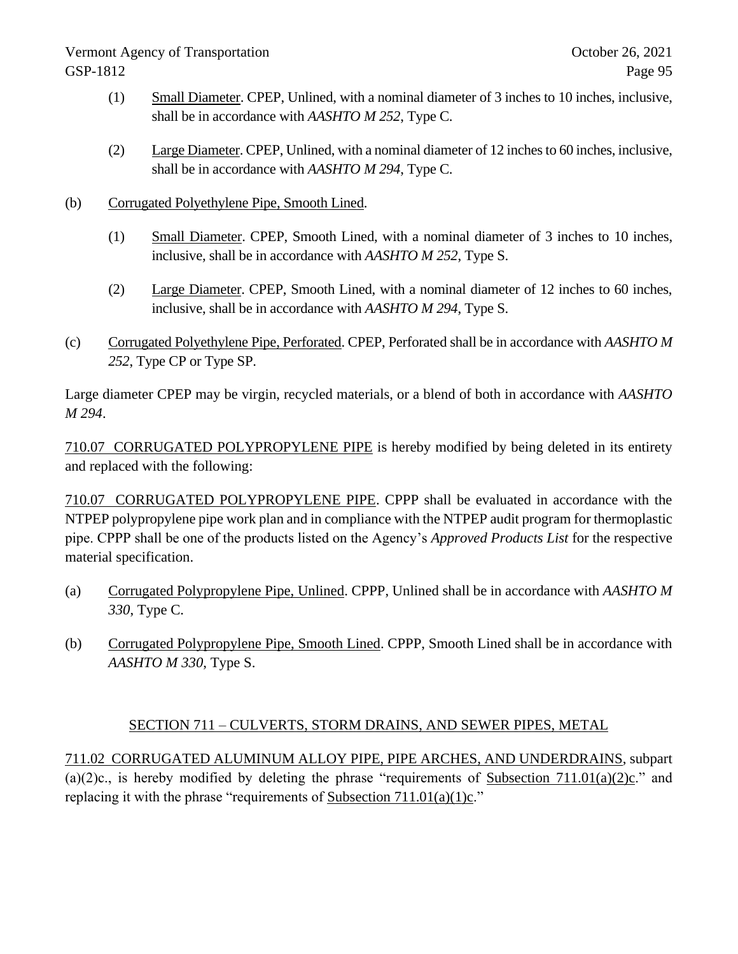- (1) Small Diameter. CPEP, Unlined, with a nominal diameter of 3 inches to 10 inches, inclusive, shall be in accordance with *AASHTO M 252*, Type C.
- (2) Large Diameter. CPEP, Unlined, with a nominal diameter of 12 inches to 60 inches, inclusive, shall be in accordance with *AASHTO M 294*, Type C.
- (b) Corrugated Polyethylene Pipe, Smooth Lined.
	- (1) Small Diameter. CPEP, Smooth Lined, with a nominal diameter of 3 inches to 10 inches, inclusive, shall be in accordance with *AASHTO M 252*, Type S.
	- (2) Large Diameter. CPEP, Smooth Lined, with a nominal diameter of 12 inches to 60 inches, inclusive, shall be in accordance with *AASHTO M 294*, Type S.
- (c) Corrugated Polyethylene Pipe, Perforated. CPEP, Perforated shall be in accordance with *AASHTO M 252*, Type CP or Type SP.

Large diameter CPEP may be virgin, recycled materials, or a blend of both in accordance with *AASHTO M 294*.

710.07 CORRUGATED POLYPROPYLENE PIPE is hereby modified by being deleted in its entirety and replaced with the following:

710.07 CORRUGATED POLYPROPYLENE PIPE. CPPP shall be evaluated in accordance with the NTPEP polypropylene pipe work plan and in compliance with the NTPEP audit program for thermoplastic pipe. CPPP shall be one of the products listed on the Agency's *Approved Products List* for the respective material specification.

- (a) Corrugated Polypropylene Pipe, Unlined. CPPP, Unlined shall be in accordance with *AASHTO M 330*, Type C.
- (b) Corrugated Polypropylene Pipe, Smooth Lined. CPPP, Smooth Lined shall be in accordance with *AASHTO M 330*, Type S.

## SECTION 711 – CULVERTS, STORM DRAINS, AND SEWER PIPES, METAL

711.02 CORRUGATED ALUMINUM ALLOY PIPE, PIPE ARCHES, AND UNDERDRAINS, subpart (a)(2)c., is hereby modified by deleting the phrase "requirements of Subsection 711.01(a)(2)c." and replacing it with the phrase "requirements of Subsection  $711.01(a)(1)c$ ."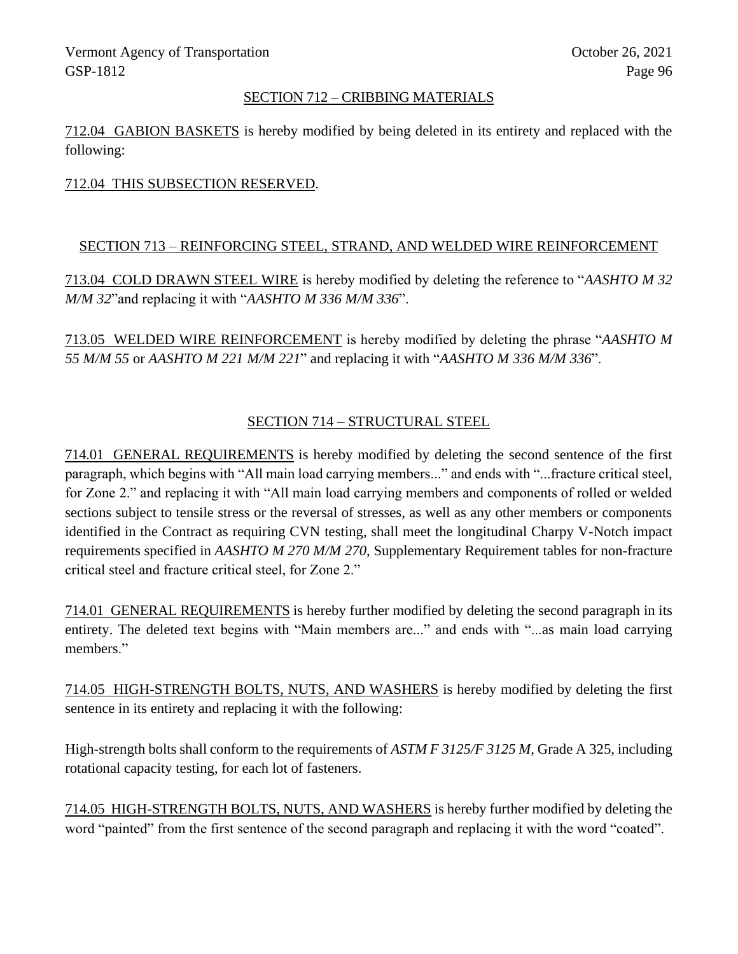### SECTION 712 – CRIBBING MATERIALS

712.04 GABION BASKETS is hereby modified by being deleted in its entirety and replaced with the following:

### 712.04 THIS SUBSECTION RESERVED.

## SECTION 713 – REINFORCING STEEL, STRAND, AND WELDED WIRE REINFORCEMENT

713.04 COLD DRAWN STEEL WIRE is hereby modified by deleting the reference to "*AASHTO M 32 M/M 32*"and replacing it with "*AASHTO M 336 M/M 336*".

713.05 WELDED WIRE REINFORCEMENT is hereby modified by deleting the phrase "*AASHTO M 55 M/M 55* or *AASHTO M 221 M/M 221*" and replacing it with "*AASHTO M 336 M/M 336*".

## SECTION 714 – STRUCTURAL STEEL

714.01 GENERAL REQUIREMENTS is hereby modified by deleting the second sentence of the first paragraph, which begins with "All main load carrying members..." and ends with "...fracture critical steel, for Zone 2." and replacing it with "All main load carrying members and components of rolled or welded sections subject to tensile stress or the reversal of stresses, as well as any other members or components identified in the Contract as requiring CVN testing, shall meet the longitudinal Charpy V-Notch impact requirements specified in *AASHTO M 270 M/M 270*, Supplementary Requirement tables for non-fracture critical steel and fracture critical steel, for Zone 2."

714.01 GENERAL REQUIREMENTS is hereby further modified by deleting the second paragraph in its entirety. The deleted text begins with "Main members are..." and ends with "...as main load carrying members."

714.05 HIGH-STRENGTH BOLTS, NUTS, AND WASHERS is hereby modified by deleting the first sentence in its entirety and replacing it with the following:

High-strength bolts shall conform to the requirements of *ASTM F 3125/F 3125 M,* Grade A 325, including rotational capacity testing, for each lot of fasteners.

714.05 HIGH-STRENGTH BOLTS, NUTS, AND WASHERS is hereby further modified by deleting the word "painted" from the first sentence of the second paragraph and replacing it with the word "coated".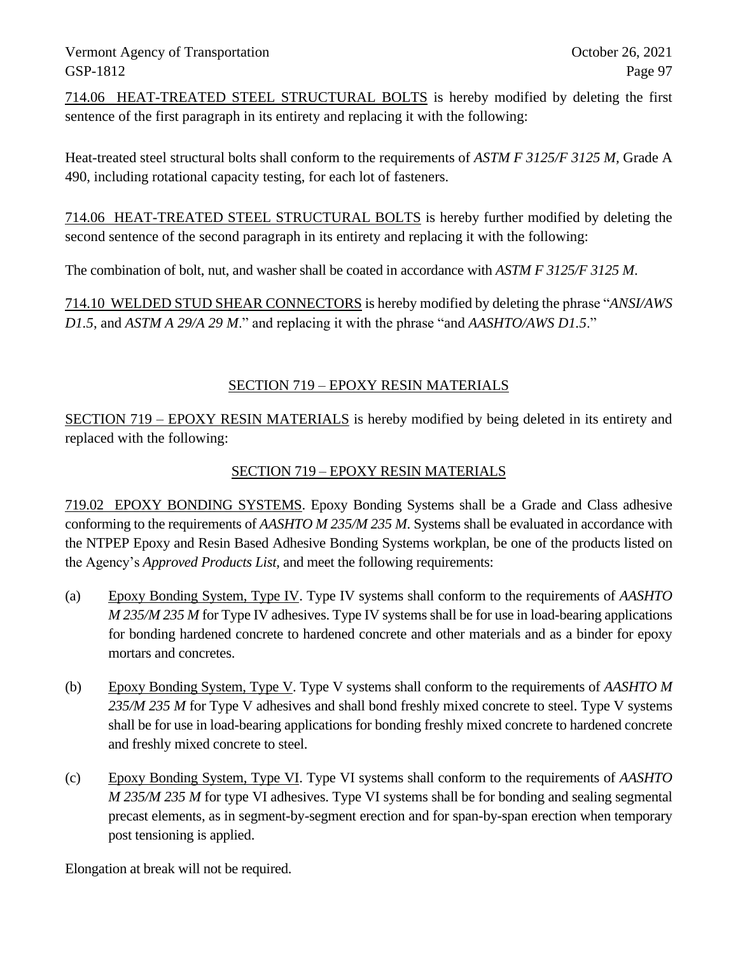714.06 HEAT-TREATED STEEL STRUCTURAL BOLTS is hereby modified by deleting the first sentence of the first paragraph in its entirety and replacing it with the following:

Heat-treated steel structural bolts shall conform to the requirements of *ASTM F 3125/F 3125 M,* Grade A 490, including rotational capacity testing, for each lot of fasteners.

714.06 HEAT-TREATED STEEL STRUCTURAL BOLTS is hereby further modified by deleting the second sentence of the second paragraph in its entirety and replacing it with the following:

The combination of bolt, nut, and washer shall be coated in accordance with *ASTM F 3125/F 3125 M*.

714.10 WELDED STUD SHEAR CONNECTORS is hereby modified by deleting the phrase "*ANSI/AWS D1.5*, and *ASTM A 29/A 29 M*." and replacing it with the phrase "and *AASHTO/AWS D1.5*."

## SECTION 719 – EPOXY RESIN MATERIALS

SECTION 719 – EPOXY RESIN MATERIALS is hereby modified by being deleted in its entirety and replaced with the following:

## SECTION 719 – EPOXY RESIN MATERIALS

719.02 EPOXY BONDING SYSTEMS. Epoxy Bonding Systems shall be a Grade and Class adhesive conforming to the requirements of *AASHTO M 235/M 235 M*. Systems shall be evaluated in accordance with the NTPEP Epoxy and Resin Based Adhesive Bonding Systems workplan, be one of the products listed on the Agency's *Approved Products List,* and meet the following requirements:

- (a) Epoxy Bonding System, Type IV. Type IV systems shall conform to the requirements of *AASHTO M 235/M 235 M* for Type IV adhesives. Type IV systems shall be for use in load-bearing applications for bonding hardened concrete to hardened concrete and other materials and as a binder for epoxy mortars and concretes.
- (b) Epoxy Bonding System, Type V. Type V systems shall conform to the requirements of *AASHTO M 235/M 235 M* for Type V adhesives and shall bond freshly mixed concrete to steel. Type V systems shall be for use in load-bearing applications for bonding freshly mixed concrete to hardened concrete and freshly mixed concrete to steel.
- (c) Epoxy Bonding System, Type VI. Type VI systems shall conform to the requirements of *AASHTO M 235/M 235 M* for type VI adhesives. Type VI systems shall be for bonding and sealing segmental precast elements, as in segment-by-segment erection and for span-by-span erection when temporary post tensioning is applied.

Elongation at break will not be required.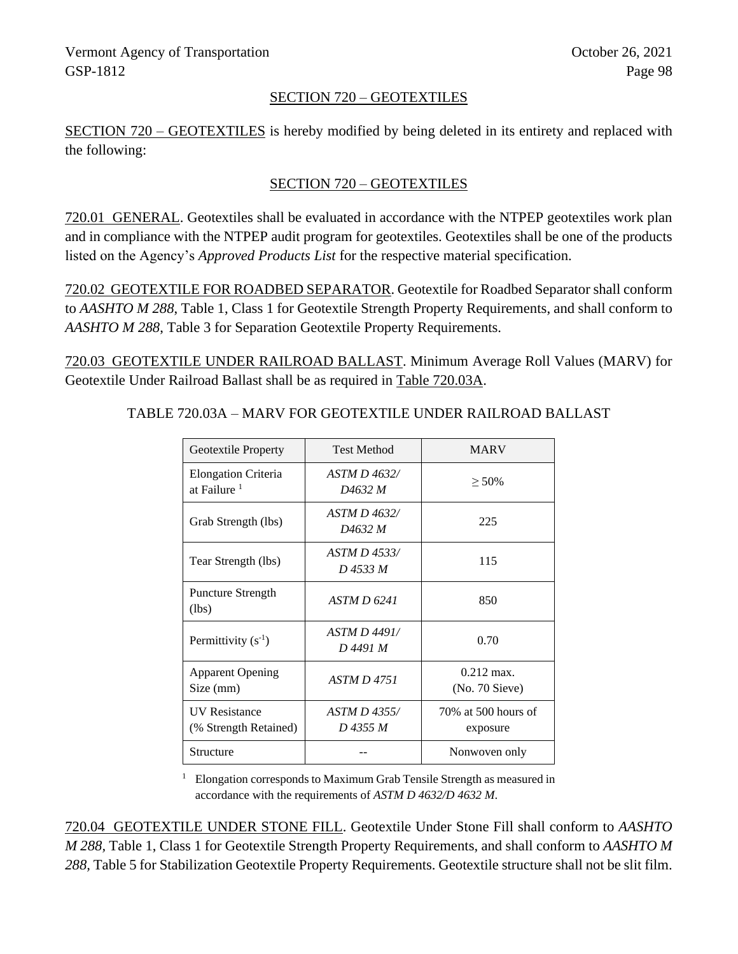## SECTION 720 – GEOTEXTILES

SECTION 720 – GEOTEXTILES is hereby modified by being deleted in its entirety and replaced with the following:

## SECTION 720 – GEOTEXTILES

720.01 GENERAL. Geotextiles shall be evaluated in accordance with the NTPEP geotextiles work plan and in compliance with the NTPEP audit program for geotextiles. Geotextiles shall be one of the products listed on the Agency's *Approved Products List* for the respective material specification.

720.02 GEOTEXTILE FOR ROADBED SEPARATOR. Geotextile for Roadbed Separator shall conform to *AASHTO M 288*, Table 1, Class 1 for Geotextile Strength Property Requirements, and shall conform to *AASHTO M 288*, Table 3 for Separation Geotextile Property Requirements.

720.03 GEOTEXTILE UNDER RAILROAD BALLAST. Minimum Average Roll Values (MARV) for Geotextile Under Railroad Ballast shall be as required in Table 720.03A.

| Geotextile Property                                   | <b>Test Method</b>                         | <b>MARV</b>                             |
|-------------------------------------------------------|--------------------------------------------|-----------------------------------------|
| <b>Elongation Criteria</b><br>at Failure <sup>1</sup> | ASTM D 4632/<br>D4632 M                    | $> 50\%$                                |
| Grab Strength (lbs)                                   | <i>ASTM D 4632/</i><br>D <sub>4632</sub> M | 225                                     |
| Tear Strength (lbs)                                   | ASTM D 4533/<br>D 4533 M                   | 115                                     |
| <b>Puncture Strength</b><br>(lbs)                     | ASTM D 6241                                | 850                                     |
| Permittivity $(s^{-1})$                               | ASTM D 4491/<br>D 4491 M                   | 0.70                                    |
| <b>Apparent Opening</b><br>Size (mm)                  | <b>ASTM D 4751</b>                         | $0.212 \text{ max}$ .<br>(No. 70 Sieve) |
| <b>UV</b> Resistance<br>(% Strength Retained)         | ASTM D 4355/<br>D 4355 M                   | 70% at 500 hours of<br>exposure         |
| Structure                                             |                                            | Nonwoven only                           |

TABLE 720.03A – MARV FOR GEOTEXTILE UNDER RAILROAD BALLAST

<sup>1</sup> Elongation corresponds to Maximum Grab Tensile Strength as measured in accordance with the requirements of *ASTM D 4632/D 4632 M*.

720.04 GEOTEXTILE UNDER STONE FILL. Geotextile Under Stone Fill shall conform to *AASHTO M 288,* Table 1, Class 1 for Geotextile Strength Property Requirements, and shall conform to *AASHTO M 288,* Table 5 for Stabilization Geotextile Property Requirements. Geotextile structure shall not be slit film.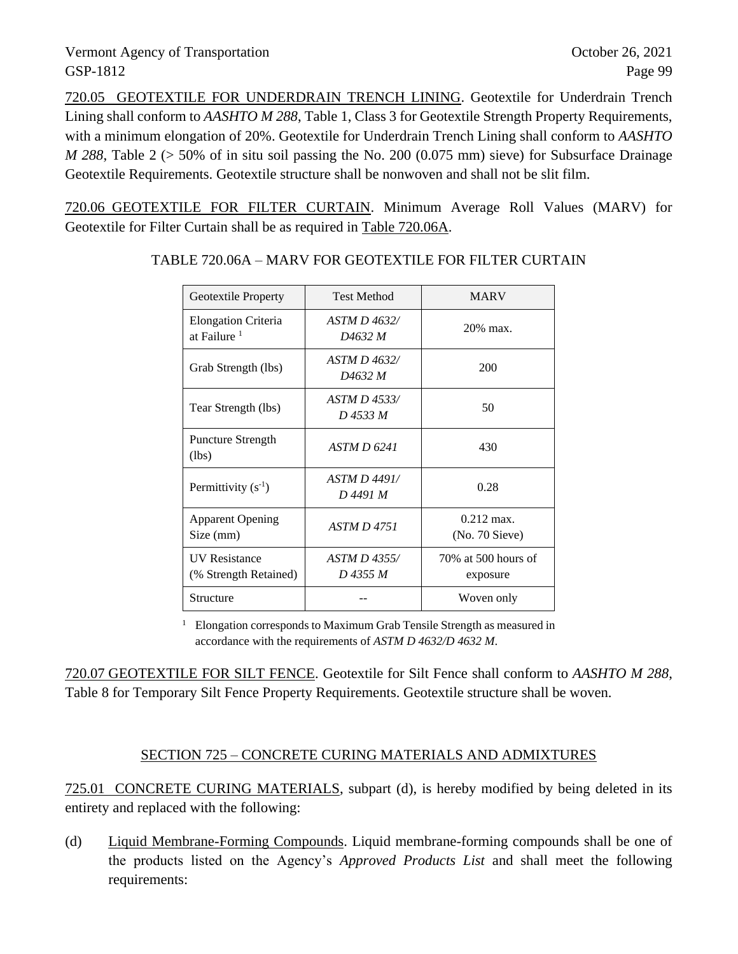720.05 GEOTEXTILE FOR UNDERDRAIN TRENCH LINING. Geotextile for Underdrain Trench Lining shall conform to *AASHTO M 288*, Table 1, Class 3 for Geotextile Strength Property Requirements, with a minimum elongation of 20%. Geotextile for Underdrain Trench Lining shall conform to *AASHTO M 288*, Table 2 (> 50% of in situ soil passing the No. 200 (0.075 mm) sieve) for Subsurface Drainage Geotextile Requirements. Geotextile structure shall be nonwoven and shall not be slit film.

720.06 GEOTEXTILE FOR FILTER CURTAIN. Minimum Average Roll Values (MARV) for Geotextile for Filter Curtain shall be as required in Table 720.06A.

| Geotextile Property                                   | <b>Test Method</b>              | <b>MARV</b>                     |
|-------------------------------------------------------|---------------------------------|---------------------------------|
| <b>Elongation Criteria</b><br>at Failure <sup>1</sup> | ASTM D 4632/<br>D4632 M         | 20% max.                        |
| Grab Strength (lbs)                                   | <i>ASTM D 4632/</i><br>D4632 M  | 200                             |
| Tear Strength (lbs)                                   | ASTM D 4533/<br>D 4533 M        | 50                              |
| Puncture Strength<br>(lbs)                            | ASTM D 6241                     | 430                             |
| Permittivity $(s^{-1})$                               | <b>ASTM D 4491/</b><br>D 4491 M | 0.28                            |
| <b>Apparent Opening</b><br>Size (mm)                  | <i>ASTM D 4751</i>              | $0.212$ max.<br>(No. 70 Sieve)  |
| <b>UV</b> Resistance<br>(% Strength Retained)         | ASTM D 4355/<br>D 4355 M        | 70% at 500 hours of<br>exposure |
| Structure                                             |                                 | Woven only                      |

TABLE 720.06A – MARV FOR GEOTEXTILE FOR FILTER CURTAIN

<sup>1</sup> Elongation corresponds to Maximum Grab Tensile Strength as measured in accordance with the requirements of *ASTM D 4632/D 4632 M*.

720.07 GEOTEXTILE FOR SILT FENCE. Geotextile for Silt Fence shall conform to *AASHTO M 288*, Table 8 for Temporary Silt Fence Property Requirements. Geotextile structure shall be woven.

## SECTION 725 – CONCRETE CURING MATERIALS AND ADMIXTURES

725.01 CONCRETE CURING MATERIALS, subpart (d), is hereby modified by being deleted in its entirety and replaced with the following:

(d) Liquid Membrane-Forming Compounds. Liquid membrane-forming compounds shall be one of the products listed on the Agency's *Approved Products List* and shall meet the following requirements: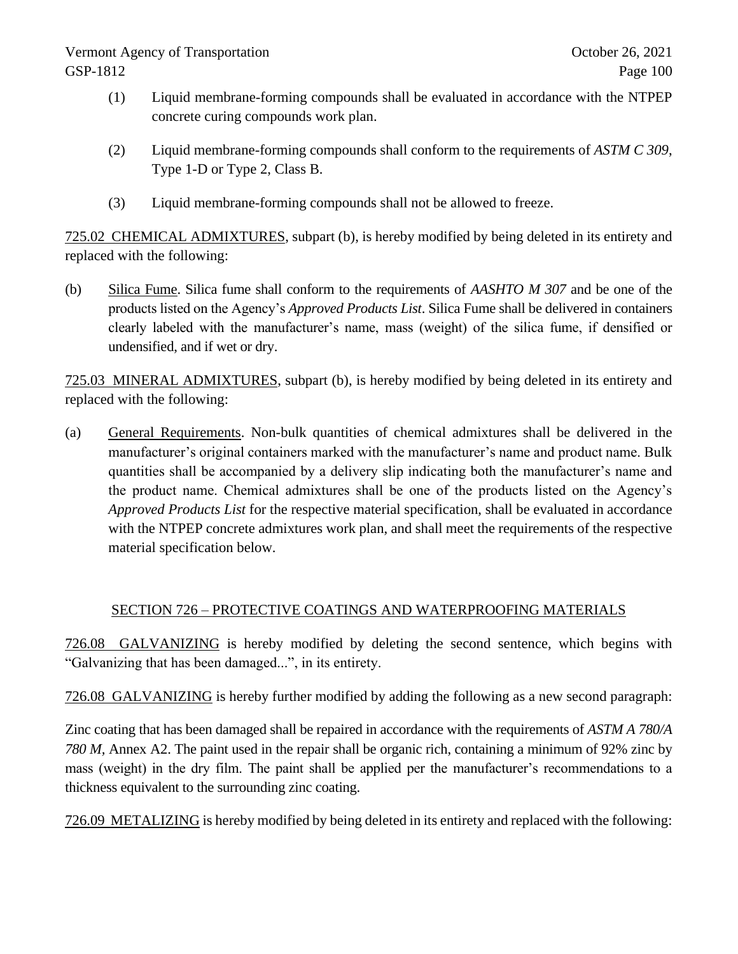- (1) Liquid membrane-forming compounds shall be evaluated in accordance with the NTPEP concrete curing compounds work plan.
- (2) Liquid membrane-forming compounds shall conform to the requirements of *ASTM C 309*, Type 1-D or Type 2, Class B.
- (3) Liquid membrane-forming compounds shall not be allowed to freeze.

725.02 CHEMICAL ADMIXTURES, subpart (b), is hereby modified by being deleted in its entirety and replaced with the following:

(b) Silica Fume. Silica fume shall conform to the requirements of *AASHTO M 307* and be one of the products listed on the Agency's *Approved Products List*. Silica Fume shall be delivered in containers clearly labeled with the manufacturer's name, mass (weight) of the silica fume, if densified or undensified, and if wet or dry.

725.03 MINERAL ADMIXTURES, subpart (b), is hereby modified by being deleted in its entirety and replaced with the following:

(a) General Requirements. Non-bulk quantities of chemical admixtures shall be delivered in the manufacturer's original containers marked with the manufacturer's name and product name. Bulk quantities shall be accompanied by a delivery slip indicating both the manufacturer's name and the product name. Chemical admixtures shall be one of the products listed on the Agency's *Approved Products List* for the respective material specification, shall be evaluated in accordance with the NTPEP concrete admixtures work plan, and shall meet the requirements of the respective material specification below.

## SECTION 726 – PROTECTIVE COATINGS AND WATERPROOFING MATERIALS

726.08 GALVANIZING is hereby modified by deleting the second sentence, which begins with "Galvanizing that has been damaged...", in its entirety.

726.08 GALVANIZING is hereby further modified by adding the following as a new second paragraph:

Zinc coating that has been damaged shall be repaired in accordance with the requirements of *ASTM A 780/A 780 M,* Annex A2. The paint used in the repair shall be organic rich, containing a minimum of 92% zinc by mass (weight) in the dry film. The paint shall be applied per the manufacturer's recommendations to a thickness equivalent to the surrounding zinc coating.

726.09 METALIZING is hereby modified by being deleted in its entirety and replaced with the following: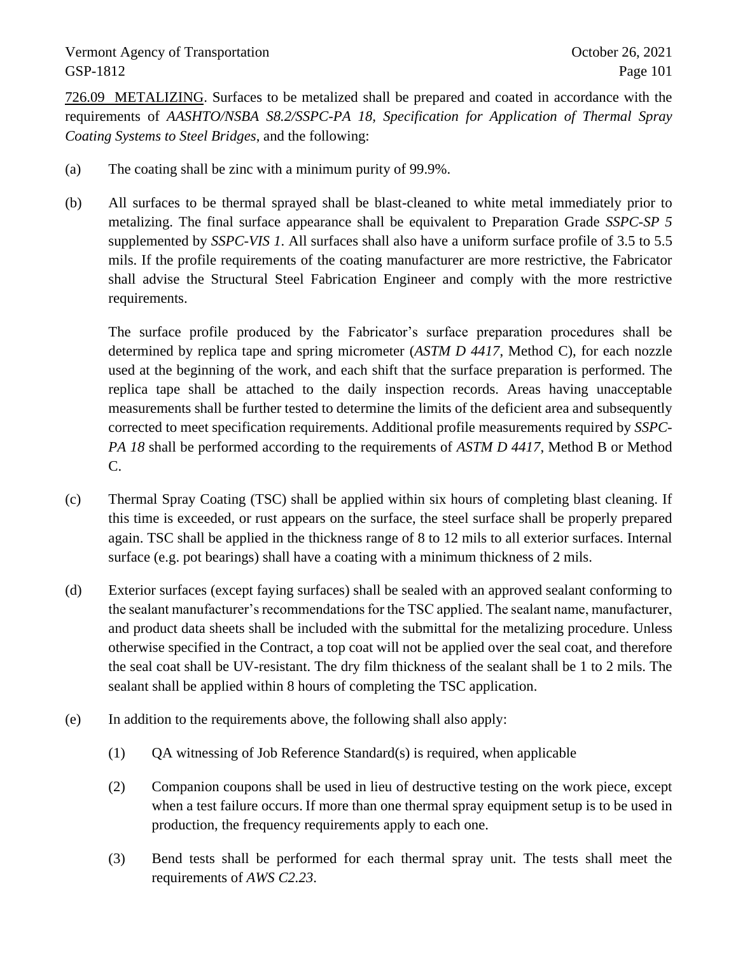726.09 METALIZING. Surfaces to be metalized shall be prepared and coated in accordance with the requirements of *AASHTO/NSBA S8.2/SSPC-PA 18, Specification for Application of Thermal Spray Coating Systems to Steel Bridges*, and the following:

- (a) The coating shall be zinc with a minimum purity of 99.9%.
- (b) All surfaces to be thermal sprayed shall be blast-cleaned to white metal immediately prior to metalizing. The final surface appearance shall be equivalent to Preparation Grade *SSPC-SP 5* supplemented by *SSPC-VIS 1*. All surfaces shall also have a uniform surface profile of 3.5 to 5.5 mils. If the profile requirements of the coating manufacturer are more restrictive, the Fabricator shall advise the Structural Steel Fabrication Engineer and comply with the more restrictive requirements.

The surface profile produced by the Fabricator's surface preparation procedures shall be determined by replica tape and spring micrometer (*ASTM D 4417*, Method C), for each nozzle used at the beginning of the work, and each shift that the surface preparation is performed. The replica tape shall be attached to the daily inspection records. Areas having unacceptable measurements shall be further tested to determine the limits of the deficient area and subsequently corrected to meet specification requirements. Additional profile measurements required by *SSPC-PA 18* shall be performed according to the requirements of *ASTM D 4417*, Method B or Method C.

- (c) Thermal Spray Coating (TSC) shall be applied within six hours of completing blast cleaning. If this time is exceeded, or rust appears on the surface, the steel surface shall be properly prepared again. TSC shall be applied in the thickness range of 8 to 12 mils to all exterior surfaces. Internal surface (e.g. pot bearings) shall have a coating with a minimum thickness of 2 mils.
- (d) Exterior surfaces (except faying surfaces) shall be sealed with an approved sealant conforming to the sealant manufacturer's recommendations for the TSC applied. The sealant name, manufacturer, and product data sheets shall be included with the submittal for the metalizing procedure. Unless otherwise specified in the Contract, a top coat will not be applied over the seal coat, and therefore the seal coat shall be UV-resistant. The dry film thickness of the sealant shall be 1 to 2 mils. The sealant shall be applied within 8 hours of completing the TSC application.
- (e) In addition to the requirements above, the following shall also apply:
	- (1) QA witnessing of Job Reference Standard(s) is required, when applicable
	- (2) Companion coupons shall be used in lieu of destructive testing on the work piece, except when a test failure occurs. If more than one thermal spray equipment setup is to be used in production, the frequency requirements apply to each one.
	- (3) Bend tests shall be performed for each thermal spray unit. The tests shall meet the requirements of *AWS C2.23*.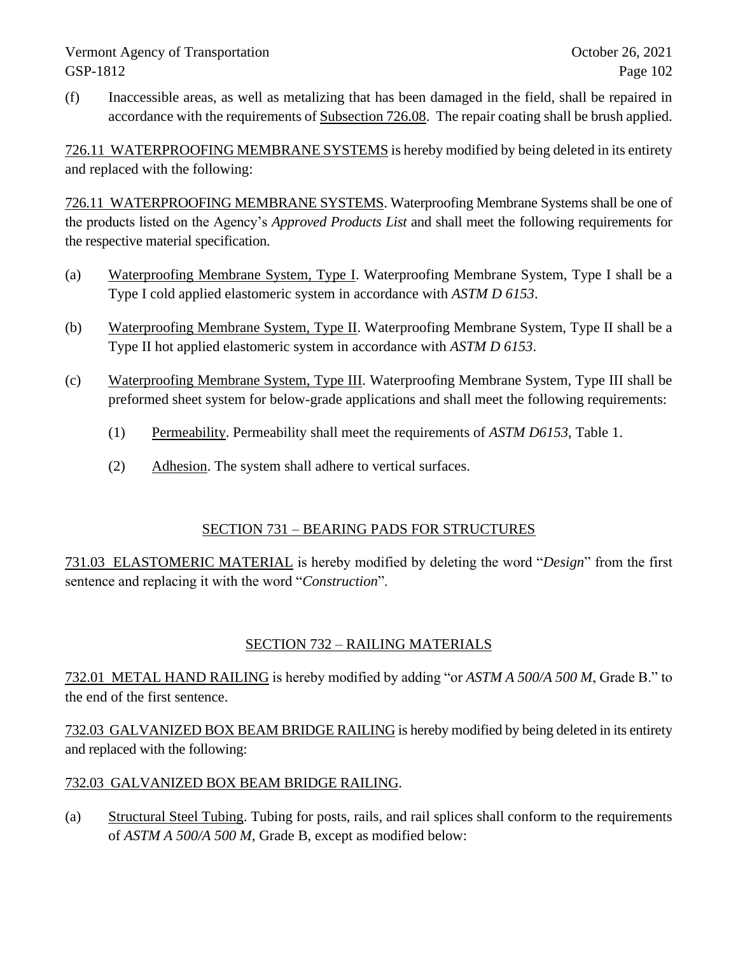(f) Inaccessible areas, as well as metalizing that has been damaged in the field, shall be repaired in accordance with the requirements of Subsection 726.08. The repair coating shall be brush applied.

726.11 WATERPROOFING MEMBRANE SYSTEMS is hereby modified by being deleted in its entirety and replaced with the following:

726.11 WATERPROOFING MEMBRANE SYSTEMS. Waterproofing Membrane Systems shall be one of the products listed on the Agency's *Approved Products List* and shall meet the following requirements for the respective material specification.

- (a) Waterproofing Membrane System, Type I. Waterproofing Membrane System, Type I shall be a Type I cold applied elastomeric system in accordance with *ASTM D 6153*.
- (b) Waterproofing Membrane System, Type II. Waterproofing Membrane System, Type II shall be a Type II hot applied elastomeric system in accordance with *ASTM D 6153*.
- (c) Waterproofing Membrane System, Type III. Waterproofing Membrane System, Type III shall be preformed sheet system for below-grade applications and shall meet the following requirements:
	- (1) Permeability. Permeability shall meet the requirements of *ASTM D6153*, Table 1.
	- (2) Adhesion. The system shall adhere to vertical surfaces.

## SECTION 731 – BEARING PADS FOR STRUCTURES

731.03 ELASTOMERIC MATERIAL is hereby modified by deleting the word "*Design*" from the first sentence and replacing it with the word "*Construction*".

## SECTION 732 – RAILING MATERIALS

732.01 METAL HAND RAILING is hereby modified by adding "or *ASTM A 500/A 500 M*, Grade B." to the end of the first sentence.

732.03 GALVANIZED BOX BEAM BRIDGE RAILING is hereby modified by being deleted in its entirety and replaced with the following:

## 732.03 GALVANIZED BOX BEAM BRIDGE RAILING.

(a) Structural Steel Tubing. Tubing for posts, rails, and rail splices shall conform to the requirements of *ASTM A 500/A 500 M,* Grade B, except as modified below: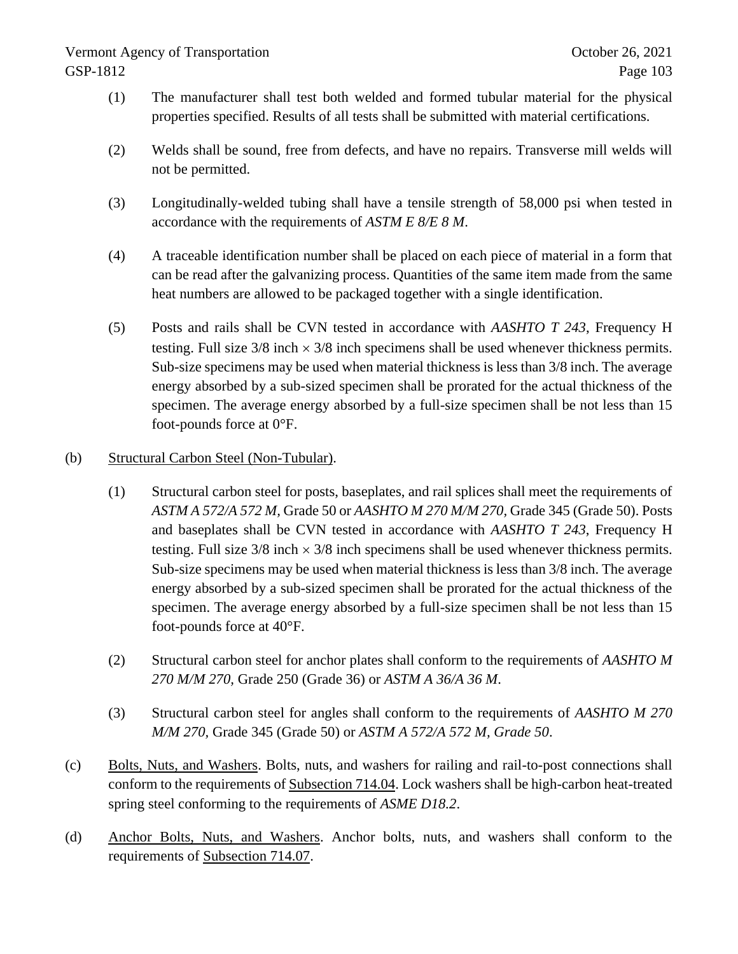- (1) The manufacturer shall test both welded and formed tubular material for the physical properties specified. Results of all tests shall be submitted with material certifications.
- (2) Welds shall be sound, free from defects, and have no repairs. Transverse mill welds will not be permitted.
- (3) Longitudinally-welded tubing shall have a tensile strength of 58,000 psi when tested in accordance with the requirements of *ASTM E 8/E 8 M*.
- (4) A traceable identification number shall be placed on each piece of material in a form that can be read after the galvanizing process. Quantities of the same item made from the same heat numbers are allowed to be packaged together with a single identification.
- (5) Posts and rails shall be CVN tested in accordance with *AASHTO T 243*, Frequency H testing. Full size  $3/8$  inch  $\times$   $3/8$  inch specimens shall be used whenever thickness permits. Sub-size specimens may be used when material thickness is less than 3/8 inch. The average energy absorbed by a sub-sized specimen shall be prorated for the actual thickness of the specimen. The average energy absorbed by a full-size specimen shall be not less than 15 foot-pounds force at 0°F.

## (b) Structural Carbon Steel (Non-Tubular).

- (1) Structural carbon steel for posts, baseplates, and rail splices shall meet the requirements of *ASTM A 572/A 572 M,* Grade 50 or *AASHTO M 270 M/M 270,* Grade 345 (Grade 50). Posts and baseplates shall be CVN tested in accordance with *AASHTO T 243*, Frequency H testing. Full size  $3/8$  inch  $\times$   $3/8$  inch specimens shall be used whenever thickness permits. Sub-size specimens may be used when material thickness is less than 3/8 inch. The average energy absorbed by a sub-sized specimen shall be prorated for the actual thickness of the specimen. The average energy absorbed by a full-size specimen shall be not less than 15 foot-pounds force at 40°F.
- (2) Structural carbon steel for anchor plates shall conform to the requirements of *AASHTO M 270 M/M 270,* Grade 250 (Grade 36) or *ASTM A 36/A 36 M*.
- (3) Structural carbon steel for angles shall conform to the requirements of *AASHTO M 270 M/M 270,* Grade 345 (Grade 50) or *ASTM A 572/A 572 M, Grade 50*.
- (c) Bolts, Nuts, and Washers. Bolts, nuts, and washers for railing and rail-to-post connections shall conform to the requirements of Subsection 714.04. Lock washers shall be high-carbon heat-treated spring steel conforming to the requirements of *ASME D18.2*.
- (d) Anchor Bolts, Nuts, and Washers. Anchor bolts, nuts, and washers shall conform to the requirements of Subsection 714.07.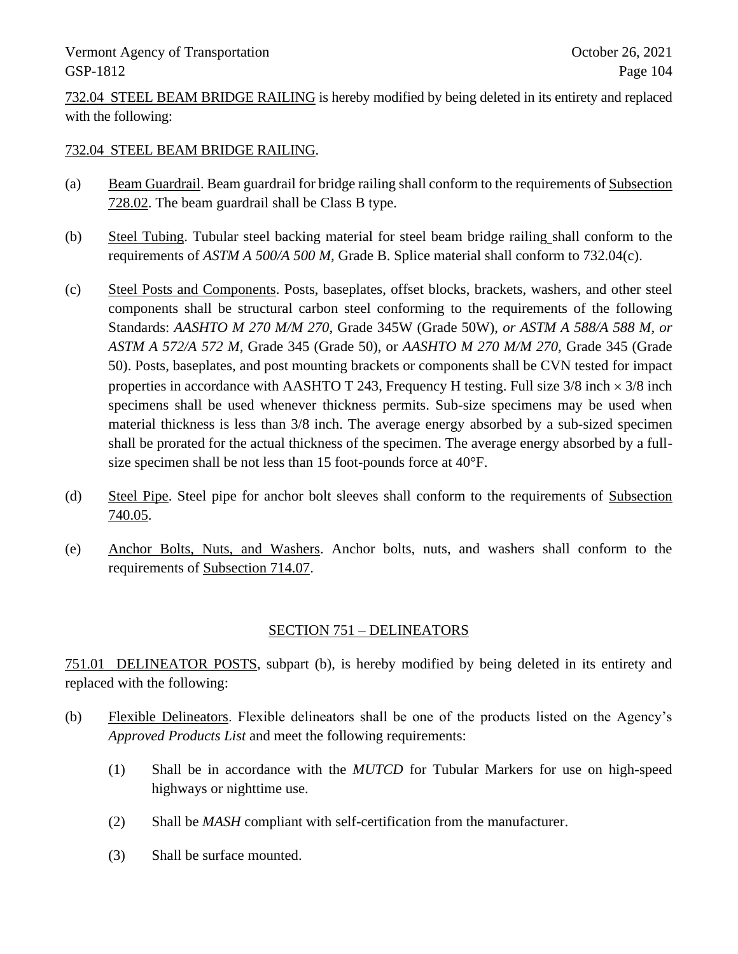732.04 STEEL BEAM BRIDGE RAILING is hereby modified by being deleted in its entirety and replaced with the following:

## 732.04 STEEL BEAM BRIDGE RAILING.

- (a) Beam Guardrail. Beam guardrail for bridge railing shall conform to the requirements of Subsection 728.02. The beam guardrail shall be Class B type.
- (b) Steel Tubing. Tubular steel backing material for steel beam bridge railing shall conform to the requirements of *ASTM A 500/A 500 M,* Grade B. Splice material shall conform to 732.04(c).
- (c) Steel Posts and Components. Posts, baseplates, offset blocks, brackets, washers, and other steel components shall be structural carbon steel conforming to the requirements of the following Standards: *AASHTO M 270 M/M 270,* Grade 345W (Grade 50W), *or ASTM A 588/A 588 M, or ASTM A 572/A 572 M,* Grade 345 (Grade 50), or *AASHTO M 270 M/M 270,* Grade 345 (Grade 50). Posts, baseplates, and post mounting brackets or components shall be CVN tested for impact properties in accordance with AASHTO T 243, Frequency H testing. Full size  $3/8$  inch  $\times$   $3/8$  inch specimens shall be used whenever thickness permits. Sub-size specimens may be used when material thickness is less than 3/8 inch. The average energy absorbed by a sub-sized specimen shall be prorated for the actual thickness of the specimen. The average energy absorbed by a fullsize specimen shall be not less than 15 foot-pounds force at 40°F.
- (d) Steel Pipe. Steel pipe for anchor bolt sleeves shall conform to the requirements of Subsection 740.05.
- (e) Anchor Bolts, Nuts, and Washers. Anchor bolts, nuts, and washers shall conform to the requirements of Subsection 714.07.

## SECTION 751 – DELINEATORS

751.01 DELINEATOR POSTS, subpart (b), is hereby modified by being deleted in its entirety and replaced with the following:

- (b) Flexible Delineators. Flexible delineators shall be one of the products listed on the Agency's *Approved Products List* and meet the following requirements:
	- (1) Shall be in accordance with the *MUTCD* for Tubular Markers for use on high-speed highways or nighttime use.
	- (2) Shall be *MASH* compliant with self-certification from the manufacturer.
	- (3) Shall be surface mounted.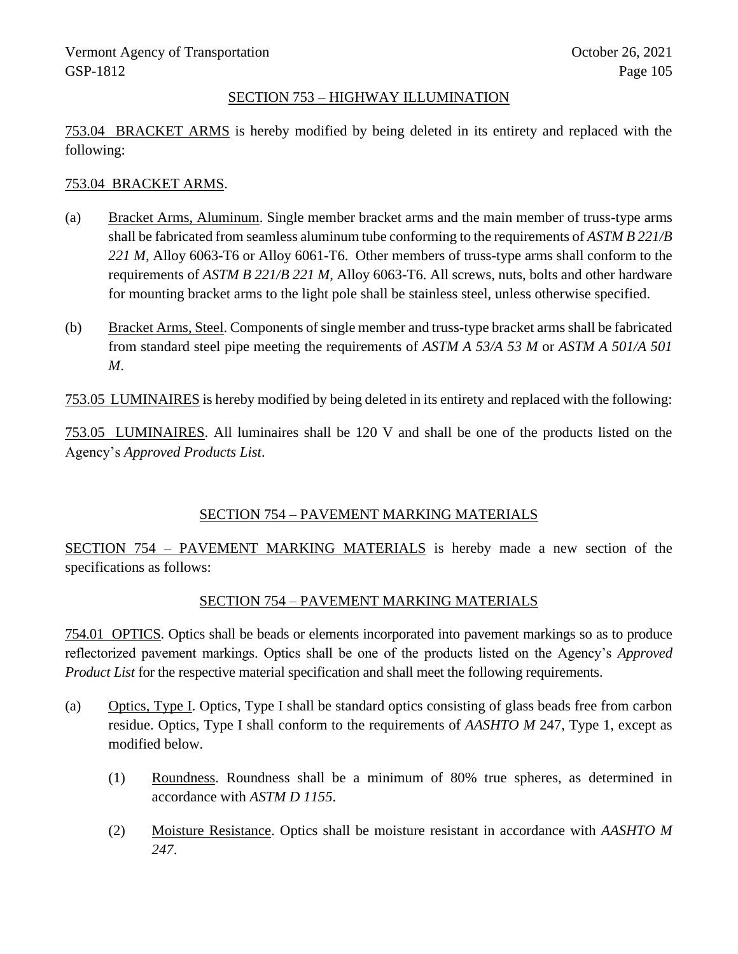#### SECTION 753 – HIGHWAY ILLUMINATION

753.04 BRACKET ARMS is hereby modified by being deleted in its entirety and replaced with the following:

### 753.04 BRACKET ARMS.

- (a) Bracket Arms, Aluminum. Single member bracket arms and the main member of truss-type arms shall be fabricated from seamless aluminum tube conforming to the requirements of *ASTM B 221/B 221 M,* Alloy 6063-T6 or Alloy 6061-T6. Other members of truss-type arms shall conform to the requirements of *ASTM B 221/B 221 M,* Alloy 6063-T6. All screws, nuts, bolts and other hardware for mounting bracket arms to the light pole shall be stainless steel, unless otherwise specified.
- (b) Bracket Arms, Steel. Components of single member and truss-type bracket arms shall be fabricated from standard steel pipe meeting the requirements of *ASTM A 53/A 53 M* or *ASTM A 501/A 501 M*.

753.05 LUMINAIRES is hereby modified by being deleted in its entirety and replaced with the following:

753.05 LUMINAIRES. All luminaires shall be 120 V and shall be one of the products listed on the Agency's *Approved Products List*.

### SECTION 754 – PAVEMENT MARKING MATERIALS

SECTION 754 – PAVEMENT MARKING MATERIALS is hereby made a new section of the specifications as follows:

### SECTION 754 – PAVEMENT MARKING MATERIALS

754.01 OPTICS. Optics shall be beads or elements incorporated into pavement markings so as to produce reflectorized pavement markings. Optics shall be one of the products listed on the Agency's *Approved Product List* for the respective material specification and shall meet the following requirements.

- (a) Optics, Type I. Optics, Type I shall be standard optics consisting of glass beads free from carbon residue. Optics, Type I shall conform to the requirements of *AASHTO M* 247, Type 1, except as modified below.
	- (1) Roundness. Roundness shall be a minimum of 80% true spheres, as determined in accordance with *ASTM D 1155*.
	- (2) Moisture Resistance. Optics shall be moisture resistant in accordance with *AASHTO M 247*.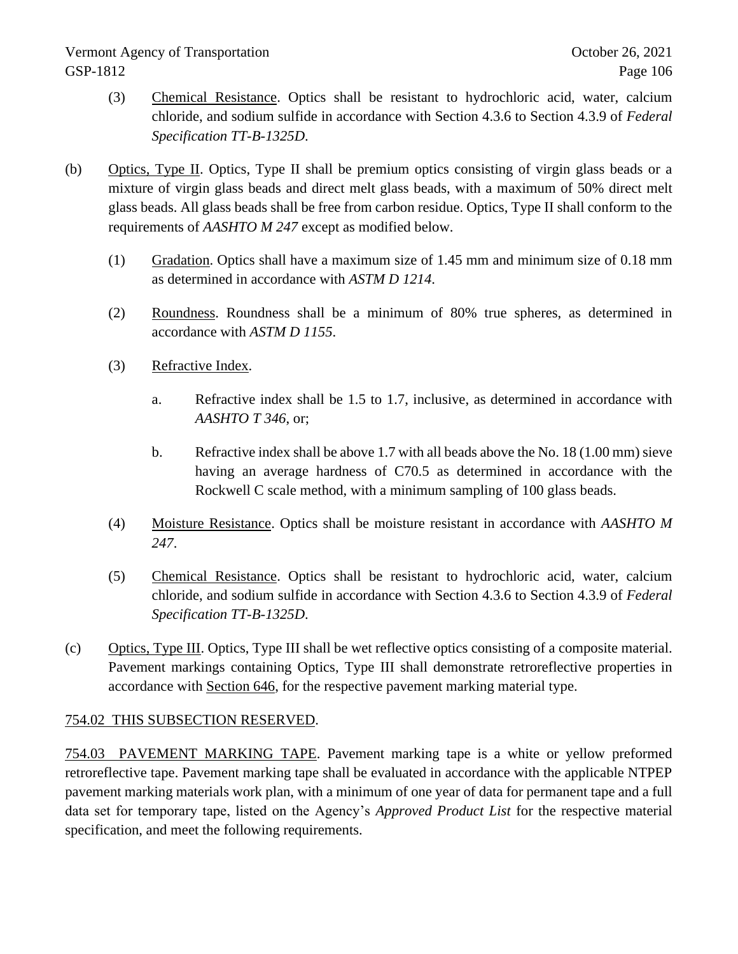- (3) Chemical Resistance. Optics shall be resistant to hydrochloric acid, water, calcium chloride, and sodium sulfide in accordance with Section 4.3.6 to Section 4.3.9 of *Federal Specification TT-B-1325D*.
- (b) Optics, Type II. Optics, Type II shall be premium optics consisting of virgin glass beads or a mixture of virgin glass beads and direct melt glass beads, with a maximum of 50% direct melt glass beads. All glass beads shall be free from carbon residue. Optics, Type II shall conform to the requirements of *AASHTO M 247* except as modified below.
	- (1) Gradation. Optics shall have a maximum size of 1.45 mm and minimum size of 0.18 mm as determined in accordance with *ASTM D 1214*.
	- (2) Roundness. Roundness shall be a minimum of 80% true spheres, as determined in accordance with *ASTM D 1155*.
	- (3) Refractive Index.
		- a. Refractive index shall be 1.5 to 1.7, inclusive, as determined in accordance with *AASHTO T 346*, or;
		- b. Refractive index shall be above 1.7 with all beads above the No. 18 (1.00 mm) sieve having an average hardness of C70.5 as determined in accordance with the Rockwell C scale method, with a minimum sampling of 100 glass beads.
	- (4) Moisture Resistance. Optics shall be moisture resistant in accordance with *AASHTO M 247*.
	- (5) Chemical Resistance. Optics shall be resistant to hydrochloric acid, water, calcium chloride, and sodium sulfide in accordance with Section 4.3.6 to Section 4.3.9 of *Federal Specification TT-B-1325D*.
- (c) Optics, Type III. Optics, Type III shall be wet reflective optics consisting of a composite material. Pavement markings containing Optics, Type III shall demonstrate retroreflective properties in accordance with Section 646, for the respective pavement marking material type.

## 754.02 THIS SUBSECTION RESERVED.

754.03 PAVEMENT MARKING TAPE. Pavement marking tape is a white or yellow preformed retroreflective tape. Pavement marking tape shall be evaluated in accordance with the applicable NTPEP pavement marking materials work plan, with a minimum of one year of data for permanent tape and a full data set for temporary tape, listed on the Agency's *Approved Product List* for the respective material specification, and meet the following requirements.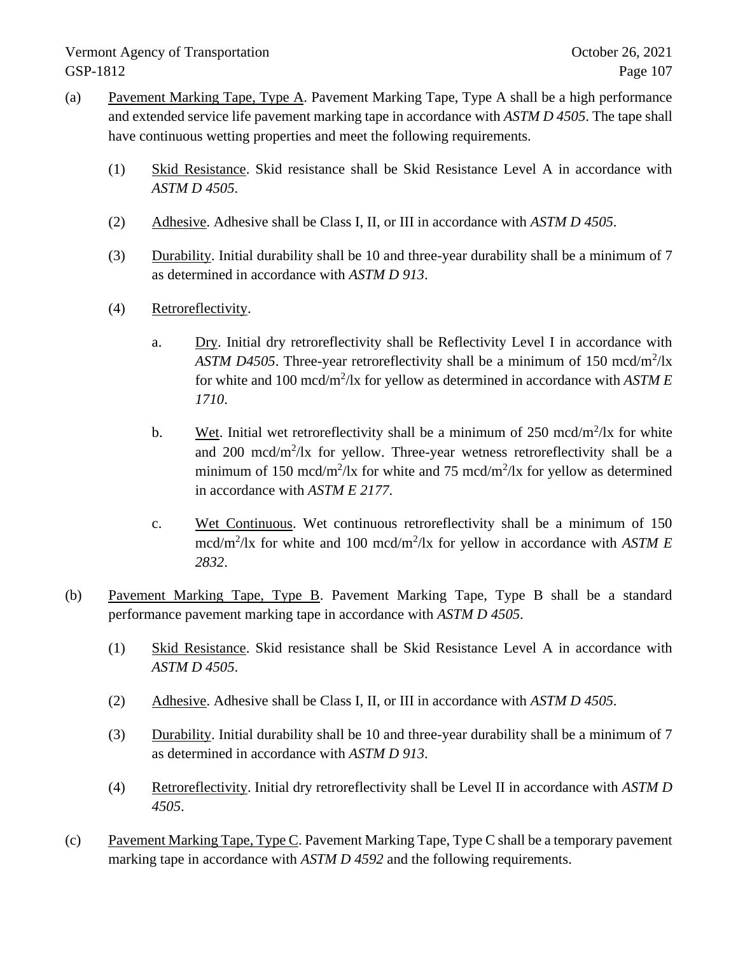- (a) Pavement Marking Tape, Type A. Pavement Marking Tape, Type A shall be a high performance and extended service life pavement marking tape in accordance with *ASTM D 4505*. The tape shall have continuous wetting properties and meet the following requirements.
	- (1) Skid Resistance. Skid resistance shall be Skid Resistance Level A in accordance with *ASTM D 4505*.
	- (2) Adhesive. Adhesive shall be Class I, II, or III in accordance with *ASTM D 4505*.
	- (3) Durability. Initial durability shall be 10 and three-year durability shall be a minimum of 7 as determined in accordance with *ASTM D 913*.
	- (4) Retroreflectivity.
		- a. Dry. Initial dry retroreflectivity shall be Reflectivity Level I in accordance with ASTM D4505. Three-year retroreflectivity shall be a minimum of 150 mcd/m<sup>2</sup>/lx for white and 100 mcd/m<sup>2</sup>/lx for yellow as determined in accordance with *ASTM E 1710*.
		- b. Wet. Initial wet retroreflectivity shall be a minimum of 250 mcd/m<sup>2</sup>/lx for white and  $200 \text{ med/m}^2/\text{lx}$  for yellow. Three-year wetness retroreflectivity shall be a minimum of 150 mcd/m<sup>2</sup>/lx for white and 75 mcd/m<sup>2</sup>/lx for yellow as determined in accordance with *ASTM E 2177*.
		- c. Wet Continuous. Wet continuous retroreflectivity shall be a minimum of 150 mcd/m<sup>2</sup>/lx for white and 100 mcd/m<sup>2</sup>/lx for yellow in accordance with *ASTM E 2832*.
- (b) Pavement Marking Tape, Type B. Pavement Marking Tape, Type B shall be a standard performance pavement marking tape in accordance with *ASTM D 4505*.
	- (1) Skid Resistance. Skid resistance shall be Skid Resistance Level A in accordance with *ASTM D 4505*.
	- (2) Adhesive. Adhesive shall be Class I, II, or III in accordance with *ASTM D 4505*.
	- (3) Durability. Initial durability shall be 10 and three-year durability shall be a minimum of 7 as determined in accordance with *ASTM D 913*.
	- (4) Retroreflectivity. Initial dry retroreflectivity shall be Level II in accordance with *ASTM D 4505*.
- (c) Pavement Marking Tape, Type C. Pavement Marking Tape, Type C shall be a temporary pavement marking tape in accordance with *ASTM D 4592* and the following requirements.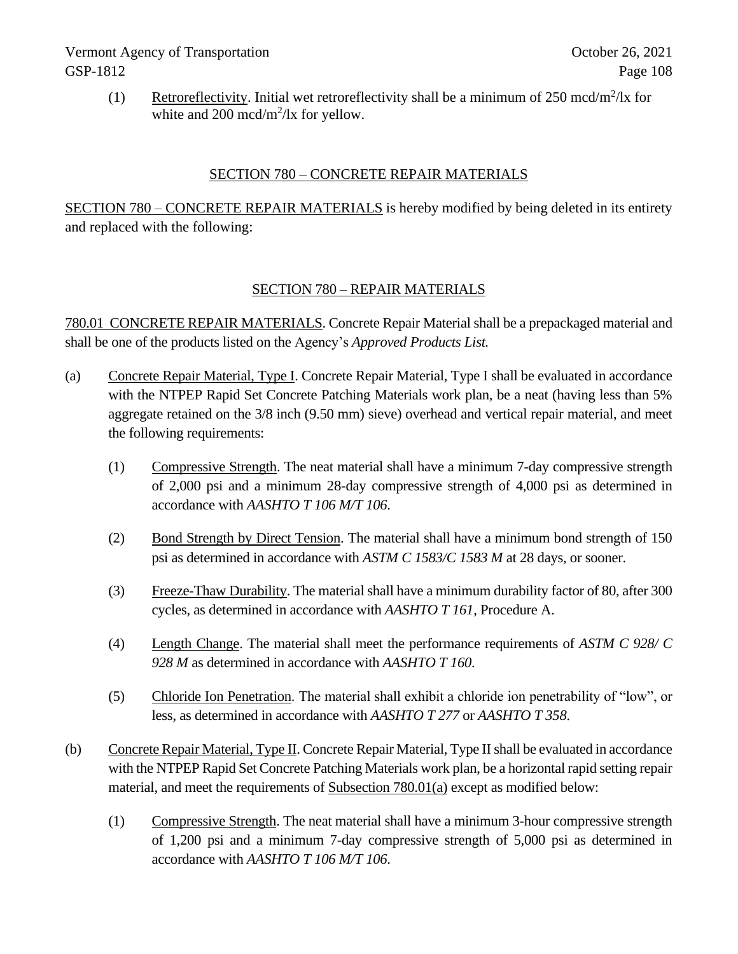(1) Retroreflectivity. Initial wet retroreflectivity shall be a minimum of  $250 \text{ med/m}^2/\text{lx}$  for white and 200 mcd/m<sup>2</sup>/lx for yellow.

## SECTION 780 – CONCRETE REPAIR MATERIALS

SECTION 780 – CONCRETE REPAIR MATERIALS is hereby modified by being deleted in its entirety and replaced with the following:

## SECTION 780 – REPAIR MATERIALS

780.01 CONCRETE REPAIR MATERIALS. Concrete Repair Material shall be a prepackaged material and shall be one of the products listed on the Agency's *Approved Products List.*

- (a) Concrete Repair Material, Type I. Concrete Repair Material, Type I shall be evaluated in accordance with the NTPEP Rapid Set Concrete Patching Materials work plan, be a neat (having less than 5% aggregate retained on the 3/8 inch (9.50 mm) sieve) overhead and vertical repair material, and meet the following requirements:
	- (1) Compressive Strength. The neat material shall have a minimum 7-day compressive strength of 2,000 psi and a minimum 28-day compressive strength of 4,000 psi as determined in accordance with *AASHTO T 106 M/T 106*.
	- (2) Bond Strength by Direct Tension. The material shall have a minimum bond strength of 150 psi as determined in accordance with *ASTM C 1583/C 1583 M* at 28 days, or sooner.
	- (3) Freeze-Thaw Durability. The material shall have a minimum durability factor of 80, after 300 cycles, as determined in accordance with *AASHTO T 161*, Procedure A.
	- (4) Length Change. The material shall meet the performance requirements of *ASTM C 928/ C 928 M* as determined in accordance with *AASHTO T 160*.
	- (5) Chloride Ion Penetration. The material shall exhibit a chloride ion penetrability of "low", or less, as determined in accordance with *AASHTO T 277* or *AASHTO T 358*.
- (b) Concrete Repair Material, Type II. Concrete Repair Material, Type II shall be evaluated in accordance with the NTPEP Rapid Set Concrete Patching Materials work plan, be a horizontal rapid setting repair material, and meet the requirements of Subsection 780.01(a) except as modified below:
	- (1) Compressive Strength. The neat material shall have a minimum 3-hour compressive strength of 1,200 psi and a minimum 7-day compressive strength of 5,000 psi as determined in accordance with *AASHTO T 106 M/T 106*.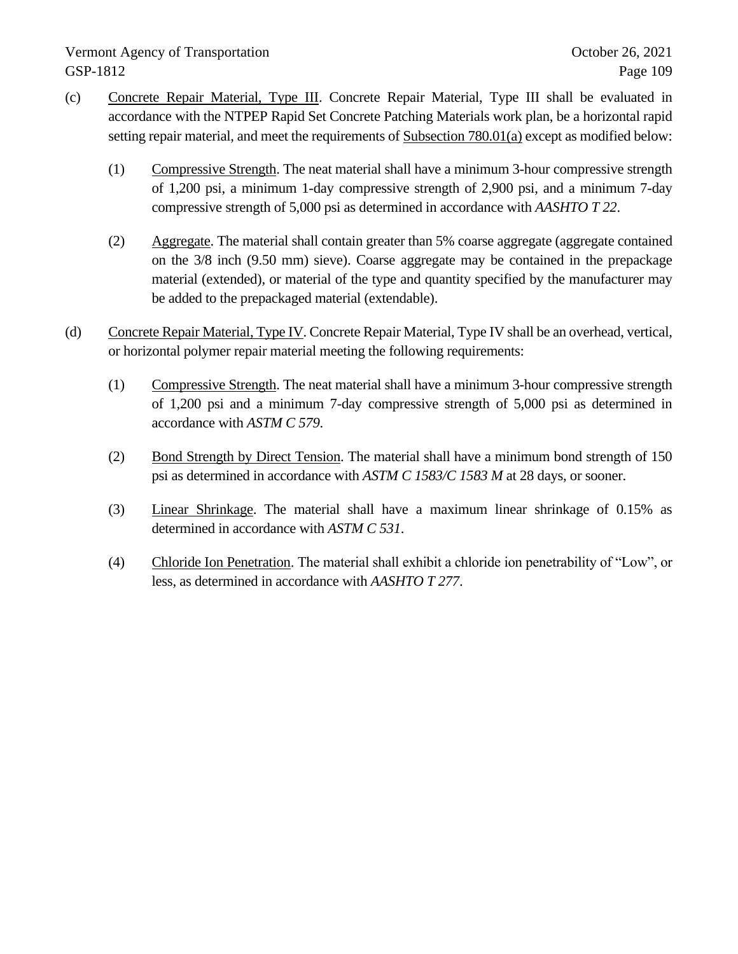## Vermont Agency of Transportation Corollary Corollary Corollary Corollary Corollary Corollary Corollary Corollary Corollary Corollary Corollary Corollary Corollary Corollary Corollary Corollary Corollary Corollary Corollary GSP-1812 Page 109

- (c) Concrete Repair Material, Type III. Concrete Repair Material, Type III shall be evaluated in accordance with the NTPEP Rapid Set Concrete Patching Materials work plan, be a horizontal rapid setting repair material, and meet the requirements of Subsection 780.01(a) except as modified below:
	- (1) Compressive Strength. The neat material shall have a minimum 3-hour compressive strength of 1,200 psi, a minimum 1-day compressive strength of 2,900 psi, and a minimum 7-day compressive strength of 5,000 psi as determined in accordance with *AASHTO T 22*.
	- (2) Aggregate. The material shall contain greater than 5% coarse aggregate (aggregate contained on the 3/8 inch (9.50 mm) sieve). Coarse aggregate may be contained in the prepackage material (extended), or material of the type and quantity specified by the manufacturer may be added to the prepackaged material (extendable).
- (d) Concrete Repair Material, Type IV. Concrete Repair Material, Type IV shall be an overhead, vertical, or horizontal polymer repair material meeting the following requirements:
	- (1) Compressive Strength. The neat material shall have a minimum 3-hour compressive strength of 1,200 psi and a minimum 7-day compressive strength of 5,000 psi as determined in accordance with *ASTM C 579*.
	- (2) Bond Strength by Direct Tension. The material shall have a minimum bond strength of 150 psi as determined in accordance with *ASTM C 1583/C 1583 M* at 28 days, or sooner.
	- (3) Linear Shrinkage. The material shall have a maximum linear shrinkage of 0.15% as determined in accordance with *ASTM C 531*.
	- (4) Chloride Ion Penetration. The material shall exhibit a chloride ion penetrability of "Low", or less, as determined in accordance with *AASHTO T 277*.